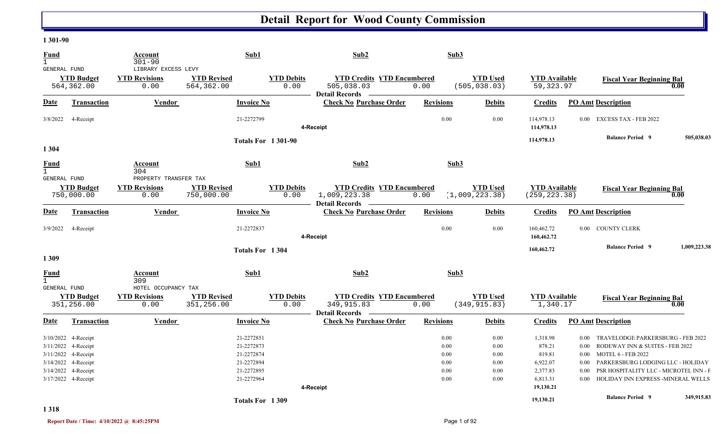#### **1 301-90**

| <u>Fund</u><br>$\mathbf{1}$<br>GENERAL FUND |                                                                   | Account<br>$301 - 90$<br>LIBRARY EXCESS LEVY          |                                  | Sub1                                   | Sub2                                                                      | Sub3                 |                                   |                                               |                              |                                                                                                                    |              |
|---------------------------------------------|-------------------------------------------------------------------|-------------------------------------------------------|----------------------------------|----------------------------------------|---------------------------------------------------------------------------|----------------------|-----------------------------------|-----------------------------------------------|------------------------------|--------------------------------------------------------------------------------------------------------------------|--------------|
|                                             | <b>YTD Budget</b><br>564,362.00                                   | <b>YTD Revisions</b><br>0.00                          | <b>YTD Revised</b><br>564,362.00 | <b>YTD Debits</b><br>0.00              | <b>YTD Credits YTD Encumbered</b><br>505,038.03<br><b>Detail Records</b>  | 0.00                 | <b>YTD Used</b><br>(505, 038.03)  | <b>YTD</b> Available<br>59, 323.97            |                              | <b>Fiscal Year Beginning Bal</b>                                                                                   | 0.00         |
| Date                                        | Transaction                                                       | <b>Vendor</b>                                         |                                  | <b>Invoice No</b>                      | <b>Check No Purchase Order</b>                                            | <b>Revisions</b>     | <b>Debits</b>                     | <b>Credits</b>                                |                              | <b>PO Amt Description</b>                                                                                          |              |
| 3/8/2022                                    | 4-Receipt                                                         |                                                       |                                  | 21-2272799                             | 4-Receipt                                                                 | 0.00                 | 0.00                              | 114,978.13<br>114,978.13                      |                              | 0.00 EXCESS TAX - FEB 2022                                                                                         |              |
| 1 3 0 4                                     |                                                                   |                                                       |                                  | <b>Totals For 1301-90</b>              |                                                                           |                      |                                   | 114,978.13                                    |                              | <b>Balance Period 9</b>                                                                                            | 505,038.03   |
| Fund<br>$\mathbf{1}$                        |                                                                   | Account<br>304                                        |                                  | Sub1                                   | Sub2                                                                      | Sub3                 |                                   |                                               |                              |                                                                                                                    |              |
| GENERAL FUND                                | <b>YTD Budget</b><br>750,000.00                                   | PROPERTY TRANSFER TAX<br><b>YTD Revisions</b><br>0.00 | <b>YTD Revised</b><br>750,000.00 | <b>YTD Debits</b><br>0.00              | <b>YTD Credits YTD Encumbered</b><br>1,009,223.38<br>Detail Records —     | 0.00                 | <b>YTD Used</b><br>(1,009,223.38) | <b>YTD</b> Available<br>(259, 223.38)         |                              | <b>Fiscal Year Beginning Bal</b>                                                                                   | $0.00\,$     |
| Date                                        | Transaction                                                       | Vendor                                                |                                  | <b>Invoice No</b>                      | <b>Check No Purchase Order</b>                                            | <b>Revisions</b>     | <b>Debits</b>                     | <b>Credits</b>                                |                              | <b>PO Amt Description</b>                                                                                          |              |
| 3/9/2022                                    | 4-Receipt                                                         |                                                       |                                  | 21-2272837                             | 4-Receipt                                                                 | 0.00                 | 0.00                              | 160,462.72<br>160,462.72                      |                              | 0.00 COUNTY CLERK                                                                                                  |              |
| 1309                                        |                                                                   |                                                       |                                  | Totals For 1304                        |                                                                           |                      |                                   | 160,462.72                                    |                              | <b>Balance Period 9</b>                                                                                            | 1,009,223.38 |
| Fund<br>$\mathbf{1}$<br><b>GENERAL FUND</b> |                                                                   | Account<br>309<br>HOTEL OCCUPANCY TAX                 |                                  | Sub1                                   | Sub2                                                                      | Sub3                 |                                   |                                               |                              |                                                                                                                    |              |
|                                             | <b>YTD Budget</b><br>351,256.00                                   | <b>YTD Revisions</b><br>0.00                          | <b>YTD Revised</b><br>351,256.00 | <b>YTD Debits</b><br>0.00              | <b>YTD Credits YTD Encumbered</b><br>349, 915.83<br><b>Detail Records</b> | 0.00                 | <b>YTD Used</b><br>(349, 915.83)  | <b>YTD</b> Available<br>1,340.17              |                              | <b>Fiscal Year Beginning Bal</b>                                                                                   | 0.00         |
| Date                                        | Transaction                                                       | Vendor                                                |                                  | <b>Invoice No</b>                      | <b>Check No Purchase Order</b>                                            | <b>Revisions</b>     | <b>Debits</b>                     | <b>Credits</b>                                |                              | <b>PO Amt Description</b>                                                                                          |              |
|                                             | 3/10/2022 4-Receipt<br>3/11/2022 4-Receipt<br>3/11/2022 4-Receipt |                                                       |                                  | 21-2272851<br>21-2272873<br>21-2272874 |                                                                           | 0.00<br>0.00<br>0.00 | 0.00<br>0.00<br>0.00              | 1,318.98<br>878.21<br>819.81                  | 0.00<br>$0.00\,$             | TRAVELODGE PARKERSBURG - FEB 2022<br>RODEWAY INN & SUITES - FEB 2022<br>0.00 MOTEL 6 - FEB 2022                    |              |
|                                             | 3/14/2022 4-Receipt<br>3/14/2022 4-Receipt<br>3/17/2022 4-Receipt |                                                       |                                  | 21-2272894<br>21-2272895<br>21-2272964 | 4-Receipt                                                                 | 0.00<br>0.00<br>0.00 | 0.00<br>0.00<br>0.00              | 6,922.07<br>2,377.83<br>6,813.31<br>19,130.21 | $0.00\,$<br>0.00<br>$0.00\,$ | PARKERSBURG LODGING LLC - HOLIDAY<br>PSR HOSPITALITY LLC - MICROTEL INN - F<br>HOLIDAY INN EXPRESS - MINERAL WELLS |              |
|                                             |                                                                   |                                                       |                                  | Totals For 1309                        |                                                                           |                      |                                   | 19,130.21                                     |                              | <b>Balance Period 9</b>                                                                                            | 349,915.83   |

**1 318**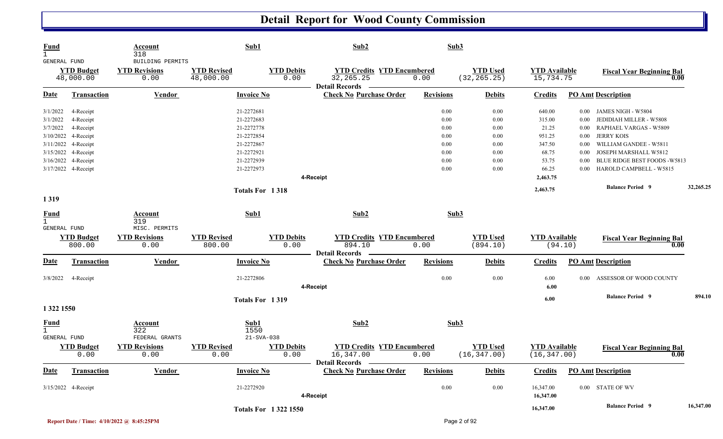| <b>Fund</b><br>$\mathbf{1}$<br>GENERAL FUND |                                | <b>Account</b><br>318<br>BUILDING PERMITS | Sub1                            |                           | Sub2                                                                      | Sub3             |                                 |                                     |          |                                          |           |
|---------------------------------------------|--------------------------------|-------------------------------------------|---------------------------------|---------------------------|---------------------------------------------------------------------------|------------------|---------------------------------|-------------------------------------|----------|------------------------------------------|-----------|
|                                             | <b>YTD Budget</b><br>48,000.00 | <b>YTD Revisions</b><br>0.00              | <b>YTD Revised</b><br>48,000.00 | <b>YTD Debits</b><br>0.00 | <b>YTD Credits YTD Encumbered</b><br>32, 265. 25<br><b>Detail Records</b> | 0.00             | <b>YTD Used</b><br>(32, 265.25) | <b>YTD</b> Available<br>15,734.75   |          | <b>Fiscal Year Beginning Bal</b><br>0.00 |           |
| <b>Date</b>                                 | <b>Transaction</b>             | <b>Vendor</b>                             | <b>Invoice No</b>               |                           | <b>Check No Purchase Order</b>                                            | <b>Revisions</b> | <b>Debits</b>                   | <b>Credits</b>                      |          | <b>PO Amt Description</b>                |           |
| 3/1/2022                                    | 4-Receipt                      |                                           | 21-2272681                      |                           |                                                                           | 0.00             | 0.00                            | 640.00                              | $0.00\,$ | JAMES NIGH - W5804                       |           |
| 3/1/2022                                    | 4-Receipt                      |                                           | 21-2272683                      |                           |                                                                           | 0.00             | 0.00                            | 315.00                              | 0.00     | JEDIDIAH MILLER - W5808                  |           |
| 3/7/2022                                    | 4-Receipt                      |                                           | 21-2272778                      |                           |                                                                           | 0.00             | 0.00                            | 21.25                               | 0.00     | RAPHAEL VARGAS - W5809                   |           |
|                                             | 3/10/2022 4-Receipt            |                                           | 21-2272854                      |                           |                                                                           | 0.00             | 0.00                            | 951.25                              | 0.00     | <b>JERRY KOIS</b>                        |           |
|                                             | 3/11/2022 4-Receipt            |                                           | 21-2272867                      |                           |                                                                           | 0.00             | 0.00                            | 347.50                              | 0.00     | WILLIAM GANDEE - W5811                   |           |
|                                             | 3/15/2022 4-Receipt            |                                           | 21-2272921                      |                           |                                                                           | 0.00             | 0.00                            | 68.75                               | 0.00     | JOSEPH MARSHALL W5812                    |           |
|                                             | 3/16/2022 4-Receipt            |                                           | 21-2272939                      |                           |                                                                           | 0.00             | 0.00                            | 53.75                               | 0.00     | BLUE RIDGE BEST FOODS - W5813            |           |
|                                             | 3/17/2022 4-Receipt            |                                           | 21-2272973                      |                           |                                                                           | 0.00             | 0.00                            | 66.25                               | 0.00     | HAROLD CAMPBELL - W5815                  |           |
|                                             |                                |                                           |                                 | 4-Receipt                 |                                                                           |                  |                                 | 2,463.75                            |          |                                          |           |
|                                             |                                |                                           | Totals For 1318                 |                           |                                                                           |                  |                                 | 2,463.75                            |          | <b>Balance Period 9</b>                  | 32,265.25 |
| 1319                                        |                                |                                           |                                 |                           |                                                                           |                  |                                 |                                     |          |                                          |           |
| <b>Fund</b><br>$\mathbf 1$                  |                                | <b>Account</b><br>319                     | Sub1                            |                           | Sub2                                                                      | Sub3             |                                 |                                     |          |                                          |           |
| GENERAL FUND                                |                                | MISC. PERMITS                             |                                 |                           |                                                                           |                  |                                 |                                     |          |                                          |           |
|                                             | <b>YTD Budget</b>              | <b>YTD Revisions</b>                      | <b>YTD Revised</b>              | <b>YTD Debits</b>         | <b>YTD Credits YTD Encumbered</b>                                         |                  | <b>YTD Used</b>                 | <b>YTD Available</b>                |          | <b>Fiscal Year Beginning Bal</b>         |           |
|                                             | 800.00                         | 0.00                                      | 800.00                          | 0.00                      | 894.10<br><b>Detail Records</b>                                           | 0.00             | (894.10)                        | (94.10)                             |          | 0.00                                     |           |
| <b>Date</b>                                 | <b>Transaction</b>             | <b>Vendor</b>                             | <b>Invoice No</b>               |                           | <b>Check No Purchase Order</b>                                            | <b>Revisions</b> | <b>Debits</b>                   | <b>Credits</b>                      |          | <b>PO Amt Description</b>                |           |
| 3/8/2022                                    | 4-Receipt                      |                                           | 21-2272806                      |                           |                                                                           | 0.00             | 0.00                            | 6.00                                | 0.00     | ASSESSOR OF WOOD COUNTY                  |           |
|                                             |                                |                                           |                                 | 4-Receipt                 |                                                                           |                  |                                 | 6.00                                |          |                                          |           |
|                                             |                                |                                           | Totals For 1319                 |                           |                                                                           |                  |                                 | 6.00                                |          | <b>Balance Period 9</b>                  | 894.10    |
| 1 322 1550                                  |                                |                                           |                                 |                           |                                                                           |                  |                                 |                                     |          |                                          |           |
| $\frac{Fund}{1}$                            |                                | <b>Account</b><br>322                     | Sub1<br>1550                    |                           | Sub2                                                                      | Sub3             |                                 |                                     |          |                                          |           |
| GENERAL FUND                                |                                | FEDERAL GRANTS                            | $21 - SYA - 038$                |                           |                                                                           |                  |                                 |                                     |          |                                          |           |
|                                             | <b>YTD Budget</b><br>0.00      | <b>YTD Revisions</b><br>0.00              | <b>YTD Revised</b><br>0.00      | <b>YTD Debits</b><br>0.00 | <b>YTD Credits YTD Encumbered</b><br>16,347.00                            | 0.00             | <b>YTD Used</b><br>(16, 347.00) | <b>YTD</b> Available<br>(16,347.00) |          | <b>Fiscal Year Beginning Bal</b><br>0.00 |           |
| <b>Date</b>                                 | <b>Transaction</b>             | <b>Vendor</b>                             | <b>Invoice No</b>               |                           | Detail Records —<br><b>Check No Purchase Order</b>                        | <b>Revisions</b> | <b>Debits</b>                   | <b>Credits</b>                      |          | <b>PO Amt Description</b>                |           |
|                                             | 3/15/2022 4-Receipt            |                                           | 21-2272920                      |                           |                                                                           | $0.00\,$         | $0.00\,$                        | 16,347.00                           |          | 0.00 STATE OF WV                         |           |
|                                             |                                |                                           |                                 | 4-Receipt                 |                                                                           |                  |                                 | 16,347.00                           |          |                                          |           |
|                                             |                                |                                           | <b>Totals For 13221550</b>      |                           |                                                                           |                  |                                 | 16,347.00                           |          | <b>Balance Period 9</b>                  | 16,347.00 |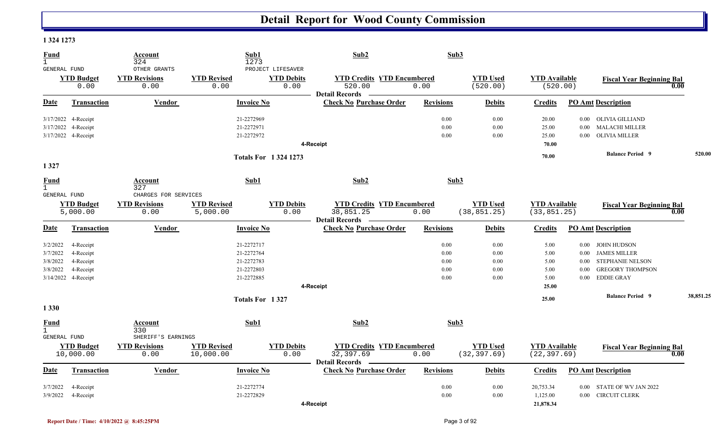#### **1 324 1273**

| <b>Fund</b><br>$\mathbf{1}$<br>GENERAL FUND |                               | Account<br>324<br>OTHER GRANTS | Sub1<br>1273                   | PROJECT LIFESAVER          | Sub2                                                                    | Sub3             |                                 |                                      |          |                                  |           |
|---------------------------------------------|-------------------------------|--------------------------------|--------------------------------|----------------------------|-------------------------------------------------------------------------|------------------|---------------------------------|--------------------------------------|----------|----------------------------------|-----------|
|                                             | <b>YTD Budget</b><br>0.00     | <b>YTD Revisions</b><br>0.00   | <b>YTD Revised</b><br>0.00     | <b>YTD Debits</b><br>0.00  | <b>YTD Credits YTD Encumbered</b><br>520.00<br><b>Detail Records</b>    | 0.00             | <b>YTD Used</b><br>(520.00)     | <b>YTD Available</b><br>(520.00)     |          | <b>Fiscal Year Beginning Bal</b> | 0.00      |
| Date                                        | Transaction                   | <b>Vendor</b>                  | <b>Invoice No</b>              |                            | <b>Check No Purchase Order</b>                                          | <b>Revisions</b> | <b>Debits</b>                   | <b>Credits</b>                       |          | <b>PO Amt Description</b>        |           |
|                                             | 3/17/2022 4-Receipt           |                                | 21-2272969                     |                            |                                                                         | 0.00             | 0.00                            | 20.00                                | $0.00\,$ | OLIVIA GILLIAND                  |           |
|                                             | 3/17/2022 4-Receipt           |                                | 21-2272971                     |                            |                                                                         | 0.00             | 0.00                            | 25.00                                | $0.00\,$ | MALACHI MILLER                   |           |
|                                             | 3/17/2022 4-Receipt           |                                | 21-2272972                     |                            |                                                                         | 0.00             | 0.00                            | 25.00                                | $0.00\,$ | <b>OLIVIA MILLER</b>             |           |
|                                             |                               |                                |                                |                            | 4-Receipt                                                               |                  |                                 | 70.00                                |          |                                  |           |
|                                             |                               |                                |                                | <b>Totals For 13241273</b> |                                                                         |                  |                                 | 70.00                                |          | <b>Balance Period 9</b>          | 520.00    |
| 1 3 2 7                                     |                               |                                |                                |                            |                                                                         |                  |                                 |                                      |          |                                  |           |
| Fund<br>$\mathbf{1}$                        |                               | Account<br>327                 | Sub1                           |                            | Sub2                                                                    | Sub3             |                                 |                                      |          |                                  |           |
| <b>GENERAL FUND</b>                         |                               | CHARGES FOR SERVICES           |                                |                            |                                                                         |                  |                                 |                                      |          |                                  |           |
|                                             | <b>YTD Budget</b><br>5,000.00 | <b>YTD Revisions</b><br>0.00   | <b>YTD Revised</b><br>5,000.00 | <b>YTD Debits</b><br>0.00  | <b>YTD Credits YTD Encumbered</b><br>38,851.25<br><b>Detail Records</b> | 0.00             | <b>YTD Used</b><br>(38, 851.25) | <b>YTD Available</b><br>(33, 851.25) |          | <b>Fiscal Year Beginning Bal</b> | 0.00      |
| Date                                        | <b>Transaction</b>            | Vendor                         | <b>Invoice No</b>              |                            | <b>Check No Purchase Order</b>                                          | <b>Revisions</b> | <b>Debits</b>                   | <b>Credits</b>                       |          | <b>PO Amt Description</b>        |           |
| 3/2/2022                                    | 4-Receipt                     |                                | 21-2272717                     |                            |                                                                         | 0.00             | 0.00                            | 5.00                                 | $0.00\,$ | JOHN HUDSON                      |           |
| 3/7/2022                                    | 4-Receipt                     |                                | 21-2272764                     |                            |                                                                         | 0.00             | 0.00                            | 5.00                                 | $0.00\,$ | <b>JAMES MILLER</b>              |           |
| 3/8/2022                                    | 4-Receipt                     |                                | 21-2272783                     |                            |                                                                         | 0.00             | 0.00                            | 5.00                                 | $0.00\,$ | STEPHANIE NELSON                 |           |
| 3/8/2022                                    | 4-Receipt                     |                                | 21-2272803                     |                            |                                                                         | 0.00             | 0.00                            | 5.00                                 | 0.00     | <b>GREGORY THOMPSON</b>          |           |
|                                             | 3/14/2022 4-Receipt           |                                | 21-2272885                     |                            |                                                                         | 0.00             | 0.00                            | 5.00                                 | $0.00\,$ | <b>EDDIE GRAY</b>                |           |
|                                             |                               |                                |                                |                            | 4-Receipt                                                               |                  |                                 | 25.00                                |          |                                  |           |
|                                             |                               |                                | Totals For 1327                |                            |                                                                         |                  |                                 | 25.00                                |          | <b>Balance Period 9</b>          | 38,851.25 |
| 1 3 3 0                                     |                               |                                |                                |                            |                                                                         |                  |                                 |                                      |          |                                  |           |
| Fund<br>$\mathbf{1}$                        |                               | Account<br>330                 | Sub1                           |                            | Sub2                                                                    | Sub3             |                                 |                                      |          |                                  |           |
| GENERAL FUND                                |                               | SHERIFF'S EARNINGS             |                                |                            |                                                                         |                  |                                 |                                      |          |                                  |           |
|                                             | <b>YTD Budget</b>             | <b>YTD Revisions</b>           | <b>YTD Revised</b>             | <b>YTD Debits</b>          | <b>YTD Credits YTD Encumbered</b>                                       |                  | <b>YTD Used</b>                 | <b>YTD Available</b>                 |          | <b>Fiscal Year Beginning Bal</b> |           |
|                                             | 10,000.00                     | 0.00                           | 10,000.00                      | 0.00                       | 32,397.69<br><b>Detail Records</b>                                      | 0.00             | (32, 397.69)                    | (22, 397.69)                         |          |                                  | 0.00      |
| Date                                        | Transaction                   | Vendor                         | <b>Invoice No</b>              |                            | <b>Check No Purchase Order</b>                                          | <b>Revisions</b> | <b>Debits</b>                   | <b>Credits</b>                       |          | <b>PO Amt Description</b>        |           |
| 3/7/2022                                    | 4-Receipt                     |                                | 21-2272774                     |                            |                                                                         | 0.00             | 0.00                            | 20,753.34                            | $0.00\,$ | STATE OF WV JAN 2022             |           |
| 3/9/2022                                    | 4-Receipt                     |                                | 21-2272829                     |                            |                                                                         | 0.00             | 0.00                            | 1,125.00                             |          | 0.00 CIRCUIT CLERK               |           |
|                                             |                               |                                |                                |                            | 4-Receipt                                                               |                  |                                 | 21,878.34                            |          |                                  |           |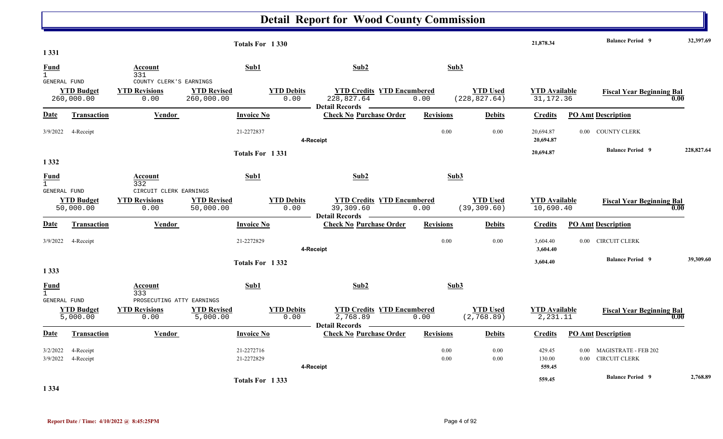|                                        |                                 |                                                           | Totals For 1330                  |                           |                                                                     |                  |                                  | 21,878.34                          |                  | <b>Balance Period 9</b>                             | 32,397.69  |  |
|----------------------------------------|---------------------------------|-----------------------------------------------------------|----------------------------------|---------------------------|---------------------------------------------------------------------|------------------|----------------------------------|------------------------------------|------------------|-----------------------------------------------------|------------|--|
| 1 3 3 1<br><b>Fund</b><br>$\mathbf{1}$ |                                 | Account<br>331                                            | Sub1                             |                           | Sub2                                                                | Sub3             |                                  |                                    |                  |                                                     |            |  |
| GENERAL FUND                           | <b>YTD Budget</b><br>260,000.00 | COUNTY CLERK'S EARNINGS<br><b>YTD Revisions</b><br>0.00   | <b>YTD Revised</b><br>260,000.00 | <b>YTD Debits</b><br>0.00 | <b>YTD Credits YTD Encumbered</b><br>228,827.64<br>Detail Records — | 0.00             | <b>YTD Used</b><br>(228, 827.64) | <b>YTD Available</b><br>31, 172.36 |                  | <b>Fiscal Year Beginning Bal</b>                    | 0.00       |  |
| <b>Date</b>                            | Transaction                     | Vendor                                                    | <b>Invoice No</b>                |                           | <b>Check No Purchase Order</b>                                      | <b>Revisions</b> | <b>Debits</b>                    | <b>Credits</b>                     |                  | <b>PO Amt Description</b>                           |            |  |
| 3/9/2022                               | 4-Receipt                       |                                                           | 21-2272837                       |                           | 4-Receipt                                                           | 0.00             | 0.00                             | 20,694.87<br>20,694.87             |                  | 0.00 COUNTY CLERK                                   |            |  |
| 1 3 3 2                                |                                 |                                                           | Totals For 1331                  |                           |                                                                     |                  |                                  | 20,694.87                          |                  | <b>Balance Period 9</b>                             | 228,827.64 |  |
| <b>Fund</b><br>$\mathbf{1}$            |                                 | Account<br>332                                            | Sub1                             |                           | Sub2                                                                | Sub3             |                                  |                                    |                  |                                                     |            |  |
| <b>GENERAL FUND</b>                    | <b>YTD Budget</b><br>50,000.00  | CIRCUIT CLERK EARNINGS<br><b>YTD Revisions</b><br>0.00    | <b>YTD Revised</b><br>50,000.00  | <b>YTD Debits</b><br>0.00 | <b>YTD Credits YTD Encumbered</b><br>39,309.60                      | 0.00             | <b>YTD Used</b><br>(39, 309.60)  | <b>YTD Available</b><br>10,690.40  |                  | <b>Fiscal Year Beginning Bal</b>                    | 0.00       |  |
| <b>Date</b>                            | <b>Transaction</b>              | <b>Vendor</b>                                             | <b>Invoice No</b>                |                           | <b>Detail Records</b><br><b>Check No Purchase Order</b>             | <b>Revisions</b> | <b>Debits</b>                    | <b>Credits</b>                     |                  | <b>PO Amt Description</b>                           |            |  |
| 3/9/2022                               | 4-Receipt                       |                                                           | 21-2272829                       |                           | 4-Receipt                                                           | 0.00             | 0.00                             | 3,604.40<br>3,604.40               | $0.00\,$         | <b>CIRCUIT CLERK</b>                                |            |  |
| 1 3 3 3                                |                                 |                                                           | Totals For 1332                  |                           |                                                                     |                  |                                  | 3,604.40                           |                  | <b>Balance Period 9</b>                             | 39,309.60  |  |
| <b>Fund</b><br>$\mathbf{1}$            |                                 | Account<br>333                                            | Sub1                             |                           | Sub2                                                                | Sub3             |                                  |                                    |                  |                                                     |            |  |
| <b>GENERAL FUND</b>                    | <b>YTD Budget</b><br>5,000.00   | PROSECUTING ATTY EARNINGS<br><b>YTD Revisions</b><br>0.00 | <b>YTD Revised</b><br>5,000.00   | <b>YTD Debits</b><br>0.00 | <b>YTD Credits YTD Encumbered</b><br>2,768.89                       | 0.00             | <b>YTD Used</b><br>(2, 768.89)   | <b>YTD Available</b><br>2,231.11   |                  | <b>Fiscal Year Beginning Bal</b>                    | 0.00       |  |
| Date                                   | <b>Transaction</b>              | Vendor                                                    | <b>Invoice No</b>                |                           | <b>Detail Records</b><br><b>Check No Purchase Order</b>             | <b>Revisions</b> | <b>Debits</b>                    | <b>Credits</b>                     |                  | <b>PO Amt Description</b>                           |            |  |
| 3/2/2022<br>3/9/2022                   | 4-Receipt<br>4-Receipt          |                                                           | 21-2272716<br>21-2272829         |                           | 4-Receipt                                                           | 0.00<br>0.00     | 0.00<br>0.00                     | 429.45<br>130.00<br>559.45         | 0.00<br>$0.00\,$ | <b>MAGISTRATE - FEB 202</b><br><b>CIRCUIT CLERK</b> |            |  |
| 1.221                                  |                                 |                                                           | Totals For 1333                  |                           |                                                                     |                  |                                  | 559.45                             |                  | <b>Balance Period 9</b>                             | 2,768.89   |  |

**1 334**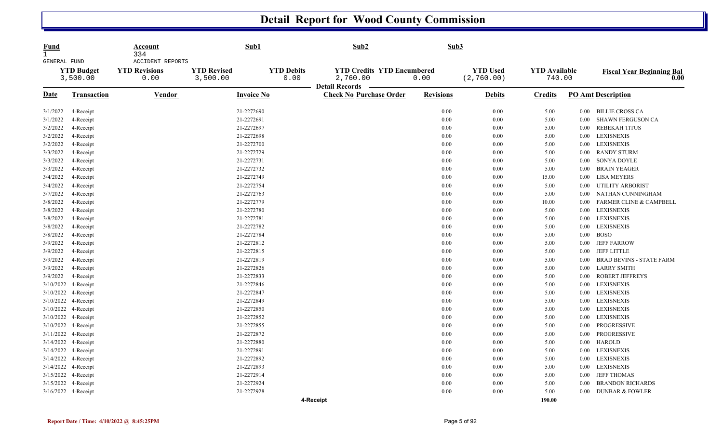| <b>Fund</b><br>$\mathbf{1}$<br><b>GENERAL FUND</b> |                               | Account<br>334<br><b>ACCIDENT REPORTS</b> | Sub1                           |                           | Sub2                                                                   | Sub3      |                                |                                |          |                                          |
|----------------------------------------------------|-------------------------------|-------------------------------------------|--------------------------------|---------------------------|------------------------------------------------------------------------|-----------|--------------------------------|--------------------------------|----------|------------------------------------------|
|                                                    | <b>YTD Budget</b><br>3,500.00 | <b>YTD Revisions</b><br>0.00              | <b>YTD Revised</b><br>3,500.00 | <b>YTD Debits</b><br>0.00 | <b>YTD Credits YTD Encumbered</b><br>2,760.00<br><b>Detail Records</b> | 0.00      | <b>YTD</b> Used<br>(2, 760.00) | <b>YTD</b> Available<br>740.00 |          | <b>Fiscal Year Beginning Bal</b><br>0.00 |
| Date                                               | Transaction                   | Vendor                                    | Invoice No                     |                           | <b>Check No Purchase Order</b>                                         | Revisions | <b>Debits</b>                  | Credits                        |          | <b>PO Amt Description</b>                |
| 3/1/2022                                           | 4-Receipt                     |                                           | 21-2272690                     |                           |                                                                        | 0.00      | $0.00\,$                       | 5.00                           | $0.00 -$ | <b>BILLIE CROSS CA</b>                   |
| 3/1/2022                                           | 4-Receipt                     |                                           | 21-2272691                     |                           |                                                                        | 0.00      | 0.00                           | 5.00                           | 0.00     | <b>SHAWN FERGUSON CA</b>                 |
| 3/2/2022                                           | 4-Receipt                     |                                           | 21-2272697                     |                           |                                                                        | 0.00      | $0.00\,$                       | 5.00                           | 0.00     | <b>REBEKAH TITUS</b>                     |
| 3/2/2022                                           | 4-Receipt                     |                                           | 21-2272698                     |                           |                                                                        | 0.00      | 0.00                           | 5.00                           | $0.00\,$ | <b>LEXISNEXIS</b>                        |
| 3/2/2022                                           | 4-Receipt                     |                                           | 21-2272700                     |                           |                                                                        | $0.00\,$  | $0.00\,$                       | 5.00                           | $0.00\,$ | <b>LEXISNEXIS</b>                        |
| 3/3/2022                                           | 4-Receipt                     |                                           | 21-2272729                     |                           |                                                                        | 0.00      | 0.00                           | 5.00                           | 0.00     | <b>RANDY STURM</b>                       |
| 3/3/2022                                           | 4-Receipt                     |                                           | 21-2272731                     |                           |                                                                        | 0.00      | $0.00\,$                       | 5.00                           | 0.00     | SONYA DOYLE                              |
| 3/3/2022                                           | 4-Receipt                     |                                           | 21-2272732                     |                           |                                                                        | 0.00      | 0.00                           | 5.00                           | 0.00     | <b>BRAIN YEAGER</b>                      |
| 3/4/2022                                           | 4-Receipt                     |                                           | 21-2272749                     |                           |                                                                        | 0.00      | 0.00                           | 15.00                          | $0.00\,$ | <b>LISA MEYERS</b>                       |
| 3/4/2022                                           | 4-Receipt                     |                                           | 21-2272754                     |                           |                                                                        | $0.00\,$  | 0.00                           | 5.00                           | 0.00     | UTILITY ARBORIST                         |
| 3/7/2022                                           | 4-Receipt                     |                                           | 21-2272763                     |                           |                                                                        | 0.00      | $0.00\,$                       | 5.00                           | 0.00     | NATHAN CUNNINGHAM                        |
| 3/8/2022                                           | 4-Receipt                     |                                           | 21-2272779                     |                           |                                                                        | 0.00      | 0.00                           | 10.00                          | 0.00     | <b>FARMER CLINE &amp; CAMPBELL</b>       |
| 3/8/2022                                           | 4-Receipt                     |                                           | 21-2272780                     |                           |                                                                        | 0.00      | 0.00                           | 5.00                           | $0.00\,$ | <b>LEXISNEXIS</b>                        |
| 3/8/2022                                           | 4-Receipt                     |                                           | 21-2272781                     |                           |                                                                        | 0.00      | $0.00\,$                       | 5.00                           | $0.00\,$ | <b>LEXISNEXIS</b>                        |
| 3/8/2022                                           | 4-Receipt                     |                                           | 21-2272782                     |                           |                                                                        | 0.00      | 0.00                           | 5.00                           | $0.00\,$ | <b>LEXISNEXIS</b>                        |
| 3/8/2022                                           | 4-Receipt                     |                                           | 21-2272784                     |                           |                                                                        | 0.00      | $0.00\,$                       | 5.00                           | $0.00\,$ | <b>BOSO</b>                              |
| 3/9/2022                                           | 4-Receipt                     |                                           | 21-2272812                     |                           |                                                                        | 0.00      | $0.00\,$                       | 5.00                           | $0.00\,$ | <b>JEFF FARROW</b>                       |
| 3/9/2022                                           | 4-Receipt                     |                                           | 21-2272815                     |                           |                                                                        | 0.00      | 0.00                           | 5.00                           | 0.00     | <b>JEFF LITTLE</b>                       |
| 3/9/2022                                           | 4-Receipt                     |                                           | 21-2272819                     |                           |                                                                        | 0.00      | 0.00                           | 5.00                           | 0.00     | <b>BRAD BEVINS - STATE FARM</b>          |
| 3/9/2022                                           | 4-Receipt                     |                                           | 21-2272826                     |                           |                                                                        | 0.00      | $0.00\,$                       | 5.00                           | 0.00     | <b>LARRY SMITH</b>                       |
| 3/9/2022                                           | 4-Receipt                     |                                           | 21-2272833                     |                           |                                                                        | 0.00      | 0.00                           | 5.00                           | 0.00     | <b>ROBERT JEFFREYS</b>                   |
| 3/10/2022                                          | 4-Receipt                     |                                           | 21-2272846                     |                           |                                                                        | 0.00      | $0.00\,$                       | 5.00                           | $0.00\,$ | <b>LEXISNEXIS</b>                        |
| 3/10/2022                                          | 4-Receipt                     |                                           | 21-2272847                     |                           |                                                                        | 0.00      | 0.00                           | 5.00                           | 0.00     | <b>LEXISNEXIS</b>                        |
| 3/10/2022                                          | 4-Receipt                     |                                           | 21-2272849                     |                           |                                                                        | 0.00      | 0.00                           | 5.00                           | $0.00\,$ | <b>LEXISNEXIS</b>                        |
| 3/10/2022                                          | 4-Receipt                     |                                           | 21-2272850                     |                           |                                                                        | 0.00      | 0.00                           | 5.00                           | 0.00     | <b>LEXISNEXIS</b>                        |
| 3/10/2022                                          | 4-Receipt                     |                                           | 21-2272852                     |                           |                                                                        | 0.00      | 0.00                           | 5.00                           | $0.00\,$ | <b>LEXISNEXIS</b>                        |
| 3/10/2022                                          | 4-Receipt                     |                                           | 21-2272855                     |                           |                                                                        | 0.00      | 0.00                           | 5.00                           | 0.00     | PROGRESSIVE                              |
| 3/11/2022                                          | 4-Receipt                     |                                           | 21-2272872                     |                           |                                                                        | 0.00      | $0.00\,$                       | 5.00                           | 0.00     | PROGRESSIVE                              |
|                                                    | 3/14/2022 4-Receipt           |                                           | 21-2272880                     |                           |                                                                        | 0.00      | 0.00                           | 5.00                           | 0.00     | <b>HAROLD</b>                            |
|                                                    | 3/14/2022 4-Receipt           |                                           | 21-2272891                     |                           |                                                                        | 0.00      | 0.00                           | 5.00                           | 0.00     | <b>LEXISNEXIS</b>                        |
| 3/14/2022                                          | 4-Receipt                     |                                           | 21-2272892                     |                           |                                                                        | 0.00      | 0.00                           | 5.00                           | 0.00     | <b>LEXISNEXIS</b>                        |
|                                                    | 3/14/2022 4-Receipt           |                                           | 21-2272893                     |                           |                                                                        | 0.00      | 0.00                           | 5.00                           | $0.00\,$ | <b>LEXISNEXIS</b>                        |
|                                                    | 3/15/2022 4-Receipt           |                                           | 21-2272914                     |                           |                                                                        | 0.00      | $0.00\,$                       | 5.00                           | 0.00     | <b>JEFF THOMAS</b>                       |
|                                                    | 3/15/2022 4-Receipt           |                                           | 21-2272924                     |                           |                                                                        | 0.00      | 0.00                           | 5.00                           | 0.00     | <b>BRANDON RICHARDS</b>                  |
|                                                    | 3/16/2022 4-Receipt           |                                           | 21-2272928                     |                           |                                                                        | 0.00      | 0.00                           | 5.00                           | $0.00\,$ | <b>DUNBAR &amp; FOWLER</b>               |
|                                                    |                               |                                           |                                |                           | 4-Receipt                                                              |           |                                | 190.00                         |          |                                          |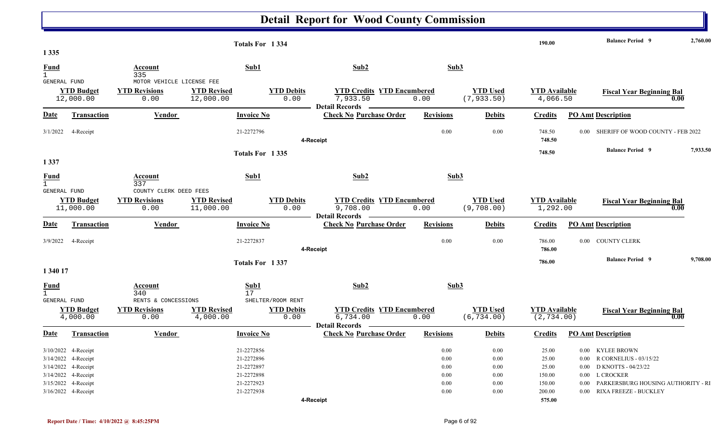|                                                    |                                                                                          |                                                           |                                 | Totals For 1334                                      |                                                         |                                           |                                | 190.00                              |          | <b>Balance Period 9</b>                                                                       | 2,760.00 |
|----------------------------------------------------|------------------------------------------------------------------------------------------|-----------------------------------------------------------|---------------------------------|------------------------------------------------------|---------------------------------------------------------|-------------------------------------------|--------------------------------|-------------------------------------|----------|-----------------------------------------------------------------------------------------------|----------|
| 1 3 3 5                                            |                                                                                          |                                                           |                                 |                                                      |                                                         |                                           |                                |                                     |          |                                                                                               |          |
| Fund<br>$\mathbf{1}$                               |                                                                                          | Account<br>335                                            |                                 | Sub1                                                 | Sub2                                                    | Sub3                                      |                                |                                     |          |                                                                                               |          |
| GENERAL FUND                                       | <b>YTD Budget</b><br>12,000.00                                                           | MOTOR VEHICLE LICENSE FEE<br><b>YTD Revisions</b><br>0.00 | <b>YTD Revised</b><br>12,000.00 | <b>YTD Debits</b><br>0.00                            | 7,933.50<br>- Detail Records -                          | <b>YTD Credits YTD Encumbered</b><br>0.00 | <b>YTD Used</b><br>(7, 933.50) | <b>YTD</b> Available<br>4,066.50    |          | <b>Fiscal Year Beginning Bal</b><br>0.00                                                      |          |
| <b>Date</b>                                        | Transaction                                                                              | Vendor                                                    |                                 | <b>Invoice No</b>                                    | <b>Check No Purchase Order</b>                          | <b>Revisions</b>                          | <b>Debits</b>                  | <b>Credits</b>                      |          | <b>PO Amt Description</b>                                                                     |          |
|                                                    | 3/1/2022 4-Receipt                                                                       |                                                           |                                 | 21-2272796                                           | 4-Receipt                                               | 0.00                                      | 0.00                           | 748.50<br>748.50                    |          | 0.00 SHERIFF OF WOOD COUNTY - FEB 2022                                                        |          |
|                                                    |                                                                                          |                                                           |                                 | Totals For 1335                                      |                                                         |                                           |                                | 748.50                              |          | <b>Balance Period 9</b>                                                                       | 7,933.50 |
| 1 3 3 7                                            |                                                                                          |                                                           |                                 |                                                      |                                                         |                                           |                                |                                     |          |                                                                                               |          |
| <b>Fund</b><br>$\mathbf{1}$                        |                                                                                          | Account<br>337                                            |                                 | Sub1                                                 | Sub2                                                    | Sub3                                      |                                |                                     |          |                                                                                               |          |
| <b>GENERAL FUND</b>                                | <b>YTD Budget</b><br>11,000.00                                                           | COUNTY CLERK DEED FEES<br><b>YTD Revisions</b><br>0.00    | <b>YTD Revised</b><br>11,000.00 | <b>YTD Debits</b><br>0.00                            | 9,708.00<br>Detail Records —                            | <b>YTD Credits YTD Encumbered</b><br>0.00 | <b>YTD</b> Used<br>(9, 708.00) | <b>YTD Available</b><br>1,292.00    |          | <b>Fiscal Year Beginning Bal</b><br>0.00                                                      |          |
| <b>Date</b>                                        | <b>Transaction</b>                                                                       | Vendor                                                    |                                 | <b>Invoice No</b>                                    | <b>Check No Purchase Order</b>                          | <b>Revisions</b>                          | <b>Debits</b>                  | <b>Credits</b>                      |          | <b>PO Amt Description</b>                                                                     |          |
|                                                    | 3/9/2022 4-Receipt                                                                       |                                                           |                                 | 21-2272837                                           | 4-Receipt                                               | 0.00                                      | 0.00                           | 786.00<br>786.00                    |          | 0.00 COUNTY CLERK                                                                             |          |
|                                                    |                                                                                          |                                                           |                                 | Totals For 1337                                      |                                                         |                                           |                                | 786.00                              |          | <b>Balance Period 9</b>                                                                       | 9,708.00 |
| 1 340 17                                           |                                                                                          |                                                           |                                 |                                                      |                                                         |                                           |                                |                                     |          |                                                                                               |          |
| <b>Fund</b><br>$\mathbf{1}$<br><b>GENERAL FUND</b> |                                                                                          | Account<br>340<br>RENTS & CONCESSIONS                     |                                 | Sub1<br>17<br>SHELTER/ROOM RENT                      | Sub <sub>2</sub>                                        | Sub3                                      |                                |                                     |          |                                                                                               |          |
|                                                    | <b>YTD Budget</b><br>4,000.00                                                            | <b>YTD Revisions</b><br>0.00                              | <b>YTD Revised</b><br>4,000.00  | <b>YTD Debits</b><br>0.00                            | 6,734.00                                                | <b>YTD Credits YTD Encumbered</b><br>0.00 | <b>YTD Used</b><br>(6, 734.00) | <b>YTD Available</b><br>(2, 734.00) |          | <b>Fiscal Year Beginning Bal</b><br>0.00                                                      |          |
| Date                                               | <b>Transaction</b>                                                                       | Vendor                                                    |                                 | <b>Invoice No</b>                                    | <b>Detail Records</b><br><b>Check No Purchase Order</b> | <b>Revisions</b>                          | <b>Debits</b>                  | <b>Credits</b>                      |          | <b>PO Amt Description</b>                                                                     |          |
|                                                    | 3/10/2022 4-Receipt<br>3/14/2022 4-Receipt<br>3/14/2022 4-Receipt<br>3/14/2022 4-Receipt |                                                           |                                 | 21-2272856<br>21-2272896<br>21-2272897<br>21-2272898 |                                                         | $0.00\,$<br>0.00<br>0.00<br>$0.00\,$      | 0.00<br>0.00<br>0.00<br>0.00   | 25.00<br>25.00<br>25.00<br>150.00   |          | 0.00 KYLEE BROWN<br>0.00 R CORNELIUS - 03/15/22<br>0.00 D KNOTTS - 04/23/22<br>0.00 L CROCKER |          |
|                                                    | 3/15/2022 4-Receipt<br>3/16/2022 4-Receipt                                               |                                                           |                                 | 21-2272923<br>21-2272938                             | 4-Receipt                                               | 0.00<br>0.00                              | 0.00<br>0.00                   | 150.00<br>200.00<br>575.00          | $0.00\,$ | PARKERSBURG HOUSING AUTHORITY - RI<br>0.00 RIXA FREEZE - BUCKLEY                              |          |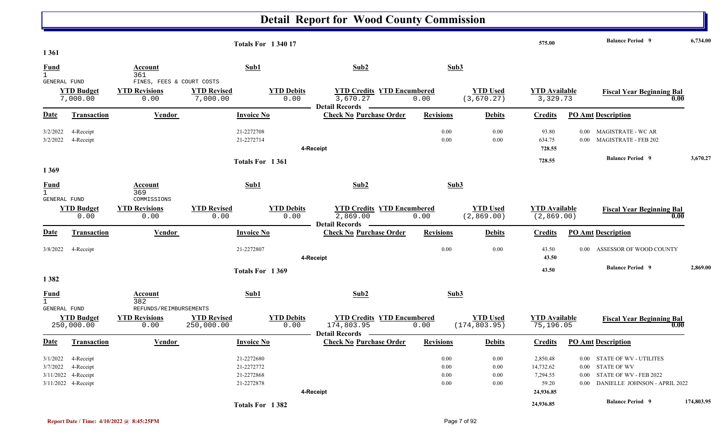|                                             |                               |                                                |                                | <b>Totals For 134017</b>  |                                                         |                  |                               | 575.00                           |                  | <b>Balance Period</b> 9                                  | 6,734.00   |
|---------------------------------------------|-------------------------------|------------------------------------------------|--------------------------------|---------------------------|---------------------------------------------------------|------------------|-------------------------------|----------------------------------|------------------|----------------------------------------------------------|------------|
| 1 3 6 1                                     |                               |                                                |                                |                           |                                                         |                  |                               |                                  |                  |                                                          |            |
| <b>Fund</b><br>$\mathbf{1}$                 |                               | Account<br>361                                 | Sub1                           |                           | Sub2                                                    | Sub3             |                               |                                  |                  |                                                          |            |
| <b>GENERAL FUND</b>                         |                               | FINES, FEES & COURT COSTS                      |                                |                           |                                                         |                  |                               |                                  |                  |                                                          |            |
|                                             | <b>YTD Budget</b><br>7,000.00 | <b>YTD Revisions</b><br>0.00                   | <b>YTD Revised</b><br>7,000.00 | <b>YTD Debits</b><br>0.00 | <b>YTD Credits YTD Encumbered</b><br>3,670.27           | 0.00             | <b>YTD Used</b><br>(3,670.27) | <b>YTD Available</b><br>3,329.73 |                  | <b>Fiscal Year Beginning Bal</b><br>0.00                 |            |
| Date                                        | Transaction                   | Vendor                                         | <b>Invoice No</b>              |                           | <b>Detail Records</b><br><b>Check No Purchase Order</b> | <b>Revisions</b> | <b>Debits</b>                 | <b>Credits</b>                   |                  | <b>PO Amt Description</b>                                |            |
|                                             |                               |                                                |                                |                           |                                                         |                  |                               |                                  |                  |                                                          |            |
| 3/2/2022<br>3/2/2022                        | 4-Receipt<br>4-Receipt        |                                                | 21-2272708<br>21-2272714       |                           |                                                         | 0.00<br>0.00     | 0.00<br>0.00                  | 93.80<br>634.75                  | $0.00\,$<br>0.00 | <b>MAGISTRATE - WC AR</b><br><b>MAGISTRATE - FEB 202</b> |            |
|                                             |                               |                                                |                                |                           | 4-Receipt                                               |                  |                               | 728.55                           |                  |                                                          |            |
|                                             |                               |                                                |                                | Totals For 1361           |                                                         |                  |                               | 728.55                           |                  | <b>Balance Period 9</b>                                  | 3,670.27   |
| 1369                                        |                               |                                                |                                |                           |                                                         |                  |                               |                                  |                  |                                                          |            |
| <b>Fund</b><br>$\mathbf{1}$<br>GENERAL FUND |                               | Account<br>369<br>COMMISSIONS                  | Sub1                           |                           | Sub2                                                    | Sub3             |                               |                                  |                  |                                                          |            |
|                                             | <b>YTD Budget</b>             | <b>YTD Revisions</b>                           | <b>YTD Revised</b>             | <b>YTD Debits</b>         | <b>YTD Credits YTD Encumbered</b>                       |                  | <b>YTD</b> Used               | <b>YTD</b> Available             |                  | <b>Fiscal Year Beginning Bal</b>                         |            |
|                                             | 0.00                          | 0.00                                           | 0.00                           | 0.00                      | 2,869.00<br>Detail Records —                            | 0.00             | (2,869.00)                    | (2,869.00)                       |                  | 0.00                                                     |            |
| Date                                        | <b>Transaction</b>            | Vendor                                         | <b>Invoice No</b>              |                           | <b>Check No Purchase Order</b>                          | <b>Revisions</b> | <b>Debits</b>                 | <b>Credits</b>                   |                  | <b>PO Amt Description</b>                                |            |
| 3/8/2022                                    | 4-Receipt                     |                                                | 21-2272807                     |                           | 4-Receipt                                               | 0.00             | 0.00                          | 43.50<br>43.50                   | $0.00^{\circ}$   | ASSESSOR OF WOOD COUNTY                                  |            |
|                                             |                               |                                                |                                |                           |                                                         |                  |                               |                                  |                  | <b>Balance Period 9</b>                                  | 2,869.00   |
| 1382                                        |                               |                                                |                                | Totals For 1369           |                                                         |                  |                               | 43.50                            |                  |                                                          |            |
| <b>Fund</b><br>$\mathbf{1}$                 |                               | Account<br>382                                 | Sub1                           |                           | Sub2                                                    | Sub3             |                               |                                  |                  |                                                          |            |
| <b>GENERAL FUND</b>                         | <b>YTD Budget</b>             | REFUNDS/REIMBURSEMENTS<br><b>YTD Revisions</b> | <b>YTD Revised</b>             | <b>YTD Debits</b>         | <b>YTD Credits YTD Encumbered</b>                       |                  | <b>YTD Used</b>               | <b>YTD Available</b>             |                  | <b>Fiscal Year Beginning Bal</b>                         |            |
|                                             | 250,000.00                    | 0.00                                           | 250,000.00                     | 0.00                      | 174,803.95<br>Detail Records —————                      | 0.00             | (174, 803.95)                 | 75,196.05                        |                  | 0.00                                                     |            |
| Date                                        | <b>Transaction</b>            | Vendor                                         | <b>Invoice No</b>              |                           | <b>Check No Purchase Order</b>                          | <b>Revisions</b> | <b>Debits</b>                 | <b>Credits</b>                   |                  | <b>PO Amt Description</b>                                |            |
|                                             | 3/1/2022 4-Receipt            |                                                | 21-2272680                     |                           |                                                         | 0.00             | $0.00\,$                      | 2,850.48                         |                  | 0.00 STATE OF WV - UTILITES                              |            |
|                                             | 3/7/2022 4-Receipt            |                                                | 21-2272772                     |                           |                                                         | $0.00\,$         | $0.00\,$                      | 14,732.62                        |                  | 0.00 STATE OF WV                                         |            |
|                                             | 3/11/2022 4-Receipt           |                                                | 21-2272868                     |                           |                                                         | $0.00\,$         | $0.00\,$                      | 7,294.55                         |                  | 0.00 STATE OF WV - FEB 2022                              |            |
|                                             | 3/11/2022 4-Receipt           |                                                | 21-2272878                     |                           |                                                         | $0.00\,$         | $0.00\,$                      | 59.20                            |                  | 0.00 DANIELLE JOHNSON - APRIL 2022                       |            |
|                                             |                               |                                                |                                |                           | 4-Receipt                                               |                  |                               | 24,936.85                        |                  |                                                          |            |
|                                             |                               |                                                |                                | Totals For 1382           |                                                         |                  |                               | 24,936.85                        |                  | <b>Balance Period 9</b>                                  | 174,803.95 |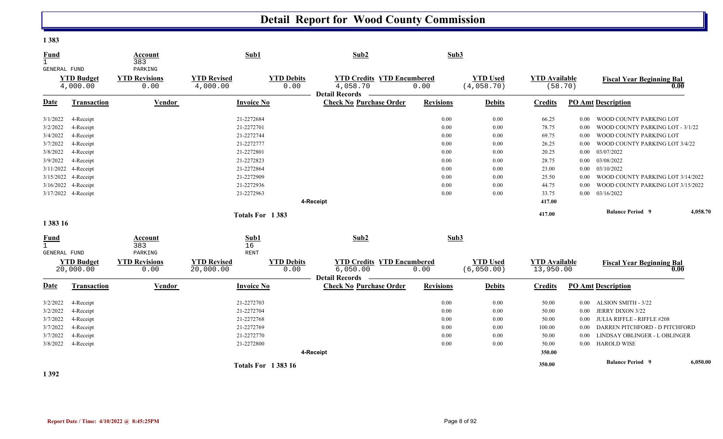**1 383** 

| <b>Fund</b><br>$\mathbf{1}$ |                                | Account<br>383                          | Sub1                            |                           | Sub2                                                                   |                  | Sub3                          |                                   |          |                                   |          |
|-----------------------------|--------------------------------|-----------------------------------------|---------------------------------|---------------------------|------------------------------------------------------------------------|------------------|-------------------------------|-----------------------------------|----------|-----------------------------------|----------|
| GENERAL FUND                | <b>YTD Budget</b><br>4,000.00  | PARKING<br><b>YTD Revisions</b><br>0.00 | <b>YTD Revised</b><br>4,000.00  | <b>YTD Debits</b><br>0.00 | <b>YTD Credits YTD Encumbered</b><br>4,058.70<br><b>Detail Records</b> | 0.00             | <b>YTD Used</b><br>(4,058.70) | <b>YTD Available</b><br>(58.70)   |          | <b>Fiscal Year Beginning Bal</b>  | 0.00     |
| <b>Date</b>                 | Transaction                    | Vendor                                  | <b>Invoice No</b>               |                           | <b>Check No Purchase Order</b>                                         | <b>Revisions</b> | <b>Debits</b>                 | <b>Credits</b>                    |          | <b>PO Amt Description</b>         |          |
| 3/1/2022                    | 4-Receipt                      |                                         | 21-2272684                      |                           |                                                                        | 0.00             | 0.00                          | 66.25                             | 0.00     | WOOD COUNTY PARKING LOT           |          |
| 3/2/2022                    | 4-Receipt                      |                                         | 21-2272701                      |                           |                                                                        | 0.00             | 0.00                          | 78.75                             | 0.00     | WOOD COUNTY PARKING LOT - 3/1/22  |          |
| 3/4/2022                    | 4-Receipt                      |                                         | 21-2272744                      |                           |                                                                        | 0.00             | 0.00                          | 69.75                             | 0.00     | WOOD COUNTY PARKING LOT           |          |
| 3/7/2022                    | 4-Receipt                      |                                         | 21-2272777                      |                           |                                                                        | 0.00             | 0.00                          | 26.25                             | 0.00     | WOOD COUNTY PARKING LOT 3/4/22    |          |
| 3/8/2022                    | 4-Receipt                      |                                         | 21-2272801                      |                           |                                                                        | 0.00             | 0.00                          | 20.25                             | 0.00     | 03/07/2022                        |          |
| 3/9/2022                    | 4-Receipt                      |                                         | 21-2272823                      |                           |                                                                        | 0.00             | 0.00                          | 28.75                             | 0.00     | 03/08/2022                        |          |
| 3/11/2022                   | 4-Receipt                      |                                         | 21-2272864                      |                           |                                                                        | 0.00             | 0.00                          | 23.00                             | 0.00     | 03/10/2022                        |          |
| 3/15/2022                   | 4-Receipt                      |                                         | 21-2272909                      |                           |                                                                        | 0.00             | 0.00                          | 25.50                             | 0.00     | WOOD COUNTY PARKING LOT 3/14/2022 |          |
|                             | 3/16/2022 4-Receipt            |                                         | 21-2272936                      |                           |                                                                        | 0.00             | 0.00                          | 44.75                             | 0.00     | WOOD COUNTY PARKING LOT 3/15/2022 |          |
|                             | 3/17/2022 4-Receipt            |                                         | 21-2272963                      |                           |                                                                        | 0.00             | 0.00                          | 33.75                             | $0.00\,$ | 03/16/2022                        |          |
|                             |                                |                                         |                                 |                           | 4-Receipt                                                              |                  |                               | 417.00                            |          |                                   |          |
|                             |                                |                                         |                                 | Totals For 1383           |                                                                        |                  |                               | 417.00                            |          | <b>Balance Period 9</b>           | 4,058.70 |
| 1 383 16                    |                                |                                         |                                 |                           |                                                                        |                  |                               |                                   |          |                                   |          |
| <b>Fund</b><br>$\mathbf{1}$ |                                | Account<br>383                          | Sub1<br>16                      |                           | Sub2                                                                   |                  | Sub3                          |                                   |          |                                   |          |
| <b>GENERAL FUND</b>         |                                | PARKING                                 | <b>RENT</b>                     |                           |                                                                        |                  |                               |                                   |          |                                   |          |
|                             | <b>YTD Budget</b><br>20,000.00 | <b>YTD Revisions</b><br>0.00            | <b>YTD Revised</b><br>20,000.00 | <b>YTD Debits</b><br>0.00 | <b>YTD Credits YTD Encumbered</b><br>6,050.00                          | 0.00             | <b>YTD Used</b><br>(6,050.00) | <b>YTD Available</b><br>13,950.00 |          | <b>Fiscal Year Beginning Bal</b>  | 0.00     |
| Date                        | Transaction                    | Vendor                                  | <b>Invoice No</b>               |                           | <b>Detail Records</b><br><b>Check No Purchase Order</b>                | <b>Revisions</b> | <b>Debits</b>                 | <b>Credits</b>                    |          | <b>PO Amt Description</b>         |          |
| 3/2/2022                    | 4-Receipt                      |                                         | 21-2272703                      |                           |                                                                        | 0.00             | 0.00                          | 50.00                             | 0.00     | ALSION SMITH - 3/22               |          |
| 3/2/2022                    | 4-Receipt                      |                                         | 21-2272704                      |                           |                                                                        | 0.00             | 0.00                          | 50.00                             | 0.00     | <b>JERRY DIXON 3/22</b>           |          |
| 3/7/2022                    | 4-Receipt                      |                                         | 21-2272768                      |                           |                                                                        | 0.00             | 0.00                          | 50.00                             | 0.00     | <b>JULIA RIFFLE - RIFFLE #208</b> |          |
| 3/7/2022                    | 4-Receipt                      |                                         | 21-2272769                      |                           |                                                                        | 0.00             | 0.00                          | 100.00                            | 0.00     | DARREN PITCHFORD - D PITCHFORD    |          |
| 3/7/2022                    | 4-Receipt                      |                                         | 21-2272770                      |                           |                                                                        | 0.00             | 0.00                          | 50.00                             | 0.00     | LINDSAY OBLINGER - L OBLINGER     |          |
| 3/8/2022                    | 4-Receipt                      |                                         | 21-2272800                      |                           |                                                                        | 0.00             | 0.00                          | 50.00                             | $0.00\,$ | <b>HAROLD WISE</b>                |          |
|                             |                                |                                         |                                 |                           | 4-Receipt                                                              |                  |                               | 350.00                            |          |                                   |          |
|                             |                                |                                         |                                 | <b>Totals For 138316</b>  |                                                                        |                  |                               | 350.00                            |          | <b>Balance Period 9</b>           | 6,050.00 |

**1 392**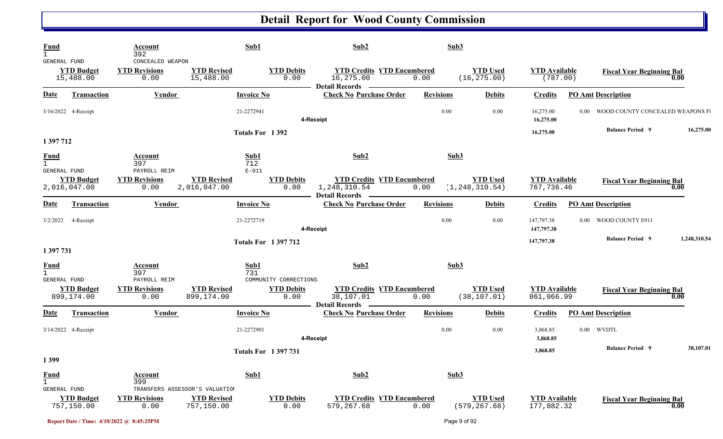| <b>Fund</b><br>$\mathbf{1}$              |                                   | Account<br>392                                         |                                                                    | Sub1                                                      | Sub2                                                                    | Sub3             |                                     |                                    |          |                                  |              |
|------------------------------------------|-----------------------------------|--------------------------------------------------------|--------------------------------------------------------------------|-----------------------------------------------------------|-------------------------------------------------------------------------|------------------|-------------------------------------|------------------------------------|----------|----------------------------------|--------------|
| GENERAL FUND                             | <b>YTD Budget</b><br>15,488.00    | CONCEALED WEAPON<br><b>YTD Revisions</b><br>0.00       | <b>YTD Revised</b><br>15,488.00                                    | <b>YTD Debits</b><br>0.00                                 | <b>YTD Credits YTD Encumbered</b><br>16,275.00<br><b>Detail Records</b> | 0.00             | <b>YTD Used</b><br>(16, 275.00)     | <b>YTD Available</b><br>(787.00)   |          | <b>Fiscal Year Beginning Bal</b> | 0.00         |
| Date                                     | <b>Transaction</b>                | <b>Vendor</b>                                          |                                                                    | <b>Invoice No</b>                                         | <b>Check No Purchase Order</b>                                          | <b>Revisions</b> | <b>Debits</b>                       | <b>Credits</b>                     |          | <b>PO Amt Description</b>        |              |
|                                          | 3/16/2022 4-Receipt               |                                                        |                                                                    | 21-2272941                                                | 4-Receipt                                                               | 0.00             | 0.00                                | 16,275.00<br>16,275.00             | $0.00\,$ | WOOD COUNTY CONCEALED WEAPONS F  |              |
| 1 397 712                                |                                   |                                                        |                                                                    | Totals For 1392                                           |                                                                         |                  |                                     | 16,275.00                          |          | <b>Balance Period 9</b>          | 16,275.00    |
| <b>Fund</b><br>$\mathbf{1}$              |                                   | Account<br>397                                         |                                                                    | Sub1<br>712                                               | Sub2                                                                    | Sub3             |                                     |                                    |          |                                  |              |
| GENERAL FUND                             | <b>YTD Budget</b><br>2,016,047.00 | PAYROLL REIM<br><b>YTD Revisions</b><br>0.00           | <b>YTD Revised</b><br>2,016,047.00                                 | $E-911$<br><b>YTD Debits</b><br>0.00                      | <b>YTD Credits YTD Encumbered</b><br>1,248,310.54                       | 0.00             | <b>YTD Used</b><br>(1, 248, 310.54) | <b>YTD</b> Available<br>767,736.46 |          | <b>Fiscal Year Beginning Bal</b> | 0.00         |
| Date                                     | Transaction                       | Vendor                                                 |                                                                    | <b>Invoice No</b>                                         | <b>Detail Records</b><br><b>Check No Purchase Order</b>                 | <b>Revisions</b> | <b>Debits</b>                       | <b>Credits</b>                     |          | <b>PO Amt Description</b>        |              |
| 3/2/2022                                 | 4-Receipt                         |                                                        |                                                                    | 21-2272719                                                | 4-Receipt                                                               | 0.00             | 0.00                                | 147,797.38<br>147,797.38           | $0.00\,$ | WOOD COUNTY E911                 |              |
|                                          |                                   |                                                        |                                                                    | <b>Totals For 1397712</b>                                 |                                                                         |                  |                                     | 147,797.38                         |          | <b>Balance Period 9</b>          | 1,248,310.54 |
| 1 397 731<br><b>Fund</b><br>GENERAL FUND | <b>YTD Budget</b>                 | Account<br>397<br>PAYROLL REIM<br><b>YTD Revisions</b> | <b>YTD Revised</b>                                                 | Sub1<br>731<br>COMMUNITY CORRECTIONS<br><b>YTD Debits</b> | Sub2<br><b>YTD Credits YTD Encumbered</b>                               | Sub3             | <b>YTD Used</b>                     | <b>YTD</b> Available               |          | <b>Fiscal Year Beginning Bal</b> |              |
|                                          | 899,174.00                        | 0.00                                                   | 899,174.00                                                         | 0.00                                                      | 38,107.01<br><b>Detail Records</b>                                      | 0.00             | (38, 107.01)                        | 861,066.99                         |          |                                  | 0.00         |
| Date                                     | Transaction                       | <b>Vendor</b>                                          |                                                                    | <b>Invoice No</b>                                         | <b>Check No Purchase Order</b>                                          | <b>Revisions</b> | <b>Debits</b>                       | <b>Credits</b>                     |          | <b>PO Amt Description</b>        |              |
|                                          | 3/14/2022 4-Receipt               |                                                        |                                                                    | 21-2272901                                                | 4-Receipt                                                               | 0.00             | 0.00                                | 3,868.85<br>3,868.85               |          | 0.00 WVDTL                       |              |
| 1399                                     |                                   |                                                        |                                                                    | <b>Totals For 1397731</b>                                 |                                                                         |                  |                                     | 3,868.85                           |          | <b>Balance Period 9</b>          | 38,107.01    |
| <b>Fund</b><br>$\mathbf{1}$              |                                   | Account<br>399                                         |                                                                    | Sub1                                                      | Sub2                                                                    | Sub3             |                                     |                                    |          |                                  |              |
| GENERAL FUND                             | <b>YTD Budget</b><br>757,150.00   | <b>YTD Revisions</b><br>0.00                           | TRANSFERS ASSESSOR'S VALUATION<br><b>YTD Revised</b><br>757,150.00 | <b>YTD Debits</b><br>0.00                                 | <b>YTD Credits YTD Encumbered</b><br>579,267.68                         | 0.00             | <b>YTD Used</b><br>(579, 267.68)    | <b>YTD Available</b><br>177,882.32 |          | <b>Fiscal Year Beginning Bal</b> | 0.00         |
|                                          |                                   | Report Date / Time: 4/10/2022 @ 8:45:25PM              |                                                                    |                                                           |                                                                         |                  | Page 9 of 92                        |                                    |          |                                  |              |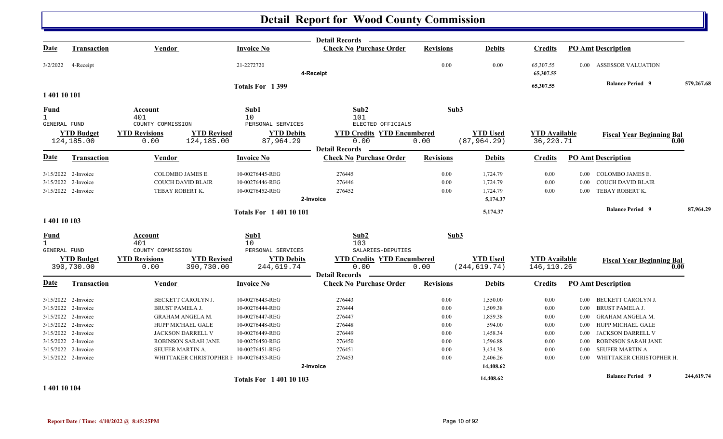|              |                                 |                                            |                                                      | <b>Detail Records</b>                                   |                  |                                 |                                   |          |                                          |            |
|--------------|---------------------------------|--------------------------------------------|------------------------------------------------------|---------------------------------------------------------|------------------|---------------------------------|-----------------------------------|----------|------------------------------------------|------------|
| <u>Date</u>  | <b>Transaction</b>              | <b>Vendor</b>                              | <b>Invoice No</b>                                    | <b>Check No Purchase Order</b>                          | <b>Revisions</b> | <b>Debits</b>                   | <b>Credits</b>                    |          | <b>PO Amt Description</b>                |            |
| 3/2/2022     | 4-Receipt                       |                                            | 21-2272720                                           | 4-Receipt                                               | 0.00             | 0.00                            | 65,307.55<br>65,307.55            | $0.00\,$ | <b>ASSESSOR VALUATION</b>                |            |
|              |                                 |                                            | Totals For 1399                                      |                                                         |                  |                                 | 65,307.55                         |          | <b>Balance Period 9</b>                  | 579,267.68 |
| 1 401 10 101 |                                 |                                            |                                                      |                                                         |                  |                                 |                                   |          |                                          |            |
| <b>Fund</b>  |                                 | Account                                    | Sub1                                                 | Sub <sub>2</sub>                                        | Sub3             |                                 |                                   |          |                                          |            |
| $\mathbf{1}$ |                                 | 401                                        | 10                                                   | 101                                                     |                  |                                 |                                   |          |                                          |            |
| GENERAL FUND |                                 | COUNTY COMMISSION                          | PERSONAL SERVICES                                    | ELECTED OFFICIALS                                       |                  |                                 |                                   |          |                                          |            |
|              | <b>YTD Budget</b><br>124,185.00 | <b>YTD Revisions</b><br>124,185.00<br>0.00 | <b>YTD Revised</b><br><b>YTD Debits</b><br>87,964.29 | <b>YTD Credits YTD Encumbered</b><br>0.00               | 0.00             | <b>YTD Used</b><br>(87, 964.29) | <b>YTD Available</b><br>36,220.71 |          | <b>Fiscal Year Beginning Bal</b><br>0.00 |            |
|              |                                 |                                            |                                                      | <b>Detail Records</b>                                   |                  |                                 |                                   |          |                                          |            |
| Date         | Transaction                     | Vendor                                     | <b>Invoice No</b>                                    | <b>Check No Purchase Order</b>                          | <b>Revisions</b> | <b>Debits</b>                   | <b>Credits</b>                    |          | <b>PO Amt Description</b>                |            |
|              | 3/15/2022 2-Invoice             | COLOMBO JAMES E.                           | 10-00276445-REG                                      | 276445                                                  | 0.00             | 1,724.79                        | 0.00                              | 0.00     | COLOMBO JAMES E.                         |            |
|              | 3/15/2022 2-Invoice             | <b>COUCH DAVID BLAIR</b>                   | 10-00276446-REG                                      | 276446                                                  | 0.00             | 1,724.79                        | 0.00                              | 0.00     | COUCH DAVID BLAIR                        |            |
|              | 3/15/2022 2-Invoice             | TEBAY ROBERT K.                            | 10-00276452-REG                                      | 276452                                                  | 0.00             | 1,724.79                        | 0.00                              | $0.00\,$ | TEBAY ROBERT K.                          |            |
|              |                                 |                                            |                                                      | 2-Invoice                                               |                  | 5,174.37                        |                                   |          |                                          |            |
|              |                                 |                                            | <b>Totals For 140110101</b>                          |                                                         |                  | 5,174.37                        |                                   |          | <b>Balance Period 9</b>                  | 87,964.29  |
| 1 401 10 103 |                                 |                                            |                                                      |                                                         |                  |                                 |                                   |          |                                          |            |
| Fund         |                                 | Account                                    | Sub1                                                 | Sub2                                                    | Sub3             |                                 |                                   |          |                                          |            |
| $\mathbf{1}$ |                                 | 401                                        | 10 <sup>°</sup>                                      | 103                                                     |                  |                                 |                                   |          |                                          |            |
| GENERAL FUND |                                 | COUNTY COMMISSION                          | PERSONAL SERVICES                                    | SALARIES-DEPUTIES                                       |                  |                                 |                                   |          |                                          |            |
|              | <b>YTD Budget</b>               | <b>YTD Revisions</b>                       | <b>YTD Revised</b><br><b>YTD Debits</b>              | <b>YTD Credits YTD Encumbered</b>                       |                  | <b>YTD Used</b>                 | <b>YTD Available</b>              |          | <b>Fiscal Year Beginning Bal</b>         |            |
|              | 390,730.00                      | 390,730.00<br>0.00                         | 244,619.74                                           | 0.00                                                    | 0.00             | (244, 619.74)                   | 146,110.26                        |          | 0.00                                     |            |
| Date         | Transaction                     | <b>Vendor</b>                              | <b>Invoice No</b>                                    | <b>Detail Records</b><br><b>Check No Purchase Order</b> | <b>Revisions</b> | <b>Debits</b>                   | <b>Credits</b>                    |          | <b>PO Amt Description</b>                |            |
|              |                                 |                                            |                                                      |                                                         |                  |                                 |                                   |          |                                          |            |
|              | 3/15/2022 2-Invoice             | BECKETT CAROLYN J.                         | 10-00276443-REG                                      | 276443                                                  | 0.00             | 1,550.00                        | 0.00                              | $0.00\,$ | BECKETT CAROLYN J.                       |            |
|              | 3/15/2022 2-Invoice             | <b>BRUST PAMELA J.</b>                     | 10-00276444-REG                                      | 276444                                                  | 0.00             | 1,509.38                        | 0.00                              | $0.00\,$ | BRUST PAMELA J.                          |            |
|              | 3/15/2022 2-Invoice             | GRAHAM ANGELA M.                           | 10-00276447-REG                                      | 276447                                                  | 0.00             | 1,859.38                        | 0.00                              | $0.00\,$ | GRAHAM ANGELA M.                         |            |
|              | 3/15/2022 2-Invoice             | HUPP MICHAEL GALE                          | 10-00276448-REG                                      | 276448                                                  | 0.00             | 594.00                          | 0.00                              | $0.00\,$ | HUPP MICHAEL GALE                        |            |
|              | 3/15/2022 2-Invoice             | JACKSON DARRELL V                          | 10-00276449-REG                                      | 276449                                                  | 0.00             | 1,458.34                        | 0.00                              | 0.00     | JACKSON DARRELL V                        |            |
|              | 3/15/2022 2-Invoice             | <b>ROBINSON SARAH JANE</b>                 | 10-00276450-REG                                      | 276450                                                  | 0.00             | 1,596.88                        | 0.00                              | 0.00     | <b>ROBINSON SARAH JANE</b>               |            |
|              | 3/15/2022 2-Invoice             | SEUFER MARTIN A.                           | 10-00276451-REG                                      | 276451                                                  | 0.00             | 3,434.38                        | 0.00                              | $0.00\,$ | SEUFER MARTIN A.                         |            |
|              | 3/15/2022 2-Invoice             |                                            | WHITTAKER CHRISTOPHER I 10-00276453-REG              | 276453                                                  | 0.00             | 2,406.26                        | 0.00                              | 0.00     | WHITTAKER CHRISTOPHER H.                 |            |
|              |                                 |                                            |                                                      | 2-Invoice                                               |                  | 14,408.62                       |                                   |          |                                          |            |
|              |                                 |                                            | <b>Totals For 140110103</b>                          |                                                         |                  | 14,408.62                       |                                   |          | <b>Balance Period 9</b>                  | 244,619.74 |

**1 401 10 104**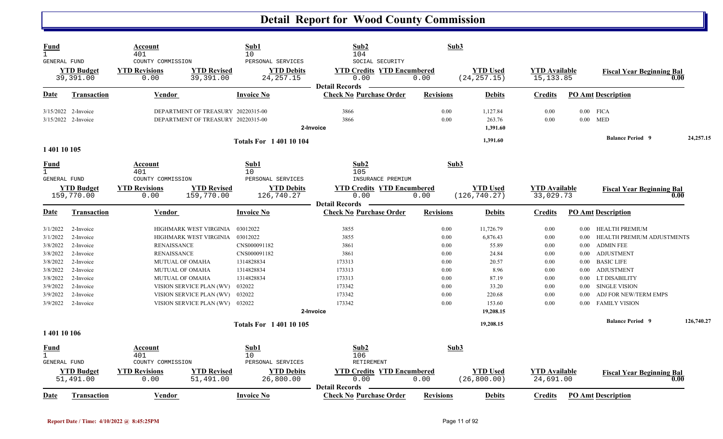| <b>Fund</b><br>$\overline{1}$<br><b>GENERAL FUND</b> |                                            | Account<br>401<br>COUNTY COMMISSION                      |                                                                          | Sub1<br>10<br>PERSONAL SERVICES                            | Sub2<br>104<br>SOCIAL SECURITY                                        | Sub3             |                                  |                                    |                  |                                              |            |
|------------------------------------------------------|--------------------------------------------|----------------------------------------------------------|--------------------------------------------------------------------------|------------------------------------------------------------|-----------------------------------------------------------------------|------------------|----------------------------------|------------------------------------|------------------|----------------------------------------------|------------|
|                                                      | <b>YTD Budget</b><br>39,391.00             | <b>YTD Revisions</b><br>0.00                             | <b>YTD Revised</b><br>39,391.00                                          | <b>YTD Debits</b><br>24, 257. 15                           | <b>YTD Credits YTD Encumbered</b><br>0.00<br><b>Detail Records</b>    | 0.00             | <b>YTD Used</b><br>(24, 257.15)  | <b>YTD Available</b><br>15, 133.85 |                  | <b>Fiscal Year Beginning Bal</b><br>0.00     |            |
| Date                                                 | <b>Transaction</b>                         | <b>Vendor</b>                                            |                                                                          | <b>Invoice No</b>                                          | <b>Check No Purchase Order</b>                                        | <b>Revisions</b> | <b>Debits</b>                    | <b>Credits</b>                     |                  | <b>PO Amt Description</b>                    |            |
|                                                      | 3/15/2022 2-Invoice<br>3/15/2022 2-Invoice |                                                          | DEPARTMENT OF TREASURY 20220315-00<br>DEPARTMENT OF TREASURY 20220315-00 |                                                            | 3866<br>3866                                                          | 0.00<br>0.00     | 1,127.84<br>263.76               | 0.00<br>0.00                       |                  | $0.00$ FICA<br>$0.00$ MED                    |            |
|                                                      |                                            |                                                          |                                                                          | <b>Totals For 140110104</b>                                | 2-Invoice                                                             |                  | 1,391.60<br>1,391.60             |                                    |                  | <b>Balance Period 9</b>                      | 24,257.15  |
| 1 401 10 105<br>Fund                                 |                                            | Account                                                  |                                                                          | Sub1                                                       | Sub2                                                                  |                  | Sub3                             |                                    |                  |                                              |            |
| $\mathbf{1}$<br>GENERAL FUND                         | <b>YTD Budget</b><br>159,770.00            | 401<br>COUNTY COMMISSION<br><b>YTD Revisions</b><br>0.00 | <b>YTD Revised</b><br>159,770.00                                         | 10<br>PERSONAL SERVICES<br><b>YTD Debits</b><br>126,740.27 | 105<br>INSURANCE PREMIUM<br><b>YTD Credits YTD Encumbered</b><br>0.00 | 0.00             | <b>YTD</b> Used<br>(126, 740.27) | <b>YTD Available</b><br>33,029.73  |                  | <b>Fiscal Year Beginning Bal</b><br>0.00     |            |
| Date                                                 | <b>Transaction</b>                         | Vendor                                                   |                                                                          | <b>Invoice No</b>                                          | <b>Detail Records</b><br><b>Check No Purchase Order</b>               | <b>Revisions</b> | <b>Debits</b>                    | <b>Credits</b>                     |                  | <b>PO Amt Description</b>                    |            |
|                                                      |                                            |                                                          | HIGHMARK WEST VIRGINIA                                                   |                                                            |                                                                       |                  |                                  |                                    |                  |                                              |            |
| 3/1/2022<br>3/1/2022                                 | 2-Invoice<br>2-Invoice                     |                                                          | HIGHMARK WEST VIRGINIA                                                   | 03012022<br>03012022                                       | 3855<br>3855                                                          | 0.00<br>0.00     | 11,726.79<br>6,876.43            | 0.00<br>0.00                       | $0.00\,$<br>0.00 | HEALTH PREMIUM<br>HEALTH PREMIUM ADJUSTMENTS |            |
| 3/8/2022                                             | 2-Invoice                                  | <b>RENAISSANCE</b>                                       |                                                                          | CNS000091182                                               | 3861                                                                  | 0.00             | 55.89                            | 0.00                               |                  | 0.00 ADMIN FEE                               |            |
| 3/8/2022                                             | 2-Invoice                                  | <b>RENAISSANCE</b>                                       |                                                                          | CNS000091182                                               | 3861                                                                  | 0.00             | 24.84                            | 0.00                               | $0.00\,$         | ADJUSTMENT                                   |            |
| 3/8/2022                                             | 2-Invoice                                  |                                                          | <b>MUTUAL OF OMAHA</b>                                                   | 1314828834                                                 | 173313                                                                | 0.00             | 20.57                            | 0.00                               | 0.00             | <b>BASIC LIFE</b>                            |            |
| 3/8/2022                                             | 2-Invoice                                  |                                                          | MUTUAL OF OMAHA                                                          | 1314828834                                                 | 173313                                                                | 0.00             | 8.96                             | 0.00                               | $0.00\,$         | <b>ADJUSTMENT</b>                            |            |
| 3/8/2022                                             | 2-Invoice                                  |                                                          | <b>MUTUAL OF OMAHA</b>                                                   | 1314828834                                                 | 173313                                                                | 0.00             | 87.19                            | 0.00                               | 0.00             | LT DISABILITY                                |            |
| 3/9/2022                                             | 2-Invoice                                  |                                                          | VISION SERVICE PLAN (WV)                                                 | 032022                                                     | 173342                                                                | 0.00             | 33.20                            | 0.00                               | 0.00             | <b>SINGLE VISION</b>                         |            |
| 3/9/2022                                             | 2-Invoice                                  |                                                          | VISION SERVICE PLAN (WV)                                                 | 032022                                                     | 173342                                                                | 0.00             | 220.68                           | 0.00                               | 0.00             | ADJ FOR NEW/TERM EMPS                        |            |
| 3/9/2022                                             | 2-Invoice                                  |                                                          | VISION SERVICE PLAN (WV) 032022                                          |                                                            | 173342<br>2-Invoice                                                   | 0.00             | 153.60<br>19,208.15              | 0.00                               | 0.00             | <b>FAMILY VISION</b>                         |            |
|                                                      |                                            |                                                          |                                                                          | <b>Totals For 140110105</b>                                |                                                                       |                  | 19,208.15                        |                                    |                  | <b>Balance Period 9</b>                      | 126,740.27 |
| 1 401 10 106                                         |                                            |                                                          |                                                                          |                                                            |                                                                       |                  |                                  |                                    |                  |                                              |            |
| <b>Fund</b><br>$\mathbf{1}$<br><b>GENERAL FUND</b>   |                                            | Account<br>401<br>COUNTY COMMISSION                      |                                                                          | Sub1<br>10<br>PERSONAL SERVICES                            | Sub2<br>106<br>RETIREMENT                                             | Sub3             |                                  |                                    |                  |                                              |            |
|                                                      | <b>YTD Budget</b><br>51,491.00             | <b>YTD Revisions</b><br>0.00                             | <b>YTD Revised</b><br>51,491.00                                          | <b>YTD Debits</b><br>26,800.00                             | <b>YTD Credits YTD Encumbered</b><br>0.00                             | 0.00             | <b>YTD Used</b><br>(26, 800.00)  | <b>YTD Available</b><br>24,691.00  |                  | <b>Fiscal Year Beginning Bal</b><br>0.00     |            |
| <u>Date</u>                                          | <b>Transaction</b>                         | Vendor                                                   |                                                                          | <b>Invoice No</b>                                          | <b>Detail Records</b><br><b>Check No Purchase Order</b>               | <b>Revisions</b> | <b>Debits</b>                    | <b>Credits</b>                     |                  | <b>PO Amt Description</b>                    |            |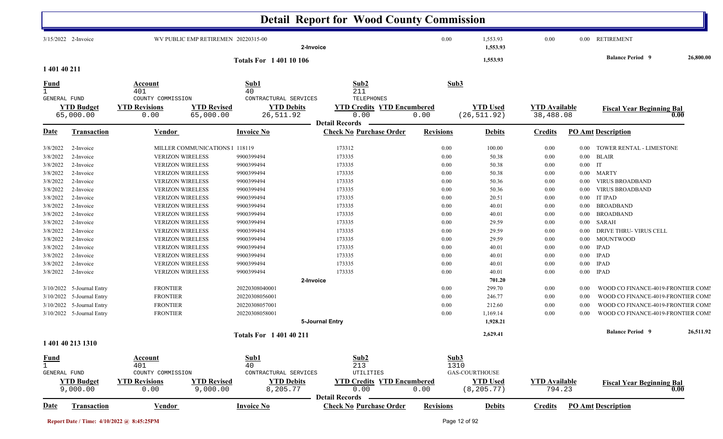|              |                                |                                                                 |                                | <b>Detail Report for Wood County Commission</b>         |                  |                                 |                                   |           |                                    |           |
|--------------|--------------------------------|-----------------------------------------------------------------|--------------------------------|---------------------------------------------------------|------------------|---------------------------------|-----------------------------------|-----------|------------------------------------|-----------|
|              | 3/15/2022 2-Invoice            | WV PUBLIC EMP RETIREMEN 20220315-00                             | 2-Invoice                      |                                                         | 0.00             | 1,553.93<br>1,553.93            | 0.00                              |           | 0.00 RETIREMENT                    |           |
|              |                                |                                                                 | <b>Totals For 1 401 10 106</b> |                                                         |                  | 1,553.93                        |                                   |           | <b>Balance Period 9</b>            | 26,800.00 |
| 1 401 40 211 |                                |                                                                 |                                |                                                         |                  |                                 |                                   |           |                                    |           |
| <u>Fund</u>  |                                | Account<br>401                                                  | Sub1<br>40                     | Sub <sub>2</sub><br>211                                 |                  | Sub3                            |                                   |           |                                    |           |
| GENERAL FUND |                                | COUNTY COMMISSION                                               | CONTRACTURAL SERVICES          | TELEPHONES                                              |                  |                                 |                                   |           |                                    |           |
|              | <b>YTD Budget</b><br>65,000.00 | <b>YTD Revised</b><br><b>YTD Revisions</b><br>65,000.00<br>0.00 | <b>YTD Debits</b><br>26,511.92 | <b>YTD Credits YTD Encumbered</b><br>0.00               | 0.00             | <b>YTD Used</b><br>(26, 511.92) | <b>YTD Available</b><br>38,488.08 |           | <b>Fiscal Year Beginning Bal</b>   | 0.00      |
|              |                                |                                                                 |                                | <b>Detail Records</b>                                   |                  |                                 |                                   |           |                                    |           |
| Date         | <b>Transaction</b>             | Vendor                                                          | <b>Invoice No</b>              | <b>Check No Purchase Order</b>                          | <b>Revisions</b> | <b>Debits</b>                   | <b>Credits</b>                    |           | <b>PO Amt Description</b>          |           |
| 3/8/2022     | 2-Invoice                      | MILLER COMMUNICATIONS 1 118119                                  |                                | 173312                                                  | 0.00             | 100.00                          | 0.00                              | $0.00\,$  | TOWER RENTAL - LIMESTONE           |           |
| 3/8/2022     | 2-Invoice                      | <b>VERIZON WIRELESS</b>                                         | 9900399494                     | 173335                                                  | 0.00             | 50.38                           | 0.00                              |           | $0.00$ BLAIR                       |           |
| 3/8/2022     | 2-Invoice                      | <b>VERIZON WIRELESS</b>                                         | 9900399494                     | 173335                                                  | $0.00\,$         | 50.38                           | 0.00                              | $0.00$ IT |                                    |           |
| 3/8/2022     | 2-Invoice                      | <b>VERIZON WIRELESS</b>                                         | 9900399494                     | 173335                                                  | 0.00             | 50.38                           | 0.00                              | $0.00\,$  | <b>MARTY</b>                       |           |
| 3/8/2022     | 2-Invoice                      | <b>VERIZON WIRELESS</b>                                         | 9900399494                     | 173335                                                  | 0.00             | 50.36                           | 0.00                              | 0.00      | <b>VIRUS BROADBAND</b>             |           |
| 3/8/2022     | 2-Invoice                      | <b>VERIZON WIRELESS</b>                                         | 9900399494                     | 173335                                                  | 0.00             | 50.36                           | 0.00                              | $0.00\,$  | <b>VIRUS BROADBAND</b>             |           |
| 3/8/2022     | 2-Invoice                      | <b>VERIZON WIRELESS</b>                                         | 9900399494                     | 173335                                                  | 0.00             | 20.51                           | 0.00                              | 0.00      | <b>IT IPAD</b>                     |           |
| 3/8/2022     | 2-Invoice                      | <b>VERIZON WIRELESS</b>                                         | 9900399494                     | 173335                                                  | 0.00             | 40.01                           | 0.00                              | $0.00\,$  | <b>BROADBAND</b>                   |           |
| 3/8/2022     | 2-Invoice                      | <b>VERIZON WIRELESS</b>                                         | 9900399494                     | 173335                                                  | 0.00             | 40.01                           | 0.00                              | $0.00\,$  | <b>BROADBAND</b>                   |           |
| 3/8/2022     | 2-Invoice                      | <b>VERIZON WIRELESS</b>                                         | 9900399494                     | 173335                                                  | 0.00             | 29.59                           | 0.00                              | $0.00\,$  | SARAH                              |           |
| 3/8/2022     | 2-Invoice                      | <b>VERIZON WIRELESS</b>                                         | 9900399494                     | 173335                                                  | 0.00             | 29.59                           | 0.00                              | $0.00\,$  | DRIVE THRU-VIRUS CELL              |           |
| 3/8/2022     | 2-Invoice                      | <b>VERIZON WIRELESS</b>                                         | 9900399494                     | 173335                                                  | 0.00             | 29.59                           | 0.00                              | $0.00\,$  | <b>MOUNTWOOD</b>                   |           |
| 3/8/2022     | 2-Invoice                      | <b>VERIZON WIRELESS</b>                                         | 9900399494                     | 173335                                                  | 0.00             | 40.01                           | 0.00                              | $0.00\,$  | <b>IPAD</b>                        |           |
| 3/8/2022     | 2-Invoice                      | <b>VERIZON WIRELESS</b>                                         | 9900399494                     | 173335                                                  | 0.00             | 40.01                           | 0.00                              | $0.00\,$  | <b>IPAD</b>                        |           |
| 3/8/2022     | 2-Invoice                      | <b>VERIZON WIRELESS</b>                                         | 9900399494                     | 173335                                                  | $0.00\,$         | 40.01                           | 0.00                              | $0.00\,$  | <b>IPAD</b>                        |           |
| 3/8/2022     | 2-Invoice                      | <b>VERIZON WIRELESS</b>                                         | 9900399494                     | 173335                                                  | 0.00             | 40.01                           | 0.00                              | $0.00\,$  | <b>IPAD</b>                        |           |
|              |                                |                                                                 | 2-Invoice                      |                                                         |                  | 701.20                          |                                   |           |                                    |           |
|              | 3/10/2022 5-Journal Entry      | <b>FRONTIER</b>                                                 | 20220308040001                 |                                                         | $0.00\,$         | 299.70                          | 0.00                              | $0.00\,$  | WOOD CO FINANCE-4019-FRONTIER COMI |           |
| 3/10/2022    | 5-Journal Entry                | <b>FRONTIER</b>                                                 | 20220308056001                 |                                                         | 0.00             | 246.77                          | 0.00                              | 0.00      | WOOD CO FINANCE-4019-FRONTIER COMI |           |
|              | 3/10/2022 5-Journal Entry      | <b>FRONTIER</b>                                                 | 20220308057001                 |                                                         | 0.00             | 212.60                          | 0.00                              | 0.00      | WOOD CO FINANCE-4019-FRONTIER COMI |           |
|              | 3/10/2022 5-Journal Entry      | <b>FRONTIER</b>                                                 | 20220308058001                 |                                                         | 0.00             | 1,169.14                        | 0.00                              | $0.00\,$  | WOOD CO FINANCE-4019-FRONTIER COMI |           |
|              |                                |                                                                 |                                | 5-Journal Entry                                         |                  | 1,928.21                        |                                   |           |                                    |           |
|              |                                |                                                                 | <b>Totals For 1 401 40 211</b> |                                                         |                  | 2,629.41                        |                                   |           | <b>Balance Period 9</b>            | 26,511.92 |
|              | 1 401 40 213 1310              |                                                                 |                                |                                                         |                  |                                 |                                   |           |                                    |           |
| <b>Fund</b>  |                                | Account                                                         | Sub1                           | Sub2                                                    |                  | Sub3                            |                                   |           |                                    |           |
| $\mathbf{1}$ |                                | 401                                                             | 40                             | 213                                                     |                  | 1310                            |                                   |           |                                    |           |
| GENERAL FUND |                                | COUNTY COMMISSION                                               | CONTRACTURAL SERVICES          | UTILITIES                                               |                  | GAS-COURTHOUSE                  |                                   |           |                                    |           |
|              | <b>YTD Budget</b><br>9,000.00  | <b>YTD Revisions</b><br><b>YTD Revised</b><br>9,000.00<br>0.00  | <b>YTD Debits</b><br>8,205.77  | <b>YTD Credits YTD Encumbered</b><br>0.00               | 0.00             | <b>YTD Used</b><br>(8, 205.77)  | <b>YTD Available</b><br>794.23    |           | <b>Fiscal Year Beginning Bal</b>   | 0.00      |
| <b>Date</b>  | <b>Transaction</b>             | <b>Vendor</b>                                                   | <b>Invoice No</b>              | <b>Detail Records</b><br><b>Check No Purchase Order</b> | <b>Revisions</b> | <b>Debits</b>                   | <b>Credits</b>                    |           | <b>PO Amt Description</b>          |           |
|              |                                |                                                                 |                                |                                                         |                  |                                 |                                   |           |                                    |           |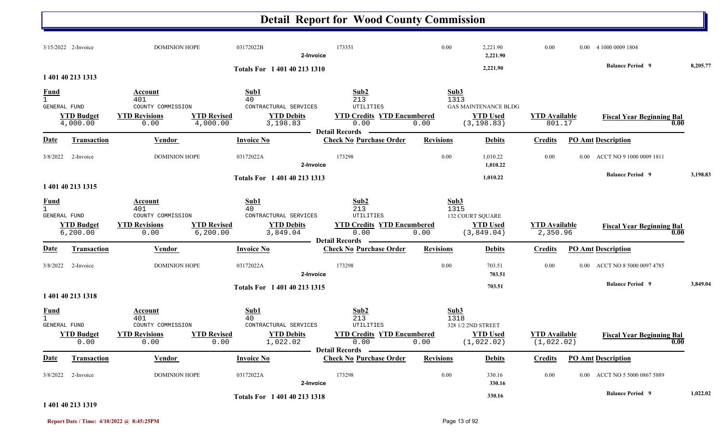#### **Detail Report for Wood County Commission** 3/15/2022 2-Invoice 2-Invoice 03172022B 0.00 DOMINION HOPE 173351 2,221.90 0.00 0.00 4 1000 0009 1804 **2-Invoice 2,221.90 2,221.90 Balance Period 8,205.77 <sup>9</sup> Totals For 1 401 40 213 13101 401 40 213 1313** $\overline{1}$  401  $1$  and  $40$  and  $213$  and  $1313$ **Fund Account Sub1 Sub2 Sub3** GENERAL FUND COUNTY COMMISSION CONTRACTURAL SERVICES UTILITIES4,000.00 0.00 4,000.00 3,198.83 0.00 0.00 801.17 (3,198.83) **YTD Budget YTD Revisions YTD Revised YTD Debits YTD Credits YTD EncumberedWED Used YTD Available Fiscal Year Beginning Bal** 0.00 (3,198.83) 801.17 **Fiscal Year Beginning Bal** GAS MAINTENANCE BLDG**Date Vendor Invoice NoTransaction Purchase Order Revisions Debits Credits PO Amt Description Detail RecordsConstruction Vendor Channel Invoice No** 3/8/2022 2-Invoice 03172022A 0.00 DOMINION HOPE 173298 1,010.22 0.00 0.00 ACCT NO 9 1000 0009 1811 **2-Invoice 1,010.22 1,010.22 Balance Period 3,198.83 <sup>9</sup> Totals For 1 401 40 213 13131 401 40 213 1315**1 401 $1$  and  $40$  and  $213$  and  $1315$ **Fund Account Sub1 Sub2 Sub3** GENERAL FUND COUNTY COMMISSION CONTRACTURAL SERVICES UTILITIES6,200.00 0.00 6,200.00 3,849.04 0.00 0.00 2,350.96 (3,849.04) **YTD Budget YTD Revisions YTD Revised YTD Debits YTD Credits YTD Encumbered YTD Used YTD Available Fiscal Year Beginning Bal 0.00**132 COURT SQUARE **Date Vendor Invoice NoTransaction Purchase Order Revisions Debits Credits PO Amt Description Detail Records**Vendor **Invoice No** 3/8/2022 2-Invoice 2-DOMINION HOPE 03172022A 173298 173298 0.00 703.51 0.00 0.00 ACCT NO 8 5000 0097 4785 **2-Invoice 703.51 703.51 Balance Period 3,849.04 <sup>9</sup> Totals For 1 401 40 213 1315 1 401 40 213 1318**1 401 $1^{1}$  and  $40^{1}$  and  $213^{13}$  and  $1318$ **Fund Account Sub1 Sub2 Sub3** GENERAL FUND COUNTY COMMISSION CONTRACTURAL SERVICES UTILITIES0.00 0.00 0.00 1,022.02 0.00 0.00 ) (1,022.02) (1,022.02 **YTD Budget YTD Revisions YTD Revised YTD Debits YTD Credits YTD Encumbered<u>TD Used</u> <b>YTD Available Fiscal Year Beginning Bal** 0.00 (1,022.02) (1,022.02) 328 1/2 2ND STREET**Date Vendor Invoice NoTransaction Purchase Order Revisions Debits Credits PO Amt Description Detail Records**Vendor **Invoice No** 3/8/2022 2-Invoice 2 2-Invoice DOMINION HOPE 03172022A 173298 0.00 330.16 0.00 0.00 ACCT NO 5 5000 0867 5889 **2-Invoice 330.16 330.16 Balance Period 1,022.02 <sup>9</sup> Totals For 1 401 40 213 1318**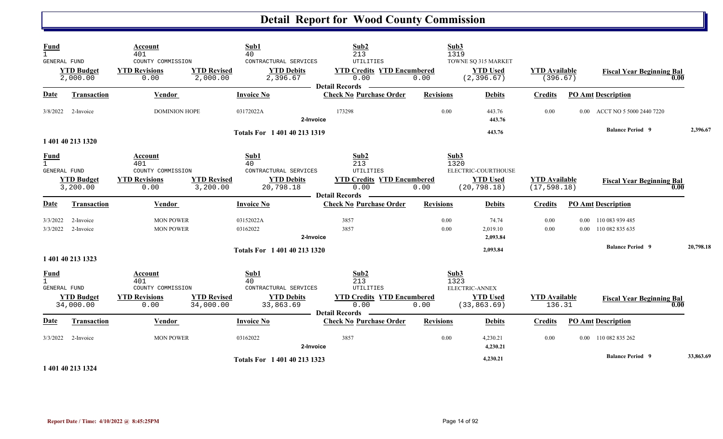| <b>Fund</b><br>$\mathbf{1}$                        |                                             | Account<br>401                                                      |                                 | Sub1<br>40                                                            | Sub2<br>213                                                                               | Sub3                 | 1319                                                   |                                      |                                              |           |
|----------------------------------------------------|---------------------------------------------|---------------------------------------------------------------------|---------------------------------|-----------------------------------------------------------------------|-------------------------------------------------------------------------------------------|----------------------|--------------------------------------------------------|--------------------------------------|----------------------------------------------|-----------|
| <b>GENERAL FUND</b>                                | <b>YTD Budget</b><br>2,000.00               | COUNTY COMMISSION<br><b>YTD Revisions</b><br>0.00                   | <b>YTD Revised</b><br>2,000.00  | CONTRACTURAL SERVICES<br><b>YTD Debits</b><br>2,396.67                | <b>UTILITIES</b><br><b>YTD Credits YTD Encumbered</b><br>0.00<br><b>Detail Records</b>    | 0.00                 | TOWNE SQ 315 MARKET<br><b>YTD Used</b><br>(2, 396.67)  | <b>YTD</b> Available<br>(396.67)     | <b>Fiscal Year Beginning Bal</b><br>0.00     |           |
| <b>Date</b>                                        | Transaction                                 | Vendor                                                              |                                 | <b>Invoice No</b>                                                     | <b>Check No Purchase Order</b>                                                            | <b>Revisions</b>     | <b>Debits</b>                                          | <b>Credits</b>                       | <b>PO Amt Description</b>                    |           |
| 3/8/2022                                           | 2-Invoice                                   | <b>DOMINION HOPE</b>                                                |                                 | 03172022A<br>2-Invoice                                                | 173298                                                                                    | 0.00                 | 443.76<br>443.76                                       | 0.00                                 | 0.00 ACCT NO 5 5000 2440 7220                |           |
|                                                    | 1 401 40 213 1320                           |                                                                     |                                 | Totals For 1 401 40 213 1319                                          |                                                                                           |                      | 443.76                                                 |                                      | <b>Balance Period 9</b>                      | 2,396.67  |
| <b>Fund</b><br>$\mathbf{1}$<br>GENERAL FUND        | <b>YTD Budget</b><br>3,200.00               | Account<br>401<br>COUNTY COMMISSION<br><b>YTD Revisions</b><br>0.00 | <b>YTD Revised</b><br>3,200.00  | Sub1<br>40<br>CONTRACTURAL SERVICES<br><b>YTD Debits</b><br>20,798.18 | Sub2<br>213<br>UTILITIES<br><b>YTD Credits YTD Encumbered</b><br>0.00<br>Detail Records — | Sub3<br>1320<br>0.00 | ELECTRIC-COURTHOUSE<br><b>YTD Used</b><br>(20, 798.18) | <b>YTD</b> Available<br>(17, 598.18) | <b>Fiscal Year Beginning Bal</b><br>0.00     |           |
| Date                                               | Transaction                                 | Vendor                                                              |                                 | <b>Invoice No</b>                                                     | <b>Check No Purchase Order</b>                                                            | <b>Revisions</b>     | <b>Debits</b>                                          | <b>Credits</b>                       | <b>PO Amt Description</b>                    |           |
| 3/3/2022<br>3/3/2022                               | 2-Invoice<br>2-Invoice                      | <b>MON POWER</b><br><b>MON POWER</b>                                |                                 | 03152022A<br>03162022<br>2-Invoice                                    | 3857<br>3857                                                                              | 0.00<br>0.00         | 74.74<br>2,019.10<br>2,093.84                          | 0.00<br>0.00                         | 0.00 110 083 939 485<br>0.00 110 082 835 635 |           |
|                                                    | 1 401 40 213 1323                           |                                                                     |                                 | Totals For 1 401 40 213 1320                                          |                                                                                           |                      | 2,093.84                                               |                                      | <b>Balance Period 9</b>                      | 20,798.18 |
| <b>Fund</b><br>$\mathbf{1}$<br><b>GENERAL FUND</b> | <b>YTD Budget</b><br>34,000.00              | Account<br>401<br>COUNTY COMMISSION<br><b>YTD Revisions</b><br>0.00 | <b>YTD Revised</b><br>34,000.00 | Sub1<br>40<br>CONTRACTURAL SERVICES<br><b>YTD Debits</b><br>33,863.69 | Sub2<br>213<br>UTILITIES<br><b>YTD Credits YTD Encumbered</b><br>0.00                     | Sub3<br>1323<br>0.00 | ELECTRIC-ANNEX<br><b>YTD Used</b><br>(33, 863.69)      | <b>YTD Available</b><br>136.31       | <b>Fiscal Year Beginning Bal</b><br>0.00     |           |
| Date                                               | <b>Transaction</b>                          | Vendor                                                              |                                 | <b>Invoice No</b>                                                     | <b>Detail Records</b><br><b>Check No Purchase Order</b>                                   | <b>Revisions</b>     | <b>Debits</b>                                          | Credits                              | <b>PO Amt Description</b>                    |           |
| 3/3/2022                                           | 2-Invoice                                   | <b>MON POWER</b>                                                    |                                 | 03162022<br>2-Invoice                                                 | 3857                                                                                      | 0.00                 | 4,230.21<br>4,230.21                                   | 0.00                                 | 0.00 110 082 835 262                         |           |
|                                                    | والمتمام المتواط المتواط والمتوارد والمراوي |                                                                     |                                 | Totals For 1 401 40 213 1323                                          |                                                                                           |                      | 4,230.21                                               |                                      | <b>Balance Period 9</b>                      | 33,863.69 |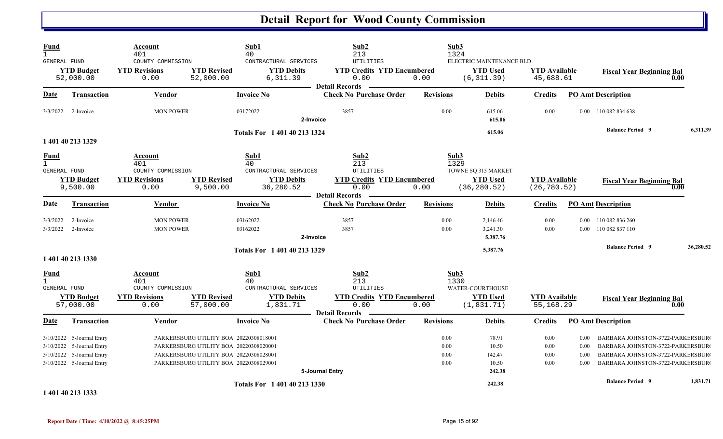| <b>Fund</b><br>$\overline{1}$<br><b>GENERAL FUND</b> |                                                                                                                  | Account<br>401<br>COUNTY COMMISSION                                 |                                                                                                                                                                      | Sub1<br>40<br>CONTRACTURAL SERVICES                                   | Sub2<br>213<br>UTILITIES                                                                              |                              | Sub3<br>1324<br>ELECTRIC MAINTENANCE BLD                               |                                      |                              |                                                                                                                                              |      |           |
|------------------------------------------------------|------------------------------------------------------------------------------------------------------------------|---------------------------------------------------------------------|----------------------------------------------------------------------------------------------------------------------------------------------------------------------|-----------------------------------------------------------------------|-------------------------------------------------------------------------------------------------------|------------------------------|------------------------------------------------------------------------|--------------------------------------|------------------------------|----------------------------------------------------------------------------------------------------------------------------------------------|------|-----------|
|                                                      | <b>YTD Budget</b><br>52,000.00                                                                                   | <b>YTD Revisions</b><br>0.00                                        | <b>YTD Revised</b><br>52,000.00                                                                                                                                      | <b>YTD Debits</b><br>6,311.39                                         | <b>YTD Credits YTD Encumbered</b><br>0.00<br><b>Detail Records</b>                                    | 0.00                         | <b>YTD Used</b><br>(6, 311.39)                                         | <b>YTD Available</b><br>45,688.61    |                              | <b>Fiscal Year Beginning Bal</b>                                                                                                             | 0.00 |           |
| <u>Date</u>                                          | Transaction                                                                                                      | Vendor                                                              |                                                                                                                                                                      | Invoice No                                                            | <b>Check No Purchase Order</b>                                                                        | <b>Revisions</b>             | <b>Debits</b>                                                          | <b>Credits</b>                       |                              | <b>PO Amt Description</b>                                                                                                                    |      |           |
| 3/3/2022                                             | 2-Invoice                                                                                                        | <b>MON POWER</b>                                                    |                                                                                                                                                                      | 03172022                                                              | 3857<br>2-Invoice                                                                                     | 0.00                         | 615.06<br>615.06                                                       | 0.00                                 |                              | 0.00 110 082 834 638                                                                                                                         |      |           |
|                                                      | 1 401 40 213 1329                                                                                                |                                                                     |                                                                                                                                                                      | Totals For 1 401 40 213 1324                                          |                                                                                                       |                              | 615.06                                                                 |                                      |                              | <b>Balance Period 9</b>                                                                                                                      |      | 6,311.39  |
| <u>Fund</u><br>$\mathbf{1}$<br><b>GENERAL FUND</b>   | <b>YTD Budget</b><br>9,500.00                                                                                    | Account<br>401<br>COUNTY COMMISSION<br><b>YTD Revisions</b><br>0.00 | <b>YTD Revised</b><br>9,500.00                                                                                                                                       | Sub1<br>40<br>CONTRACTURAL SERVICES<br><b>YTD Debits</b><br>36,280.52 | Sub2<br>213<br><b>UTILITIES</b><br><b>YTD Credits YTD Encumbered</b><br>0.00<br><b>Detail Records</b> | 0.00                         | Sub3<br>1329<br>TOWNE SQ 315 MARKET<br><b>YTD Used</b><br>(36, 280.52) | <b>YTD</b> Available<br>(26, 780.52) |                              | <b>Fiscal Year Beginning Bal</b>                                                                                                             | 0.00 |           |
| Date                                                 | Transaction                                                                                                      | <b>Vendor</b>                                                       |                                                                                                                                                                      | <b>Invoice No</b>                                                     | <b>Check No Purchase Order</b>                                                                        | <b>Revisions</b>             | <b>Debits</b>                                                          | <b>Credits</b>                       |                              | <b>PO Amt Description</b>                                                                                                                    |      |           |
| 3/3/2022<br>3/3/2022                                 | 2-Invoice<br>2-Invoice                                                                                           | <b>MON POWER</b><br><b>MON POWER</b>                                |                                                                                                                                                                      | 03162022<br>03162022                                                  | 3857<br>3857<br>2-Invoice                                                                             | 0.00<br>0.00                 | 2,146.46<br>3,241.30<br>5,387.76                                       | 0.00<br>0.00                         | 0.00<br>$0.00\,$             | 110 082 836 260<br>110 082 837 110                                                                                                           |      |           |
|                                                      | 1 401 40 213 1330                                                                                                |                                                                     |                                                                                                                                                                      | Totals For 1 401 40 213 1329                                          |                                                                                                       |                              | 5,387.76                                                               |                                      |                              | <b>Balance Period 9</b>                                                                                                                      |      | 36,280.52 |
| <b>Fund</b><br>$\mathbf{1}$<br>GENERAL FUND          | <b>YTD Budget</b>                                                                                                | Account<br>401<br>COUNTY COMMISSION<br><b>YTD Revisions</b>         | <b>YTD Revised</b>                                                                                                                                                   | Sub1<br>40<br>CONTRACTURAL SERVICES<br><b>YTD Debits</b>              | Sub2<br>213<br>UTILITIES<br><b>YTD Credits YTD Encumbered</b>                                         |                              | Sub3<br>1330<br>WATER-COURTHOUSE<br><b>YTD Used</b>                    | <b>YTD</b> Available                 |                              | <b>Fiscal Year Beginning Bal</b>                                                                                                             |      |           |
|                                                      | 57,000.00                                                                                                        | 0.00                                                                | 57,000.00                                                                                                                                                            | 1,831.71                                                              | 0.00<br><b>Detail Records</b>                                                                         | 0.00                         | (1, 831.71)                                                            | 55,168.29                            |                              |                                                                                                                                              | 0.00 |           |
| Date                                                 | Transaction                                                                                                      | Vendor                                                              |                                                                                                                                                                      | <b>Invoice No</b>                                                     | <b>Check No Purchase Order</b>                                                                        | <b>Revisions</b>             | <b>Debits</b>                                                          | <b>Credits</b>                       |                              | <b>PO Amt Description</b>                                                                                                                    |      |           |
|                                                      | 3/10/2022 5-Journal Entry<br>3/10/2022 5-Journal Entry<br>3/10/2022 5-Journal Entry<br>3/10/2022 5-Journal Entry |                                                                     | PARKERSBURG UTILITY BOA 20220308018001<br>PARKERSBURG UTILITY BOA 20220308020001<br>PARKERSBURG UTILITY BOA 20220308028001<br>PARKERSBURG UTILITY BOA 20220308029001 |                                                                       | 5-Journal Entry                                                                                       | 0.00<br>0.00<br>0.00<br>0.00 | 78.91<br>10.50<br>142.47<br>10.50<br>242.38                            | 0.00<br>0.00<br>0.00<br>0.00         | 0.00<br>0.00<br>0.00<br>0.00 | BARBARA JOHNSTON-3722-PARKERSBUR<br>BARBARA JOHNSTON-3722-PARKERSBUR<br>BARBARA JOHNSTON-3722-PARKERSBUR<br>BARBARA JOHNSTON-3722-PARKERSBUR |      |           |
|                                                      |                                                                                                                  |                                                                     |                                                                                                                                                                      | Totals For 1 401 40 213 1330                                          |                                                                                                       |                              | 242.38                                                                 |                                      |                              | <b>Balance Period 9</b>                                                                                                                      |      | 1.831.71  |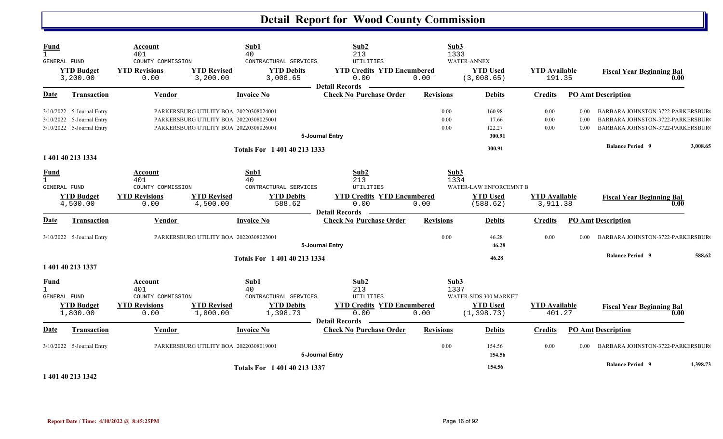| <b>Fund</b><br>$\mathbf{1}$<br>GENERAL FUND |                                                                                     | Account<br>401<br>COUNTY COMMISSION                                 |                                                                                                                            | Sub1<br>40<br>CONTRACTURAL SERVICES                                  | Sub2<br>213<br>UTILITIES                                                                       | Sub3<br>1333         | <b>WATER-ANNEX</b>                                      |                                  |                      |                                                                                                                        |          |
|---------------------------------------------|-------------------------------------------------------------------------------------|---------------------------------------------------------------------|----------------------------------------------------------------------------------------------------------------------------|----------------------------------------------------------------------|------------------------------------------------------------------------------------------------|----------------------|---------------------------------------------------------|----------------------------------|----------------------|------------------------------------------------------------------------------------------------------------------------|----------|
|                                             | <b>YTD Budget</b><br>3,200.00                                                       | <b>YTD Revisions</b><br>0.00                                        | <b>YTD Revised</b><br>3,200.00                                                                                             | <b>YTD Debits</b><br>3,008.65                                        | <b>YTD Credits YTD Encumbered</b><br>0.00<br><b>Detail Records</b>                             | 0.00                 | <b>YTD Used</b><br>(3,008.65)                           | <b>YTD</b> Available<br>191.35   |                      | <b>Fiscal Year Beginning Bal</b><br>0.00                                                                               |          |
| <b>Date</b>                                 | <b>Transaction</b>                                                                  | <b>Vendor</b>                                                       |                                                                                                                            | <b>Invoice No</b>                                                    | <b>Check No Purchase Order</b>                                                                 | <b>Revisions</b>     | <b>Debits</b>                                           | <b>Credits</b>                   |                      | <b>PO Amt Description</b>                                                                                              |          |
|                                             | 3/10/2022 5-Journal Entry<br>3/10/2022 5-Journal Entry<br>3/10/2022 5-Journal Entry |                                                                     | PARKERSBURG UTILITY BOA 20220308024001<br>PARKERSBURG UTILITY BOA 20220308025001<br>PARKERSBURG UTILITY BOA 20220308026001 |                                                                      | 5-Journal Entry                                                                                | 0.00<br>0.00<br>0.00 | 160.98<br>17.66<br>122.27<br>300.91                     | 0.00<br>$0.00\,$<br>0.00         | 0.00<br>0.00<br>0.00 | <b>BARBARA JOHNSTON-3722-PARKERSBUR</b><br><b>BARBARA JOHNSTON-3722-PARKERSBUR</b><br>BARBARA JOHNSTON-3722-PARKERSBUR |          |
|                                             |                                                                                     |                                                                     |                                                                                                                            | Totals For 1 401 40 213 1333                                         |                                                                                                |                      | 300.91                                                  |                                  |                      | <b>Balance Period 9</b>                                                                                                | 3,008.65 |
|                                             | 1 401 40 213 1334                                                                   |                                                                     |                                                                                                                            |                                                                      |                                                                                                |                      |                                                         |                                  |                      |                                                                                                                        |          |
| <b>Fund</b><br>$\mathbf{1}$<br>GENERAL FUND | <b>YTD Budget</b><br>4,500.00                                                       | Account<br>401<br>COUNTY COMMISSION<br><b>YTD Revisions</b><br>0.00 | <b>YTD Revised</b><br>4,500.00                                                                                             | Sub1<br>40<br>CONTRACTURAL SERVICES<br><b>YTD Debits</b><br>588.62   | Sub2<br>213<br>UTILITIES<br><b>YTD Credits YTD Encumbered</b><br>0.00<br><b>Detail Records</b> | Sub3<br>1334<br>0.00 | WATER-LAW ENFORCEMNT B<br><b>YTD</b> Used<br>(588.62)   | <b>YTD</b> Available<br>3,911.38 |                      | <b>Fiscal Year Beginning Bal</b><br>0.00                                                                               |          |
| <b>Date</b>                                 | Transaction                                                                         | Vendor                                                              |                                                                                                                            | <b>Invoice No</b>                                                    | <b>Check No Purchase Order</b>                                                                 | <b>Revisions</b>     | <b>Debits</b>                                           | <b>Credits</b>                   |                      | PO Amt Description                                                                                                     |          |
|                                             | 3/10/2022 5-Journal Entry                                                           |                                                                     | PARKERSBURG UTILITY BOA 20220308023001                                                                                     |                                                                      | 5-Journal Entry                                                                                | 0.00                 | 46.28<br>46.28                                          | 0.00                             | 0.00                 | BARBARA JOHNSTON-3722-PARKERSBUR                                                                                       |          |
|                                             | 1 401 40 213 1337                                                                   |                                                                     |                                                                                                                            | Totals For 1 401 40 213 1334                                         |                                                                                                |                      | 46.28                                                   |                                  |                      | <b>Balance Period 9</b>                                                                                                | 588.62   |
| <b>Fund</b><br>$\mathbf{1}$<br>GENERAL FUND | <b>YTD Budget</b><br>1,800.00                                                       | Account<br>401<br>COUNTY COMMISSION<br><b>YTD Revisions</b><br>0.00 | <b>YTD Revised</b><br>1,800.00                                                                                             | Sub1<br>40<br>CONTRACTURAL SERVICES<br><b>YTD Debits</b><br>1,398.73 | Sub2<br>213<br>UTILITIES<br><b>YTD Credits YTD Encumbered</b><br>0.00                          | Sub3<br>1337<br>0.00 | WATER-SIDS 300 MARKET<br><b>YTD Used</b><br>(1, 398.73) | <b>YTD</b> Available<br>401.27   |                      | <b>Fiscal Year Beginning Bal</b><br>0.00                                                                               |          |
|                                             |                                                                                     |                                                                     |                                                                                                                            |                                                                      | <b>Detail Records</b>                                                                          |                      |                                                         |                                  |                      |                                                                                                                        |          |
| Date                                        | <b>Transaction</b>                                                                  | Vendor                                                              |                                                                                                                            | <b>Invoice No</b>                                                    | <b>Check No Purchase Order</b>                                                                 | <b>Revisions</b>     | <b>Debits</b>                                           | <b>Credits</b>                   |                      | <b>PO Amt Description</b>                                                                                              |          |
|                                             | 3/10/2022 5-Journal Entry                                                           |                                                                     | PARKERSBURG UTILITY BOA 20220308019001                                                                                     |                                                                      | 5-Journal Entry                                                                                | 0.00                 | 154.56<br>154.56                                        | 0.00                             | 0.00                 | BARBARA JOHNSTON-3722-PARKERSBUR                                                                                       |          |
|                                             | .                                                                                   |                                                                     |                                                                                                                            | Totals For 1 401 40 213 1337                                         |                                                                                                |                      | 154.56                                                  |                                  |                      | <b>Balance Period 9</b>                                                                                                | 1,398.73 |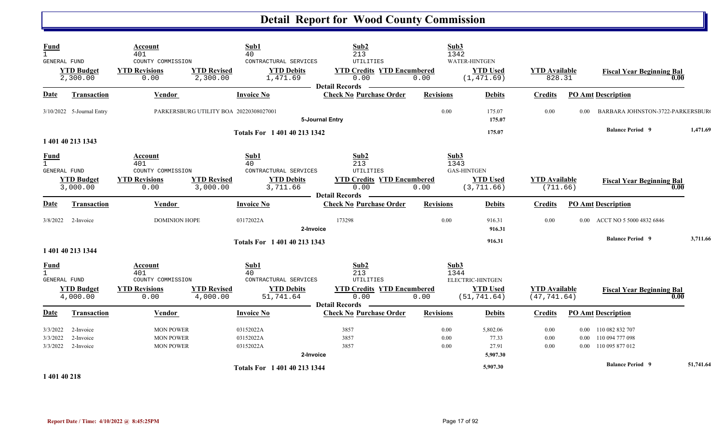| Fund<br>$\mathbf{1}$<br>GENERAL FUND        | <b>YTD Budget</b><br>2,300.00       | Account<br>401<br>COUNTY COMMISSION<br><b>YTD Revisions</b><br>0.00 | <b>YTD Revised</b><br>2,300.00         | Sub1<br>40<br>CONTRACTURAL SERVICES<br><b>YTD Debits</b><br>1,471.69             | Sub2<br>213<br>UTILITIES<br><b>YTD Credits YTD Encumbered</b><br>0.00<br><b>Detail Records</b>     | Sub3<br>1342<br>0.00         | <b>WATER-HINTGEN</b><br><b>YTD Used</b><br>(1, 471.69) | <b>YTD</b> Available<br>828.31       |          | <b>Fiscal Year Beginning Bal</b><br>0.00                                                   |           |
|---------------------------------------------|-------------------------------------|---------------------------------------------------------------------|----------------------------------------|----------------------------------------------------------------------------------|----------------------------------------------------------------------------------------------------|------------------------------|--------------------------------------------------------|--------------------------------------|----------|--------------------------------------------------------------------------------------------|-----------|
| Date                                        | <b>Transaction</b>                  | <b>Vendor</b>                                                       |                                        | <b>Invoice No</b>                                                                | <b>Check No Purchase Order</b>                                                                     | <b>Revisions</b>             | <b>Debits</b>                                          | <b>Credits</b>                       |          | <b>PO Amt Description</b>                                                                  |           |
|                                             | 3/10/2022 5-Journal Entry           |                                                                     | PARKERSBURG UTILITY BOA 20220308027001 |                                                                                  | 5-Journal Entry                                                                                    | 0.00                         | 175.07<br>175.07                                       | 0.00                                 | 0.00     | BARBARA JOHNSTON-3722-PARKERSBUR                                                           |           |
|                                             | 1 401 40 213 1343                   |                                                                     |                                        | Totals For 1 401 40 213 1342                                                     |                                                                                                    |                              | 175.07                                                 |                                      |          | <b>Balance Period 9</b>                                                                    | 1,471.69  |
| <b>Fund</b><br>$\mathbf{1}$<br>GENERAL FUND | <b>YTD Budget</b><br>3,000.00       | Account<br>401<br>COUNTY COMMISSION<br><b>YTD Revisions</b><br>0.00 | <b>YTD Revised</b><br>3,000.00         | Sub1<br>40<br>CONTRACTURAL SERVICES<br><b>YTD Debits</b><br>3,711.66             | Sub2<br>213<br>UTILITIES<br><b>YTD Credits YTD Encumbered</b><br>0.00<br>- Detail Records          | Sub3<br>1343<br>0.00         | <b>GAS-HINTGEN</b><br><b>YTD Used</b><br>(3, 711.66)   | <b>YTD Available</b><br>(711.66)     |          | <b>Fiscal Year Beginning Bal</b><br>0.00                                                   |           |
| Date                                        | <b>Transaction</b>                  | Vendor                                                              |                                        | <b>Invoice No</b>                                                                | <b>Check No Purchase Order</b>                                                                     | <b>Revisions</b>             | <b>Debits</b>                                          | <b>Credits</b>                       |          | <b>PO Amt Description</b>                                                                  |           |
|                                             | 3/8/2022 2-Invoice                  | <b>DOMINION HOPE</b>                                                |                                        | 03172022A<br>2-Invoice                                                           | 173298                                                                                             | 0.00                         | 916.31<br>916.31                                       | 0.00                                 |          | 0.00 ACCT NO 5 5000 4832 6846                                                              |           |
|                                             | 1 401 40 213 1344                   |                                                                     |                                        | Totals For 1 401 40 213 1343                                                     |                                                                                                    |                              | 916.31                                                 |                                      |          | <b>Balance Period 9</b>                                                                    | 3,711.66  |
| <b>Fund</b><br>$\mathbf{1}$<br>GENERAL FUND | <b>YTD Budget</b><br>4,000.00       | Account<br>401<br>COUNTY COMMISSION<br><b>YTD Revisions</b><br>0.00 | <b>YTD Revised</b><br>4,000.00         | Sub1<br>40<br>CONTRACTURAL SERVICES<br><b>YTD Debits</b><br>51,741.64            | Sub2<br>213<br><b>UTILITIES</b><br><b>YTD Credits YTD Encumbered</b><br>0.00<br>- Detail Records - | Sub3<br>1344<br>0.00         | ELECTRIC-HINTGEN<br><b>YTD Used</b><br>(51, 741.64)    | <b>YTD</b> Available<br>(47, 741.64) |          | <b>Fiscal Year Beginning Bal</b><br>0.00                                                   |           |
| <b>Date</b>                                 | <b>Transaction</b>                  | Vendor                                                              |                                        | <b>Invoice No</b>                                                                | <b>Check No Purchase Order</b>                                                                     | <b>Revisions</b>             | <b>Debits</b>                                          | <b>Credits</b>                       |          | <b>PO Amt Description</b>                                                                  |           |
| 3/3/2022<br>3/3/2022<br>3/3/2022            | 2-Invoice<br>2-Invoice<br>2-Invoice | <b>MON POWER</b><br><b>MON POWER</b><br><b>MON POWER</b>            |                                        | 03152022A<br>03152022A<br>03152022A<br>2-Invoice<br>Totals For 1 401 40 213 1344 | 3857<br>3857<br>3857                                                                               | $0.00\,$<br>$0.00\,$<br>0.00 | 5,802.06<br>77.33<br>27.91<br>5,907.30<br>5,907.30     | 0.00<br>0.00<br>0.00                 | $0.00\,$ | 110 082 832 707<br>0.00 110 094 777 098<br>0.00 110 095 877 012<br><b>Balance Period 9</b> | 51,741.64 |
| $-1.401.40.210$                             |                                     |                                                                     |                                        |                                                                                  |                                                                                                    |                              |                                                        |                                      |          |                                                                                            |           |

**1 401 40 218** 

 $\mathbf{C}$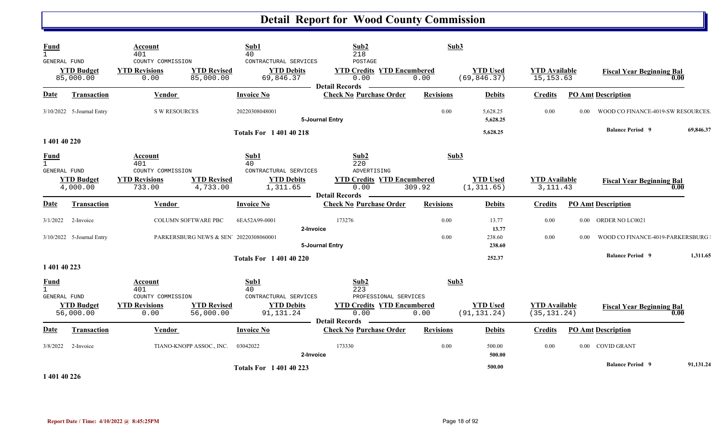| Fund<br>$\mathbf{1}$<br>GENERAL FUND        | <b>YTD Budget</b><br>85,000.00                      | Account<br>401<br>COUNTY COMMISSION<br><b>YTD Revisions</b><br>0.00 | <b>YTD Revised</b><br>85,000.00                                      | Sub1<br>40<br>CONTRACTURAL SERVICES<br><b>YTD Debits</b><br>69,846.37 | Sub2<br>218<br>POSTAGE<br><b>YTD Credits YTD Encumbered</b><br>0.00 | Sub3<br>0.00     | <b>YTD Used</b><br>(69, 846.37) | <b>YTD Available</b><br>15, 153.63   |                | <b>Fiscal Year Beginning Bal</b>                         | 0.00      |
|---------------------------------------------|-----------------------------------------------------|---------------------------------------------------------------------|----------------------------------------------------------------------|-----------------------------------------------------------------------|---------------------------------------------------------------------|------------------|---------------------------------|--------------------------------------|----------------|----------------------------------------------------------|-----------|
| Date                                        | Transaction                                         | <b>Vendor</b>                                                       |                                                                      | <b>Invoice No</b>                                                     | <b>Detail Records</b><br><b>Check No Purchase Order</b>             | <b>Revisions</b> | <b>Debits</b>                   | <b>Credits</b>                       |                | <b>PO Amt Description</b>                                |           |
|                                             | 3/10/2022 5-Journal Entry                           | S W RESOURCES                                                       |                                                                      | 20220308048001                                                        | 5-Journal Entry                                                     | 0.00             | 5,628.25<br>5,628.25            | 0.00                                 | $0.00^{\circ}$ | WOOD CO FINANCE-4019-SW RESOURCES                        |           |
| 1 401 40 220                                |                                                     |                                                                     |                                                                      | <b>Totals For 140140218</b>                                           |                                                                     |                  | 5,628.25                        |                                      |                | <b>Balance Period 9</b>                                  | 69,846.37 |
| <b>Fund</b><br>$\mathbf{1}$<br>GENERAL FUND |                                                     | Account<br>401<br>COUNTY COMMISSION                                 |                                                                      | Sub1<br>40<br>CONTRACTURAL SERVICES                                   | Sub2<br>220<br>ADVERTISING                                          | Sub3             |                                 |                                      |                |                                                          |           |
|                                             | <b>YTD Budget</b><br>4,000.00                       | <b>YTD Revisions</b><br>733.00                                      | <b>YTD Revised</b><br>4,733.00                                       | <b>YTD Debits</b><br>1,311.65                                         | <b>YTD Credits YTD Encumbered</b><br>0.00<br><b>Detail Records</b>  | 309.92           | <b>YTD Used</b><br>(1, 311.65)  | <b>YTD Available</b><br>3, 111.43    |                | <b>Fiscal Year Beginning Bal</b>                         | 0.00      |
| <b>Date</b>                                 | <b>Transaction</b>                                  | Vendor                                                              |                                                                      | <b>Invoice No</b>                                                     | <b>Check No Purchase Order</b>                                      | <b>Revisions</b> | <b>Debits</b>                   | <b>Credits</b>                       |                | <b>PO Amt Description</b>                                |           |
|                                             | $3/1/2022$ 2-Invoice<br>$3/10/2022$ 5-Journal Entry |                                                                     | <b>COLUMN SOFTWARE PBC</b><br>PARKERSBURG NEWS & SEN' 20220308060001 | 6EA52A99-0001<br>2-Invoice                                            | 173276                                                              | 0.00<br>0.00     | 13.77<br>13.77<br>238.60        | 0.00<br>0.00                         | 0.00           | 0.00 ORDER NO LC0021<br>WOOD CO FINANCE-4019-PARKERSBURG |           |
|                                             |                                                     |                                                                     |                                                                      |                                                                       | 5-Journal Entry                                                     |                  | 238.60                          |                                      |                |                                                          |           |
| 1 401 40 223                                |                                                     |                                                                     |                                                                      | <b>Totals For 140140220</b>                                           |                                                                     |                  | 252.37                          |                                      |                | <b>Balance Period 9</b>                                  | 1,311.65  |
| <b>Fund</b><br>$\mathbf{1}$<br>GENERAL FUND |                                                     | Account<br>401<br>COUNTY COMMISSION                                 |                                                                      | Sub1<br>40<br>CONTRACTURAL SERVICES                                   | Sub2<br>223<br>PROFESSIONAL SERVICES                                | Sub3             |                                 |                                      |                |                                                          |           |
|                                             | <b>YTD Budget</b><br>56,000.00                      | <b>YTD Revisions</b><br>0.00                                        | <b>YTD Revised</b><br>56,000.00                                      | <b>YTD Debits</b><br>91,131.24                                        | <b>YTD Credits YTD Encumbered</b><br>0.00<br><b>Detail Records</b>  | 0.00             | <b>YTD Used</b><br>(91, 131.24) | <b>YTD Available</b><br>(35, 131.24) |                | <b>Fiscal Year Beginning Bal</b>                         | 0.00      |
| D <u>ate</u>                                | <b>Transaction</b>                                  | Vendor                                                              |                                                                      | <b>Invoice No</b>                                                     | <b>Check No Purchase Order</b>                                      | <b>Revisions</b> | <b>Debits</b>                   | <b>Credits</b>                       |                | <b>PO</b> Amt Description                                |           |
| 3/8/2022                                    | 2-Invoice                                           |                                                                     | TIANO-KNOPP ASSOC., INC.                                             | 03042022<br>2-Invoice                                                 | 173330                                                              | 0.00             | 500.00<br>500.00                | 0.00                                 |                | 0.00 COVID GRANT                                         |           |
| 1.401.4002                                  |                                                     |                                                                     |                                                                      | <b>Totals For 1 401 40 223</b>                                        |                                                                     |                  | 500.00                          |                                      |                | <b>Balance Period 9</b>                                  | 91,131.24 |

**1 401 40 226**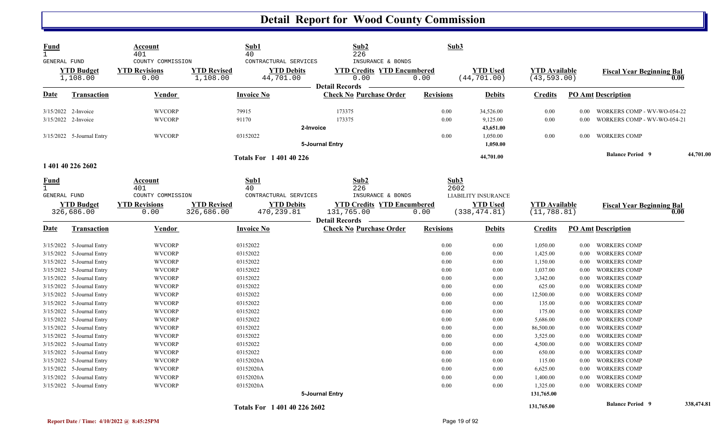| <b>Fund</b><br>$\mathbf{1}$ |                               | Account<br>401                                    | Sub1<br>40                                                                                | Sub2<br>226                                                    | Sub3             |                                 |                                      |                |                                  |            |
|-----------------------------|-------------------------------|---------------------------------------------------|-------------------------------------------------------------------------------------------|----------------------------------------------------------------|------------------|---------------------------------|--------------------------------------|----------------|----------------------------------|------------|
| GENERAL FUND                | <b>YTD Budget</b><br>1,108.00 | COUNTY COMMISSION<br><b>YTD Revisions</b><br>0.00 | CONTRACTURAL SERVICES<br><b>YTD Revised</b><br><b>YTD Debits</b><br>44,701.00<br>1,108.00 | INSURANCE & BONDS<br><b>YTD Credits YTD Encumbered</b><br>0.00 | 0.00             | <b>YTD Used</b><br>(44, 701.00) | <b>YTD</b> Available<br>(43, 593.00) |                | <b>Fiscal Year Beginning Bal</b> | 0.00       |
| Date                        | <b>Transaction</b>            | Vendor                                            | <b>Invoice No</b>                                                                         | <b>Detail Records</b><br><b>Check No Purchase Order</b>        | <b>Revisions</b> | <b>Debits</b>                   | <b>Credits</b>                       |                | <b>PO Amt Description</b>        |            |
|                             | 3/15/2022 2-Invoice           | <b>WVCORP</b>                                     | 79915                                                                                     | 173375                                                         | 0.00             | 34,526.00                       | 0.00                                 | $0.00^{\circ}$ | WORKERS COMP - WV-WO-054-22      |            |
|                             | 3/15/2022 2-Invoice           | <b>WVCORP</b>                                     | 91170                                                                                     | 173375                                                         | 0.00             | 9,125.00                        | 0.00                                 | 0.00           | WORKERS COMP - WV-WO-054-21      |            |
|                             |                               |                                                   |                                                                                           | 2-Invoice                                                      |                  | 43,651.00                       |                                      |                |                                  |            |
|                             | 3/15/2022 5-Journal Entry     | <b>WVCORP</b>                                     | 03152022                                                                                  |                                                                | 0.00             | 1,050.00                        | 0.00                                 |                | 0.00 WORKERS COMP                |            |
|                             |                               |                                                   |                                                                                           | 5-Journal Entry                                                |                  | 1,050.00                        |                                      |                |                                  |            |
|                             | 1 401 40 226 2602             |                                                   | <b>Totals For 140140226</b>                                                               |                                                                |                  | 44,701.00                       |                                      |                | <b>Balance Period 9</b>          | 44,701.00  |
|                             |                               |                                                   |                                                                                           |                                                                |                  |                                 |                                      |                |                                  |            |
| <u>Fund</u><br>$\mathbf{1}$ |                               | Account<br>401                                    | Sub1<br>40                                                                                | Sub2<br>226                                                    | Sub3<br>2602     |                                 |                                      |                |                                  |            |
| GENERAL FUND                |                               | COUNTY COMMISSION                                 | CONTRACTURAL SERVICES                                                                     | INSURANCE & BONDS                                              |                  | <b>LIABILITY INSURANCE</b>      |                                      |                |                                  |            |
|                             | <b>YTD Budget</b>             | <b>YTD Revisions</b>                              | <b>YTD Revised</b><br><b>YTD Debits</b>                                                   | <b>YTD Credits YTD Encumbered</b>                              |                  | <b>YTD</b> Used                 | <b>YTD</b> Available                 |                | <b>Fiscal Year Beginning Bal</b> |            |
|                             | 326,686.00                    | 0.00                                              | 326,686.00<br>470,239.81                                                                  | 131,765.00                                                     | 0.00             | (338, 474.81)                   | (11, 788.81)                         |                |                                  | 0.00       |
|                             |                               |                                                   |                                                                                           | <b>Detail Records</b>                                          |                  |                                 |                                      |                |                                  |            |
| Date                        | <b>Transaction</b>            | <b>Vendor</b>                                     | <b>Invoice No</b>                                                                         | <b>Check No Purchase Order</b>                                 | <b>Revisions</b> | <b>Debits</b>                   | <b>Credits</b>                       |                | <b>PO Amt Description</b>        |            |
|                             | 3/15/2022 5-Journal Entry     | <b>WVCORP</b>                                     | 03152022                                                                                  |                                                                | 0.00             | 0.00                            | 1,050.00                             | $0.00\,$       | <b>WORKERS COMP</b>              |            |
|                             | 3/15/2022 5-Journal Entry     | <b>WVCORP</b>                                     | 03152022                                                                                  |                                                                | 0.00             | 0.00                            | 1,425.00                             | $0.00\,$       | <b>WORKERS COMP</b>              |            |
|                             | 3/15/2022 5-Journal Entry     | <b>WVCORP</b>                                     | 03152022                                                                                  |                                                                | 0.00             | 0.00                            | 1,150.00                             | 0.00           | <b>WORKERS COMP</b>              |            |
|                             | 3/15/2022 5-Journal Entry     | <b>WVCORP</b>                                     | 03152022                                                                                  |                                                                | 0.00             | 0.00                            | 1,037.00                             | 0.00           | <b>WORKERS COMP</b>              |            |
|                             | 3/15/2022 5-Journal Entry     | <b>WVCORP</b>                                     | 03152022                                                                                  |                                                                | 0.00             | 0.00                            | 3,342.00                             | $0.00\,$       | <b>WORKERS COMP</b>              |            |
|                             | 3/15/2022 5-Journal Entry     | <b>WVCORP</b>                                     | 03152022                                                                                  |                                                                | 0.00             | 0.00                            | 625.00                               | 0.00           | <b>WORKERS COMP</b>              |            |
|                             | 3/15/2022 5-Journal Entry     | <b>WVCORP</b>                                     | 03152022                                                                                  |                                                                | 0.00             | 0.00                            | 12,500.00                            | 0.00           | <b>WORKERS COMP</b>              |            |
|                             | 3/15/2022 5-Journal Entry     | <b>WVCORP</b>                                     | 03152022                                                                                  |                                                                | 0.00             | 0.00                            | 135.00                               | 0.00           | <b>WORKERS COMP</b>              |            |
|                             | 3/15/2022 5-Journal Entry     | <b>WVCORP</b>                                     | 03152022                                                                                  |                                                                | 0.00             | 0.00                            | 175.00                               | 0.00           | <b>WORKERS COMP</b>              |            |
|                             | 3/15/2022 5-Journal Entry     | <b>WVCORP</b>                                     | 03152022                                                                                  |                                                                | 0.00             | 0.00                            | 5,686.00                             | 0.00           | <b>WORKERS COMP</b>              |            |
|                             | 3/15/2022 5-Journal Entry     | <b>WVCORP</b>                                     | 03152022                                                                                  |                                                                | 0.00             | 0.00                            | 86,500.00                            | $0.00\,$       | <b>WORKERS COMP</b>              |            |
|                             | 3/15/2022 5-Journal Entry     | <b>WVCORP</b>                                     | 03152022                                                                                  |                                                                | 0.00             | 0.00                            | 3,525.00                             | 0.00           | <b>WORKERS COMP</b>              |            |
|                             | 3/15/2022 5-Journal Entry     | <b>WVCORP</b>                                     | 03152022                                                                                  |                                                                | 0.00             | 0.00                            | 4,500.00                             | 0.00           | <b>WORKERS COMP</b>              |            |
|                             | 3/15/2022 5-Journal Entry     | <b>WVCORP</b>                                     | 03152022                                                                                  |                                                                | 0.00             | 0.00                            | 650.00                               | 0.00           | <b>WORKERS COMP</b>              |            |
|                             | 3/15/2022 5-Journal Entry     | <b>WVCORP</b>                                     | 03152020A                                                                                 |                                                                | 0.00             | 0.00                            | 115.00                               | 0.00           | <b>WORKERS COMP</b>              |            |
|                             | 3/15/2022 5-Journal Entry     | <b>WVCORP</b>                                     | 03152020A                                                                                 |                                                                | 0.00             | 0.00                            | 6,625.00                             | 0.00           | <b>WORKERS COMP</b>              |            |
|                             | 3/15/2022 5-Journal Entry     | <b>WVCORP</b>                                     | 03152020A                                                                                 |                                                                | 0.00             | 0.00                            | 1,400.00                             | 0.00           | <b>WORKERS COMP</b>              |            |
|                             | 3/15/2022 5-Journal Entry     | <b>WVCORP</b>                                     | 03152020A                                                                                 |                                                                | 0.00             | 0.00                            | 1,325.00                             | 0.00           | <b>WORKERS COMP</b>              |            |
|                             |                               |                                                   |                                                                                           | 5-Journal Entry                                                |                  |                                 | 131,765.00                           |                |                                  |            |
|                             |                               |                                                   | Totals For 1 401 40 226 2602                                                              |                                                                |                  |                                 | 131,765.00                           |                | <b>Balance Period 9</b>          | 338,474.81 |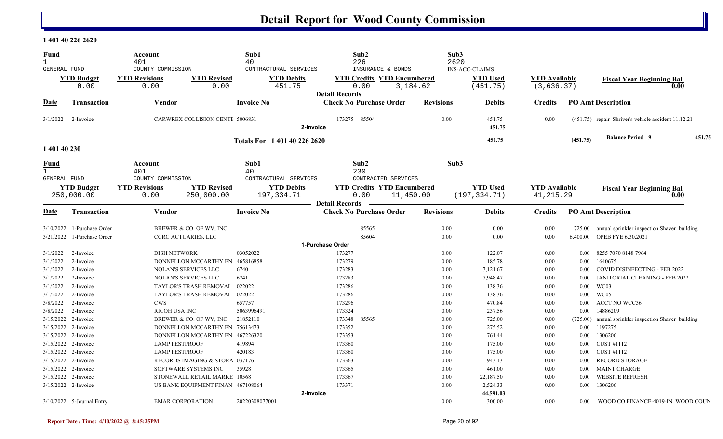#### **1 401 40 226 2620**

| <b>Fund</b><br>$\mathbf{1}$ |                                 | Account<br>401                                                 |                                  | Sub1<br>40                                           | Sub2<br>226                                                        |                  | Sub3<br>2620 |                                                      |                                     |                  |                                                     |
|-----------------------------|---------------------------------|----------------------------------------------------------------|----------------------------------|------------------------------------------------------|--------------------------------------------------------------------|------------------|--------------|------------------------------------------------------|-------------------------------------|------------------|-----------------------------------------------------|
| <b>GENERAL FUND</b>         | <b>YTD Budget</b><br>0.00       | COUNTY COMMISSION<br><b>YTD Revisions</b><br>0.00              | <b>YTD Revised</b><br>0.00       | CONTRACTURAL SERVICES<br><b>YTD Debits</b><br>451.75 | INSURANCE & BONDS<br><b>YTD Credits YTD Encumbered</b><br>0.00     | 3,184.62         |              | <b>INS-ACC-CLAIMS</b><br><b>YTD Used</b><br>(451.75) | <b>YTD Available</b><br>(3, 636.37) |                  | <b>Fiscal Year Beginning Bal</b><br>0.00            |
| Date                        | Transaction                     | Vendor                                                         |                                  | <b>Invoice No</b>                                    | <b>Detail Records</b><br><b>Check No Purchase Order</b>            | <b>Revisions</b> |              | <b>Debits</b>                                        | <b>Credits</b>                      |                  | <b>PO Amt Description</b>                           |
| 3/1/2022                    | 2-Invoice                       | CARWREX COLLISION CENTI 5006831                                |                                  | 2-Invoice                                            | 173275 85504                                                       |                  | 0.00         | 451.75<br>451.75                                     | 0.00                                |                  | (451.75) repair Shriver's vehicle accident 11.12.21 |
| 1 401 40 230                |                                 |                                                                |                                  | Totals For 1401402262620                             |                                                                    |                  |              | 451.75                                               |                                     | (451.75)         | <b>Balance Period 9</b><br>451.75                   |
| <u>Fund</u><br>GENERAL FUND |                                 | Account<br>401<br>COUNTY COMMISSION                            |                                  | Sub1<br>40<br>CONTRACTURAL SERVICES                  | Sub2<br>230<br>CONTRACTED SERVICES                                 |                  | Sub3         |                                                      |                                     |                  |                                                     |
|                             | <b>YTD Budget</b><br>250,000.00 | <b>YTD Revisions</b><br>0.00                                   | <b>YTD Revised</b><br>250,000.00 | <b>YTD Debits</b><br>197,334.71                      | <b>YTD Credits YTD Encumbered</b><br>0.00<br><b>Detail Records</b> | 11,450.00        |              | <b>YTD</b> Used<br>(197, 334.71)                     | <b>YTD</b> Available<br>41, 215.29  |                  | <b>Fiscal Year Beginning Bal</b><br>0.00            |
| Date                        | <b>Transaction</b>              | <b>Vendor</b>                                                  |                                  | <b>Invoice No</b>                                    | <b>Check No Purchase Order</b>                                     | <b>Revisions</b> |              | <b>Debits</b>                                        | <b>Credits</b>                      |                  | <b>PO Amt Description</b>                           |
|                             | 3/10/2022 1-Purchase Order      | BREWER & CO. OF WV, INC.                                       |                                  |                                                      | 85565                                                              |                  | 0.00         | 0.00                                                 | 0.00                                | 725.00           | annual sprinkler inspection Shaver building         |
|                             | 3/21/2022 1-Purchase Order      | <b>CCRC ACTUARIES, LLC</b>                                     |                                  |                                                      | 85604                                                              |                  | 0.00         | 0.00                                                 | 0.00                                | 6,400.00         | OPEB FYE 6.30.2021                                  |
|                             |                                 |                                                                |                                  |                                                      | 1-Purchase Order                                                   |                  |              |                                                      |                                     |                  |                                                     |
| 3/1/2022                    | 2-Invoice                       | <b>DISH NETWORK</b>                                            |                                  | 03052022                                             | 173277                                                             |                  | 0.00         | 122.07                                               | 0.00                                | 0.00             | 8255 7070 8148 7964                                 |
| 3/1/2022<br>3/1/2022        | 2-Invoice<br>2-Invoice          | DONNELLON MCCARTHY EN 465816858<br><b>NOLAN'S SERVICES LLC</b> |                                  | 6740                                                 | 173279<br>173283                                                   |                  | 0.00<br>0.00 | 185.78<br>7,121.67                                   | 0.00<br>0.00                        | 0.00<br>$0.00\,$ | 1640675<br>COVID DISINFECTING - FEB 2022            |
| 3/1/2022                    | 2-Invoice                       | <b>NOLAN'S SERVICES LLC</b>                                    |                                  | 6741                                                 | 173283                                                             |                  | 0.00         | 7,948.47                                             | 0.00                                | 0.00             | JANITORIAL CLEANING - FEB 2022                      |
| 3/1/2022                    | 2-Invoice                       | TAYLOR'S TRASH REMOVAL                                         |                                  | 022022                                               | 173286                                                             |                  | 0.00         | 138.36                                               | 0.00                                | $0.00\,$         | WC03                                                |
| 3/1/2022                    | 2-Invoice                       | TAYLOR'S TRASH REMOVAL 022022                                  |                                  |                                                      | 173286                                                             |                  | 0.00         | 138.36                                               | 0.00                                | $0.00\,$         | WC05                                                |
| 3/8/2022                    | 2-Invoice                       | <b>CWS</b>                                                     |                                  | 657757                                               | 173296                                                             |                  | 0.00         | 470.84                                               | 0.00                                | $0.00\,$         | <b>ACCT NO WCC36</b>                                |
| 3/8/2022                    | 2-Invoice                       | <b>RICOH USA INC</b>                                           |                                  | 5063996491                                           | 173324                                                             |                  | 0.00         | 237.56                                               | 0.00                                | 0.00             | 14886209                                            |
| 3/15/2022 2-Invoice         |                                 | BREWER & CO. OF WV, INC.                                       |                                  | 21852110                                             | 173348<br>85565                                                    |                  | 0.00         | 725.00                                               | 0.00                                | (725.00)         | annual sprinkler inspection Shaver building         |
| 3/15/2022 2-Invoice         |                                 | DONNELLON MCCARTHY EN 75613473                                 |                                  |                                                      | 173352                                                             |                  | 0.00         | 275.52                                               | 0.00                                |                  | 0.00 1197275                                        |
| 3/15/2022 2-Invoice         |                                 | DONNELLON MCCARTHY EN 467226320                                |                                  |                                                      | 173353                                                             |                  | 0.00         | 761.44                                               | 0.00                                | $0.00\,$         | 1306206                                             |
| 3/15/2022 2-Invoice         |                                 | <b>LAMP PESTPROOF</b>                                          |                                  | 419894                                               | 173360                                                             |                  | 0.00         | 175.00                                               | 0.00                                | $0.00\,$         | CUST #1112                                          |
| 3/15/2022 2-Invoice         |                                 | <b>LAMP PESTPROOF</b>                                          |                                  | 420183                                               | 173360                                                             |                  | 0.00         | 175.00                                               | 0.00                                | $0.00\,$         | CUST #1112                                          |
| 3/15/2022 2-Invoice         |                                 | RECORDS IMAGING & STORA 037176                                 |                                  |                                                      | 173363                                                             |                  | 0.00         | 943.13                                               | 0.00                                | $0.00\,$         | RECORD STORAGE                                      |
| 3/15/2022 2-Invoice         |                                 | SOFTWARE SYSTEMS INC                                           |                                  | 35928                                                | 173365                                                             |                  | 0.00         | 461.00                                               | 0.00                                | $0.00\,$         | <b>MAINT CHARGE</b>                                 |
| 3/15/2022 2-Invoice         |                                 | STONEWALL RETAIL MARKE 10568                                   |                                  |                                                      | 173367                                                             |                  | 0.00         | 22,187.50                                            | 0.00                                | 0.00             | <b>WEBSITE REFRESH</b>                              |
| 3/15/2022 2-Invoice         |                                 | US BANK EQUIPMENT FINAN 467108064                              |                                  |                                                      | 173371                                                             |                  | 0.00         | 2,524.33                                             | 0.00                                | $0.00\,$         | 1306206                                             |
|                             | $3/10/2022$ 5-Journal Entry     | <b>EMAR CORPORATION</b>                                        |                                  | 2-Invoice<br>20220308077001                          |                                                                    |                  | 0.00         | 44,591.03<br>300.00                                  | 0.00                                | 0.00             | WOOD CO FINANCE-4019-IN WOOD COUN                   |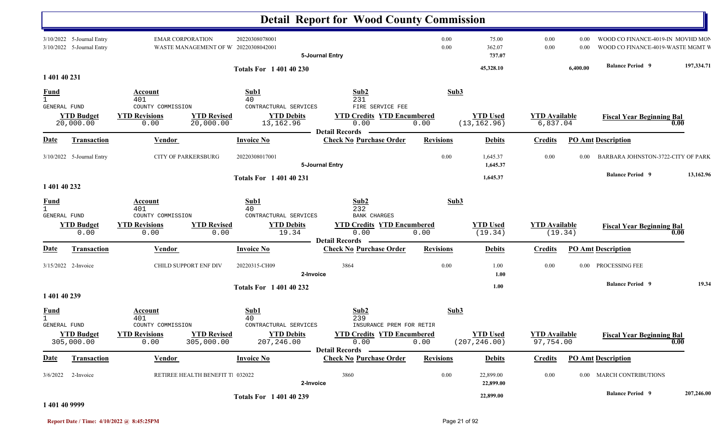|                                             |                                                        |                                                   |                                                                                              | <b>Detail Report for Wood County Commission</b>                                                |                  |                                  |                                   |              |                                                                        |            |
|---------------------------------------------|--------------------------------------------------------|---------------------------------------------------|----------------------------------------------------------------------------------------------|------------------------------------------------------------------------------------------------|------------------|----------------------------------|-----------------------------------|--------------|------------------------------------------------------------------------|------------|
|                                             | 3/10/2022 5-Journal Entry<br>3/10/2022 5-Journal Entry | <b>EMAR CORPORATION</b>                           | 20220308078001<br>WASTE MANAGEMENT OF W 20220308042001                                       | 5-Journal Entry                                                                                | 0.00<br>0.00     | 75.00<br>362.07<br>737.07        | 0.00<br>0.00                      | 0.00<br>0.00 | WOOD CO FINANCE-4019-IN MOVHD MON<br>WOOD CO FINANCE-4019-WASTE MGMT W |            |
| 1 401 40 231                                |                                                        |                                                   | <b>Totals For 1 401 40 230</b>                                                               |                                                                                                |                  | 45,328.10                        |                                   | 6,400.00     | <b>Balance Period 9</b>                                                | 197,334.71 |
| <b>Fund</b><br>$\mathbf{1}$                 |                                                        | Account<br>401                                    | Sub1<br>40                                                                                   | Sub2<br>231                                                                                    | Sub3             |                                  |                                   |              |                                                                        |            |
| <b>GENERAL FUND</b>                         | <b>YTD Budget</b><br>20,000.00                         | COUNTY COMMISSION<br><b>YTD Revisions</b><br>0.00 | CONTRACTURAL SERVICES<br><b>YTD Revised</b><br><b>YTD Debits</b><br>20,000.00<br>13,162.96   | FIRE SERVICE FEE<br><b>YTD Credits YTD Encumbered</b><br>0.00                                  | 0.00             | <b>YTD Used</b><br>(13, 162.96)  | <b>YTD Available</b><br>6,837.04  |              | <b>Fiscal Year Beginning Bal</b><br>0.00                               |            |
| <b>Date</b>                                 | Transaction                                            | Vendor                                            | <b>Invoice No</b>                                                                            | <b>Detail Records</b><br><b>Check No Purchase Order</b>                                        | <b>Revisions</b> | <b>Debits</b>                    | <b>Credits</b>                    |              | <b>PO Amt Description</b>                                              |            |
|                                             | 3/10/2022 5-Journal Entry                              | <b>CITY OF PARKERSBURG</b>                        | 20220308017001                                                                               | 5-Journal Entry                                                                                | 0.00             | 1,645.37<br>1,645.37             | 0.00                              | 0.00         | BARBARA JOHNSTON-3722-CITY OF PARK                                     |            |
|                                             |                                                        |                                                   | <b>Totals For 140140231</b>                                                                  |                                                                                                |                  | 1,645.37                         |                                   |              | <b>Balance Period 9</b>                                                | 13,162.96  |
| 1 401 40 232                                |                                                        |                                                   |                                                                                              |                                                                                                |                  |                                  |                                   |              |                                                                        |            |
| <b>Fund</b><br>$\mathbf{1}$<br>GENERAL FUND |                                                        | Account<br>401<br>COUNTY COMMISSION               | Sub1<br>40<br>CONTRACTURAL SERVICES                                                          | Sub2<br>232<br><b>BANK CHARGES</b>                                                             | Sub3             |                                  |                                   |              |                                                                        |            |
|                                             | <b>YTD Budget</b><br>0.00                              | <b>YTD Revisions</b><br>0.00                      | <b>YTD Revised</b><br><b>YTD Debits</b><br>19.34<br>0.00                                     | <b>YTD Credits YTD Encumbered</b><br>0.00<br><b>Detail Records</b>                             | 0.00             | <b>YTD Used</b><br>(19.34)       | <b>YTD Available</b><br>(19.34)   |              | <b>Fiscal Year Beginning Bal</b><br>0.00                               |            |
| <u>Date</u>                                 | Transaction                                            | Vendor                                            | <b>Invoice No</b>                                                                            | <b>Check No Purchase Order</b>                                                                 | <b>Revisions</b> | <b>Debits</b>                    | <b>Credits</b>                    |              | <b>PO Amt Description</b>                                              |            |
|                                             | 3/15/2022 2-Invoice                                    | CHILD SUPPORT ENF DIV                             | 20220315-CH09                                                                                | 3864<br>2-Invoice                                                                              | 0.00             | 1.00<br>1.00                     | 0.00                              | $0.00\,$     | PROCESSING FEE                                                         |            |
| 1 401 40 239                                |                                                        |                                                   | <b>Totals For 1 401 40 232</b>                                                               |                                                                                                |                  | 1.00                             |                                   |              | <b>Balance Period 9</b>                                                | 19.34      |
| <b>Fund</b>                                 |                                                        | <b>Account</b><br>401                             | Sub1<br>40                                                                                   | Sub2<br>239                                                                                    | Sub3             |                                  |                                   |              |                                                                        |            |
| GENERAL FUND                                | <b>YTD Budget</b><br>305,000.00                        | COUNTY COMMISSION<br><b>YTD Revisions</b><br>0.00 | CONTRACTURAL SERVICES<br><b>YTD Revised</b><br><b>YTD Debits</b><br>305,000.00<br>207,246.00 | INSURANCE PREM FOR RETIR<br><b>YTD Credits YTD Encumbered</b><br>0.00<br><b>Detail Records</b> | 0.00             | <b>YTD Used</b><br>(207, 246.00) | <b>YTD</b> Available<br>97,754.00 |              | <b>Fiscal Year Beginning Bal</b><br>0.00                               |            |
| <u>Date</u>                                 | Transaction                                            | <b>Vendor</b>                                     | <b>Invoice No</b>                                                                            | <b>Check No Purchase Order</b>                                                                 | <b>Revisions</b> | <b>Debits</b>                    | <b>Credits</b>                    |              | <b>PO Amt Description</b>                                              |            |
| 3/6/2022                                    | 2-Invoice                                              |                                                   | RETIREE HEALTH BENEFIT T. 032022                                                             | 3860<br>2-Invoice                                                                              | $0.00\,$         | 22,899.00<br>22,899.00           | 0.00                              |              | 0.00 MARCH CONTRIBUTIONS                                               |            |
|                                             |                                                        |                                                   | <b>Totals For 140140239</b>                                                                  |                                                                                                |                  | 22,899.00                        |                                   |              | <b>Balance Period 9</b>                                                | 207,246.00 |

#### **1 401 40 9999**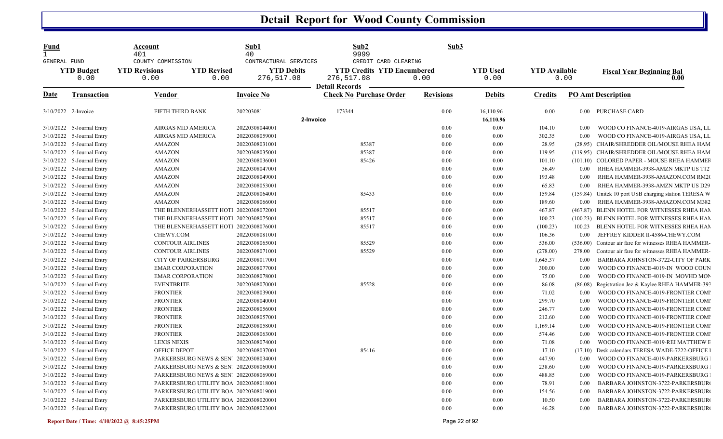| <b>Fund</b><br>GENERAL FUND |                             | Account<br>401<br>COUNTY COMMISSION                        | Sub1<br>40<br>CONTRACTURAL SERVICES | Sub2<br>9999<br>CREDIT CARD CLEARING                                     | Sub3             |                         |                      |          |                                                |
|-----------------------------|-----------------------------|------------------------------------------------------------|-------------------------------------|--------------------------------------------------------------------------|------------------|-------------------------|----------------------|----------|------------------------------------------------|
|                             | <b>YTD Budget</b><br>0.00   | <b>YTD Revised</b><br><b>YTD Revisions</b><br>0.00<br>0.00 | <b>YTD Debits</b><br>276,517.08     | <b>YTD Credits YTD Encumbered</b><br>276,517.08<br><b>Detail Records</b> | 0.00             | <b>YTD Used</b><br>0.00 | <b>YTD Available</b> | 0.00     | <b>Fiscal Year Beginning Bal</b><br>0.00       |
| <b>Date</b>                 | <b>Transaction</b>          | Vendor                                                     | <b>Invoice No</b>                   | <b>Check No Purchase Order</b>                                           | <b>Revisions</b> | <b>Debits</b>           | <b>Credits</b>       |          | <b>PO Amt Description</b>                      |
|                             | 3/10/2022 2-Invoice         | FIFTH THIRD BANK                                           | 202203081                           | 173344                                                                   | 0.00             | 16,110.96               | 0.00                 |          | 0.00 PURCHASE CARD                             |
|                             |                             |                                                            | 2-Invoice                           |                                                                          |                  | 16,110.96               |                      |          |                                                |
|                             | 3/10/2022 5-Journal Entry   | AIRGAS MID AMERICA                                         | 20220308044001                      |                                                                          | 0.00             | 0.00                    | 104.10               | $0.00\,$ | WOOD CO FINANCE-4019-AIRGAS USA, LL            |
|                             | 3/10/2022 5-Journal Entry   | AIRGAS MID AMERICA                                         | 20220308059001                      |                                                                          | 0.00             | 0.00                    | 302.35               | 0.00     | WOOD CO FINANCE-4019-AIRGAS USA, LL            |
|                             | 3/10/2022 5-Journal Entry   | <b>AMAZON</b>                                              | 20220308031001                      | 85387                                                                    | 0.00             | 0.00                    | 28.95                |          | (28.95) CHAIR/SHREDDER OIL/MOUSE RHEA HAM      |
|                             | 3/10/2022 5-Journal Entry   | <b>AMAZON</b>                                              | 20220308035001                      | 85387                                                                    | 0.00             | 0.00                    | 119.95               |          | (119.95) CHAIR/SHREDDER OIL/MOUSE RHEA HAM     |
| 3/10/2022                   | 5-Journal Entry             | <b>AMAZON</b>                                              | 20220308036001                      | 85426                                                                    | 0.00             | 0.00                    | 101.10               |          | (101.10) COLORED PAPER - MOUSE RHEA HAMMEF     |
|                             | 3/10/2022 5-Journal Entry   | <b>AMAZON</b>                                              | 20220308047001                      |                                                                          | 0.00             | 0.00                    | 36.49                | $0.00\,$ | RHEA HAMMER-3938-AMZN MKTP US T12              |
|                             | 3/10/2022 5-Journal Entry   | <b>AMAZON</b>                                              | 20220308049001                      |                                                                          | 0.00             | 0.00                    | 193.48               | 0.00     | RHEA HAMMER-3938-AMAZON.COM RM20               |
|                             | 3/10/2022 5-Journal Entry   | <b>AMAZON</b>                                              | 20220308053001                      |                                                                          | 0.00             | 0.00                    | 65.83                | 0.00     | RHEA HAMMER-3938-AMZN MKTP US D29              |
|                             | 3/10/2022 5-Journal Entry   | <b>AMAZON</b>                                              | 20220308064001                      | 85433                                                                    | 0.00             | 0.00                    | 159.84               | (159.84) | Unitek 10 port USB charging station TERESA W   |
|                             | 3/10/2022 5-Journal Entry   | <b>AMAZON</b>                                              | 20220308066001                      |                                                                          | 0.00             | 0.00                    | 189.60               | 0.00     | RHEA HAMMER-3938-AMAZON.COM M382               |
|                             | 3/10/2022 5-Journal Entry   | THE BLENNERHASSETT HOTI 20220308072001                     |                                     | 85517                                                                    | 0.00             | 0.00                    | 467.87               |          | (467.87) BLENN HOTEL FOR WITNESSES RHEA HAN    |
|                             | 3/10/2022 5-Journal Entry   | THE BLENNERHASSETT HOTI 20220308075001                     |                                     | 85517                                                                    | 0.00             | $0.00\,$                | 100.23               |          | (100.23) BLENN HOTEL FOR WITNESSES RHEA HAM    |
|                             | 3/10/2022 5-Journal Entry   | THE BLENNERHASSETT HOTI 20220308076001                     |                                     | 85517                                                                    | 0.00             | 0.00                    | (100.23)             | 100.23   | BLENN HOTEL FOR WITNESSES RHEA HAN             |
|                             | 3/10/2022 5-Journal Entry   | CHEWY.COM                                                  | 20220308081001                      |                                                                          | 0.00             | $0.00\,$                | 106.36               | 0.00     | JEFFREY KIDDER II-4586-CHEWY.COM               |
|                             | 3/10/2022 5-Journal Entry   | <b>CONTOUR AIRLINES</b>                                    | 20220308065001                      | 85529                                                                    | 0.00             | 0.00                    | 536.00               | (536.00) | Contour air fare for witnesses RHEA HAMMER-    |
|                             | 3/10/2022 5-Journal Entry   | <b>CONTOUR AIRLINES</b>                                    | 20220308071001                      | 85529                                                                    | 0.00             | 0.00                    | (278.00)             | 278.00   | Contour air fare for witnesses RHEA HAMMER-    |
| 3/10/2022                   | 5-Journal Entry             | <b>CITY OF PARKERSBURG</b>                                 | 20220308017001                      |                                                                          | 0.00             | 0.00                    | 1,645.37             | 0.00     | BARBARA JOHNSTON-3722-CITY OF PARK             |
|                             | 3/10/2022 5-Journal Entry   | <b>EMAR CORPORATION</b>                                    | 20220308077001                      |                                                                          | 0.00             | 0.00                    | 300.00               | 0.00     | WOOD CO FINANCE-4019-IN WOOD COUN              |
|                             | 3/10/2022 5-Journal Entry   | <b>EMAR CORPORATION</b>                                    | 20220308078001                      |                                                                          | 0.00             | 0.00                    | 75.00                | 0.00     | WOOD CO FINANCE-4019-IN MOVHD MON              |
|                             | 3/10/2022 5-Journal Entry   | <b>EVENTBRITE</b>                                          | 20220308070001                      | 85528                                                                    | 0.00             | 0.00                    | 86.08                | (86.08)  | Registration Jez & Kaylee RHEA HAMMER-393      |
|                             | 3/10/2022 5-Journal Entry   | <b>FRONTIER</b>                                            | 20220308039001                      |                                                                          | 0.00             | 0.00                    | 71.02                | 0.00     | WOOD CO FINANCE-4019-FRONTIER COMI             |
|                             | 3/10/2022 5-Journal Entry   | <b>FRONTIER</b>                                            | 20220308040001                      |                                                                          | 0.00             | 0.00                    | 299.70               | 0.00     | WOOD CO FINANCE-4019-FRONTIER COMI             |
|                             | 3/10/2022 5-Journal Entry   | <b>FRONTIER</b>                                            | 20220308056001                      |                                                                          | 0.00             | $0.00\,$                | 246.77               | 0.00     | WOOD CO FINANCE-4019-FRONTIER COMI             |
|                             | 3/10/2022 5-Journal Entry   | <b>FRONTIER</b>                                            | 20220308057001                      |                                                                          | 0.00             | $0.00\,$                | 212.60               | 0.00     | WOOD CO FINANCE-4019-FRONTIER COMI             |
|                             | 3/10/2022 5-Journal Entry   | <b>FRONTIER</b>                                            | 20220308058001                      |                                                                          | 0.00             | 0.00                    | 1,169.14             | 0.00     | WOOD CO FINANCE-4019-FRONTIER COMI             |
|                             | 3/10/2022 5-Journal Entry   | <b>FRONTIER</b>                                            | 20220308063001                      |                                                                          | 0.00             | $0.00\,$                | 574.46               | 0.00     | WOOD CO FINANCE-4019-FRONTIER COMI             |
|                             | 3/10/2022 5-Journal Entry   | <b>LEXIS NEXIS</b>                                         | 20220308074001                      |                                                                          | 0.00             | 0.00                    | 71.08                | 0.00     | WOOD CO FINANCE-4019-REI MATTHEW E             |
|                             | 3/10/2022 5-Journal Entry   | OFFICE DEPOT                                               | 20220308037001                      | 85416                                                                    | 0.00             | 0.00                    | 17.10                |          | (17.10) Desk calendars TERESA WADE-7222-OFFICE |
|                             | 3/10/2022 5-Journal Entry   | PARKERSBURG NEWS & SEN' 20220308034001                     |                                     |                                                                          | 0.00             | 0.00                    | 447.90               |          | 0.00 WOOD CO FINANCE-4019-PARKERSBURG          |
|                             | $3/10/2022$ 5-Journal Entry | PARKERSBURG NEWS & SEN' 20220308060001                     |                                     |                                                                          | 0.00             | 0.00                    | 238.60               | 0.00     | WOOD CO FINANCE-4019-PARKERSBURG               |
|                             | 3/10/2022 5-Journal Entry   | PARKERSBURG NEWS & SEN' 20220308069001                     |                                     |                                                                          | $0.00\,$         | 0.00                    | 488.85               | 0.00     | WOOD CO FINANCE-4019-PARKERSBURG               |
|                             | 3/10/2022 5-Journal Entry   | PARKERSBURG UTILITY BOA 20220308018001                     |                                     |                                                                          | 0.00             | $0.00\,$                | 78.91                | 0.00     | BARBARA JOHNSTON-3722-PARKERSBUR               |
|                             | 3/10/2022 5-Journal Entry   | PARKERSBURG UTILITY BOA 20220308019001                     |                                     |                                                                          | 0.00             | 0.00                    | 154.56               | 0.00     | BARBARA JOHNSTON-3722-PARKERSBUR               |
|                             | 3/10/2022 5-Journal Entry   | PARKERSBURG UTILITY BOA 20220308020001                     |                                     |                                                                          | 0.00             | $0.00\,$                | 10.50                | 0.00     | BARBARA JOHNSTON-3722-PARKERSBUR               |
|                             | 3/10/2022 5-Journal Entry   | PARKERSBURG UTILITY BOA 20220308023001                     |                                     |                                                                          | $0.00\,$         | 0.00                    | 46.28                | $0.00\,$ | BARBARA JOHNSTON-3722-PARKERSBUR               |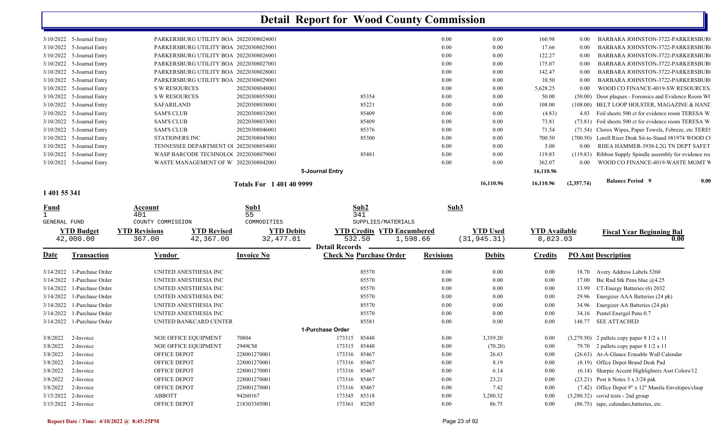|                             |                                        | Totals For 1401409999 |                 |       |      | 16,110.96 | 16,110.96 | (2,357.74) | <b>Balance Period 9</b>                                | 0.00 |
|-----------------------------|----------------------------------------|-----------------------|-----------------|-------|------|-----------|-----------|------------|--------------------------------------------------------|------|
|                             |                                        |                       | 5-Journal Entry |       |      |           | 16,110.96 |            |                                                        |      |
| 3/10/2022 5-Journal Entry   | WASTE MANAGEMENT OF W 20220308042001   |                       |                 |       | 0.00 | 0.00      | 362.07    | 0.00       | WOOD CO FINANCE-4019-WASTE MGMT V                      |      |
| $3/10/2022$ 5-Journal Entry | WASP BARCODE TECHNOLO(20220308079001   |                       |                 | 85481 | 0.00 | 0.00      | 119.83    | (119.83)   | Ribbon Supply Spindle assembly for evidence room       |      |
| $3/10/2022$ 5-Journal Entry | TENNESSEE DEPARTMENT O 20220308054001  |                       |                 |       | 0.00 | 0.00      | 5.00      | 0.00       | RHEA HAMMER-3938-L2G TN DEPT SAFET                     |      |
| 3/10/2022 5-Journal Entry   | STATIONERS INC                         | 20220308045001        |                 | 85300 | 0.00 | 0.00      | 700.50    |            | (700.50) Lorell Riser Desk Sit-to-Stand #81974 WOOD C  |      |
| $3/10/2022$ 5-Journal Entry | SAM'S CLUB                             | 20220308046001        |                 | 85376 | 0.00 | 0.00      | 71.54     |            | (71.54) Clorox Wipes, Paper Towels, Febreze, etc TERE. |      |
| $3/10/2022$ 5-Journal Entry | <b>SAM'S CLUB</b>                      | 20220308033001        |                 | 85409 | 0.00 | 0.00      | 73.81     |            | (73.81) Foil sheets 500 ct for evidence room TERESA W  |      |
| $3/10/2022$ 5-Journal Entry | <b>SAM'S CLUB</b>                      | 20220308032001        |                 | 85409 | 0.00 | 0.00      | (4.83)    | 4.83       | Foil sheets 500 ct for evidence room TERESA W          |      |
| $3/10/2022$ 5-Journal Entry | <b>SAFARILAND</b>                      | 20220308038001        |                 | 85221 | 0.00 | 0.00      | 108.00    |            | (108.00) BELT LOOP HOLSTER, MAGAZINE & HAND            |      |
| $3/10/2022$ 5-Journal Entry | S W RESOURCES                          | 20220308055001        |                 | 85354 | 0.00 | 0.00      | 50.00     | (50.00)    | Door plaques - Forensics and Evidence Room WC          |      |
| $3/10/2022$ 5-Journal Entry | S W RESOURCES                          | 20220308048001        |                 |       | 0.00 | 0.00      | 5,628.25  | 0.00       | WOOD CO FINANCE-4019-SW RESOURCES.                     |      |
| $3/10/2022$ 5-Journal Entry | PARKERSBURG UTILITY BOA 20220308029001 |                       |                 |       | 0.00 | 0.00      | 10.50     | 0.00       | BARBARA JOHNSTON-3722-PARKERSBUR                       |      |
| $3/10/2022$ 5-Journal Entry | PARKERSBURG UTILITY BOA 20220308028001 |                       |                 |       | 0.00 | 0.00      | 142.47    | 0.00       | BARBARA JOHNSTON-3722-PARKERSBUR                       |      |
| $3/10/2022$ 5-Journal Entry | PARKERSBURG UTILITY BOA 20220308027001 |                       |                 |       | 0.00 | 0.00      | 175.07    | 0.00       | BARBARA JOHNSTON-3722-PARKERSBURG                      |      |
| $3/10/2022$ 5-Journal Entry | PARKERSBURG UTILITY BOA 20220308026001 |                       |                 |       | 0.00 | 0.00      | 122.27    | 0.00       | BARBARA JOHNSTON-3722-PARKERSBURO                      |      |
| $3/10/2022$ 5-Journal Entry | PARKERSBURG UTILITY BOA 20220308025001 |                       |                 |       | 0.00 | 0.00      | 17.66     | 0.00       | BARBARA JOHNSTON-3722-PARKERSBURG                      |      |
| $3/10/2022$ 5-Journal Entry | PARKERSBURG UTILITY BOA 20220308024001 |                       |                 |       | 0.00 | 0.00      | 160.98    | 0.00       | BARBARA JOHNSTON-3722-PARKERSBURG                      |      |
|                             |                                        |                       |                 |       |      |           |           |            |                                                        |      |

#### **1 401 55 341**

| <b>Fund</b>         |                                | Account<br>401                 |                                 | Sub1<br>55                     |                       | Sub2<br>341                                             |                  | Sub3                            |                                  |         |                                                         |
|---------------------|--------------------------------|--------------------------------|---------------------------------|--------------------------------|-----------------------|---------------------------------------------------------|------------------|---------------------------------|----------------------------------|---------|---------------------------------------------------------|
| <b>GENERAL FUND</b> |                                | COUNTY COMMISSION              |                                 | COMMODITIES                    |                       | SUPPLIES/MATERIALS                                      |                  |                                 |                                  |         |                                                         |
|                     | <b>YTD Budget</b><br>42,000.00 | <b>YTD Revisions</b><br>367.00 | <b>YTD Revised</b><br>42,367.00 | <b>YTD Debits</b><br>32,477.81 | <b>Detail Records</b> | <b>YTD Credits YTD Encumbered</b><br>532.50<br>1,598.66 |                  | <b>YTD Used</b><br>(31, 945.31) | <b>YTD Available</b><br>8,823.03 |         | <b>Fiscal Year Beginning Bal</b><br>$\boldsymbol{0.00}$ |
| Date                | <b>Transaction</b>             | Vendor                         |                                 | <b>Invoice No</b>              |                       | <b>Check No Purchase Order</b>                          | <b>Revisions</b> | <b>Debits</b>                   | <b>Credits</b>                   |         | <b>PO Amt Description</b>                               |
| 3/14/2022           | 1-Purchase Order               |                                | UNITED ANESTHESIA INC           |                                |                       | 85570                                                   | 0.00             | 0.00                            | 0.00                             | 18.70   | Avery Address Labels 5260                               |
| 3/14/2022           | 1-Purchase Order               |                                | UNITED ANESTHESIA INC           |                                |                       | 85570                                                   | 0.00             | 0.00                            | 0.00                             | 17.00   | Bic Rnd Stk Pens blue @4.25                             |
| 3/14/2022           | 1-Purchase Order               |                                | UNITED ANESTHESIA INC           |                                |                       | 85570                                                   | 0.00             | 0.00                            | 0.00                             | 13.99   | CT-Energy Batteries (6) 2032                            |
| 3/14/2022           | 1-Purchase Order               |                                | UNITED ANESTHESIA INC           |                                |                       | 85570                                                   | 0.00             | 0.00                            | 0.00                             | 29.96   | Energizer AAA Batteries (24 pk)                         |
| 3/14/2022           | 1-Purchase Order               |                                | UNITED ANESTHESIA INC           |                                |                       | 85570                                                   | 0.00             | 0.00                            | 0.00                             | 34.96   | Energizer AA Batteries (24 pk)                          |
| 3/14/2022           | 1-Purchase Order               |                                | UNITED ANESTHESIA INC           |                                |                       | 85570                                                   | 0.00             | 0.00                            | 0.00                             | 34.16   | Pentel Energel Pens 0.7                                 |
| 3/14/2022           | 1-Purchase Order               |                                | UNITED BANKCARD CENTER          |                                |                       | 85581                                                   | 0.00             | 0.00                            | 0.00                             | 148.77  | <b>SEE ATTACHED</b>                                     |
|                     |                                |                                |                                 |                                | 1-Purchase Order      |                                                         |                  |                                 |                                  |         |                                                         |
| 3/8/2022            | 2-Invoice                      |                                | NOE OFFICE EQUIPMENT            | 70804                          | 173315                | 85448                                                   | 0.00             | 3,359.20                        | 0.00                             |         | $(3,279.50)$ 2 pallets copy paper 8 1/2 x 11            |
| 3/8/2022            | 2-Invoice                      |                                | NOE OFFICE EQUIPMENT            | 2949CM                         | 173315                | 85448                                                   | 0.00             | (70.20)                         | 0.00                             | 79.70   | 2 pallets copy paper $8 \frac{1}{2} \times 11$          |
| 3/8/2022            | 2-Invoice                      | OFFICE DEPOT                   |                                 | 228001270001                   | 173316                | 85467                                                   | 0.00             | 26.63                           | 0.00                             |         | (26.63) At-A-Glance Erasable Wall Calendar              |
| 3/8/2022            | 2-Invoice                      | <b>OFFICE DEPOT</b>            |                                 | 228001270001                   | 173316                | 85467                                                   | 0.00             | 8.19                            | 0.00                             |         | (8.19) Office Depot Brand Desk Pad                      |
| 3/8/2022            | 2-Invoice                      | <b>OFFICE DEPOT</b>            |                                 | 228001270001                   | 173316                | 85467                                                   | 0.00             | 6.14                            | 0.00                             |         | (6.14) Sharpie Accent Highlighters Asst Colors/12       |
| 3/8/2022            | 2-Invoice                      | <b>OFFICE DEPOT</b>            |                                 | 228001270001                   | 173316                | 85467                                                   | 0.00             | 23.21                           | 0.00                             | (23.21) | Post it Notes 3 x 3/24 pak                              |
| 3/8/2022            | 2-Invoice                      | <b>OFFICE DEPOT</b>            |                                 | 228001270001                   | 173316                | 85467                                                   | 0.00             | 7.42                            | 0.00                             |         | (7.42) Office Depot 9" x 12" Manila Envelopes/clasp     |
| 3/15/2022           | 2-Invoice                      | <b>ABBOTT</b>                  |                                 | 94260167                       | 173345                | 85318                                                   | 0.00             | 3,280.32                        | 0.00                             |         | $(3,280.32)$ covid tests - 2nd group                    |
| 3/15/2022 2-Invoice |                                | OFFICE DEPOT                   |                                 | 218303305001                   | 173361                | 85285                                                   | 0.00             | 86.75                           | 0.00                             |         | (86.75) tape, calendars, batteries, etc.                |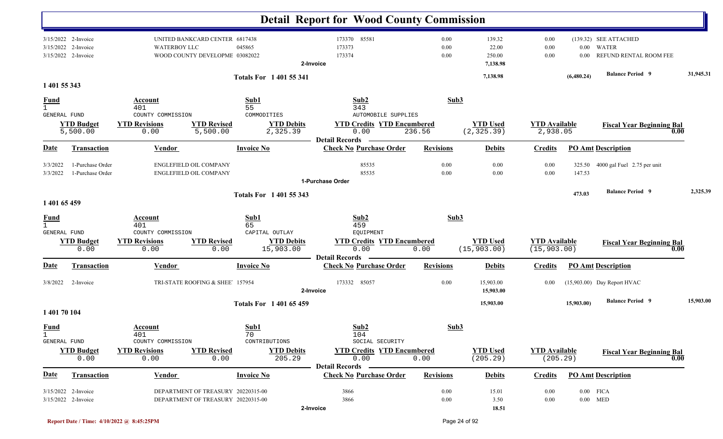|                                             |                                                         |                                                                                         |                                |                                                                | <b>Detail Report for Wood County Commission</b>                                                |                      |                                       |                                      |                  |                                                          |           |
|---------------------------------------------|---------------------------------------------------------|-----------------------------------------------------------------------------------------|--------------------------------|----------------------------------------------------------------|------------------------------------------------------------------------------------------------|----------------------|---------------------------------------|--------------------------------------|------------------|----------------------------------------------------------|-----------|
| 3/15/2022                                   | 3/15/2022 2-Invoice<br>2-Invoice<br>3/15/2022 2-Invoice | UNITED BANKCARD CENTER 6817438<br><b>WATERBOY LLC</b><br>WOOD COUNTY DEVELOPME 03082022 |                                | 045865                                                         | 173370 85581<br>173373<br>173374<br>2-Invoice                                                  | 0.00<br>0.00<br>0.00 | 139.32<br>22.00<br>250.00<br>7,138.98 | 0.00<br>0.00<br>0.00                 | $0.00\,$<br>0.00 | (139.32) SEE ATTACHED<br>WATER<br>REFUND RENTAL ROOM FEE |           |
| 1 401 55 343                                |                                                         |                                                                                         |                                | <b>Totals For 140155341</b>                                    |                                                                                                |                      | 7,138.98                              |                                      | (6,480.24)       | <b>Balance Period</b> 9                                  | 31,945.31 |
| <b>Fund</b><br>$\mathbf{1}$                 |                                                         | Account<br>401                                                                          |                                | Sub1<br>55                                                     | Sub2<br>343                                                                                    | Sub3                 |                                       |                                      |                  |                                                          |           |
| GENERAL FUND                                | <b>YTD Budget</b><br>5,500.00                           | COUNTY COMMISSION<br><b>YTD Revisions</b><br>0.00                                       | <b>YTD Revised</b><br>5,500.00 | COMMODITIES<br><b>YTD Debits</b><br>2,325.39                   | <b>AUTOMOBILE SUPPLIES</b><br><b>YTD Credits YTD Encumbered</b><br>0.00                        | 236.56               | <b>YTD Used</b><br>(2, 325.39)        | <b>YTD Available</b><br>2,938.05     |                  | <b>Fiscal Year Beginning Bal</b><br>0.00                 |           |
| <u>Date</u>                                 | <b>Transaction</b>                                      | <b>Vendor</b>                                                                           |                                | <b>Invoice No</b>                                              | <b>Detail Records</b><br><b>Check No Purchase Order</b>                                        | <b>Revisions</b>     | <b>Debits</b>                         | <b>Credits</b>                       |                  | <b>PO Amt Description</b>                                |           |
| 3/3/2022<br>3/3/2022                        | 1-Purchase Order<br>1-Purchase Order                    | <b>ENGLEFIELD OIL COMPANY</b><br><b>ENGLEFIELD OIL COMPANY</b>                          |                                |                                                                | 85535<br>85535<br>1-Purchase Order                                                             | 0.00<br>0.00         | 0.00<br>0.00                          | 0.00<br>0.00                         | 325.50<br>147.53 | 4000 gal Fuel 2.75 per unit                              |           |
| 1 401 65 459                                |                                                         |                                                                                         |                                | <b>Totals For 140155343</b>                                    |                                                                                                |                      |                                       |                                      | 473.03           | <b>Balance Period 9</b>                                  | 2,325.39  |
| <b>Fund</b><br>$\mathbf{1}$<br>GENERAL FUND | <b>YTD Budget</b><br>0.00                               | Account<br>401<br>COUNTY COMMISSION<br><b>YTD Revisions</b><br>0.00                     | <b>YTD Revised</b><br>0.00     | Sub1<br>65<br>CAPITAL OUTLAY<br><b>YTD Debits</b><br>15,903.00 | Sub2<br>459<br>EQUIPMENT<br><b>YTD Credits YTD Encumbered</b><br>0.00<br><b>Detail Records</b> | Sub3<br>0.00         | <b>YTD Used</b><br>(15, 903.00)       | <b>YTD Available</b><br>(15, 903.00) |                  | <b>Fiscal Year Beginning Bal</b><br>$\bf{0.00}$          |           |
| Date                                        | <b>Transaction</b>                                      | <b>Vendor</b>                                                                           |                                | <b>Invoice No</b>                                              | <b>Check No Purchase Order</b>                                                                 | <b>Revisions</b>     | <b>Debits</b>                         | <b>Credits</b>                       |                  | <b>PO Amt Description</b>                                |           |
| 3/8/2022                                    | 2-Invoice                                               | TRI-STATE ROOFING & SHEE' 157954                                                        |                                |                                                                | 173332 85057<br>2-Invoice                                                                      | 0.00                 | 15,903.00<br>15,903.00                | 0.00                                 |                  | (15,903.00) Day Report HVAC                              |           |
| 1 401 70 104                                |                                                         |                                                                                         |                                | <b>Totals For 140165459</b>                                    |                                                                                                |                      | 15,903.00                             |                                      | 15,903.00)       | <b>Balance Period 9</b>                                  | 15,903.00 |
| <b>Fund</b><br>$\mathbf{1}$<br>GENERAL FUND |                                                         | Account<br>401<br>COUNTY COMMISSION                                                     |                                | Sub1<br>70<br>CONTRIBUTIONS                                    | Sub2<br>104<br>SOCIAL SECURITY                                                                 | Sub3                 |                                       |                                      |                  |                                                          |           |
|                                             | <b>YTD Budget</b><br>0.00                               | <b>YTD Revisions</b><br>0.00                                                            | <b>YTD Revised</b><br>0.00     | <b>YTD Debits</b><br>205.29                                    | <b>YTD Credits YTD Encumbered</b><br>0.00<br><b>Detail Records</b>                             | 0.00                 | <b>YTD</b> Used<br>(205.29)           | <b>YTD Available</b><br>(205.29)     |                  | <b>Fiscal Year Beginning Bal</b><br>0.00                 |           |
| <b>Date</b>                                 | <b>Transaction</b>                                      | <b>Vendor</b>                                                                           |                                | <b>Invoice No</b>                                              | <b>Check No Purchase Order</b>                                                                 | <b>Revisions</b>     | <b>Debits</b>                         | <b>Credits</b>                       |                  | <b>PO Amt Description</b>                                |           |
|                                             | 3/15/2022 2-Invoice<br>3/15/2022 2-Invoice              | DEPARTMENT OF TREASURY 20220315-00<br>DEPARTMENT OF TREASURY 20220315-00                |                                |                                                                | 3866<br>3866<br>2-Invoice                                                                      | 0.00<br>0.00         | 15.01<br>3.50<br>18.51                | 0.00<br>0.00                         |                  | $0.00$ FICA<br>$0.00$ MED                                |           |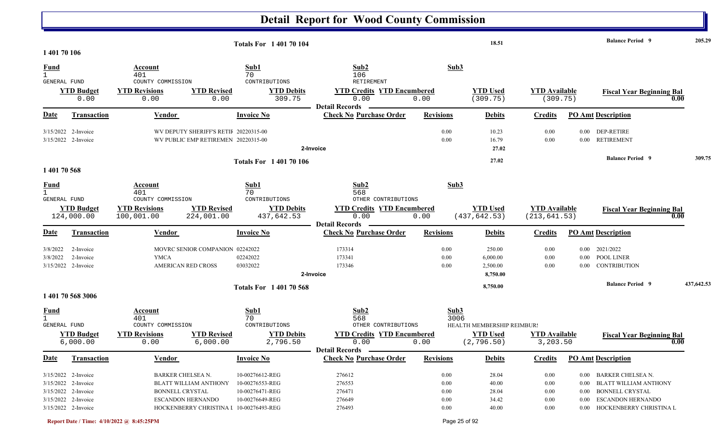|                                                                                                                 |                                                                                                  | <b>Totals For 140170104</b>                                                                                         |                                                                    |                                      | 18.51                                      |                                          |                                  | <b>Balance Period</b> 9                                                                                                                      | 205.29     |
|-----------------------------------------------------------------------------------------------------------------|--------------------------------------------------------------------------------------------------|---------------------------------------------------------------------------------------------------------------------|--------------------------------------------------------------------|--------------------------------------|--------------------------------------------|------------------------------------------|----------------------------------|----------------------------------------------------------------------------------------------------------------------------------------------|------------|
| 1 401 70 106                                                                                                    |                                                                                                  |                                                                                                                     |                                                                    |                                      |                                            |                                          |                                  |                                                                                                                                              |            |
| <b>Fund</b><br>$\mathbf{1}$<br>GENERAL FUND                                                                     | Account<br>401<br>COUNTY COMMISSION                                                              | Sub1<br>70<br>CONTRIBUTIONS                                                                                         | Sub2<br>106<br><b>RETIREMENT</b>                                   | Sub3                                 |                                            |                                          |                                  |                                                                                                                                              |            |
| <b>YTD Budget</b><br>0.00                                                                                       | <b>YTD Revisions</b><br><b>YTD Revised</b><br>0.00                                               | <b>YTD Debits</b><br>309.75<br>0.00                                                                                 | <b>YTD Credits YTD Encumbered</b><br>0.00<br><b>Detail Records</b> | 0.00                                 | <b>YTD Used</b><br>(309.75)                | <b>YTD Available</b><br>(309.75)         |                                  | <b>Fiscal Year Beginning Bal</b>                                                                                                             | 0.00       |
| <u>Date</u><br><b>Transaction</b>                                                                               | Vendor                                                                                           | <b>Invoice No</b>                                                                                                   | <b>Check No Purchase Order</b>                                     | <b>Revisions</b>                     | <b>Debits</b>                              | <b>Credits</b>                           |                                  | <b>PO Amt Description</b>                                                                                                                    |            |
| $3/15/2022$ 2-Invoice<br>3/15/2022 2-Invoice                                                                    | WV DEPUTY SHERIFF'S RETII 20220315-00<br>WV PUBLIC EMP RETIREMEN 20220315-00                     |                                                                                                                     | 2-Invoice                                                          | 0.00<br>0.00                         | 10.23<br>16.79<br>27.02                    | 0.00<br>0.00                             | 0.00                             | 0.00 DEP-RETIRE<br><b>RETIREMENT</b>                                                                                                         |            |
|                                                                                                                 |                                                                                                  | <b>Totals For 140170106</b>                                                                                         |                                                                    |                                      | 27.02                                      |                                          |                                  | <b>Balance Period 9</b>                                                                                                                      | 309.75     |
| 1 401 70 568                                                                                                    |                                                                                                  |                                                                                                                     |                                                                    |                                      |                                            |                                          |                                  |                                                                                                                                              |            |
| <b>Fund</b><br>$\mathbf{1}$<br>GENERAL FUND                                                                     | Account<br>401<br>COUNTY COMMISSION                                                              | Sub1<br>70<br>CONTRIBUTIONS                                                                                         | Sub2<br>568<br>OTHER CONTRIBUTIONS                                 | Sub3                                 |                                            |                                          |                                  |                                                                                                                                              |            |
| <b>YTD Budget</b><br>124,000.00                                                                                 | <b>YTD Revisions</b><br><b>YTD Revised</b><br>100,001.00<br>224,001.00                           | <b>YTD Debits</b><br>437,642.53                                                                                     | <b>YTD Credits YTD Encumbered</b><br>0.00<br><b>Detail Records</b> | 0.00                                 | <b>YTD Used</b><br>(437, 642.53)           | <b>YTD Available</b><br>(213, 641.53)    |                                  | <b>Fiscal Year Beginning Bal</b>                                                                                                             | 0.00       |
| Date<br><b>Transaction</b>                                                                                      | Vendor                                                                                           | <b>Invoice No</b>                                                                                                   | <b>Check No Purchase Order</b>                                     | <b>Revisions</b>                     | <b>Debits</b>                              | <b>Credits</b>                           |                                  | <b>PO Amt Description</b>                                                                                                                    |            |
| 3/8/2022<br>2-Invoice<br>2-Invoice<br>3/8/2022<br>3/15/2022 2-Invoice                                           | MOVRC SENIOR COMPANION 02242022<br><b>YMCA</b><br>AMERICAN RED CROSS                             | 02242022<br>03032022                                                                                                | 173314<br>173341<br>173346<br>2-Invoice                            | 0.00<br>0.00<br>0.00                 | 250.00<br>6,000.00<br>2,500.00<br>8,750.00 | 0.00<br>0.00<br>0.00                     | $0.00\,$<br>$0.00\,$<br>0.00     | 2021/2022<br>POOL LINER<br>CONTRIBUTION                                                                                                      |            |
| 1 401 70 568 3006                                                                                               |                                                                                                  | <b>Totals For 140170568</b>                                                                                         |                                                                    |                                      | 8,750.00                                   |                                          |                                  | <b>Balance Period 9</b>                                                                                                                      | 437,642.53 |
| <b>Fund</b><br><b>GENERAL FUND</b>                                                                              | Account<br>401<br>COUNTY COMMISSION                                                              | Sub1<br>70<br>CONTRIBUTIONS                                                                                         | Sub2<br>568<br>OTHER CONTRIBUTIONS                                 | Sub3<br>3006                         | HEALTH MEMBERSHIP REIMBUR!                 |                                          |                                  |                                                                                                                                              |            |
| <b>YTD Budget</b><br>6,000.00                                                                                   | <b>YTD Revisions</b><br><b>YTD Revised</b><br>0.00                                               | <b>YTD Debits</b><br>2,796.50<br>6,000.00                                                                           | <b>YTD Credits YTD Encumbered</b><br>0.00<br><b>Detail Records</b> | 0.00                                 | <b>YTD Used</b><br>(2, 796.50)             | <b>YTD Available</b><br>3,203.50         |                                  | <b>Fiscal Year Beginning Bal</b>                                                                                                             | 0.00       |
| <b>Date</b><br><b>Transaction</b>                                                                               | <b>Vendor</b>                                                                                    | <b>Invoice No</b>                                                                                                   | <b>Check No Purchase Order</b>                                     | <b>Revisions</b>                     | <b>Debits</b>                              | <b>Credits</b>                           |                                  | <b>PO Amt Description</b>                                                                                                                    |            |
| 3/15/2022 2-Invoice<br>3/15/2022 2-Invoice<br>3/15/2022 2-Invoice<br>3/15/2022 2-Invoice<br>3/15/2022 2-Invoice | BARKER CHELSEA N.<br><b>BLATT WILLIAM ANTHONY</b><br><b>BONNELL CRYSTAL</b><br>ESCANDON HERNANDO | 10-00276612-REG<br>10-00276553-REG<br>10-00276471-REG<br>10-00276649-REG<br>HOCKENBERRY CHRISTINA I 10-00276493-REG | 276612<br>276553<br>276471<br>276649<br>276493                     | 0.00<br>0.00<br>0.00<br>0.00<br>0.00 | 28.04<br>40.00<br>28.04<br>34.42<br>40.00  | 0.00<br>0.00<br>0.00<br>0.00<br>$0.00\,$ | $0.00\,$<br>$0.00\,$<br>$0.00\,$ | 0.00 BARKER CHELSEA N.<br><b>BLATT WILLIAM ANTHONY</b><br><b>BONNELL CRYSTAL</b><br><b>ESCANDON HERNANDO</b><br>0.00 HOCKENBERRY CHRISTINA L |            |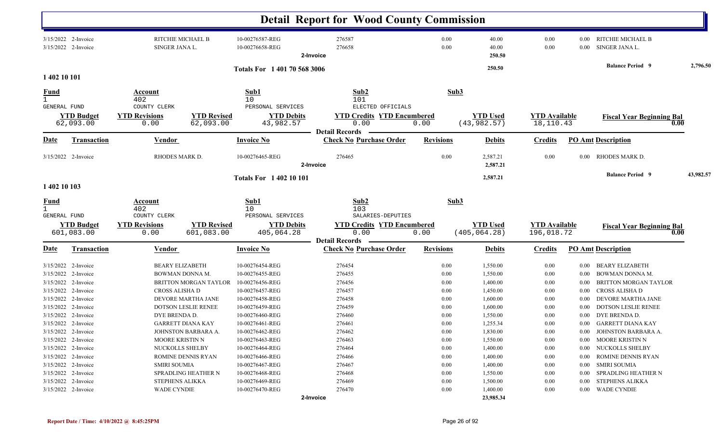|                                                    |                                              |                                              |                                  |                                                     | <b>Detail Report for Wood County Commission</b>                |                  |                                  |                                    |              |                                          |           |
|----------------------------------------------------|----------------------------------------------|----------------------------------------------|----------------------------------|-----------------------------------------------------|----------------------------------------------------------------|------------------|----------------------------------|------------------------------------|--------------|------------------------------------------|-----------|
|                                                    | $3/15/2022$ 2-Invoice<br>3/15/2022 2-Invoice | RITCHIE MICHAEL B<br>SINGER JANA L.          |                                  | 10-00276587-REG<br>10-00276658-REG                  | 276587<br>276658<br>2-Invoice                                  | 0.00<br>0.00     | 40.00<br>40.00<br>250.50         | 0.00<br>0.00                       | 0.00<br>0.00 | RITCHIE MICHAEL B<br>SINGER JANA L.      |           |
|                                                    |                                              |                                              |                                  | Totals For 1 401 70 568 3006                        |                                                                |                  | 250.50                           |                                    |              | <b>Balance Period</b> 9                  | 2,796.50  |
| 1 402 10 101                                       |                                              |                                              |                                  |                                                     |                                                                |                  |                                  |                                    |              |                                          |           |
| <b>Fund</b><br>$\mathbf{1}$                        |                                              | Account<br>402                               |                                  | Sub1<br>10                                          | Sub2<br>101                                                    | Sub3             |                                  |                                    |              |                                          |           |
| GENERAL FUND                                       | <b>YTD Budget</b><br>62,093.00               | COUNTY CLERK<br><b>YTD Revisions</b><br>0.00 | <b>YTD Revised</b><br>62,093.00  | PERSONAL SERVICES<br><b>YTD Debits</b><br>43,982.57 | ELECTED OFFICIALS<br><b>YTD Credits YTD Encumbered</b><br>0.00 | 0.00             | <b>YTD Used</b><br>(43, 982.57)  | <b>YTD</b> Available<br>18,110.43  |              | <b>Fiscal Year Beginning Bal</b><br>0.00 |           |
| Date                                               | <b>Transaction</b>                           | Vendor                                       |                                  | <b>Invoice No</b>                                   | <b>Detail Records</b><br><b>Check No Purchase Order</b>        | <b>Revisions</b> | <b>Debits</b>                    | <b>Credits</b>                     |              | <b>PO Amt Description</b>                |           |
|                                                    | 3/15/2022 2-Invoice                          | RHODES MARK D.                               |                                  | 10-00276465-REG                                     | 276465<br>2-Invoice                                            | 0.00             | 2,587.21<br>2,587.21             | 0.00                               | 0.00         | RHODES MARK D.                           |           |
|                                                    |                                              |                                              |                                  | <b>Totals For 140210101</b>                         |                                                                |                  | 2,587.21                         |                                    |              | <b>Balance Period</b> 9                  | 43,982.57 |
| 1 402 10 103                                       |                                              |                                              |                                  |                                                     |                                                                |                  |                                  |                                    |              |                                          |           |
| <u>Fund</u><br>$\mathbf{1}$<br><b>GENERAL FUND</b> |                                              | Account<br>402<br>COUNTY CLERK               |                                  | Sub1<br>10<br>PERSONAL SERVICES                     | Sub2<br>103<br>SALARIES-DEPUTIES                               | Sub3             |                                  |                                    |              |                                          |           |
|                                                    | <b>YTD Budget</b><br>601,083.00              | <b>YTD Revisions</b><br>0.00                 | <b>YTD Revised</b><br>601,083.00 | <b>YTD Debits</b><br>405,064.28                     | <b>YTD Credits YTD Encumbered</b><br>0.00                      | 0.00             | <b>YTD Used</b><br>(405, 064.28) | <b>YTD Available</b><br>196,018.72 |              | <b>Fiscal Year Beginning Bal</b><br>0.00 |           |
| <u>Date</u>                                        | Transaction                                  | Vendor                                       |                                  | <b>Invoice No</b>                                   | <b>Detail Records</b><br><b>Check No Purchase Order</b>        | <b>Revisions</b> | <b>Debits</b>                    | <b>Credits</b>                     |              | <b>PO</b> Amt Description                |           |
|                                                    | $3/15/2022$ 2-Invoice                        | <b>BEARY ELIZABETH</b>                       |                                  | 10-00276454-REG                                     | 276454                                                         | 0.00             | 1,550.00                         | 0.00                               | 0.00         | <b>BEARY ELIZABETH</b>                   |           |
|                                                    | 3/15/2022 2-Invoice                          | <b>BOWMAN DONNA M.</b>                       |                                  | 10-00276455-REG                                     | 276455                                                         | 0.00             | 1,550.00                         | 0.00                               | 0.00         | BOWMAN DONNA M.                          |           |
|                                                    | 3/15/2022 2-Invoice                          |                                              | <b>BRITTON MORGAN TAYLOR</b>     | 10-00276456-REG                                     | 276456                                                         | 0.00             | 1,400.00                         | 0.00                               | 0.00         | <b>BRITTON MORGAN TAYLOR</b>             |           |
|                                                    | 3/15/2022 2-Invoice                          | CROSS ALISHA D                               |                                  | 10-00276457-REG                                     | 276457                                                         | 0.00             | 1,450.00                         | 0.00                               | 0.00         | CROSS ALISHA D                           |           |
|                                                    | 3/15/2022 2-Invoice                          | DEVORE MARTHA JANE                           |                                  | 10-00276458-REG                                     | 276458                                                         | 0.00             | 1,600.00                         | 0.00                               | 0.00         | DEVORE MARTHA JANE                       |           |
|                                                    | 3/15/2022 2-Invoice                          | DOTSON LESLIE RENEE                          |                                  | 10-00276459-REG                                     | 276459                                                         | 0.00             | 1,600.00                         | 0.00                               | 0.00         | <b>DOTSON LESLIE RENEE</b>               |           |
|                                                    | 3/15/2022 2-Invoice                          | DYE BRENDA D.                                |                                  | 10-00276460-REG                                     | 276460                                                         | 0.00             | 1,550.00                         | 0.00                               | 0.00         | DYE BRENDA D.                            |           |
|                                                    | 3/15/2022 2-Invoice                          | <b>GARRETT DIANA KAY</b>                     |                                  | 10-00276461-REG                                     | 276461                                                         | 0.00             | 1,255.34                         | 0.00                               |              | 0.00 GARRETT DIANA KAY                   |           |
|                                                    | 3/15/2022 2-Invoice                          | JOHNSTON BARBARA A.                          |                                  | 10-00276462-REG                                     | 276462                                                         | $0.00\,$         | 1,830.00                         | $0.00\,$                           |              | 0.00 JOHNSTON BARBARA A.                 |           |
|                                                    | 3/15/2022 2-Invoice                          | <b>MOORE KRISTIN N</b>                       |                                  | 10-00276463-REG                                     | 276463                                                         | 0.00             | 1,550.00                         | 0.00                               |              | 0.00 MOORE KRISTIN N                     |           |
|                                                    | 3/15/2022 2-Invoice                          | <b>NUCKOLLS SHELBY</b>                       |                                  | 10-00276464-REG                                     | 276464                                                         | 0.00             | 1,400.00                         | $0.00\,$                           | $0.00\,$     | NUCKOLLS SHELBY                          |           |
|                                                    | 3/15/2022 2-Invoice                          | ROMINE DENNIS RYAN                           |                                  | 10-00276466-REG                                     | 276466                                                         | 0.00             | 1,400.00                         | 0.00                               | $0.00\,$     | <b>ROMINE DENNIS RYAN</b>                |           |
|                                                    | 3/15/2022 2-Invoice                          | <b>SMIRI SOUMIA</b>                          |                                  | 10-00276467-REG                                     | 276467                                                         | 0.00             | 1,400.00                         | 0.00                               | $0.00\,$     | SMIRI SOUMIA                             |           |
|                                                    | 3/15/2022 2-Invoice                          | SPRADLING HEATHER N                          |                                  | 10-00276468-REG                                     | 276468                                                         | 0.00             | 1,550.00                         | 0.00                               | $0.00\,$     | SPRADLING HEATHER N                      |           |
|                                                    | 3/15/2022 2-Invoice                          | <b>STEPHENS ALIKKA</b>                       |                                  | 10-00276469-REG                                     | 276469                                                         | 0.00             | 1,500.00                         | 0.00                               | 0.00         | STEPHENS ALIKKA                          |           |
|                                                    | 3/15/2022 2-Invoice                          | <b>WADE CYNDIE</b>                           |                                  | 10-00276470-REG                                     | 276470                                                         | 0.00             | 1,400.00                         | $0.00\,$                           | $0.00\,$     | <b>WADE CYNDIE</b>                       |           |
|                                                    |                                              |                                              |                                  |                                                     | 2-Invoice                                                      |                  | 23,985.34                        |                                    |              |                                          |           |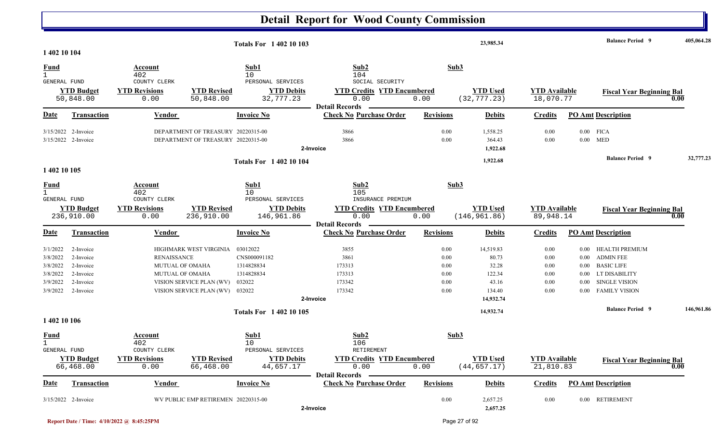|                                                                      |                                                                            |                                                                        |                                                                                | <b>Totals For 140210103</b>                                              |                                                                                         |                                              | 23,985.34                                                             |                                              |                                                                      | <b>Balance Period 9</b>                                                                                                         | 405,064.28 |
|----------------------------------------------------------------------|----------------------------------------------------------------------------|------------------------------------------------------------------------|--------------------------------------------------------------------------------|--------------------------------------------------------------------------|-----------------------------------------------------------------------------------------|----------------------------------------------|-----------------------------------------------------------------------|----------------------------------------------|----------------------------------------------------------------------|---------------------------------------------------------------------------------------------------------------------------------|------------|
| 1 402 10 104                                                         |                                                                            |                                                                        |                                                                                |                                                                          |                                                                                         |                                              |                                                                       |                                              |                                                                      |                                                                                                                                 |            |
| <b>Fund</b>                                                          |                                                                            | Account<br>402                                                         |                                                                                | Sub1<br>10                                                               | Sub2<br>104                                                                             |                                              | Sub3                                                                  |                                              |                                                                      |                                                                                                                                 |            |
| GENERAL FUND                                                         | <b>YTD Budget</b><br>50,848.00                                             | COUNTY CLERK<br><b>YTD Revisions</b><br>0.00                           | <b>YTD Revised</b><br>50,848.00                                                | PERSONAL SERVICES<br><b>YTD Debits</b><br>32,777.23                      | SOCIAL SECURITY<br><b>YTD Credits YTD Encumbered</b><br>0.00                            | 0.00                                         | <b>YTD Used</b><br>(32, 777.23)                                       | <b>YTD</b> Available<br>18,070.77            |                                                                      | <b>Fiscal Year Beginning Bal</b>                                                                                                | 0.00       |
| <b>Date</b>                                                          | Transaction                                                                | Vendor                                                                 |                                                                                | <b>Invoice No</b>                                                        | <b>Detail Records</b><br><b>Check No Purchase Order</b>                                 | <b>Revisions</b>                             | <b>Debits</b>                                                         | <b>Credits</b>                               |                                                                      | <b>PO</b> Amt Description                                                                                                       |            |
|                                                                      | 3/15/2022 2-Invoice<br>3/15/2022 2-Invoice                                 |                                                                        | DEPARTMENT OF TREASURY 20220315-00<br>DEPARTMENT OF TREASURY 20220315-00       |                                                                          | 3866<br>3866<br>2-Invoice                                                               | 0.00<br>0.00                                 | 1,558.25<br>364.43<br>1,922.68                                        | 0.00<br>0.00                                 |                                                                      | $0.00$ FICA<br>$0.00$ MED                                                                                                       |            |
| 1 402 10 105                                                         |                                                                            |                                                                        |                                                                                | <b>Totals For 140210104</b>                                              |                                                                                         |                                              | 1,922.68                                                              |                                              |                                                                      | <b>Balance Period 9</b>                                                                                                         | 32,777.23  |
| <u>Fund</u><br>$\mathbf{1}$                                          |                                                                            | <b>Account</b><br>402                                                  |                                                                                | Sub1<br>10                                                               | Sub2<br>105                                                                             |                                              | Sub3                                                                  |                                              |                                                                      |                                                                                                                                 |            |
| <b>GENERAL FUND</b>                                                  | <b>YTD Budget</b><br>236,910.00                                            | COUNTY CLERK<br><b>YTD Revisions</b><br>0.00                           | <b>YTD Revised</b><br>236,910.00                                               | PERSONAL SERVICES<br><b>YTD Debits</b><br>146,961.86                     | INSURANCE PREMIUM<br><b>YTD Credits YTD Encumbered</b><br>0.00<br><b>Detail Records</b> | 0.00                                         | <b>YTD Used</b><br>(146, 961.86)                                      | <b>YTD Available</b><br>89,948.14            |                                                                      | <b>Fiscal Year Beginning Bal</b>                                                                                                | 0.00       |
| <b>Date</b>                                                          | <b>Transaction</b>                                                         | Vendor                                                                 |                                                                                | <b>Invoice No</b>                                                        | <b>Check No Purchase Order</b>                                                          | <b>Revisions</b>                             | <b>Debits</b>                                                         | <b>Credits</b>                               |                                                                      | <b>PO Amt Description</b>                                                                                                       |            |
| 3/1/2022<br>3/8/2022<br>3/8/2022<br>3/8/2022<br>3/9/2022<br>3/9/2022 | 2-Invoice<br>2-Invoice<br>2-Invoice<br>2-Invoice<br>2-Invoice<br>2-Invoice | <b>RENAISSANCE</b><br><b>MUTUAL OF OMAHA</b><br><b>MUTUAL OF OMAHA</b> | HIGHMARK WEST VIRGINIA<br>VISION SERVICE PLAN (WV)<br>VISION SERVICE PLAN (WV) | 03012022<br>CNS000091182<br>1314828834<br>1314828834<br>032022<br>032022 | 3855<br>3861<br>173313<br>173313<br>173342<br>173342<br>2-Invoice                       | 0.00<br>0.00<br>0.00<br>0.00<br>0.00<br>0.00 | 14,519.83<br>80.73<br>32.28<br>122.34<br>43.16<br>134.40<br>14,932.74 | 0.00<br>0.00<br>0.00<br>0.00<br>0.00<br>0.00 | $0.00\,$<br>$0.00\,$<br>$0.00\,$<br>$0.00\,$<br>$0.00\,$<br>$0.00\,$ | <b>HEALTH PREMIUM</b><br><b>ADMIN FEE</b><br><b>BASIC LIFE</b><br>LT DISABILITY<br><b>SINGLE VISION</b><br><b>FAMILY VISION</b> |            |
| 1 402 10 106                                                         |                                                                            |                                                                        |                                                                                | <b>Totals For 140210105</b>                                              |                                                                                         |                                              | 14,932.74                                                             |                                              |                                                                      | <b>Balance Period 9</b>                                                                                                         | 146,961.86 |
| <b>Fund</b><br><b>GENERAL FUND</b>                                   |                                                                            | Account<br>402<br>COUNTY CLERK                                         |                                                                                | Sub1<br>10<br>PERSONAL SERVICES                                          | Sub2<br>106<br>RETIREMENT                                                               |                                              | Sub3                                                                  |                                              |                                                                      |                                                                                                                                 |            |
|                                                                      | <b>YTD Budget</b><br>66,468.00                                             | <b>YTD Revisions</b><br>0.00                                           | <b>YTD Revised</b><br>66,468.00                                                | <b>YTD Debits</b><br>44,657.17                                           | <b>YTD Credits YTD Encumbered</b><br>0.00<br><b>Detail Records</b>                      | 0.00                                         | <b>YTD Used</b><br>(44, 657.17)                                       | <b>YTD Available</b><br>21,810.83            |                                                                      | <b>Fiscal Year Beginning Bal</b>                                                                                                | 0.00       |
| <u>Date</u>                                                          | <b>Transaction</b>                                                         | <b>Vendor</b>                                                          |                                                                                | <b>Invoice No</b>                                                        | <b>Check No Purchase Order</b>                                                          | <b>Revisions</b>                             | <b>Debits</b>                                                         | <b>Credits</b>                               |                                                                      | <b>PO Amt Description</b>                                                                                                       |            |
|                                                                      | 3/15/2022 2-Invoice                                                        |                                                                        | WV PUBLIC EMP RETIREMEN 20220315-00                                            |                                                                          | 2-Invoice                                                                               | 0.00                                         | 2,657.25<br>2,657.25                                                  | 0.00                                         |                                                                      | 0.00 RETIREMENT                                                                                                                 |            |

**Report Date / Time: 4/10/2022 @ 8:45:25PM** Page 27 of 92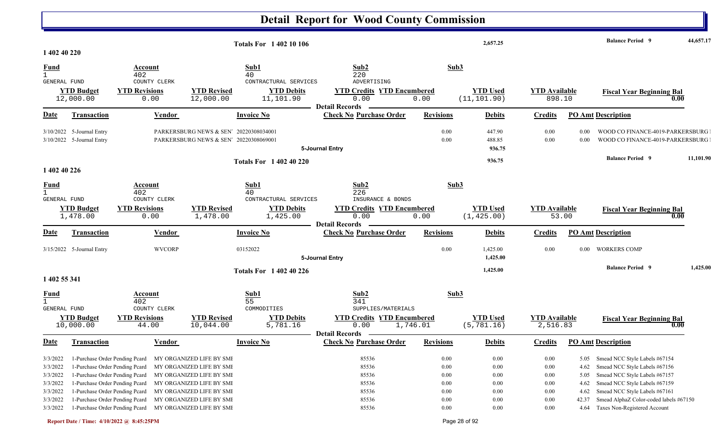|                                              |                                                                                                                                      |                                               |                                                                                                              | <b>Totals For 1 402 10 106</b>               |                                                                                          |                                      | 2,657.25                         |                                          |                               | <b>Balance Period</b> 9                                                                                                                  | 44,657.17 |
|----------------------------------------------|--------------------------------------------------------------------------------------------------------------------------------------|-----------------------------------------------|--------------------------------------------------------------------------------------------------------------|----------------------------------------------|------------------------------------------------------------------------------------------|--------------------------------------|----------------------------------|------------------------------------------|-------------------------------|------------------------------------------------------------------------------------------------------------------------------------------|-----------|
| 1 402 40 220                                 |                                                                                                                                      |                                               |                                                                                                              |                                              |                                                                                          |                                      |                                  |                                          |                               |                                                                                                                                          |           |
| <b>Fund</b><br>GENERAL FUND                  |                                                                                                                                      | Account<br>402<br>COUNTY CLERK                |                                                                                                              | Sub1<br>40<br>CONTRACTURAL SERVICES          | Sub2<br>220<br>ADVERTISING                                                               | Sub3                                 |                                  |                                          |                               |                                                                                                                                          |           |
|                                              | <b>YTD Budget</b><br>12,000.00                                                                                                       | <b>YTD Revisions</b><br>0.00                  | <b>YTD Revised</b><br>12,000.00                                                                              | <b>YTD Debits</b><br>11,101.90               | <b>YTD Credits YTD Encumbered</b><br>0.00                                                | 0.00                                 | <b>YTD</b> Used<br>(11, 101.90)  | <b>YTD</b> Available<br>898.10           |                               | <b>Fiscal Year Beginning Bal</b><br>0.00                                                                                                 |           |
| Date                                         | <b>Transaction</b>                                                                                                                   | Vendor                                        |                                                                                                              | <b>Invoice No</b>                            | <b>Detail Records</b><br><b>Check No Purchase Order</b>                                  | <b>Revisions</b>                     | <b>Debits</b>                    | <b>Credits</b>                           |                               | <b>PO Amt Description</b>                                                                                                                |           |
| 3/10/2022                                    | 5-Journal Entry<br>3/10/2022 5-Journal Entry                                                                                         |                                               | PARKERSBURG NEWS & SEN 20220308034001<br>PARKERSBURG NEWS & SEN' 20220308069001                              |                                              | 5-Journal Entry                                                                          | 0.00<br>0.00                         | 447.90<br>488.85<br>936.75       | 0.00<br>0.00                             | 0.00<br>0.00                  | WOOD CO FINANCE-4019-PARKERSBURG<br>WOOD CO FINANCE-4019-PARKERSBURG                                                                     |           |
| 1 402 40 226                                 |                                                                                                                                      |                                               |                                                                                                              | <b>Totals For 1 402 40 220</b>               |                                                                                          |                                      | 936.75                           |                                          |                               | <b>Balance Period 9</b>                                                                                                                  | 11,101.90 |
| $\frac{Fund}{1}$<br>GENERAL FUND             |                                                                                                                                      | Account<br>402<br>COUNTY CLERK                |                                                                                                              | Sub1<br>40<br>CONTRACTURAL SERVICES          | Sub2<br>226<br>INSURANCE & BONDS                                                         |                                      | Sub3                             |                                          |                               |                                                                                                                                          |           |
|                                              | <b>YTD Budget</b><br>1,478.00                                                                                                        | <b>YTD Revisions</b><br>0.00                  | <b>YTD Revised</b><br>1,478.00                                                                               | <b>YTD Debits</b><br>1,425.00                | <b>YTD Credits YTD Encumbered</b><br>0.00<br><b>Detail Records</b>                       | 0.00                                 | <b>YTD</b> Used<br>(1, 425.00)   | <b>YTD Available</b><br>53.00            |                               | <b>Fiscal Year Beginning Bal</b><br>0.00                                                                                                 |           |
| <b>Date</b>                                  | <b>Transaction</b>                                                                                                                   | Vendor                                        |                                                                                                              | <b>Invoice No</b>                            | <b>Check No Purchase Order</b>                                                           | <b>Revisions</b>                     | <b>Debits</b>                    | <b>Credits</b>                           |                               | PO Amt Description                                                                                                                       |           |
|                                              | 3/15/2022 5-Journal Entry                                                                                                            | <b>WVCORP</b>                                 |                                                                                                              | 03152022                                     | 5-Journal Entry                                                                          | 0.00                                 | 1,425.00<br>1,425.00             | 0.00                                     | 0.00                          | <b>WORKERS COMP</b>                                                                                                                      |           |
| 1 402 55 341                                 |                                                                                                                                      |                                               |                                                                                                              | <b>Totals For 1 402 40 226</b>               |                                                                                          |                                      | 1,425.00                         |                                          |                               | <b>Balance Period</b> 9                                                                                                                  | 1,425.00  |
| <b>Fund</b><br>$\mathbf{1}$                  |                                                                                                                                      | Account<br>402                                |                                                                                                              | Sub1<br>55                                   | Sub2<br>341                                                                              |                                      | Sub3                             |                                          |                               |                                                                                                                                          |           |
| GENERAL FUND                                 | <b>YTD Budget</b><br>10,000.00                                                                                                       | COUNTY CLERK<br><b>YTD Revisions</b><br>44.00 | <b>YTD Revised</b><br>10,044.00                                                                              | COMMODITIES<br><b>YTD Debits</b><br>5,781.16 | SUPPLIES/MATERIALS<br><b>YTD Credits YTD Encumbered</b><br>0.00<br><b>Detail Records</b> | 1,746.01                             | <b>YTD Used</b><br>(5, 781.16)   | <b>YTD Available</b><br>2,516.83         |                               | <b>Fiscal Year Beginning Bal</b><br>0.00                                                                                                 |           |
| <b>Date</b>                                  | <b>Transaction</b>                                                                                                                   | Vendor                                        |                                                                                                              | <b>Invoice No</b>                            | <b>Check No Purchase Order</b>                                                           | <b>Revisions</b>                     | <b>Debits</b>                    | <b>Credits</b>                           |                               | <b>PO Amt Description</b>                                                                                                                |           |
| 3/3/2022<br>3/3/2022<br>3/3/2022             | 1-Purchase Order Pending Pcard<br>1-Purchase Order Pending Pcard<br>1-Purchase Order Pending Pcard                                   |                                               | MY ORGANIZED LIFE BY SMI<br>MY ORGANIZED LIFE BY SMI<br>MY ORGANIZED LIFE BY SMI                             |                                              | 85536<br>85536<br>85536                                                                  | 0.00<br>0.00<br>0.00                 | 0.00<br>0.00<br>0.00             | 0.00<br>0.00<br>0.00                     | 5.05<br>4.62<br>5.05          | Smead NCC Style Labels #67154<br>Smead NCC Style Labels #67156<br>Smead NCC Style Labels #67157                                          |           |
| 3/3/2022<br>3/3/2022<br>3/3/2022<br>3/3/2022 | 1-Purchase Order Pending Pcard<br>1-Purchase Order Pending Pcard<br>1-Purchase Order Pending Pcard<br>1-Purchase Order Pending Peard |                                               | MY ORGANIZED LIFE BY SMI<br>MY ORGANIZED LIFE BY SMI<br>MY ORGANIZED LIFE BY SMI<br>MY ORGANIZED LIFE BY SMI |                                              | 85536<br>85536<br>85536<br>85536                                                         | 0.00<br>0.00<br>$0.00\,$<br>$0.00\,$ | 0.00<br>0.00<br>0.00<br>$0.00\,$ | $0.00\,$<br>$0.00\,$<br>0.00<br>$0.00\,$ | 4.62<br>4.62<br>42.37<br>4.64 | Smead NCC Style Labels #67159<br>Smead NCC Style Labels #67161<br>Smead AlphaZ Color-coded labels #67150<br>Taxes Non-Registered Account |           |

N N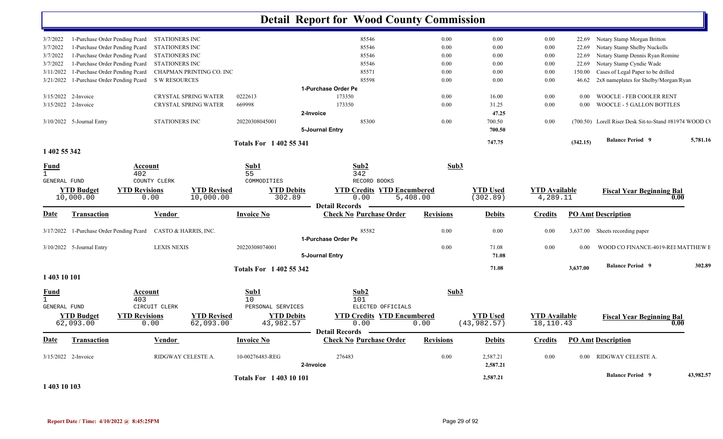|                              |                                          |                              |                                 |                                | <b>Detail Report for Wood County Commission</b> |                  |                                 |                                   |          |                                                       |           |
|------------------------------|------------------------------------------|------------------------------|---------------------------------|--------------------------------|-------------------------------------------------|------------------|---------------------------------|-----------------------------------|----------|-------------------------------------------------------|-----------|
| 3/7/2022                     | 1-Purchase Order Pending Pcard           | STATIONERS INC               |                                 |                                | 85546                                           | 0.00             | 0.00                            | 0.00                              | 22.69    | Notary Stamp Morgan Britton                           |           |
| 3/7/2022                     | 1-Purchase Order Pending Pcard           | STATIONERS INC               |                                 |                                | 85546                                           | 0.00             | 0.00                            | 0.00                              | 22.69    | Notary Stamp Shelby Nuckolls                          |           |
| 3/7/2022                     | 1-Purchase Order Pending Pcard           | <b>STATIONERS INC</b>        |                                 |                                | 85546                                           | $0.00\,$         | 0.00                            | 0.00                              | 22.69    | Notary Stamp Dennis Ryan Romine                       |           |
| 3/7/2022                     | 1-Purchase Order Pending Pcard           | STATIONERS INC               |                                 |                                | 85546                                           | $0.00\,$         | 0.00                            | 0.00                              | 22.69    | Notary Stamp Cyndie Wade                              |           |
| 3/11/2022                    | 1-Purchase Order Pending Pcard           |                              | CHAPMAN PRINTING CO. INC        |                                | 85571                                           | 0.00             | 0.00                            | 0.00                              | 150.00   | Cases of Legal Paper to be drilled                    |           |
| 3/21/2022                    | 1-Purchase Order Pending Pcard           | S W RESOURCES                |                                 |                                | 85598                                           | 0.00             | 0.00                            | 0.00                              | 46.62    | 2x8 nameplates for Shelby/Morgan/Ryan                 |           |
|                              |                                          |                              |                                 |                                | 1-Purchase Order Pe                             |                  |                                 |                                   |          |                                                       |           |
| 3/15/2022 2-Invoice          |                                          |                              | CRYSTAL SPRING WATER            | 0222613                        | 173350                                          | 0.00             | 16.00                           | 0.00                              | $0.00\,$ | WOOCLE - FEB COOLER RENT                              |           |
| 3/15/2022 2-Invoice          |                                          |                              | CRYSTAL SPRING WATER            | 669998                         | 173350                                          | 0.00             | 31.25                           | 0.00                              | 0.00     | WOOCLE - 5 GALLON BOTTLES                             |           |
|                              |                                          |                              |                                 |                                | 2-Invoice                                       |                  | 47.25                           |                                   |          |                                                       |           |
|                              | 3/10/2022 5-Journal Entry                | STATIONERS INC               |                                 | 20220308045001                 | 85300                                           | 0.00             | 700.50                          | 0.00                              |          | (700.50) Lorell Riser Desk Sit-to-Stand #81974 WOOD C |           |
|                              |                                          |                              |                                 |                                | 5-Journal Entry                                 |                  | 700.50                          |                                   |          |                                                       |           |
|                              |                                          |                              |                                 |                                |                                                 |                  |                                 |                                   |          | <b>Balance Period 9</b>                               | 5,781.16  |
| 1 402 55 342                 |                                          |                              |                                 | <b>Totals For 1402 55 341</b>  |                                                 |                  | 747.75                          |                                   | (342.15) |                                                       |           |
| <u>Fund</u>                  |                                          | Account                      |                                 | Sub1                           | Sub2                                            | Sub3             |                                 |                                   |          |                                                       |           |
| $\mathbf{1}$                 |                                          | 402                          |                                 | 55                             | 342                                             |                  |                                 |                                   |          |                                                       |           |
| GENERAL FUND                 |                                          | COUNTY CLERK                 |                                 | COMMODITIES                    | RECORD BOOKS                                    |                  |                                 |                                   |          |                                                       |           |
|                              | <b>YTD Budget</b>                        | <b>YTD Revisions</b>         | <b>YTD Revised</b>              | <b>YTD Debits</b>              | <b>YTD Credits YTD Encumbered</b>               |                  | <b>YTD Used</b>                 | <b>YTD</b> Available              |          | <b>Fiscal Year Beginning Bal</b>                      |           |
|                              | 10,000.00                                | 0.00                         | 10,000.00                       | 302.89                         | 0.00                                            | 5,408.00         | (302.89)                        | 4,289.11                          |          | 0.00                                                  |           |
|                              |                                          |                              |                                 |                                | <b>Detail Records</b>                           |                  |                                 |                                   |          |                                                       |           |
| <b>Date</b>                  | <b>Transaction</b>                       | <b>Vendor</b>                |                                 | <b>Invoice No</b>              | <b>Check No Purchase Order</b>                  | <b>Revisions</b> | <b>Debits</b>                   | <b>Credits</b>                    |          | <b>PO Amt Description</b>                             |           |
|                              | 3/17/2022 1-Purchase Order Pending Pcard | CASTO & HARRIS, INC.         |                                 |                                | 85582                                           | 0.00             | 0.00                            | 0.00                              |          | 3,637.00 Sheets recording paper                       |           |
|                              |                                          |                              |                                 |                                | 1-Purchase Order Pe                             |                  |                                 |                                   |          |                                                       |           |
|                              | 3/10/2022 5-Journal Entry                | <b>LEXIS NEXIS</b>           |                                 | 20220308074001                 |                                                 | 0.00             | 71.08                           | 0.00                              | 0.00     | WOOD CO FINANCE-4019-REI MATTHEW E                    |           |
|                              |                                          |                              |                                 |                                | 5-Journal Entry                                 |                  | 71.08                           |                                   |          |                                                       |           |
|                              |                                          |                              |                                 | <b>Totals For 1402 55 342</b>  |                                                 |                  | 71.08                           |                                   | 3,637.00 | <b>Balance Period 9</b>                               | 302.89    |
| 1 403 10 101                 |                                          |                              |                                 |                                |                                                 |                  |                                 |                                   |          |                                                       |           |
|                              |                                          |                              |                                 |                                |                                                 |                  |                                 |                                   |          |                                                       |           |
| <b>Fund</b>                  |                                          | <b>Account</b>               |                                 | Sub1                           | Sub2                                            | Sub3             |                                 |                                   |          |                                                       |           |
| $\mathbf{1}$<br>GENERAL FUND |                                          | 403<br>CIRCUIT CLERK         |                                 | 10<br>PERSONAL SERVICES        | 101<br>ELECTED OFFICIALS                        |                  |                                 |                                   |          |                                                       |           |
|                              |                                          |                              |                                 |                                |                                                 |                  |                                 |                                   |          |                                                       |           |
|                              | <b>YTD Budget</b><br>62,093.00           | <b>YTD Revisions</b><br>0.00 | <b>YTD Revised</b><br>62,093.00 | <b>YTD Debits</b><br>43,982.57 | <b>YTD Credits YTD Encumbered</b><br>0.00       | 0.00             | <b>YTD Used</b><br>(43, 982.57) | <b>YTD Available</b><br>18,110.43 |          | <b>Fiscal Year Beginning Bal</b><br>0.00              |           |
|                              |                                          |                              |                                 |                                | <b>Detail Records</b>                           |                  |                                 |                                   |          |                                                       |           |
| <u>Date</u>                  | <b>Transaction</b>                       | <b>Vendor</b>                |                                 | <b>Invoice No</b>              | <b>Check No Purchase Order</b>                  | <b>Revisions</b> | <b>Debits</b>                   | <b>Credits</b>                    |          | <b>PO Amt Description</b>                             |           |
| 3/15/2022 2-Invoice          |                                          |                              | RIDGWAY CELESTE A.              | 10-00276483-REG                | 276483                                          | $0.00\,$         | 2,587.21                        | $0.00\,$                          |          | 0.00 RIDGWAY CELESTE A.                               |           |
|                              |                                          |                              |                                 |                                | 2-Invoice                                       |                  | 2,587.21                        |                                   |          |                                                       |           |
|                              |                                          |                              |                                 | <b>Totals For 140310101</b>    |                                                 |                  | 2,587.21                        |                                   |          | <b>Balance Period 9</b>                               | 43,982.57 |
| 1 403 10 103                 |                                          |                              |                                 |                                |                                                 |                  |                                 |                                   |          |                                                       |           |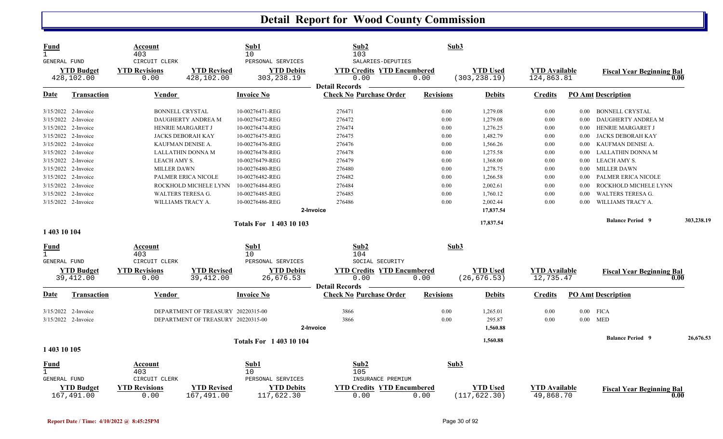| <b>Fund</b><br>$\mathbf{1}$<br>GENERAL FUND |                                 | Account<br>403<br>CIRCUIT CLERK |                                    | Sub1<br>10<br>PERSONAL SERVICES  | Sub2<br>103<br>SALARIES-DEPUTIES                                   | Sub3             |                                  |                                    |          |                                          |            |
|---------------------------------------------|---------------------------------|---------------------------------|------------------------------------|----------------------------------|--------------------------------------------------------------------|------------------|----------------------------------|------------------------------------|----------|------------------------------------------|------------|
|                                             | <b>YTD Budget</b><br>428,102.00 | <b>YTD Revisions</b><br>0.00    | <b>YTD Revised</b><br>428,102.00   | <b>YTD Debits</b><br>303, 238.19 | <b>YTD Credits YTD Encumbered</b><br>0.00<br><b>Detail Records</b> | 0.00             | <b>YTD</b> Used<br>(303, 238.19) | <b>YTD</b> Available<br>124,863.81 |          | <b>Fiscal Year Beginning Bal</b><br>0.00 |            |
| Date                                        | <b>Transaction</b>              | Vendor                          |                                    | <b>Invoice No</b>                | <b>Check No Purchase Order</b>                                     | <b>Revisions</b> | <b>Debits</b>                    | <b>Credits</b>                     |          | <b>PO Amt Description</b>                |            |
|                                             | 3/15/2022 2-Invoice             | <b>BONNELL CRYSTAL</b>          |                                    | 10-00276471-REG                  | 276471                                                             | 0.00             | 1,279.08                         | 0.00                               | $0.00\,$ | <b>BONNELL CRYSTAL</b>                   |            |
|                                             | 3/15/2022 2-Invoice             |                                 | DAUGHERTY ANDREA M                 | 10-00276472-REG                  | 276472                                                             | 0.00             | 1,279.08                         | 0.00                               | $0.00\,$ | DAUGHERTY ANDREA M                       |            |
|                                             | 3/15/2022 2-Invoice             |                                 | HENRIE MARGARET J                  | 10-00276474-REG                  | 276474                                                             | 0.00             | 1,276.25                         | 0.00                               | $0.00\,$ | HENRIE MARGARET J                        |            |
|                                             | 3/15/2022 2-Invoice             |                                 | <b>JACKS DEBORAH KAY</b>           | 10-00276475-REG                  | 276475                                                             | 0.00             | 1,482.79                         | 0.00                               | 0.00     | JACKS DEBORAH KAY                        |            |
|                                             | 3/15/2022 2-Invoice             |                                 | KAUFMAN DENISE A.                  | 10-00276476-REG                  | 276476                                                             | 0.00             | 1,566.26                         | 0.00                               | $0.00\,$ | KAUFMAN DENISE A.                        |            |
|                                             | 3/15/2022 2-Invoice             |                                 | <b>LALLATHIN DONNA M</b>           | 10-00276478-REG                  | 276478                                                             | 0.00             | 1,275.58                         | 0.00                               | 0.00     | LALLATHIN DONNA M                        |            |
|                                             | $3/15/2022$ 2-Invoice           | LEACH AMY S.                    |                                    | 10-00276479-REG                  | 276479                                                             | 0.00             | 1,368.00                         | 0.00                               | $0.00\,$ | LEACH AMY S.                             |            |
|                                             | 3/15/2022 2-Invoice             | <b>MILLER DAWN</b>              |                                    | 10-00276480-REG                  | 276480                                                             | 0.00             | 1,278.75                         | 0.00                               | $0.00\,$ | <b>MILLER DAWN</b>                       |            |
|                                             | 3/15/2022 2-Invoice             |                                 | PALMER ERICA NICOLE                | 10-00276482-REG                  | 276482                                                             | 0.00             | 1,266.58                         | 0.00                               | 0.00     | PALMER ERICA NICOLE                      |            |
|                                             | 3/15/2022 2-Invoice             |                                 | ROCKHOLD MICHELE LYNN              | 10-00276484-REG                  | 276484                                                             | 0.00             | 2,002.61                         | 0.00                               | $0.00\,$ | ROCKHOLD MICHELE LYNN                    |            |
|                                             | 3/15/2022 2-Invoice             |                                 | WALTERS TERESA G.                  | 10-00276485-REG                  | 276485                                                             | 0.00             | 1,760.12                         | 0.00                               | 0.00     | WALTERS TERESA G.                        |            |
|                                             | 3/15/2022 2-Invoice             | WILLIAMS TRACY A.               |                                    | 10-00276486-REG                  | 276486                                                             | 0.00             | 2,002.44                         | 0.00                               | 0.00     | WILLIAMS TRACY A.                        |            |
|                                             |                                 |                                 |                                    |                                  | 2-Invoice                                                          |                  | 17,837.54                        |                                    |          |                                          |            |
|                                             |                                 |                                 |                                    |                                  |                                                                    |                  |                                  |                                    |          | <b>Balance Period 9</b>                  | 303,238.19 |
| 1 403 10 104                                |                                 |                                 |                                    | <b>Totals For 140310103</b>      |                                                                    |                  | 17,837.54                        |                                    |          |                                          |            |
| <b>Fund</b>                                 |                                 | Account                         |                                    | Sub1                             | Sub2                                                               | Sub3             |                                  |                                    |          |                                          |            |
| $\overline{1}$                              |                                 | 403                             |                                    | 10                               | 104                                                                |                  |                                  |                                    |          |                                          |            |
| GENERAL FUND                                |                                 | CIRCUIT CLERK                   |                                    | PERSONAL SERVICES                | SOCIAL SECURITY                                                    |                  |                                  |                                    |          |                                          |            |
|                                             | <b>YTD Budget</b><br>39,412.00  | <b>YTD Revisions</b><br>0.00    | <b>YTD Revised</b><br>39, 412.00   | <b>YTD Debits</b><br>26,676.53   | <b>YTD Credits YTD Encumbered</b><br>0.00                          | 0.00             | <b>YTD Used</b><br>(26, 676.53)  | <b>YTD Available</b><br>12,735.47  |          | <b>Fiscal Year Beginning Bal</b><br>0.00 |            |
|                                             |                                 |                                 |                                    |                                  | <b>Detail Records</b>                                              |                  |                                  |                                    |          |                                          |            |
| Date                                        | <b>Transaction</b>              | Vendor                          |                                    | <b>Invoice No</b>                | <b>Check No Purchase Order</b>                                     | <b>Revisions</b> | <b>Debits</b>                    | <b>Credits</b>                     |          | <b>PO Amt Description</b>                |            |
|                                             | 3/15/2022 2-Invoice             |                                 | DEPARTMENT OF TREASURY 20220315-00 |                                  | 3866                                                               | 0.00             | 1,265.01                         | 0.00                               |          | $0.00$ FICA                              |            |
|                                             | 3/15/2022 2-Invoice             |                                 | DEPARTMENT OF TREASURY 20220315-00 |                                  | 3866                                                               | 0.00             | 295.87                           | 0.00                               |          | $0.00$ MED                               |            |
|                                             |                                 |                                 |                                    |                                  | 2-Invoice                                                          |                  | 1,560.88                         |                                    |          |                                          |            |
|                                             |                                 |                                 |                                    |                                  |                                                                    |                  |                                  |                                    |          | <b>Balance Period 9</b>                  | 26,676.53  |
| 1 403 10 105                                |                                 |                                 |                                    | <b>Totals For 140310104</b>      |                                                                    |                  | 1,560.88                         |                                    |          |                                          |            |
|                                             |                                 |                                 |                                    |                                  |                                                                    |                  |                                  |                                    |          |                                          |            |
| <b>Fund</b><br>$\mathbf{1}$                 |                                 | Account                         |                                    | Sub1                             | Sub2                                                               | Sub3             |                                  |                                    |          |                                          |            |
| <b>GENERAL FUND</b>                         |                                 | 403<br>CIRCUIT CLERK            |                                    | 10<br>PERSONAL SERVICES          | 105<br>INSURANCE PREMIUM                                           |                  |                                  |                                    |          |                                          |            |
|                                             | <b>YTD Budget</b>               | <b>YTD Revisions</b>            | <b>YTD Revised</b>                 |                                  | <b>YTD Credits YTD Encumbered</b>                                  |                  | <b>YTD</b> Used                  | <b>YTD Available</b>               |          |                                          |            |
|                                             | 167,491.00                      | 0.00                            | 167,491.00                         | <b>YTD Debits</b><br>117,622.30  | 0.00                                                               | 0.00             | (117, 622.30)                    | 49,868.70                          |          | <b>Fiscal Year Beginning Bal</b><br>0.00 |            |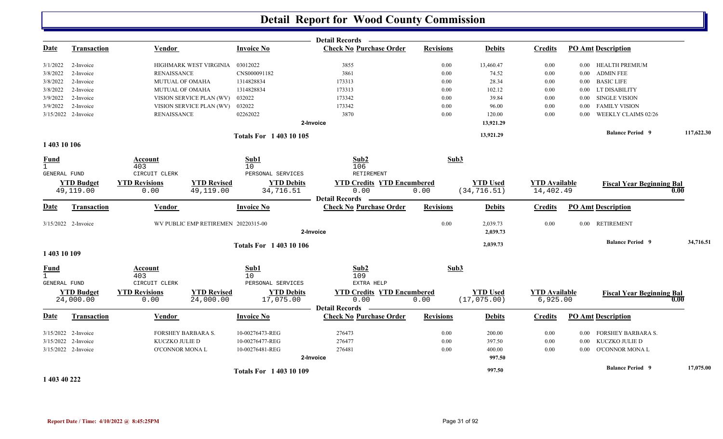|                              |                                |                              |                                     |                                      | <b>Detail Records</b>                     |                  |                                 |                                  |                   |                                  |            |
|------------------------------|--------------------------------|------------------------------|-------------------------------------|--------------------------------------|-------------------------------------------|------------------|---------------------------------|----------------------------------|-------------------|----------------------------------|------------|
| <b>Date</b>                  | <b>Transaction</b>             | Vendor                       |                                     | <b>Invoice No</b>                    | <b>Check No Purchase Order</b>            | <b>Revisions</b> | <b>Debits</b>                   | <b>Credits</b>                   |                   | <b>PO Amt Description</b>        |            |
| 3/1/2022                     | 2-Invoice                      |                              | HIGHMARK WEST VIRGINIA              | 03012022                             | 3855                                      | 0.00             | 13,460.47                       | 0.00                             |                   | 0.00 HEALTH PREMIUM              |            |
| 3/8/2022                     | 2-Invoice                      | <b>RENAISSANCE</b>           |                                     | CNS000091182                         | 3861                                      | 0.00             | 74.52                           | 0.00                             |                   | 0.00 ADMIN FEE                   |            |
| 3/8/2022                     | 2-Invoice                      | <b>MUTUAL OF OMAHA</b>       |                                     | 1314828834                           | 173313                                    | 0.00             | 28.34                           | 0.00                             |                   | 0.00 BASIC LIFE                  |            |
| 3/8/2022                     | 2-Invoice                      | MUTUAL OF OMAHA              |                                     | 1314828834                           | 173313                                    | 0.00             | 102.12                          | 0.00                             |                   | 0.00 LT DISABILITY               |            |
| 3/9/2022                     | 2-Invoice                      |                              | VISION SERVICE PLAN (WV)            | 032022                               | 173342                                    | 0.00             | 39.84                           | 0.00                             | $0.00\,$          | <b>SINGLE VISION</b>             |            |
| 3/9/2022                     | 2-Invoice                      |                              | VISION SERVICE PLAN (WV)            | 032022                               | 173342                                    | 0.00             | 96.00                           | 0.00                             | $0.00\,$          | <b>FAMILY VISION</b>             |            |
|                              | 3/15/2022 2-Invoice            | <b>RENAISSANCE</b>           |                                     | 02262022                             | 3870                                      | 0.00             | 120.00                          | 0.00                             | 0.00              | <b>WEEKLY CLAIMS 02/26</b>       |            |
|                              |                                |                              |                                     |                                      | 2-Invoice                                 |                  | 13,921.29                       |                                  |                   |                                  |            |
|                              |                                |                              |                                     | <b>Totals For 140310105</b>          |                                           |                  | 13,921.29                       |                                  |                   | <b>Balance Period 9</b>          | 117,622.30 |
| 1 403 10 106                 |                                |                              |                                     |                                      |                                           |                  |                                 |                                  |                   |                                  |            |
| <u>Fund</u>                  |                                | Account                      |                                     | Sub1                                 | Sub2                                      | Sub3             |                                 |                                  |                   |                                  |            |
| $\mathbf{1}$<br>GENERAL FUND |                                | 403<br>CIRCUIT CLERK         |                                     | 10 <sup>°</sup><br>PERSONAL SERVICES | 106<br>RETIREMENT                         |                  |                                 |                                  |                   |                                  |            |
|                              | <b>YTD Budget</b>              | <b>YTD Revisions</b>         | <b>YTD Revised</b>                  | <b>YTD Debits</b>                    | <b>YTD Credits YTD Encumbered</b>         |                  | <b>YTD Used</b>                 | <b>YTD</b> Available             |                   | <b>Fiscal Year Beginning Bal</b> |            |
|                              | 49,119.00                      | 0.00                         | 49,119.00                           | 34,716.51                            | 0.00                                      | 0.00             | (34, 716.51)                    | 14,402.49                        |                   |                                  | 0.00       |
|                              |                                |                              |                                     |                                      | <b>Detail Records</b>                     |                  |                                 |                                  |                   |                                  |            |
| Date                         | <b>Transaction</b>             | Vendor                       |                                     | <b>Invoice No</b>                    | <b>Check No Purchase Order</b>            | <b>Revisions</b> | <b>Debits</b>                   | <b>Credits</b>                   |                   | <b>PO Amt Description</b>        |            |
|                              | 3/15/2022 2-Invoice            |                              | WV PUBLIC EMP RETIREMEN 20220315-00 |                                      |                                           | 0.00             | 2,039.73                        | 0.00                             |                   | 0.00 RETIREMENT                  |            |
|                              |                                |                              |                                     |                                      | 2-Invoice                                 |                  | 2,039.73                        |                                  |                   |                                  |            |
|                              |                                |                              |                                     | <b>Totals For 1 403 10 106</b>       |                                           |                  | 2,039.73                        |                                  |                   | <b>Balance Period 9</b>          | 34,716.51  |
| 1 403 10 109                 |                                |                              |                                     |                                      |                                           |                  |                                 |                                  |                   |                                  |            |
| <b>Fund</b>                  |                                | Account                      |                                     | Sub1                                 | Sub2                                      | Sub3             |                                 |                                  |                   |                                  |            |
| $\mathbf{1}$                 |                                | 403<br>CIRCUIT CLERK         |                                     | 10 <sup>°</sup><br>PERSONAL SERVICES | 109<br>EXTRA HELP                         |                  |                                 |                                  |                   |                                  |            |
| <b>GENERAL FUND</b>          |                                |                              |                                     |                                      |                                           |                  |                                 |                                  |                   |                                  |            |
|                              | <b>YTD Budget</b><br>24,000.00 | <b>YTD Revisions</b><br>0.00 | <b>YTD Revised</b><br>24,000.00     | <b>YTD Debits</b><br>17,075.00       | <b>YTD Credits YTD Encumbered</b><br>0.00 | 0.00             | <b>YTD Used</b><br>(17, 075.00) | <b>YTD Available</b><br>6,925.00 |                   | <b>Fiscal Year Beginning Bal</b> | 0.00       |
|                              |                                |                              |                                     |                                      | <b>Detail Records</b>                     |                  |                                 |                                  |                   |                                  |            |
| Date                         | <b>Transaction</b>             | Vendor                       |                                     | <b>Invoice No</b>                    | <b>Check No Purchase Order</b>            | <b>Revisions</b> | <b>Debits</b>                   | <b>Credits</b>                   |                   | <b>PO Amt Description</b>        |            |
|                              | 3/15/2022 2-Invoice            |                              | FORSHEY BARBARA S.                  | 10-00276473-REG                      | 276473                                    | 0.00             | 200.00                          | $0.00\,$                         | $0.00\,$          | FORSHEY BARBARA S.               |            |
|                              | 3/15/2022 2-Invoice            | KUCZKO JULIE D               |                                     | 10-00276477-REG                      | 276477                                    | $0.00\,$         | 397.50                          | 0.00                             | $0.00\,$          | KUCZKO JULIE D                   |            |
|                              | 3/15/2022 2-Invoice            | <b>O'CONNOR MONAL</b>        |                                     | 10-00276481-REG                      | 276481                                    | 0.00             | 400.00                          | 0.00                             | 0.00 <sub>1</sub> | <b>O'CONNOR MONAL</b>            |            |
|                              |                                |                              |                                     |                                      | 2-Invoice                                 |                  | 997.50                          |                                  |                   |                                  |            |
|                              |                                |                              |                                     | <b>Totals For 140310109</b>          |                                           |                  | 997.50                          |                                  |                   | <b>Balance Period 9</b>          | 17,075.00  |
|                              |                                |                              |                                     |                                      |                                           |                  |                                 |                                  |                   |                                  |            |

**1 403 40 222**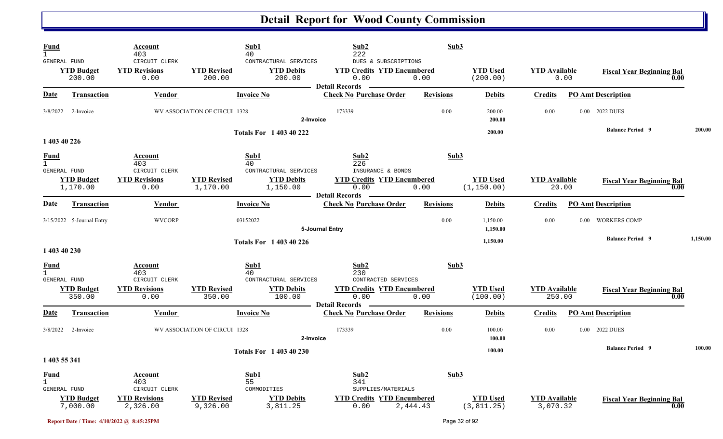| Fund<br>GENERAL FUND                        | <b>YTD Budget</b>             | Account<br>403<br>CIRCUIT CLERK<br><b>YTD Revisions</b> | Sub1<br>40<br><b>YTD Revised</b> | CONTRACTURAL SERVICES<br><b>YTD Debits</b> | Sub2<br>222<br>DUES & SUBSCRIPTIONS<br><b>YTD Credits YTD Encumbered</b> | Sub3             | <b>YTD Used</b>                | <b>YTD Available</b>             |          |                                  |          |
|---------------------------------------------|-------------------------------|---------------------------------------------------------|----------------------------------|--------------------------------------------|--------------------------------------------------------------------------|------------------|--------------------------------|----------------------------------|----------|----------------------------------|----------|
|                                             | 200.00                        | 0.00                                                    | 200.00                           | 200.00                                     | 0.00<br>Detail Records –                                                 | 0.00             | (200.00)                       |                                  | 0.00     | <b>Fiscal Year Beginning Bal</b> | 0.00     |
| <b>Date</b>                                 | <b>Transaction</b>            | Vendor                                                  | <b>Invoice No</b>                |                                            | <b>Check No Purchase Order</b>                                           | <b>Revisions</b> | <b>Debits</b>                  | <b>Credits</b>                   |          | <b>PO Amt Description</b>        |          |
| 3/8/2022                                    | 2-Invoice                     |                                                         | WV ASSOCIATION OF CIRCUI 1328    | 2-Invoice                                  | 173339                                                                   | 0.00             | 200.00<br>200.00               | 0.00                             |          | 0.00 2022 DUES                   |          |
| 1 403 40 226                                |                               |                                                         |                                  | <b>Totals For 1 403 40 222</b>             |                                                                          |                  | 200.00                         |                                  |          | <b>Balance Period 9</b>          | 200.00   |
| <b>Fund</b><br>GENERAL FUND                 |                               | Account<br>403<br>CIRCUIT CLERK                         | Sub1<br>40                       | CONTRACTURAL SERVICES                      | Sub2<br>226<br>INSURANCE & BONDS                                         | Sub3             |                                |                                  |          |                                  |          |
|                                             | <b>YTD Budget</b><br>1,170.00 | <b>YTD Revisions</b><br>0.00                            | <b>YTD Revised</b><br>1,170.00   | <b>YTD Debits</b><br>1,150.00              | <b>YTD Credits YTD Encumbered</b><br>0.00<br><b>Detail Records</b>       | 0.00             | <b>YTD Used</b><br>(1, 150.00) | <b>YTD</b> Available<br>20.00    |          | <b>Fiscal Year Beginning Bal</b> | 0.00     |
| <b>Date</b>                                 | <b>Transaction</b>            | Vendor                                                  | <b>Invoice No</b>                |                                            | <b>Check No Purchase Order</b>                                           | <b>Revisions</b> | <b>Debits</b>                  | <b>Credits</b>                   |          | <b>PO Amt Description</b>        |          |
|                                             | 3/15/2022 5-Journal Entry     | <b>WVCORP</b>                                           | 03152022                         |                                            | 5-Journal Entry                                                          | 0.00             | 1,150.00<br>1,150.00           | 0.00                             | $0.00\,$ | <b>WORKERS COMP</b>              |          |
| 1 403 40 230                                |                               |                                                         |                                  | <b>Totals For 1 403 40 226</b>             |                                                                          |                  | 1,150.00                       |                                  |          | <b>Balance Period 9</b>          | 1,150.00 |
| $\frac{Fund}{1}$<br><b>GENERAL FUND</b>     |                               | Account<br>403<br>CIRCUIT CLERK                         | Sub1<br>40                       | CONTRACTURAL SERVICES                      | Sub2<br>230<br>CONTRACTED SERVICES                                       | Sub3             |                                |                                  |          |                                  |          |
|                                             | <b>YTD Budget</b><br>350.00   | <b>YTD Revisions</b><br>0.00                            | <b>YTD Revised</b><br>350.00     | <b>YTD Debits</b><br>100.00                | <b>YTD Credits YTD Encumbered</b><br>0.00<br>Detail Records              | 0.00             | <b>YTD Used</b><br>(100.00)    | <b>YTD Available</b><br>250.00   |          | <b>Fiscal Year Beginning Bal</b> | 0.00     |
| <b>Date</b>                                 | <b>Transaction</b>            | Vendor                                                  | <b>Invoice No</b>                |                                            | <b>Check No Purchase Order</b>                                           | <b>Revisions</b> | <b>Debits</b>                  | <b>Credits</b>                   |          | <b>PO Amt Description</b>        |          |
|                                             | 3/8/2022 2-Invoice            |                                                         | WV ASSOCIATION OF CIRCUI 1328    | 2-Invoice                                  | 173339                                                                   | 0.00             | 100.00<br>100.00               | 0.00                             | $0.00\,$ | <b>2022 DUES</b>                 |          |
| 1 403 55 341                                |                               |                                                         |                                  | <b>Totals For 1 403 40 230</b>             |                                                                          |                  | 100.00                         |                                  |          | <b>Balance Period 9</b>          | 100.00   |
| <u>Fund</u><br>$\mathbf{1}$<br>GENERAL FUND |                               | Account<br>403<br>CIRCUIT CLERK                         | Sub1<br>55<br>COMMODITIES        |                                            | Sub2<br>341<br>SUPPLIES/MATERIALS                                        | Sub3             |                                |                                  |          |                                  |          |
|                                             | <b>YTD Budget</b><br>7,000.00 | <b>YTD Revisions</b><br>2,326.00                        | <b>YTD Revised</b><br>9,326.00   | <b>YTD Debits</b><br>3,811.25              | <b>YTD Credits YTD Encumbered</b><br>0.00                                | 2,444.43         | <b>YTD Used</b><br>(3, 811.25) | <b>YTD Available</b><br>3,070.32 |          | <b>Fiscal Year Beginning Bal</b> | 0.00     |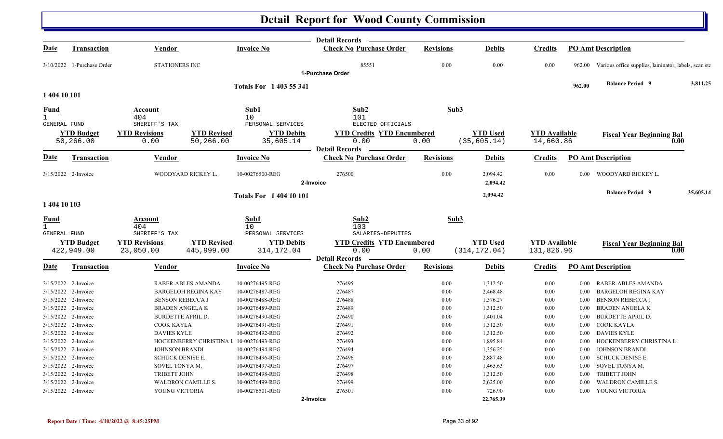|                     |                                            |                                                  |                            |                                    | <b>Detail Records</b>                                   |                  |                      |                      |                      |                                                       |           |
|---------------------|--------------------------------------------|--------------------------------------------------|----------------------------|------------------------------------|---------------------------------------------------------|------------------|----------------------|----------------------|----------------------|-------------------------------------------------------|-----------|
| Date                | <b>Transaction</b>                         | Vendor                                           |                            | <b>Invoice No</b>                  | <b>Check No Purchase Order</b>                          | <b>Revisions</b> | <b>Debits</b>        | <b>Credits</b>       |                      | <b>PO Amt Description</b>                             |           |
|                     | 3/10/2022 1-Purchase Order                 | <b>STATIONERS INC</b>                            |                            |                                    | 85551<br>1-Purchase Order                               | 0.00             | 0.00                 | 0.00                 | 962.00               | Various office supplies, laminator, labels, scan sta  |           |
|                     |                                            |                                                  |                            |                                    |                                                         |                  |                      |                      |                      |                                                       |           |
| 1 404 10 101        |                                            |                                                  |                            | <b>Totals For 1403 55 341</b>      |                                                         |                  |                      |                      | 962.00               | <b>Balance Period 9</b>                               | 3.811.25  |
| Fund                |                                            | Account                                          |                            | Sub1                               | Sub2                                                    | Sub3             |                      |                      |                      |                                                       |           |
|                     |                                            | 404                                              |                            | 10                                 | 101                                                     |                  |                      |                      |                      |                                                       |           |
| GENERAL FUND        |                                            | SHERIFF'S TAX                                    |                            | PERSONAL SERVICES                  | ELECTED OFFICIALS                                       |                  |                      |                      |                      |                                                       |           |
|                     | <b>YTD Budget</b>                          | <b>YTD Revisions</b>                             | <b>YTD Revised</b>         | <b>YTD Debits</b>                  | <b>YTD Credits YTD Encumbered</b>                       |                  | <b>YTD Used</b>      | <b>YTD</b> Available |                      | <b>Fiscal Year Beginning Bal</b>                      |           |
|                     | 50,266.00                                  | 0.00                                             | 50,266.00                  | 35,605.14                          | 0.00                                                    | 0.00             | (35, 605.14)         | 14,660.86            |                      |                                                       | 0.00      |
|                     |                                            |                                                  |                            |                                    | <b>Detail Records</b>                                   |                  |                      |                      |                      |                                                       |           |
| Date                | Transaction                                | Vendor                                           |                            | <b>Invoice No</b>                  | <b>Check No Purchase Order</b>                          | <b>Revisions</b> | <b>Debits</b>        | <b>Credits</b>       |                      | <b>PO Amt Description</b>                             |           |
|                     | 3/15/2022 2-Invoice                        |                                                  | WOODYARD RICKEY L.         | 10-00276500-REG                    | 276500<br>2-Invoice                                     | 0.00             | 2,094.42<br>2,094.42 | 0.00                 | $0.00\,$             | WOODYARD RICKEY L.                                    |           |
|                     |                                            |                                                  |                            |                                    |                                                         |                  | 2,094.42             |                      |                      | <b>Balance Period 9</b>                               | 35,605.14 |
| 1 404 10 103        |                                            |                                                  |                            | <b>Totals For 140410101</b>        |                                                         |                  |                      |                      |                      |                                                       |           |
| Fund                |                                            | Account                                          |                            | Sub1                               | Sub2                                                    | Sub3             |                      |                      |                      |                                                       |           |
| $\mathbf{1}$        |                                            | 404                                              |                            | 10                                 | 103                                                     |                  |                      |                      |                      |                                                       |           |
| <b>GENERAL FUND</b> |                                            | SHERIFF'S TAX                                    |                            | PERSONAL SERVICES                  | SALARIES-DEPUTIES                                       |                  |                      |                      |                      |                                                       |           |
|                     | <b>YTD Budget</b>                          | <b>YTD Revisions</b>                             | <b>YTD Revised</b>         | <b>YTD Debits</b>                  | <b>YTD Credits YTD Encumbered</b>                       |                  | <b>YTD</b> Used      | <b>YTD</b> Available |                      | <b>Fiscal Year Beginning Bal</b>                      |           |
|                     | 422,949.00                                 | 23,050.00                                        | 445,999.00                 | 314, 172.04                        | 0.00                                                    | 0.00             | (314, 172.04)        | 131,826.96           |                      |                                                       | 0.00      |
| <b>Date</b>         | <b>Transaction</b>                         | Vendor                                           |                            | <b>Invoice No</b>                  | <b>Detail Records</b><br><b>Check No Purchase Order</b> | <b>Revisions</b> | Debits               | Credits              |                      | <b>PO Amt Description</b>                             |           |
|                     |                                            |                                                  |                            |                                    |                                                         |                  |                      |                      |                      |                                                       |           |
|                     | 3/15/2022 2-Invoice                        |                                                  | RABER-ABLES AMANDA         | 10-00276495-REG                    | 276495                                                  | 0.00             | 1,312.50             | 0.00                 | 0.00                 | RABER-ABLES AMANDA                                    |           |
|                     | 3/15/2022 2-Invoice<br>3/15/2022 2-Invoice |                                                  | <b>BARGELOH REGINA KAY</b> | 10-00276487-REG<br>10-00276488-REG | 276487<br>276488                                        | 0.00<br>0.00     | 2,468.48             | 0.00                 | $0.00\,$             | <b>BARGELOH REGINA KAY</b><br><b>BENSON REBECCA J</b> |           |
|                     | 3/15/2022 2-Invoice                        | <b>BENSON REBECCA J</b><br><b>BRADEN ANGELAK</b> |                            | 10-00276489-REG                    | 276489                                                  | 0.00             | 1,376.27             | 0.00<br>0.00         | $0.00\,$             | <b>BRADEN ANGELAK</b>                                 |           |
|                     | 3/15/2022 2-Invoice                        | <b>BURDETTE APRIL D.</b>                         |                            | 10-00276490-REG                    | 276490                                                  | 0.00             | 1,312.50             | 0.00                 | $0.00\,$<br>$0.00\,$ | <b>BURDETTE APRIL D.</b>                              |           |
|                     | 3/15/2022 2-Invoice                        | COOK KAYLA                                       |                            | 10-00276491-REG                    | 276491                                                  | 0.00             | 1,401.04<br>1,312.50 | 0.00                 | $0.00\,$             | COOK KAYLA                                            |           |
|                     | 3/15/2022 2-Invoice                        | <b>DAVIES KYLE</b>                               |                            | 10-00276492-REG                    | 276492                                                  | 0.00             | 1,312.50             | 0.00                 | $0.00\,$             | <b>DAVIES KYLE</b>                                    |           |
|                     | 3/15/2022 2-Invoice                        |                                                  | HOCKENBERRY CHRISTINA I    | 10-00276493-REG                    | 276493                                                  | 0.00             | 1,895.84             | 0.00                 | $0.00\,$             | HOCKENBERRY CHRISTINA L                               |           |
|                     | 3/15/2022 2-Invoice                        | <b>JOHNSON BRANDI</b>                            |                            | 10-00276494-REG                    | 276494                                                  | 0.00             | 1,356.25             | 0.00                 | $0.00\,$             | <b>JOHNSON BRANDI</b>                                 |           |
|                     | 3/15/2022 2-Invoice                        | <b>SCHUCK DENISE E.</b>                          |                            | 10-00276496-REG                    | 276496                                                  | 0.00             | 2,887.48             | 0.00                 | $0.00\,$             | <b>SCHUCK DENISE E.</b>                               |           |
|                     | 3/15/2022 2-Invoice                        | SOVEL TONYA M.                                   |                            | 10-00276497-REG                    | 276497                                                  | 0.00             | 1,465.63             | 0.00                 | $0.00\,$             | SOVEL TONYA M.                                        |           |
|                     | 3/15/2022 2-Invoice                        | <b>TRIBETT JOHN</b>                              |                            | 10-00276498-REG                    | 276498                                                  | 0.00             | 1,312.50             | 0.00                 | $0.00\,$             | <b>TRIBETT JOHN</b>                                   |           |
|                     | 3/15/2022 2-Invoice                        |                                                  | <b>WALDRON CAMILLE S.</b>  | 10-00276499-REG                    | 276499                                                  | 0.00             | 2,625.00             | 0.00                 | $0.00\,$             | <b>WALDRON CAMILLE S.</b>                             |           |
|                     | 3/15/2022 2-Invoice                        | YOUNG VICTORIA                                   |                            | 10-00276501-REG                    | 276501                                                  | 0.00             | 726.90               | 0.00                 | $0.00\,$             | YOUNG VICTORIA                                        |           |
|                     |                                            |                                                  |                            |                                    | 2-Invoice                                               |                  | 22,765.39            |                      |                      |                                                       |           |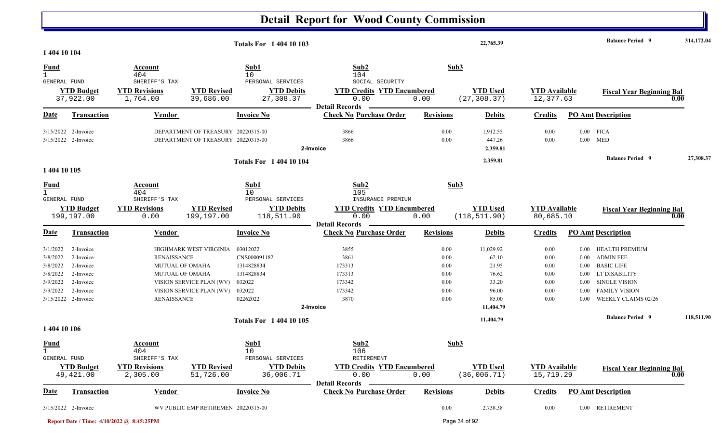|                                                          |                                                               |                                                                                                                              |                                    | <b>Totals For 140410103</b>                                       |                                                                                                 |                                      | 22,765.39                                     |                                          |                                                      | <b>Balance Period 9</b>                                                                          | 314,172.04 |
|----------------------------------------------------------|---------------------------------------------------------------|------------------------------------------------------------------------------------------------------------------------------|------------------------------------|-------------------------------------------------------------------|-------------------------------------------------------------------------------------------------|--------------------------------------|-----------------------------------------------|------------------------------------------|------------------------------------------------------|--------------------------------------------------------------------------------------------------|------------|
| 1 404 10 104                                             |                                                               |                                                                                                                              |                                    |                                                                   |                                                                                                 |                                      |                                               |                                          |                                                      |                                                                                                  |            |
| <b>Fund</b><br>$\mathbf{1}$<br>GENERAL FUND              |                                                               | Account<br>404<br>SHERIFF'S TAX                                                                                              |                                    | Sub1<br>10<br>PERSONAL SERVICES                                   | Sub2<br>104<br>SOCIAL SECURITY                                                                  |                                      | Sub3                                          |                                          |                                                      |                                                                                                  |            |
|                                                          | <b>YTD Budget</b><br>37,922.00                                | <b>YTD Revisions</b><br>1,764.00                                                                                             | <b>YTD Revised</b><br>39,686.00    | <b>YTD Debits</b><br>27,308.37                                    | <b>YTD Credits YTD Encumbered</b><br>0.00                                                       | 0.00                                 | <b>YTD</b> Used<br>(27, 308.37)               | <b>YTD</b> Available<br>12,377.63        |                                                      | <b>Fiscal Year Beginning Bal</b>                                                                 | 0.00       |
| Date                                                     | <b>Transaction</b>                                            | <b>Vendor</b>                                                                                                                |                                    | <b>Invoice No</b>                                                 | <b>Detail Records</b><br><b>Check No Purchase Order</b>                                         | <b>Revisions</b>                     | <b>Debits</b>                                 | <b>Credits</b>                           |                                                      | <b>PO Amt Description</b>                                                                        |            |
|                                                          | $3/15/2022$ 2-Invoice<br>3/15/2022 2-Invoice                  | DEPARTMENT OF TREASURY 20220315-00                                                                                           | DEPARTMENT OF TREASURY 20220315-00 |                                                                   | 3866<br>3866<br>2-Invoice                                                                       | 0.00<br>0.00                         | 1,912.55<br>447.26<br>2,359.81                | 0.00<br>0.00                             |                                                      | $0.00$ FICA<br>$0.00$ MED                                                                        |            |
| 1 404 10 105                                             |                                                               |                                                                                                                              |                                    | <b>Totals For 1 404 10 104</b>                                    |                                                                                                 |                                      | 2,359.81                                      |                                          |                                                      | <b>Balance Period 9</b>                                                                          | 27,308.37  |
| <u>Fund</u><br>$\mathbf{1}$<br><b>GENERAL FUND</b>       |                                                               | Account<br>404<br>SHERIFF'S TAX                                                                                              |                                    | Sub1<br>10<br>PERSONAL SERVICES                                   | Sub2<br>105<br>INSURANCE PREMIUM                                                                |                                      | Sub3                                          |                                          |                                                      |                                                                                                  |            |
|                                                          | <b>YTD Budget</b><br>199,197.00                               | <b>YTD Revisions</b><br>0.00                                                                                                 | <b>YTD Revised</b><br>199,197.00   | <b>YTD Debits</b><br>118,511.90                                   | <b>YTD Credits YTD Encumbered</b><br>0.00<br><b>Detail Records</b>                              | 0.00                                 | <b>YTD Used</b><br>(118, 511.90)              | <b>YTD</b> Available<br>80,685.10        |                                                      | <b>Fiscal Year Beginning Bal</b>                                                                 | 0.00       |
| <b>Date</b>                                              | Transaction                                                   | Vendor                                                                                                                       |                                    | <b>Invoice No</b>                                                 | <b>Check No Purchase Order</b>                                                                  | <b>Revisions</b>                     | <b>Debits</b>                                 | <b>Credits</b>                           |                                                      | <b>PO Amt Description</b>                                                                        |            |
| 3/1/2022<br>3/8/2022<br>3/8/2022<br>3/8/2022<br>3/9/2022 | 2-Invoice<br>2-Invoice<br>2-Invoice<br>2-Invoice<br>2-Invoice | HIGHMARK WEST VIRGINIA<br><b>RENAISSANCE</b><br><b>MUTUAL OF OMAHA</b><br><b>MUTUAL OF OMAHA</b><br>VISION SERVICE PLAN (WV) |                                    | 03012022<br>CNS000091182<br>1314828834<br>1314828834<br>032022    | 3855<br>3861<br>173313<br>173313<br>173342                                                      | 0.00<br>0.00<br>0.00<br>0.00<br>0.00 | 11,029.92<br>62.10<br>21.95<br>76.62<br>33.20 | 0.00<br>$0.00\,$<br>0.00<br>0.00<br>0.00 | $0.00\,$<br>0.00<br>$0.00\,$<br>$0.00\,$<br>$0.00\,$ | HEALTH PREMIUM<br><b>ADMIN FEE</b><br><b>BASIC LIFE</b><br>LT DISABILITY<br><b>SINGLE VISION</b> |            |
| 3/9/2022                                                 | 2-Invoice<br>3/15/2022 2-Invoice                              | VISION SERVICE PLAN (WV)<br><b>RENAISSANCE</b>                                                                               |                                    | 032022<br>02262022                                                | 173342<br>3870<br>2-Invoice                                                                     | 0.00<br>0.00                         | 96.00<br>85.00<br>11,404.79                   | 0.00<br>0.00                             | 0.00<br>0.00                                         | <b>FAMILY VISION</b><br>WEEKLY CLAIMS 02/26                                                      |            |
|                                                          |                                                               |                                                                                                                              |                                    | <b>Totals For 1 404 10 105</b>                                    |                                                                                                 |                                      | 11,404.79                                     |                                          |                                                      | <b>Balance Period 9</b>                                                                          | 118,511.90 |
| 1 404 10 106                                             |                                                               |                                                                                                                              |                                    |                                                                   |                                                                                                 |                                      |                                               |                                          |                                                      |                                                                                                  |            |
| <u>Fund</u><br>$\mathbf{1}$<br><b>GENERAL FUND</b>       | <b>YTD Budget</b><br>49,421.00                                | Account<br>404<br>SHERIFF'S TAX<br><b>YTD Revisions</b><br>2,305.00                                                          | <b>YTD Revised</b><br>51,726.00    | Sub1<br>10<br>PERSONAL SERVICES<br><b>YTD Debits</b><br>36,006.71 | Sub2<br>106<br>RETIREMENT<br><b>YTD Credits YTD Encumbered</b><br>0.00<br><b>Detail Records</b> | 0.00                                 | Sub3<br><b>YTD Used</b><br>(36,006.71)        | <b>YTD</b> Available<br>15,719.29        |                                                      | <b>Fiscal Year Beginning Bal</b>                                                                 | 0.00       |
| <u>Date</u>                                              | Transaction                                                   | Vendor                                                                                                                       |                                    | <b>Invoice No</b>                                                 | <b>Check No Purchase Order</b>                                                                  | <b>Revisions</b>                     | <b>Debits</b>                                 | <b>Credits</b>                           |                                                      | <b>PO Amt Description</b>                                                                        |            |
|                                                          | 3/15/2022 2-Invoice                                           | WV PUBLIC EMP RETIREMEN 20220315-00                                                                                          |                                    |                                                                   |                                                                                                 | $0.00\,$                             | 2,738.38                                      | 0.00                                     |                                                      | 0.00 RETIREMENT                                                                                  |            |

**Report Date / Time: 4/10/2022 @ 8:45:25PM** Page 34 of 92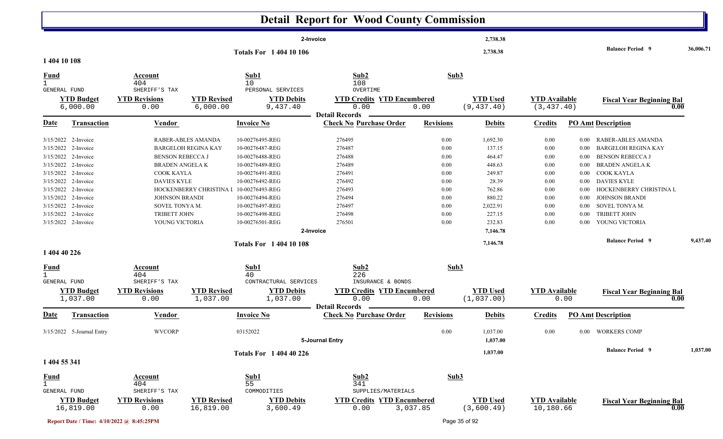|                                             |                                                                                                                                                                                                                                                           |                                                                                                                                                                          |                                                                                             |                                                                                                                                                                                                                                           | <b>Detail Report for Wood County Commission</b>                                                            |                                                                                      |                                                                                                                                       |                                                                                              |                                                                                                                                  |                                                                                                                                                                                                                                                                              |           |
|---------------------------------------------|-----------------------------------------------------------------------------------------------------------------------------------------------------------------------------------------------------------------------------------------------------------|--------------------------------------------------------------------------------------------------------------------------------------------------------------------------|---------------------------------------------------------------------------------------------|-------------------------------------------------------------------------------------------------------------------------------------------------------------------------------------------------------------------------------------------|------------------------------------------------------------------------------------------------------------|--------------------------------------------------------------------------------------|---------------------------------------------------------------------------------------------------------------------------------------|----------------------------------------------------------------------------------------------|----------------------------------------------------------------------------------------------------------------------------------|------------------------------------------------------------------------------------------------------------------------------------------------------------------------------------------------------------------------------------------------------------------------------|-----------|
|                                             |                                                                                                                                                                                                                                                           |                                                                                                                                                                          |                                                                                             | 2-Invoice                                                                                                                                                                                                                                 |                                                                                                            |                                                                                      | 2,738.38                                                                                                                              |                                                                                              |                                                                                                                                  |                                                                                                                                                                                                                                                                              |           |
| 1 404 10 108                                |                                                                                                                                                                                                                                                           |                                                                                                                                                                          |                                                                                             | <b>Totals For 1 404 10 106</b>                                                                                                                                                                                                            |                                                                                                            |                                                                                      | 2,738.38                                                                                                                              |                                                                                              |                                                                                                                                  | <b>Balance Period 9</b>                                                                                                                                                                                                                                                      | 36,006.71 |
| Fund                                        |                                                                                                                                                                                                                                                           | Account<br>404                                                                                                                                                           |                                                                                             | Sub1<br>10                                                                                                                                                                                                                                | Sub2<br>108                                                                                                | Sub3                                                                                 |                                                                                                                                       |                                                                                              |                                                                                                                                  |                                                                                                                                                                                                                                                                              |           |
| <b>GENERAL FUND</b>                         | <b>YTD Budget</b><br>6,000.00                                                                                                                                                                                                                             | SHERIFF'S TAX<br><b>YTD Revisions</b><br>0.00                                                                                                                            | <b>YTD Revised</b><br>6,000.00                                                              | PERSONAL SERVICES<br><b>YTD Debits</b><br>9,437.40                                                                                                                                                                                        | OVERTIME<br><b>YTD Credits YTD Encumbered</b><br>0.00                                                      | 0.00                                                                                 | <b>YTD Used</b><br>(9, 437.40)                                                                                                        | <b>YTD Available</b><br>(3, 437.40)                                                          |                                                                                                                                  | <b>Fiscal Year Beginning Bal</b><br>0.00                                                                                                                                                                                                                                     |           |
| <u>Date</u>                                 | <b>Transaction</b>                                                                                                                                                                                                                                        | <b>Vendor</b>                                                                                                                                                            |                                                                                             | <b>Invoice No</b>                                                                                                                                                                                                                         | <b>Detail Records</b><br><b>Check No Purchase Order</b>                                                    | <b>Revisions</b>                                                                     | <b>Debits</b>                                                                                                                         | <b>Credits</b>                                                                               |                                                                                                                                  | <b>PO Amt Description</b>                                                                                                                                                                                                                                                    |           |
| 1 404 40 226                                | 3/15/2022 2-Invoice<br>3/15/2022 2-Invoice<br>3/15/2022 2-Invoice<br>3/15/2022 2-Invoice<br>3/15/2022 2-Invoice<br>3/15/2022 2-Invoice<br>3/15/2022 2-Invoice<br>3/15/2022 2-Invoice<br>3/15/2022 2-Invoice<br>3/15/2022 2-Invoice<br>3/15/2022 2-Invoice | <b>BENSON REBECCA J</b><br><b>BRADEN ANGELAK</b><br>COOK KAYLA<br><b>DAVIES KYLE</b><br><b>JOHNSON BRANDI</b><br>SOVEL TONYA M.<br><b>TRIBETT JOHN</b><br>YOUNG VICTORIA | RABER-ABLES AMANDA<br><b>BARGELOH REGINA KAY</b><br>HOCKENBERRY CHRISTINA I 10-00276493-REG | 10-00276495-REG<br>10-00276487-REG<br>10-00276488-REG<br>10-00276489-REG<br>10-00276491-REG<br>10-00276492-REG<br>10-00276494-REG<br>10-00276497-REG<br>10-00276498-REG<br>10-00276501-REG<br>2-Invoice<br><b>Totals For 1 404 10 108</b> | 276495<br>276487<br>276488<br>276489<br>276491<br>276492<br>276493<br>276494<br>276497<br>276498<br>276501 | 0.00<br>0.00<br>0.00<br>0.00<br>0.00<br>0.00<br>0.00<br>0.00<br>0.00<br>0.00<br>0.00 | 1,692.30<br>137.15<br>464.47<br>448.63<br>249.87<br>28.39<br>762.86<br>880.22<br>2,022.91<br>227.15<br>232.83<br>7,146.78<br>7,146.78 | 0.00<br>0.00<br>0.00<br>$0.00\,$<br>0.00<br>$0.00\,$<br>0.00<br>0.00<br>0.00<br>0.00<br>0.00 | $0.00\,$<br>$0.00\,$<br>$0.00\,$<br>$0.00\,$<br>$0.00\,$<br>$0.00\,$<br>$0.00\,$<br>$0.00\,$<br>$0.00\,$<br>$0.00\,$<br>$0.00\,$ | RABER-ABLES AMANDA<br><b>BARGELOH REGINA KAY</b><br><b>BENSON REBECCA J</b><br><b>BRADEN ANGELA K</b><br>COOK KAYLA<br>DAVIES KYLE<br>HOCKENBERRY CHRISTINA L<br><b>JOHNSON BRANDI</b><br>SOVEL TONYA M.<br><b>TRIBETT JOHN</b><br>YOUNG VICTORIA<br><b>Balance Period 9</b> | 9,437.40  |
| <u>Fund</u><br>$\mathbf{1}$<br>GENERAL FUND | <b>YTD Budget</b><br>1,037.00                                                                                                                                                                                                                             | Account<br>404<br>SHERIFF'S TAX<br><b>YTD Revisions</b><br>0.00                                                                                                          | <b>YTD Revised</b><br>1,037.00                                                              | Sub1<br>40<br>CONTRACTURAL SERVICES<br><b>YTD Debits</b><br>1,037.00                                                                                                                                                                      | Sub2<br>226<br>INSURANCE & BONDS<br><b>YTD Credits YTD Encumbered</b><br>0.00                              | Sub3<br>0.00                                                                         | <b>YTD Used</b><br>(1,037.00)                                                                                                         | <b>YTD</b> Available                                                                         | 0.00                                                                                                                             | <b>Fiscal Year Beginning Bal</b><br>0.00                                                                                                                                                                                                                                     |           |
| Date                                        | <b>Transaction</b>                                                                                                                                                                                                                                        | <b>Vendor</b>                                                                                                                                                            |                                                                                             | <b>Invoice No</b>                                                                                                                                                                                                                         | <b>Detail Records</b><br><b>Check No Purchase Order</b>                                                    | <b>Revisions</b>                                                                     | <b>Debits</b>                                                                                                                         | <b>Credits</b>                                                                               |                                                                                                                                  | <b>PO Amt Description</b>                                                                                                                                                                                                                                                    |           |
|                                             | 3/15/2022 5-Journal Entry                                                                                                                                                                                                                                 | <b>WVCORP</b>                                                                                                                                                            |                                                                                             | 03152022                                                                                                                                                                                                                                  | 5-Journal Entry                                                                                            | $0.00\,$                                                                             | 1,037.00<br>1,037.00                                                                                                                  | 0.00                                                                                         |                                                                                                                                  | 0.00 WORKERS COMP                                                                                                                                                                                                                                                            |           |
| 1 404 55 341                                |                                                                                                                                                                                                                                                           |                                                                                                                                                                          |                                                                                             | <b>Totals For 1 404 40 226</b>                                                                                                                                                                                                            |                                                                                                            |                                                                                      | 1,037.00                                                                                                                              |                                                                                              |                                                                                                                                  | <b>Balance Period</b> 9                                                                                                                                                                                                                                                      | 1,037.00  |
| <b>Fund</b><br>$\mathbf{1}$<br>GENERAL FUND | <b>YTD Budget</b><br>16,819.00                                                                                                                                                                                                                            | Account<br>404<br>SHERIFF'S TAX<br><b>YTD Revisions</b><br>0.00                                                                                                          | <b>YTD Revised</b><br>16,819.00                                                             | Sub1<br>55<br>COMMODITIES<br><b>YTD Debits</b><br>3,600.49                                                                                                                                                                                | Sub2<br>341<br>SUPPLIES/MATERIALS<br><b>YTD Credits YTD Encumbered</b><br>0.00                             | Sub3<br>3,037.85                                                                     | <b>YTD Used</b><br>(3,600.49)                                                                                                         | <b>YTD Available</b><br>10,180.66                                                            |                                                                                                                                  | <b>Fiscal Year Beginning Bal</b><br>0.00                                                                                                                                                                                                                                     |           |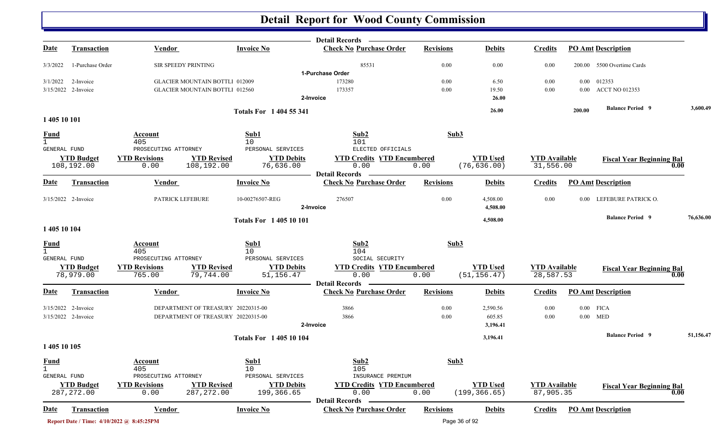|                     |                                 |                                           |                                       |                                | <b>Detail Records</b>                                   |                  |                                 |                                   |          |                                          |           |
|---------------------|---------------------------------|-------------------------------------------|---------------------------------------|--------------------------------|---------------------------------------------------------|------------------|---------------------------------|-----------------------------------|----------|------------------------------------------|-----------|
| <u>Date</u>         | <b>Transaction</b>              | <b>Vendor</b>                             |                                       | <b>Invoice No</b>              | <b>Check No Purchase Order</b>                          | <b>Revisions</b> | <b>Debits</b>                   | <b>Credits</b>                    |          | <b>PO Amt Description</b>                |           |
| 3/3/2022            | 1-Purchase Order                | SIR SPEEDY PRINTING                       |                                       |                                | 85531                                                   | 0.00             | 0.00                            | 0.00                              |          | 200.00 5500 Overtime Cards               |           |
|                     |                                 |                                           |                                       |                                | 1-Purchase Order                                        |                  |                                 |                                   |          |                                          |           |
| 3/1/2022            | 2-Invoice                       |                                           | <b>GLACIER MOUNTAIN BOTTLI 012009</b> |                                | 173280                                                  | 0.00             | 6.50                            | 0.00                              |          | 0.00 012353                              |           |
|                     | 3/15/2022 2-Invoice             |                                           | <b>GLACIER MOUNTAIN BOTTL1 012560</b> |                                | 173357                                                  | 0.00             | 19.50                           | 0.00                              |          | 0.00 ACCT NO 012353                      |           |
|                     |                                 |                                           |                                       |                                | 2-Invoice                                               |                  | 26.00                           |                                   |          |                                          |           |
|                     |                                 |                                           |                                       | <b>Totals For 1404 55 341</b>  |                                                         |                  | 26.00                           |                                   | 200.00   | <b>Balance Period 9</b>                  | 3,600.49  |
| 1 405 10 101        |                                 |                                           |                                       |                                |                                                         |                  |                                 |                                   |          |                                          |           |
| <b>Fund</b>         |                                 | Account                                   |                                       | Sub1                           | Sub2                                                    | Sub3             |                                 |                                   |          |                                          |           |
| $\mathbf{1}$        |                                 | 405                                       |                                       | 10                             | 101                                                     |                  |                                 |                                   |          |                                          |           |
| <b>GENERAL FUND</b> |                                 | PROSECUTING ATTORNEY                      |                                       | PERSONAL SERVICES              | ELECTED OFFICIALS                                       |                  |                                 |                                   |          |                                          |           |
|                     | <b>YTD Budget</b><br>108,192.00 | <b>YTD Revisions</b><br>0.00              | <b>YTD Revised</b><br>108,192.00      | <b>YTD Debits</b><br>76,636.00 | <b>YTD Credits YTD Encumbered</b><br>0.00               | 0.00             | <b>YTD Used</b><br>(76, 636.00) | <b>YTD Available</b><br>31,556.00 |          | <b>Fiscal Year Beginning Bal</b><br>0.00 |           |
| Date                | Transaction                     | Vendor                                    |                                       | <b>Invoice No</b>              | <b>Detail Records</b><br><b>Check No Purchase Order</b> | <b>Revisions</b> | <b>Debits</b>                   | <b>Credits</b>                    |          | <b>PO Amt Description</b>                |           |
|                     | 3/15/2022 2-Invoice             | PATRICK LEFEBURE                          |                                       | 10-00276507-REG                | 276507                                                  | 0.00             | 4,508.00                        | 0.00                              | $0.00\,$ | LEFEBURE PATRICK O.                      |           |
|                     |                                 |                                           |                                       |                                | 2-Invoice                                               |                  | 4,508.00                        |                                   |          |                                          |           |
|                     |                                 |                                           |                                       | <b>Totals For 140510101</b>    |                                                         |                  | 4,508.00                        |                                   |          | <b>Balance Period 9</b>                  | 76,636.00 |
| 1 405 10 104        |                                 |                                           |                                       |                                |                                                         |                  |                                 |                                   |          |                                          |           |
| <u>Fund</u>         |                                 | Account                                   |                                       | Sub1                           | Sub2                                                    |                  | Sub3                            |                                   |          |                                          |           |
| $\mathbf{1}$        |                                 | 405                                       |                                       | 10 <sup>°</sup>                | 104                                                     |                  |                                 |                                   |          |                                          |           |
| <b>GENERAL FUND</b> |                                 | PROSECUTING ATTORNEY                      |                                       | PERSONAL SERVICES              | SOCIAL SECURITY                                         |                  |                                 |                                   |          |                                          |           |
|                     | <b>YTD Budget</b>               | <b>YTD Revisions</b>                      | <b>YTD Revised</b>                    | <b>YTD Debits</b>              | <b>YTD Credits YTD Encumbered</b>                       |                  | <b>YTD Used</b>                 | <b>YTD Available</b>              |          | <b>Fiscal Year Beginning Bal</b>         |           |
|                     | 78,979.00                       | 765.00                                    | 79,744.00                             | 51,156.47                      | 0.00                                                    | 0.00             | (51, 156.47)                    | 28,587.53                         |          | 0.00                                     |           |
|                     |                                 |                                           |                                       |                                | <b>Detail Records</b>                                   |                  |                                 |                                   |          |                                          |           |
| Date                | <b>Transaction</b>              | Vendor                                    |                                       | <b>Invoice No</b>              | <b>Check No Purchase Order</b>                          | <b>Revisions</b> | <b>Debits</b>                   | <b>Credits</b>                    |          | <b>PO Amt Description</b>                |           |
|                     | 3/15/2022 2-Invoice             |                                           | DEPARTMENT OF TREASURY 20220315-00    |                                | 3866                                                    | 0.00             | 2,590.56                        | 0.00                              |          | $0.00$ FICA                              |           |
|                     | 3/15/2022 2-Invoice             |                                           | DEPARTMENT OF TREASURY 20220315-00    |                                | 3866                                                    | 0.00             | 605.85                          | 0.00                              |          | $0.00$ MED                               |           |
|                     |                                 |                                           |                                       |                                | 2-Invoice                                               |                  | 3,196.41                        |                                   |          |                                          |           |
|                     |                                 |                                           |                                       | <b>Totals For 1 405 10 104</b> |                                                         |                  | 3,196.41                        |                                   |          | <b>Balance Period 9</b>                  | 51,156.47 |
| 1 405 10 105        |                                 |                                           |                                       |                                |                                                         |                  |                                 |                                   |          |                                          |           |
| <b>Fund</b>         |                                 | Account                                   |                                       | Sub1                           | Sub2                                                    |                  | Sub3                            |                                   |          |                                          |           |
|                     |                                 | 405                                       |                                       | 10                             | 105                                                     |                  |                                 |                                   |          |                                          |           |
| <b>GENERAL FUND</b> |                                 | PROSECUTING ATTORNEY                      |                                       | PERSONAL SERVICES              | INSURANCE PREMIUM                                       |                  |                                 |                                   |          |                                          |           |
|                     | <b>YTD Budget</b>               | <b>YTD Revisions</b>                      | <b>YTD Revised</b>                    | <b>YTD Debits</b>              | <b>YTD Credits YTD Encumbered</b>                       |                  | <b>YTD Used</b>                 | <b>YTD</b> Available              |          | <b>Fiscal Year Beginning Bal</b>         |           |
|                     | 287, 272.00                     | 0.00                                      | 287, 272.00                           | 199,366.65                     | 0.00                                                    | 0.00             | (199, 366.65)                   | 87,905.35                         |          | 0.00                                     |           |
| <u>Date</u>         | Transaction                     | <b>Vendor</b>                             |                                       | <b>Invoice No</b>              | <b>Detail Records</b><br><b>Check No Purchase Order</b> | <b>Revisions</b> | <b>Debits</b>                   | <b>Credits</b>                    |          | <b>PO Amt Description</b>                |           |
|                     |                                 |                                           |                                       |                                |                                                         |                  |                                 |                                   |          |                                          |           |
|                     |                                 | Report Date / Time: 4/10/2022 @ 8:45:25PM |                                       |                                |                                                         |                  | Page 36 of 92                   |                                   |          |                                          |           |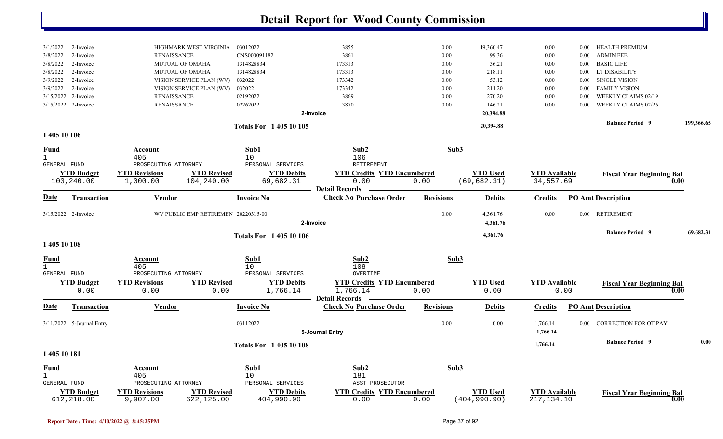|                                                                                                                                                                                                     |                                                                                                                                                                                               |                                                                                                  | <b>Detail Report for Wood County Commission</b>                                                                                   |                                                                          |                                                                                           |                                                                                                                              |                                                                                                                                                                        |            |
|-----------------------------------------------------------------------------------------------------------------------------------------------------------------------------------------------------|-----------------------------------------------------------------------------------------------------------------------------------------------------------------------------------------------|--------------------------------------------------------------------------------------------------|-----------------------------------------------------------------------------------------------------------------------------------|--------------------------------------------------------------------------|-------------------------------------------------------------------------------------------|------------------------------------------------------------------------------------------------------------------------------|------------------------------------------------------------------------------------------------------------------------------------------------------------------------|------------|
| 3/1/2022<br>2-Invoice<br>3/8/2022<br>2-Invoice<br>2-Invoice<br>3/8/2022<br>3/8/2022<br>2-Invoice<br>3/9/2022<br>2-Invoice<br>2-Invoice<br>3/9/2022<br>3/15/2022<br>2-Invoice<br>3/15/2022 2-Invoice | HIGHMARK WEST VIRGINIA<br><b>RENAISSANCE</b><br><b>MUTUAL OF OMAHA</b><br>MUTUAL OF OMAHA<br>VISION SERVICE PLAN (WV)<br>VISION SERVICE PLAN (WV)<br><b>RENAISSANCE</b><br><b>RENAISSANCE</b> | 03012022<br>CNS000091182<br>1314828834<br>1314828834<br>032022<br>032022<br>02192022<br>02262022 | 3855<br>3861<br>173313<br>173313<br>173342<br>173342<br>3869<br>3870<br>2-Invoice                                                 | $0.00\,$<br>0.00<br>$0.00\,$<br>$0.00\,$<br>0.00<br>0.00<br>0.00<br>0.00 | 19,360.47<br>99.36<br>36.21<br>218.11<br>53.12<br>211.20<br>270.20<br>146.21<br>20,394.88 | 0.00<br>0.00<br>0.00<br>0.00<br>0.00<br>0.00<br>0.00<br>0.00<br>0.00<br>0.00<br>0.00<br>0.00<br>0.00<br>0.00<br>0.00<br>0.00 | HEALTH PREMIUM<br><b>ADMIN FEE</b><br><b>BASIC LIFE</b><br>LT DISABILITY<br><b>SINGLE VISION</b><br><b>FAMILY VISION</b><br>WEEKLY CLAIMS 02/19<br>WEEKLY CLAIMS 02/26 |            |
| 1 405 10 106                                                                                                                                                                                        |                                                                                                                                                                                               | <b>Totals For 140510105</b>                                                                      |                                                                                                                                   |                                                                          | 20,394.88                                                                                 |                                                                                                                              | <b>Balance Period 9</b>                                                                                                                                                | 199,366.65 |
| <u>Fund</u><br>$\mathbf{1}$<br>GENERAL FUND<br><b>YTD Budget</b><br>103,240.00<br><u>Date</u><br><b>Transaction</b>                                                                                 | Account<br>405<br>PROSECUTING ATTORNEY<br><b>YTD Revised</b><br><b>YTD Revisions</b><br>1,000.00<br>104,240.00<br><b>Vendor</b>                                                               | Sub1<br>10<br>PERSONAL SERVICES<br><b>YTD Debits</b><br>69,682.31<br><b>Invoice No</b>           | Sub2<br>106<br>RETIREMENT<br><b>YTD Credits YTD Encumbered</b><br>0.00<br><b>Detail Records</b><br><b>Check No Purchase Order</b> | Sub3<br>0.00<br><b>Revisions</b>                                         | <b>YTD Used</b><br>(69, 682.31)<br><b>Debits</b>                                          | <b>YTD Available</b><br>34,557.69<br><b>Credits</b>                                                                          | <b>Fiscal Year Beginning Bal</b><br>0.00<br><b>PO Amt Description</b>                                                                                                  |            |
| 3/15/2022 2-Invoice                                                                                                                                                                                 | WV PUBLIC EMP RETIREMEN 20220315-00                                                                                                                                                           |                                                                                                  |                                                                                                                                   | 0.00                                                                     | 4,361.76                                                                                  | 0.00<br>$0.00\,$                                                                                                             | <b>RETIREMENT</b>                                                                                                                                                      |            |
|                                                                                                                                                                                                     |                                                                                                                                                                                               | <b>Totals For 140510106</b>                                                                      | 2-Invoice                                                                                                                         |                                                                          | 4,361.76<br>4,361.76                                                                      |                                                                                                                              | <b>Balance Period 9</b>                                                                                                                                                | 69,682.31  |
| 1 405 10 108                                                                                                                                                                                        |                                                                                                                                                                                               |                                                                                                  |                                                                                                                                   |                                                                          |                                                                                           |                                                                                                                              |                                                                                                                                                                        |            |
| <u>Fund</u><br>$\mathbf{1}$<br>GENERAL FUND<br><b>YTD Budget</b><br>0.00                                                                                                                            | Account<br>405<br>PROSECUTING ATTORNEY<br><b>YTD Revised</b><br><b>YTD Revisions</b><br>0.00                                                                                                  | Sub1<br>10<br>PERSONAL SERVICES<br><b>YTD Debits</b><br>1,766.14<br>0.00                         | Sub2<br>108<br>OVERTIME<br><b>YTD Credits YTD Encumbered</b><br>1,766.14                                                          | Sub3<br>0.00                                                             | <b>YTD Used</b><br>0.00                                                                   | <b>YTD Available</b><br>0.00                                                                                                 | <b>Fiscal Year Beginning Bal</b><br>0.00                                                                                                                               |            |
| Date<br><b>Transaction</b>                                                                                                                                                                          | <b>Vendor</b>                                                                                                                                                                                 | <b>Invoice No</b>                                                                                | <b>Detail Records</b><br><b>Check No Purchase Order</b>                                                                           | <b>Revisions</b>                                                         | <b>Debits</b>                                                                             | <b>Credits</b>                                                                                                               | <b>PO Amt Description</b>                                                                                                                                              |            |
| 3/11/2022 5-Journal Entry                                                                                                                                                                           |                                                                                                                                                                                               | 03112022                                                                                         | 5-Journal Entry                                                                                                                   | 0.00                                                                     | 0.00                                                                                      | 1,766.14<br>1,766.14                                                                                                         | 0.00 CORRECTION FOR OT PAY                                                                                                                                             |            |
| 1 405 10 181                                                                                                                                                                                        |                                                                                                                                                                                               | <b>Totals For 140510108</b>                                                                      |                                                                                                                                   |                                                                          |                                                                                           | 1,766.14                                                                                                                     | <b>Balance Period 9</b>                                                                                                                                                | 0.00       |
| <b>Fund</b><br>$\mathbf{1}$<br>GENERAL FUND<br><b>YTD Budget</b><br>612,218.00                                                                                                                      | Account<br>405<br>PROSECUTING ATTORNEY<br><b>YTD Revised</b><br><b>YTD Revisions</b><br>9,907.00<br>622,125.00                                                                                | Sub1<br>10<br>PERSONAL SERVICES<br><b>YTD Debits</b><br>404,990.90                               | Sub2<br>181<br>ASST PROSECUTOR<br><b>YTD Credits YTD Encumbered</b><br>0.00                                                       | Sub3<br>0.00                                                             | <b>YTD Used</b><br>(404, 990.90)                                                          | <b>YTD</b> Available<br>217, 134. 10                                                                                         | <b>Fiscal Year Beginning Bal</b><br>0.00                                                                                                                               |            |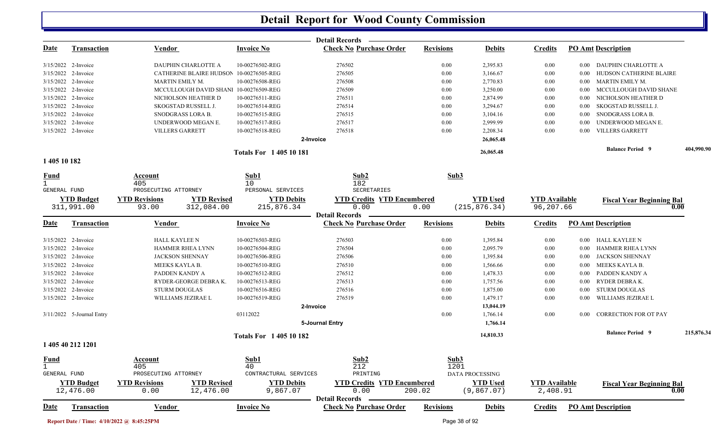|                                     |                                |                                                                 |                               | Detail Records —                                        |                  |                                |                                  |          |                                          |            |
|-------------------------------------|--------------------------------|-----------------------------------------------------------------|-------------------------------|---------------------------------------------------------|------------------|--------------------------------|----------------------------------|----------|------------------------------------------|------------|
| <u>Date</u>                         | <b>Transaction</b>             | <b>Vendor</b>                                                   | <b>Invoice No</b>             | <b>Check No Purchase Order</b>                          | <b>Revisions</b> | <b>Debits</b>                  | <b>Credits</b>                   |          | <b>PO Amt Description</b>                |            |
|                                     | 3/15/2022 2-Invoice            | DAUPHIN CHARLOTTE A                                             | 10-00276502-REG               | 276502                                                  | 0.00             | 2,395.83                       | 0.00                             | $0.00\,$ | DAUPHIN CHARLOTTE A                      |            |
|                                     | 3/15/2022 2-Invoice            | CATHERINE BLAIRE HUDSON 10-00276505-REG                         |                               | 276505                                                  | 0.00             | 3,166.67                       | $0.00\,$                         | $0.00\,$ | HUDSON CATHERINE BLAIRE                  |            |
|                                     | 3/15/2022 2-Invoice            | MARTIN EMILY M.                                                 | 10-00276508-REG               | 276508                                                  | 0.00             | 2,770.83                       | 0.00                             | $0.00\,$ | MARTIN EMILY M.                          |            |
|                                     | 3/15/2022 2-Invoice            | MCCULLOUGH DAVID SHANI 10-00276509-REG                          |                               | 276509                                                  | 0.00             | 3,250.00                       | 0.00                             | $0.00\,$ | MCCULLOUGH DAVID SHANE                   |            |
|                                     | 3/15/2022 2-Invoice            | NICHOLSON HEATHER D                                             | 10-00276511-REG               | 276511                                                  | 0.00             | 2,874.99                       | 0.00                             | $0.00\,$ | NICHOLSON HEATHER D                      |            |
|                                     | 3/15/2022 2-Invoice            | SKOGSTAD RUSSELL J.                                             | 10-00276514-REG               | 276514                                                  | 0.00             | 3,294.67                       | 0.00                             | $0.00\,$ | SKOGSTAD RUSSELL J.                      |            |
|                                     | 3/15/2022 2-Invoice            | SNODGRASS LORA B.                                               | 10-00276515-REG               | 276515                                                  | 0.00             | 3,104.16                       | 0.00                             | $0.00\,$ | SNODGRASS LORA B.                        |            |
|                                     | 3/15/2022 2-Invoice            | UNDERWOOD MEGAN E.                                              | 10-00276517-REG               | 276517                                                  | 0.00             | 2,999.99                       | $0.00\,$                         | $0.00\,$ | UNDERWOOD MEGAN E.                       |            |
|                                     | 3/15/2022 2-Invoice            | <b>VILLERS GARRETT</b>                                          | 10-00276518-REG               | 276518                                                  | 0.00             | 2,208.34                       | $0.00\,$                         | $0.00\,$ | <b>VILLERS GARRETT</b>                   |            |
|                                     |                                |                                                                 |                               | 2-Invoice                                               |                  | 26,065.48                      |                                  |          |                                          |            |
| 1 405 10 182                        |                                |                                                                 | <b>Totals For 140510181</b>   |                                                         |                  | 26,065.48                      |                                  |          | <b>Balance Period 9</b>                  | 404,990.90 |
| <u>Fund</u>                         |                                | Account                                                         | Sub1                          | Sub2                                                    |                  | Sub3                           |                                  |          |                                          |            |
| $\mathbf{1}$<br><b>GENERAL FUND</b> |                                | 405<br>PROSECUTING ATTORNEY                                     | 10<br>PERSONAL SERVICES       | 182<br>SECRETARIES                                      |                  |                                |                                  |          |                                          |            |
|                                     | <b>YTD Budget</b>              | <b>YTD Revised</b><br><b>YTD Revisions</b>                      | <b>YTD Debits</b>             | <b>YTD Credits YTD Encumbered</b>                       |                  | <b>YTD</b> Used                | <b>YTD Available</b>             |          |                                          |            |
|                                     | 311,991.00                     | 312,084.00<br>93.00                                             | 215,876.34                    | 0.00                                                    | 0.00             | (215, 876.34)                  | 96,207.66                        |          | <b>Fiscal Year Beginning Bal</b><br>0.00 |            |
|                                     |                                |                                                                 |                               | <b>Detail Records</b>                                   |                  |                                |                                  |          |                                          |            |
| Date                                | <b>Transaction</b>             | Vendor                                                          | <b>Invoice No</b>             | <b>Check No Purchase Order</b>                          | <b>Revisions</b> | <b>Debits</b>                  | <b>Credits</b>                   |          | <b>PO Amt Description</b>                |            |
|                                     | 3/15/2022 2-Invoice            | <b>HALL KAYLEE N</b>                                            | 10-00276503-REG               | 276503                                                  | 0.00             | 1,395.84                       | 0.00                             |          | 0.00 HALL KAYLEE N                       |            |
|                                     | 3/15/2022 2-Invoice            | HAMMER RHEA LYNN                                                | 10-00276504-REG               | 276504                                                  | 0.00             | 2,095.79                       | 0.00                             | $0.00\,$ | HAMMER RHEA LYNN                         |            |
|                                     | 3/15/2022 2-Invoice            | <b>JACKSON SHENNAY</b>                                          | 10-00276506-REG               | 276506                                                  | 0.00             | 1,395.84                       | 0.00                             | $0.00\,$ | <b>JACKSON SHENNAY</b>                   |            |
|                                     | 3/15/2022 2-Invoice            | MEEKS KAYLA B.                                                  | 10-00276510-REG               | 276510                                                  | 0.00             | 1,566.66                       | 0.00                             | $0.00\,$ | MEEKS KAYLA B.                           |            |
|                                     | 3/15/2022 2-Invoice            | PADDEN KANDY A                                                  | 10-00276512-REG               | 276512                                                  | 0.00             | 1,478.33                       | $0.00\,$                         | $0.00\,$ | PADDEN KANDY A                           |            |
|                                     | 3/15/2022 2-Invoice            | RYDER-GEORGE DEBRA K.                                           | 10-00276513-REG               | 276513                                                  | 0.00             | 1,757.56                       | $0.00\,$                         | $0.00\,$ | RYDER DEBRA K.                           |            |
|                                     | 3/15/2022 2-Invoice            | <b>STURM DOUGLAS</b>                                            | 10-00276516-REG               | 276516                                                  | 0.00             | 1,875.00                       | $0.00\,$                         | $0.00\,$ | <b>STURM DOUGLAS</b>                     |            |
|                                     | 3/15/2022 2-Invoice            | WILLIAMS JEZIRAE L                                              | 10-00276519-REG               | 276519                                                  | 0.00             | 1,479.17                       | $0.00\,$                         | $0.00\,$ | WILLIAMS JEZIRAE L                       |            |
|                                     |                                |                                                                 |                               | 2-Invoice                                               |                  | 13,044.19                      |                                  |          |                                          |            |
|                                     | 3/11/2022 5-Journal Entry      |                                                                 | 03112022                      | 5-Journal Entry                                         | 0.00             | 1,766.14<br>1,766.14           | $0.00\,$                         | 0.00     | <b>CORRECTION FOR OT PAY</b>             |            |
|                                     |                                |                                                                 | <b>Totals For 140510182</b>   |                                                         |                  | 14,810.33                      |                                  |          | <b>Balance Period 9</b>                  | 215,876.34 |
|                                     | 1 405 40 212 1201              |                                                                 |                               |                                                         |                  |                                |                                  |          |                                          |            |
| <b>Fund</b>                         |                                | <b>Account</b>                                                  | Sub1                          | Sub2                                                    |                  | Sub3                           |                                  |          |                                          |            |
| $\mathbf 1$                         |                                | 405                                                             | 40                            | 212                                                     |                  | 1201                           |                                  |          |                                          |            |
| <b>GENERAL FUND</b>                 |                                | PROSECUTING ATTORNEY                                            | CONTRACTURAL SERVICES         | PRINTING                                                |                  | <b>DATA PROCESSING</b>         |                                  |          |                                          |            |
|                                     | <b>YTD Budget</b><br>12,476.00 | <b>YTD Revised</b><br><b>YTD Revisions</b><br>12,476.00<br>0.00 | <b>YTD Debits</b><br>9,867.07 | <b>YTD Credits YTD Encumbered</b><br>0.00               | 200.02           | <b>YTD Used</b><br>(9, 867.07) | <b>YTD Available</b><br>2,408.91 |          | <b>Fiscal Year Beginning Bal</b><br>0.00 |            |
| <u>Date</u>                         |                                |                                                                 |                               | <b>Detail Records</b><br><b>Check No Purchase Order</b> |                  |                                |                                  |          |                                          |            |
|                                     | <b>Transaction</b>             | <b>Vendor</b>                                                   | <b>Invoice No</b>             |                                                         | <b>Revisions</b> | <b>Debits</b>                  | <b>Credits</b>                   |          | <b>PO Amt Description</b>                |            |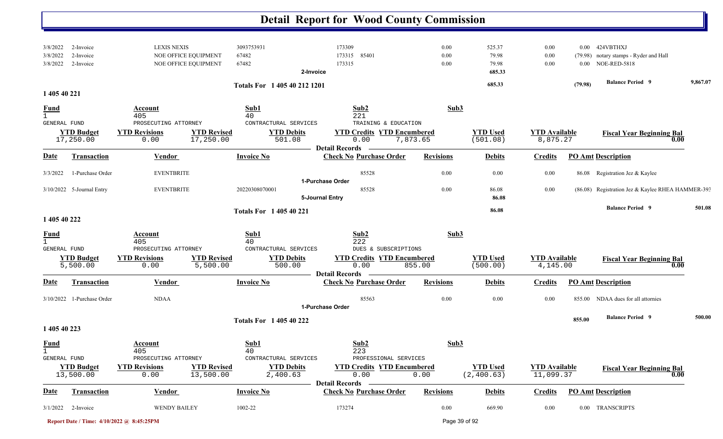|                                                                                      |                                                                                                           |                                                                      | <b>Detail Report for Wood County Commission</b>                                                           |                      |                                    |                                   |                                 |                                                                                               |          |
|--------------------------------------------------------------------------------------|-----------------------------------------------------------------------------------------------------------|----------------------------------------------------------------------|-----------------------------------------------------------------------------------------------------------|----------------------|------------------------------------|-----------------------------------|---------------------------------|-----------------------------------------------------------------------------------------------|----------|
| 3/8/2022<br>2-Invoice<br>2-Invoice<br>3/8/2022<br>3/8/2022<br>2-Invoice              | <b>LEXIS NEXIS</b><br>NOE OFFICE EQUIPMENT<br>NOE OFFICE EQUIPMENT                                        | 3093753931<br>67482<br>67482<br>2-Invoice                            | 173309<br>173315<br>85401<br>173315                                                                       | 0.00<br>0.00<br>0.00 | 525.37<br>79.98<br>79.98<br>685.33 | 0.00<br>0.00<br>0.00              | $0.00\,$<br>(79.98)<br>$0.00\,$ | 424VBTHXJ<br>notary stamps - Ryder and Hall<br><b>NOE-RED-5818</b><br><b>Balance Period 9</b> | 9,867.07 |
| 1 405 40 221                                                                         |                                                                                                           | Totals For 1 405 40 212 1201                                         |                                                                                                           |                      | 685.33                             |                                   | (79.98)                         |                                                                                               |          |
| <b>Fund</b><br>$\mathbf{1}$<br>GENERAL FUND<br><b>YTD Budget</b><br>17,250.00        | Account<br>405<br>PROSECUTING ATTORNEY<br><b>YTD Revisions</b><br><b>YTD Revised</b><br>17,250.00<br>0.00 | Sub1<br>40<br>CONTRACTURAL SERVICES<br><b>YTD Debits</b><br>501.08   | Sub2<br>221<br>TRAINING & EDUCATION<br><b>YTD Credits YTD Encumbered</b><br>0.00<br><b>Detail Records</b> | Sub3<br>7,873.65     | <b>YTD Used</b><br>(501.08)        | <b>YTD Available</b><br>8,875.27  |                                 | <b>Fiscal Year Beginning Bal</b><br>0.00                                                      |          |
| Transaction<br>Date                                                                  | Vendor                                                                                                    | <b>Invoice No</b>                                                    | <b>Check No Purchase Order</b>                                                                            | <b>Revisions</b>     | <b>Debits</b>                      | <b>Credits</b>                    |                                 | <b>PO Amt Description</b>                                                                     |          |
| 1-Purchase Order<br>3/3/2022                                                         | <b>EVENTBRITE</b>                                                                                         |                                                                      | 85528<br>1-Purchase Order                                                                                 | 0.00                 | 0.00                               | 0.00                              | 86.08                           | Registration Jez & Kaylee                                                                     |          |
| 3/10/2022 5-Journal Entry                                                            | <b>EVENTBRITE</b>                                                                                         | 20220308070001                                                       | 85528<br>5-Journal Entry                                                                                  | 0.00                 | 86.08<br>86.08                     | 0.00                              |                                 | (86.08) Registration Jez & Kaylee RHEA HAMMER-393                                             |          |
|                                                                                      |                                                                                                           | <b>Totals For 1 405 40 221</b>                                       |                                                                                                           |                      | 86.08                              |                                   |                                 | <b>Balance Period 9</b>                                                                       | 501.08   |
| 1 405 40 222<br><b>Fund</b><br>GENERAL FUND<br><b>YTD Budget</b><br>5,500.00         | Account<br>405<br>PROSECUTING ATTORNEY<br><b>YTD Revisions</b><br><b>YTD Revised</b><br>5,500.00<br>0.00  | Sub1<br>40<br>CONTRACTURAL SERVICES<br><b>YTD Debits</b><br>500.00   | Sub2<br>222<br>DUES & SUBSCRIPTIONS<br><b>YTD Credits YTD Encumbered</b><br>0.00                          | Sub3<br>855.00       | <b>YTD Used</b><br>(500.00)        | <b>YTD</b> Available<br>4,145.00  |                                 | <b>Fiscal Year Beginning Bal</b><br>0.00                                                      |          |
| Date<br><b>Transaction</b>                                                           | Vendor                                                                                                    | <b>Invoice No</b>                                                    | <b>Detail Records</b><br><b>Check No Purchase Order</b>                                                   | <b>Revisions</b>     | <b>Debits</b>                      | <b>Credits</b>                    |                                 | <b>PO Amt Description</b>                                                                     |          |
| 3/10/2022 1-Purchase Order                                                           | <b>NDAA</b>                                                                                               |                                                                      | 85563<br>1-Purchase Order                                                                                 | 0.00                 | 0.00                               | 0.00                              | 855.00                          | NDAA dues for all attornies                                                                   |          |
| 1 405 40 223                                                                         |                                                                                                           | <b>Totals For 140540222</b>                                          |                                                                                                           |                      |                                    |                                   | 855.00                          | <b>Balance Period 9</b>                                                                       | 500.00   |
| <b>Fund</b><br>$\mathbf{1}$<br><b>GENERAL FUND</b><br><b>YTD Budget</b><br>13,500.00 | Account<br>405<br>PROSECUTING ATTORNEY<br><b>YTD Revisions</b><br><b>YTD Revised</b><br>13,500.00<br>0.00 | Sub1<br>40<br>CONTRACTURAL SERVICES<br><b>YTD Debits</b><br>2,400.63 | Sub2<br>223<br>PROFESSIONAL SERVICES<br><b>YTD Credits YTD Encumbered</b><br>0.00                         | Sub3<br>0.00         | <b>YTD Used</b><br>(2, 400.63)     | <b>YTD</b> Available<br>11,099.37 |                                 | <b>Fiscal Year Beginning Bal</b><br>0.00                                                      |          |
| Transaction<br><u>Date</u>                                                           | <b>Vendor</b>                                                                                             | <b>Invoice No</b>                                                    | <b>Detail Records</b><br><b>Check No Purchase Order</b>                                                   | <b>Revisions</b>     | <b>Debits</b>                      | <b>Credits</b>                    |                                 | <b>PO Amt Description</b>                                                                     |          |
| 3/1/2022<br>2-Invoice                                                                | <b>WENDY BAILEY</b>                                                                                       | 1002-22                                                              | 173274                                                                                                    | 0.00                 | 669.90                             | 0.00                              |                                 | 0.00 TRANSCRIPTS                                                                              |          |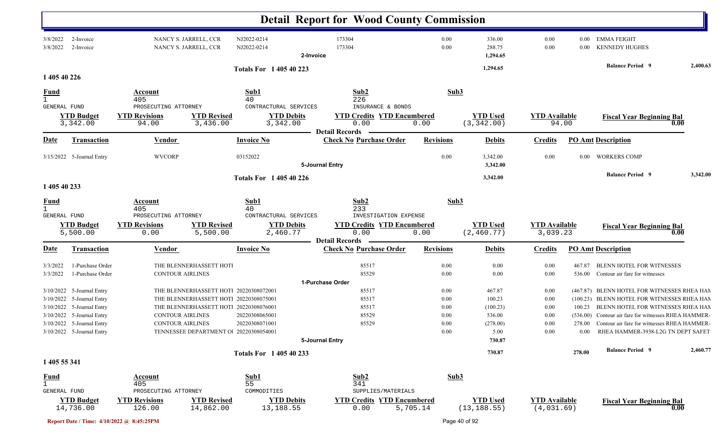|                                     |                               |                                                                 |                                         | <b>Detail Report for Wood County Commission</b>                    |                  |                                |                                  |          |                                                      |          |
|-------------------------------------|-------------------------------|-----------------------------------------------------------------|-----------------------------------------|--------------------------------------------------------------------|------------------|--------------------------------|----------------------------------|----------|------------------------------------------------------|----------|
| 3/8/2022<br>3/8/2022                | 2-Invoice<br>2-Invoice        | NANCY S. JARRELL, CCR<br>NANCY S. JARRELL, CCR                  | NJ2022-0214<br>NJ2022-0214<br>2-Invoice | 173304<br>173304                                                   | 0.00<br>0.00     | 336.00<br>288.75<br>1,294.65   | 0.00<br>0.00                     | $0.00\,$ | 0.00 EMMA FEIGHT<br><b>KENNEDY HUGHES</b>            |          |
| 1 405 40 226                        |                               |                                                                 | <b>Totals For 140540223</b>             |                                                                    |                  | 1,294.65                       |                                  |          | <b>Balance Period</b> 9                              | 2,400.63 |
|                                     |                               | Account                                                         | Sub1                                    | Sub2                                                               | Sub3             |                                |                                  |          |                                                      |          |
| $\frac{Fund}{1}$                    |                               | 405                                                             | 40                                      | 226                                                                |                  |                                |                                  |          |                                                      |          |
| GENERAL FUND                        |                               | PROSECUTING ATTORNEY                                            | CONTRACTURAL SERVICES                   | INSURANCE & BONDS                                                  |                  |                                |                                  |          |                                                      |          |
|                                     | <b>YTD Budget</b><br>3,342.00 | <b>YTD Revisions</b><br><b>YTD Revised</b><br>3,436.00<br>94.00 | <b>YTD Debits</b><br>3,342.00           | <b>YTD Credits YTD Encumbered</b><br>0.00<br><b>Detail Records</b> | 0.00             | <b>YTD Used</b><br>(3, 342.00) | <b>YTD</b> Available<br>94.00    |          | <b>Fiscal Year Beginning Bal</b>                     | 0.00     |
| <u>Date</u>                         | <b>Transaction</b>            | Vendor                                                          | <b>Invoice No</b>                       | <b>Check No Purchase Order</b>                                     | <b>Revisions</b> | <b>Debits</b>                  | <b>Credits</b>                   |          | <b>PO Amt Description</b>                            |          |
|                                     | 3/15/2022 5-Journal Entry     | <b>WVCORP</b>                                                   | 03152022                                | 5-Journal Entry                                                    | 0.00             | 3,342.00<br>3,342.00           | 0.00                             | $0.00\,$ | <b>WORKERS COMP</b>                                  |          |
|                                     |                               |                                                                 | <b>Totals For 140540226</b>             |                                                                    |                  | 3,342.00                       |                                  |          | <b>Balance Period 9</b>                              | 3,342.00 |
| 1 405 40 233                        |                               |                                                                 |                                         |                                                                    |                  |                                |                                  |          |                                                      |          |
| <u>Fund</u><br>$\mathbf{1}$         |                               | Account<br>405                                                  | Sub1<br>40                              | Sub2<br>233                                                        | Sub3             |                                |                                  |          |                                                      |          |
| GENERAL FUND                        |                               | PROSECUTING ATTORNEY                                            | CONTRACTURAL SERVICES                   | INVESTIGATION EXPENSE                                              |                  |                                |                                  |          |                                                      |          |
|                                     | <b>YTD Budget</b><br>5,500.00 | <b>YTD Revisions</b><br><b>YTD Revised</b><br>5,500.00<br>0.00  | <b>YTD Debits</b><br>2,460.77           | <b>YTD Credits YTD Encumbered</b><br>0.00                          | 0.00             | <b>YTD Used</b><br>(2, 460.77) | <b>YTD Available</b><br>3,039.23 |          | <b>Fiscal Year Beginning Bal</b>                     | 0.00     |
| <u>Date</u>                         | Transaction                   | Vendor                                                          | <b>Invoice No</b>                       | <b>Detail Records</b><br><b>Check No Purchase Order</b>            | <b>Revisions</b> | <b>Debits</b>                  | <b>Credits</b>                   |          | <b>PO</b> Amt Description                            |          |
| 3/3/2022                            | 1-Purchase Order              | THE BLENNERHASSETT HOT                                          |                                         | 85517                                                              | 0.00             | 0.00                           | 0.00                             | 467.87   | <b>BLENN HOTEL FOR WITNESSES</b>                     |          |
| 3/3/2022                            | 1-Purchase Order              | <b>CONTOUR AIRLINES</b>                                         |                                         | 85529                                                              | 0.00             | 0.00                           | 0.00                             | 536.00   | Contour air fare for witnesses                       |          |
|                                     |                               |                                                                 |                                         | 1-Purchase Order                                                   |                  |                                |                                  |          |                                                      |          |
|                                     | 3/10/2022 5-Journal Entry     | THE BLENNERHASSETT HOT! 20220308072001                          |                                         | 85517                                                              | 0.00             | 467.87                         | 0.00                             |          | (467.87) BLENN HOTEL FOR WITNESSES RHEA HAN          |          |
|                                     | 3/10/2022 5-Journal Entry     | THE BLENNERHASSETT HOT! 20220308075001                          |                                         | 85517                                                              | 0.00             | 100.23                         | 0.00                             |          | (100.23) BLENN HOTEL FOR WITNESSES RHEA HAM          |          |
|                                     | 3/10/2022 5-Journal Entry     | THE BLENNERHASSETT HOT! 20220308076001                          |                                         | 85517                                                              | 0.00             | (100.23)                       | $0.00\,$                         |          | 100.23 BLENN HOTEL FOR WITNESSES RHEA HAM            |          |
|                                     | 3/10/2022 5-Journal Entry     | CONTOUR AIRLINES                                                | 20220308065001                          | 85529                                                              | 0.00             | 536.00                         | 0.00                             |          | (536.00) Contour air fare for witnesses RHEA HAMMER- |          |
|                                     | 3/10/2022 5-Journal Entry     | <b>CONTOUR AIRLINES</b>                                         | 20220308071001                          | 85529                                                              | 0.00             | (278.00)                       | 0.00                             |          | 278.00 Contour air fare for witnesses RHEA HAMMER-   |          |
|                                     | 3/10/2022 5-Journal Entry     | TENNESSEE DEPARTMENT O 20220308054001                           |                                         |                                                                    | $0.00\,$         | 5.00                           | 0.00                             |          | 0.00 RHEA HAMMER-3938-L2G TN DEPT SAFET              |          |
|                                     |                               |                                                                 |                                         | 5-Journal Entry                                                    |                  | 730.87                         |                                  |          |                                                      |          |
| 1 405 55 341                        |                               |                                                                 | Totals For 1 405 40 233                 |                                                                    |                  | 730.87                         |                                  | 278.00   | <b>Balance Period 9</b>                              | 2,460.77 |
|                                     |                               |                                                                 |                                         |                                                                    |                  |                                |                                  |          |                                                      |          |
| <b>Fund</b>                         |                               | Account                                                         | Sub1                                    | Sub2                                                               | Sub3             |                                |                                  |          |                                                      |          |
| $\mathbf{1}$<br><b>GENERAL FUND</b> |                               | 405<br>PROSECUTING ATTORNEY                                     | 55<br>COMMODITIES                       | 341<br>SUPPLIES/MATERIALS                                          |                  |                                |                                  |          |                                                      |          |
|                                     | <b>YTD Budget</b>             | <b>YTD Revised</b><br><b>YTD Revisions</b>                      | <b>YTD Debits</b>                       | <b>YTD Credits YTD Encumbered</b>                                  |                  | <b>YTD Used</b>                | <b>YTD Available</b>             |          |                                                      |          |
|                                     | 14,736.00                     | 126.00<br>14,862.00                                             | 13,188.55                               | 0.00                                                               | 5,705.14         | (13, 188.55)                   | (4,031.69)                       |          | <b>Fiscal Year Beginning Bal</b>                     | 0.00     |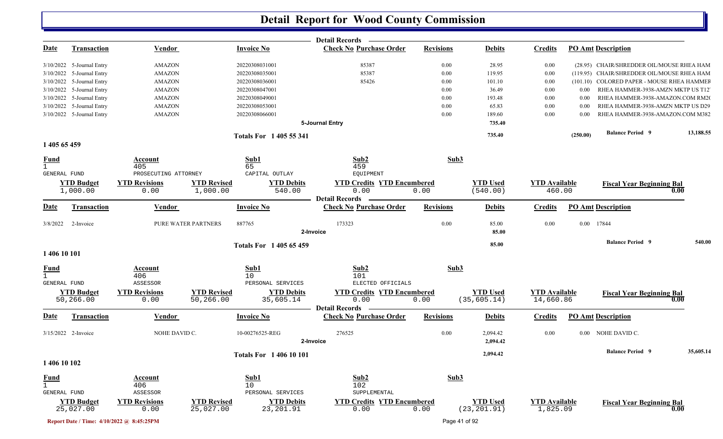|                              |                                |                                           |                                 |                                | <b>Detail Records</b>                                   |                  |                                 |                                   |          |                                            |      |           |
|------------------------------|--------------------------------|-------------------------------------------|---------------------------------|--------------------------------|---------------------------------------------------------|------------------|---------------------------------|-----------------------------------|----------|--------------------------------------------|------|-----------|
| <u>Date</u>                  | <b>Transaction</b>             | <b>Vendor</b>                             |                                 | <b>Invoice No</b>              | <b>Check No Purchase Order</b>                          | <b>Revisions</b> | <b>Debits</b>                   | <b>Credits</b>                    |          | <b>PO Amt Description</b>                  |      |           |
|                              | 3/10/2022 5-Journal Entry      | <b>AMAZON</b>                             |                                 | 20220308031001                 | 85387                                                   | 0.00             | 28.95                           | 0.00                              |          | (28.95) CHAIR/SHREDDER OIL/MOUSE RHEA HAM  |      |           |
|                              | 3/10/2022 5-Journal Entry      | <b>AMAZON</b>                             |                                 | 20220308035001                 | 85387                                                   | $0.00\,$         | 119.95                          | 0.00                              |          | (119.95) CHAIR/SHREDDER OIL/MOUSE RHEA HAM |      |           |
|                              | 3/10/2022 5-Journal Entry      | <b>AMAZON</b>                             |                                 | 20220308036001                 | 85426                                                   | 0.00             | 101.10                          | 0.00                              |          | (101.10) COLORED PAPER - MOUSE RHEA HAMMER |      |           |
|                              | 3/10/2022 5-Journal Entry      | <b>AMAZON</b>                             |                                 | 20220308047001                 |                                                         | 0.00             | 36.49                           | 0.00                              | 0.00     | RHEA HAMMER-3938-AMZN MKTP US T12          |      |           |
|                              | 3/10/2022 5-Journal Entry      | <b>AMAZON</b>                             |                                 | 20220308049001                 |                                                         | 0.00             | 193.48                          | 0.00                              | 0.00     | RHEA HAMMER-3938-AMAZON.COM RM20           |      |           |
|                              | 3/10/2022 5-Journal Entry      | <b>AMAZON</b>                             |                                 | 20220308053001                 |                                                         | 0.00             | 65.83                           | 0.00                              | 0.00     | RHEA HAMMER-3938-AMZN MKTP US D29          |      |           |
|                              |                                | <b>AMAZON</b>                             |                                 |                                |                                                         | 0.00             | 189.60                          | 0.00                              | 0.00     | RHEA HAMMER-3938-AMAZON.COM M382           |      |           |
|                              | 3/10/2022 5-Journal Entry      |                                           |                                 | 20220308066001                 | 5-Journal Entry                                         |                  | 735.40                          |                                   |          |                                            |      |           |
|                              |                                |                                           |                                 | <b>Totals For 1405 55 341</b>  |                                                         |                  | 735.40                          |                                   | (250.00) | <b>Balance Period 9</b>                    |      | 13,188.55 |
| 1 405 65 459                 |                                |                                           |                                 |                                |                                                         |                  |                                 |                                   |          |                                            |      |           |
| <b>Fund</b>                  |                                | <b>Account</b>                            |                                 | Sub1                           | Sub2                                                    | Sub3             |                                 |                                   |          |                                            |      |           |
| $\mathbf{1}$                 |                                | 405                                       |                                 | 65                             | 459                                                     |                  |                                 |                                   |          |                                            |      |           |
| GENERAL FUND                 |                                | PROSECUTING ATTORNEY                      |                                 | CAPITAL OUTLAY                 | EQUIPMENT                                               |                  |                                 |                                   |          |                                            |      |           |
|                              | <b>YTD Budget</b>              | <b>YTD Revisions</b>                      | <b>YTD Revised</b>              | <b>YTD Debits</b>              | <b>YTD Credits YTD Encumbered</b>                       |                  | <b>YTD</b> Used                 | <b>YTD</b> Available              |          | <b>Fiscal Year Beginning Bal</b>           |      |           |
|                              | 1,000.00                       | 0.00                                      | 1,000.00                        | 540.00                         | 0.00                                                    | 0.00             | (540.00)                        | 460.00                            |          |                                            | 0.00 |           |
| <b>Date</b>                  | <b>Transaction</b>             | Vendor                                    |                                 | <b>Invoice No</b>              | <b>Detail Records</b><br><b>Check No Purchase Order</b> | <b>Revisions</b> | <b>Debits</b>                   | <b>Credits</b>                    |          | <b>PO Amt Description</b>                  |      |           |
| 3/8/2022                     | 2-Invoice                      |                                           | PURE WATER PARTNERS             | 887765                         | 173323                                                  | 0.00             | 85.00                           | 0.00                              |          | 0.00 17844                                 |      |           |
|                              |                                |                                           |                                 |                                | 2-Invoice                                               |                  | 85.00                           |                                   |          |                                            |      |           |
|                              |                                |                                           |                                 | <b>Totals For 140565459</b>    |                                                         |                  | 85.00                           |                                   |          | <b>Balance Period 9</b>                    |      | 540.00    |
| 1 406 10 101                 |                                |                                           |                                 |                                |                                                         |                  |                                 |                                   |          |                                            |      |           |
| <b>Fund</b>                  |                                | Account                                   |                                 | Sub1                           | Sub2                                                    | Sub3             |                                 |                                   |          |                                            |      |           |
| $\mathbf{1}$<br>GENERAL FUND |                                | 406<br>ASSESSOR                           |                                 | 10<br>PERSONAL SERVICES        | 101<br>ELECTED OFFICIALS                                |                  |                                 |                                   |          |                                            |      |           |
|                              |                                |                                           |                                 |                                |                                                         |                  |                                 |                                   |          |                                            |      |           |
|                              | <b>YTD Budget</b><br>50,266.00 | <b>YTD Revisions</b>                      | <b>YTD Revised</b><br>50,266.00 | <b>YTD Debits</b><br>35,605.14 | <b>YTD Credits YTD Encumbered</b><br>0.00               |                  | <b>YTD Used</b><br>(35, 605.14) | <b>YTD Available</b><br>14,660.86 |          | <b>Fiscal Year Beginning Bal</b>           | 0.00 |           |
|                              |                                | 0.00                                      |                                 |                                | <b>Detail Records</b>                                   | 0.00             |                                 |                                   |          |                                            |      |           |
| <u>Date</u>                  | Transaction                    | Vendor                                    |                                 | <b>Invoice No</b>              | <b>Check No Purchase Order</b>                          | <b>Revisions</b> | <b>Debits</b>                   | <b>Credits</b>                    |          | <b>PO Amt Description</b>                  |      |           |
|                              | 3/15/2022 2-Invoice            | NOHE DAVID C.                             |                                 | 10-00276525-REG                | 276525                                                  | 0.00             | 2,094.42                        | 0.00                              |          | 0.00 NOHE DAVID C.                         |      |           |
|                              |                                |                                           |                                 |                                | 2-Invoice                                               |                  | 2,094.42                        |                                   |          |                                            |      |           |
|                              |                                |                                           |                                 | <b>Totals For 140610101</b>    |                                                         |                  | 2,094.42                        |                                   |          | <b>Balance Period 9</b>                    |      | 35,605.14 |
| 1 406 10 102                 |                                |                                           |                                 |                                |                                                         |                  |                                 |                                   |          |                                            |      |           |
| <b>Fund</b>                  |                                | Account                                   |                                 | Sub1                           | Sub2                                                    | Sub3             |                                 |                                   |          |                                            |      |           |
| $\mathbf{1}$                 |                                | 406                                       |                                 | 10                             | 102                                                     |                  |                                 |                                   |          |                                            |      |           |
| GENERAL FUND                 |                                | ASSESSOR                                  |                                 | PERSONAL SERVICES              | SUPPLEMENTAL                                            |                  |                                 |                                   |          |                                            |      |           |
|                              | <b>YTD Budget</b><br>25,027.00 | <b>YTD Revisions</b>                      | <b>YTD Revised</b>              | <b>YTD Debits</b>              | <b>YTD Credits YTD Encumbered</b>                       |                  | <b>YTD</b> Used                 | <b>YTD Available</b>              |          | <b>Fiscal Year Beginning Bal</b>           | 0.00 |           |
|                              |                                | 0.00                                      | 25,027.00                       | 23, 201.91                     | 0.00                                                    | 0.00             | (23, 201.91)                    | 1,825.09                          |          |                                            |      |           |
|                              |                                | Report Date / Time: 4/10/2022 @ 8:45:25PM |                                 |                                |                                                         | Page 41 of 92    |                                 |                                   |          |                                            |      |           |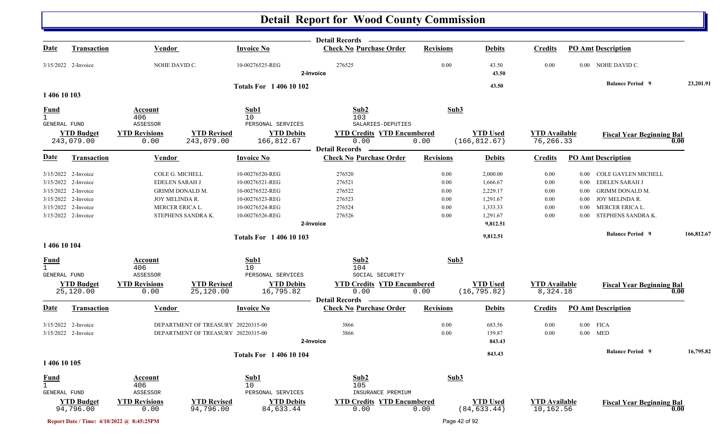|                                                    |                                                                                                                                        |                                                    |                                                                                                                               |                                                                                                                | Detail Records —                                                      |                                              |                                                                                  |                                              |                                                              |                                                                                                                            |            |
|----------------------------------------------------|----------------------------------------------------------------------------------------------------------------------------------------|----------------------------------------------------|-------------------------------------------------------------------------------------------------------------------------------|----------------------------------------------------------------------------------------------------------------|-----------------------------------------------------------------------|----------------------------------------------|----------------------------------------------------------------------------------|----------------------------------------------|--------------------------------------------------------------|----------------------------------------------------------------------------------------------------------------------------|------------|
| <u>Date</u>                                        | <b>Transaction</b>                                                                                                                     | <b>Vendor</b>                                      |                                                                                                                               | <b>Invoice No</b>                                                                                              | <b>Check No Purchase Order</b>                                        | <b>Revisions</b>                             | <b>Debits</b>                                                                    | <b>Credits</b>                               |                                                              | <b>PO Amt Description</b>                                                                                                  |            |
|                                                    | 3/15/2022 2-Invoice                                                                                                                    | NOHE DAVID C.                                      |                                                                                                                               | 10-00276525-REG                                                                                                | 276525<br>2-Invoice                                                   | 0.00                                         | 43.50<br>43.50                                                                   | 0.00                                         |                                                              | 0.00 NOHE DAVID C.                                                                                                         |            |
|                                                    |                                                                                                                                        |                                                    |                                                                                                                               | <b>Totals For 140610102</b>                                                                                    |                                                                       |                                              | 43.50                                                                            |                                              |                                                              | <b>Balance Period 9</b>                                                                                                    | 23,201.91  |
| 1 406 10 103                                       |                                                                                                                                        |                                                    |                                                                                                                               |                                                                                                                |                                                                       |                                              |                                                                                  |                                              |                                                              |                                                                                                                            |            |
| <b>Fund</b><br>$\mathbf{1}$<br><b>GENERAL FUND</b> |                                                                                                                                        | Account<br>406<br>ASSESSOR                         |                                                                                                                               | Sub1<br>10<br>PERSONAL SERVICES                                                                                | Sub2<br>103<br>SALARIES-DEPUTIES                                      | Sub3                                         |                                                                                  |                                              |                                                              |                                                                                                                            |            |
|                                                    | <b>YTD Budget</b><br>243,079.00                                                                                                        | <b>YTD Revisions</b><br>0.00                       | <b>YTD Revised</b><br>243,079.00                                                                                              | <b>YTD Debits</b><br>166,812.67                                                                                | <b>YTD Credits YTD Encumbered</b><br>0.00                             | 0.00                                         | <b>YTD Used</b><br>(166, 812.67)                                                 | <b>YTD</b> Available<br>76,266.33            |                                                              | <b>Fiscal Year Beginning Bal</b>                                                                                           | 0.00       |
| <b>Date</b>                                        | <b>Transaction</b>                                                                                                                     | Vendor                                             |                                                                                                                               | <b>Invoice No</b>                                                                                              | <b>Detail Records</b><br><b>Check No Purchase Order</b>               | <b>Revisions</b>                             | <b>Debits</b>                                                                    | <b>Credits</b>                               |                                                              | <b>PO Amt Description</b>                                                                                                  |            |
|                                                    | 3/15/2022 2-Invoice<br>3/15/2022 2-Invoice<br>3/15/2022 2-Invoice<br>3/15/2022 2-Invoice<br>3/15/2022 2-Invoice<br>3/15/2022 2-Invoice |                                                    | COLE G. MICHELL<br><b>EDELEN SARAH J</b><br><b>GRIMM DONALD M.</b><br>JOY MELINDA R.<br>MERCER ERICA L.<br>STEPHENS SANDRA K. | 10-00276520-REG<br>10-00276521-REG<br>10-00276522-REG<br>10-00276523-REG<br>10-00276524-REG<br>10-00276526-REG | 276520<br>276521<br>276522<br>276523<br>276524<br>276526<br>2-Invoice | 0.00<br>0.00<br>0.00<br>0.00<br>0.00<br>0.00 | 2,000.00<br>1,666.67<br>2,229.17<br>1,291.67<br>1,333.33<br>1,291.67<br>9,812.51 | 0.00<br>0.00<br>0.00<br>0.00<br>0.00<br>0.00 | $0.00\,$<br>$0.00\,$<br>0.00<br>$0.00\,$<br>$0.00\,$<br>0.00 | COLE GAYLEN MICHELL<br>EDELEN SARAH J<br><b>GRIMM DONALD M.</b><br>JOY MELINDA R.<br>MERCER ERICA L.<br>STEPHENS SANDRA K. |            |
|                                                    |                                                                                                                                        |                                                    |                                                                                                                               | <b>Totals For 140610103</b>                                                                                    |                                                                       |                                              | 9,812.51                                                                         |                                              |                                                              | <b>Balance Period</b> 9                                                                                                    | 166,812.67 |
| 1 406 10 104                                       |                                                                                                                                        |                                                    |                                                                                                                               |                                                                                                                |                                                                       |                                              |                                                                                  |                                              |                                                              |                                                                                                                            |            |
| <b>Fund</b><br>$\mathbf{1}$<br>GENERAL FUND        | <b>YTD Budget</b>                                                                                                                      | Account<br>406<br>ASSESSOR<br><b>YTD Revisions</b> | <b>YTD Revised</b>                                                                                                            | Sub1<br>10<br>PERSONAL SERVICES<br><b>YTD Debits</b>                                                           | Sub2<br>104<br>SOCIAL SECURITY<br><b>YTD Credits YTD Encumbered</b>   | Sub3                                         | <b>YTD Used</b>                                                                  | <b>YTD Available</b>                         |                                                              | <b>Fiscal Year Beginning Bal</b>                                                                                           |            |
|                                                    | 25,120.00                                                                                                                              | 0.00                                               | 25,120.00                                                                                                                     | 16,795.82                                                                                                      | 0.00<br><b>Detail Records</b>                                         | 0.00                                         | (16, 795.82)                                                                     | 8,324.18                                     |                                                              |                                                                                                                            | 0.00       |
| <u>Date</u>                                        | <b>Transaction</b>                                                                                                                     | <b>Vendor</b>                                      |                                                                                                                               | <b>Invoice No</b>                                                                                              | <b>Check No Purchase Order</b>                                        | <b>Revisions</b>                             | <b>Debits</b>                                                                    | <b>Credits</b>                               |                                                              | <b>PO Amt Description</b>                                                                                                  |            |
|                                                    | 3/15/2022 2-Invoice<br>3/15/2022 2-Invoice                                                                                             |                                                    | DEPARTMENT OF TREASURY 20220315-00<br>DEPARTMENT OF TREASURY 20220315-00                                                      |                                                                                                                | 3866<br>3866<br>2-Invoice                                             | 0.00<br>0.00                                 | 683.56<br>159.87<br>843.43                                                       | 0.00<br>0.00                                 |                                                              | $0.00$ FICA<br>$0.00$ MED                                                                                                  |            |
| 1 406 10 105                                       |                                                                                                                                        |                                                    |                                                                                                                               | <b>Totals For 1 406 10 104</b>                                                                                 |                                                                       |                                              | 843.43                                                                           |                                              |                                                              | <b>Balance Period 9</b>                                                                                                    | 16,795.82  |
| <b>Fund</b><br>$\mathbf{1}$<br>GENERAL FUND        |                                                                                                                                        | <b>Account</b><br>406<br>ASSESSOR                  |                                                                                                                               | Sub1<br>10<br>PERSONAL SERVICES                                                                                | Sub2<br>105<br>INSURANCE PREMIUM                                      | Sub3                                         |                                                                                  |                                              |                                                              |                                                                                                                            |            |
|                                                    | <b>YTD Budget</b><br>94,796.00                                                                                                         | <b>YTD Revisions</b><br>0.00                       | <b>YTD Revised</b><br>94,796.00                                                                                               | <b>YTD Debits</b><br>84,633.44                                                                                 | <b>YTD Credits YTD Encumbered</b><br>0.00                             | 0.00                                         | <b>YTD Used</b><br>(84, 633.44)                                                  | <b>YTD Available</b><br>10,162.56            |                                                              | <b>Fiscal Year Beginning Bal</b>                                                                                           | 0.00       |
|                                                    |                                                                                                                                        | Report Date / Time: 4/10/2022 @ 8:45:25PM          |                                                                                                                               |                                                                                                                |                                                                       |                                              | Page 42 of 92                                                                    |                                              |                                                              |                                                                                                                            |            |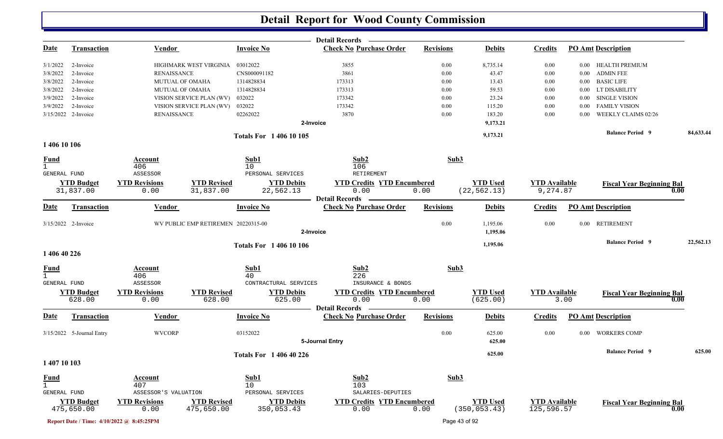|                                     |                                 |                                           |                                     |                                 | <b>Detail Records</b>                                   |                  |                                  |                                    |          |                                  |           |
|-------------------------------------|---------------------------------|-------------------------------------------|-------------------------------------|---------------------------------|---------------------------------------------------------|------------------|----------------------------------|------------------------------------|----------|----------------------------------|-----------|
| <u>Date</u>                         | <b>Transaction</b>              | <b>Vendor</b>                             |                                     | <b>Invoice No</b>               | <b>Check No Purchase Order</b>                          | <b>Revisions</b> | <b>Debits</b>                    | <b>Credits</b>                     |          | <b>PO Amt Description</b>        |           |
| 3/1/2022                            | 2-Invoice                       |                                           | HIGHMARK WEST VIRGINIA              | 03012022                        | 3855                                                    | 0.00             | 8,735.14                         | $0.00\,$                           | $0.00\,$ | HEALTH PREMIUM                   |           |
| 3/8/2022                            | 2-Invoice                       | <b>RENAISSANCE</b>                        |                                     | CNS000091182                    | 3861                                                    | 0.00             | 43.47                            | 0.00                               | $0.00\,$ | <b>ADMIN FEE</b>                 |           |
| 3/8/2022                            | 2-Invoice                       | MUTUAL OF OMAHA                           |                                     | 1314828834                      | 173313                                                  | 0.00             | 13.43                            | 0.00                               | $0.00\,$ | <b>BASIC LIFE</b>                |           |
| 3/8/2022                            | 2-Invoice                       | MUTUAL OF OMAHA                           |                                     | 1314828834                      | 173313                                                  | 0.00             | 59.53                            | 0.00                               | $0.00\,$ | LT DISABILITY                    |           |
| 3/9/2022                            | 2-Invoice                       |                                           | VISION SERVICE PLAN (WV)            | 032022                          | 173342                                                  | 0.00             | 23.24                            | 0.00                               | $0.00\,$ | <b>SINGLE VISION</b>             |           |
| 3/9/2022                            | 2-Invoice                       |                                           | VISION SERVICE PLAN (WV)            | 032022                          | 173342                                                  | 0.00             | 115.20                           | 0.00                               | 0.00     | <b>FAMILY VISION</b>             |           |
|                                     | 3/15/2022 2-Invoice             | <b>RENAISSANCE</b>                        |                                     | 02262022                        | 3870                                                    | 0.00             | 183.20                           | 0.00                               | 0.00     | WEEKLY CLAIMS 02/26              |           |
|                                     |                                 |                                           |                                     | 2-Invoice                       |                                                         |                  | 9,173.21                         |                                    |          |                                  |           |
|                                     |                                 |                                           |                                     | <b>Totals For 140610105</b>     |                                                         |                  | 9,173.21                         |                                    |          | <b>Balance Period 9</b>          | 84,633.44 |
| 1 406 10 106                        |                                 |                                           |                                     |                                 |                                                         |                  |                                  |                                    |          |                                  |           |
| <u>Fund</u>                         |                                 | Account                                   |                                     | Sub1                            | Sub2                                                    |                  | Sub3                             |                                    |          |                                  |           |
| $\mathbf{1}$                        |                                 | 406                                       |                                     | 10                              | 106                                                     |                  |                                  |                                    |          |                                  |           |
| <b>GENERAL FUND</b>                 |                                 | ASSESSOR                                  |                                     | PERSONAL SERVICES               | RETIREMENT                                              |                  |                                  |                                    |          |                                  |           |
|                                     | <b>YTD Budget</b>               | <b>YTD Revisions</b>                      | <b>YTD Revised</b>                  | <b>YTD Debits</b>               | <b>YTD Credits YTD Encumbered</b>                       |                  | <b>YTD Used</b>                  | <b>YTD</b> Available               |          | <b>Fiscal Year Beginning Bal</b> |           |
|                                     | 31,837.00                       | 0.00                                      | 31,837.00                           | 22,562.13                       | 0.00<br><b>Detail Records</b>                           | 0.00             | (22, 562.13)                     | 9,274.87                           |          |                                  | 0.00      |
| Date                                | <b>Transaction</b>              | <b>Vendor</b>                             |                                     | <b>Invoice No</b>               | <b>Check No Purchase Order</b>                          | <b>Revisions</b> | <b>Debits</b>                    | <b>Credits</b>                     |          | <b>PO Amt Description</b>        |           |
|                                     | 3/15/2022 2-Invoice             |                                           | WV PUBLIC EMP RETIREMEN 20220315-00 |                                 |                                                         | 0.00             | 1,195.06                         | 0.00                               |          | 0.00 RETIREMENT                  |           |
|                                     |                                 |                                           |                                     | 2-Invoice                       |                                                         |                  | 1,195.06                         |                                    |          |                                  |           |
|                                     |                                 |                                           |                                     | <b>Totals For 1 406 10 106</b>  |                                                         |                  | 1,195.06                         |                                    |          | <b>Balance Period</b> 9          | 22,562.13 |
| 1 406 40 226                        |                                 |                                           |                                     |                                 |                                                         |                  |                                  |                                    |          |                                  |           |
| <b>Fund</b>                         |                                 | Account                                   |                                     | Sub1                            | Sub2                                                    | Sub3             |                                  |                                    |          |                                  |           |
| $\mathbf{1}$<br><b>GENERAL FUND</b> |                                 | 406<br>ASSESSOR                           |                                     | 40<br>CONTRACTURAL SERVICES     | 226<br>INSURANCE & BONDS                                |                  |                                  |                                    |          |                                  |           |
|                                     |                                 |                                           |                                     |                                 |                                                         |                  | <b>YTD Used</b>                  |                                    |          |                                  |           |
|                                     | <b>YTD Budget</b><br>628.00     | <b>YTD Revisions</b><br>0.00              | <b>YTD Revised</b><br>628.00        | <b>YTD Debits</b><br>625.00     | <b>YTD Credits YTD Encumbered</b><br>0.00               | 0.00             | (625.00)                         | <b>YTD Available</b>               | 3.00     | <b>Fiscal Year Beginning Bal</b> | 0.00      |
| Date                                | <b>Transaction</b>              | <b>Vendor</b>                             |                                     | <b>Invoice No</b>               | <b>Detail Records</b><br><b>Check No Purchase Order</b> | <b>Revisions</b> | <b>Debits</b>                    | <b>Credits</b>                     |          | <b>PO Amt Description</b>        |           |
|                                     | 3/15/2022 5-Journal Entry       | <b>WVCORP</b>                             |                                     | 03152022                        |                                                         | 0.00             | 625.00                           | 0.00                               | $0.00\,$ | <b>WORKERS COMP</b>              |           |
|                                     |                                 |                                           |                                     |                                 | 5-Journal Entry                                         |                  | 625.00                           |                                    |          |                                  |           |
|                                     |                                 |                                           |                                     | <b>Totals For 1 406 40 226</b>  |                                                         |                  | 625.00                           |                                    |          | <b>Balance Period 9</b>          | 625.00    |
| 1 407 10 103                        |                                 |                                           |                                     |                                 |                                                         |                  |                                  |                                    |          |                                  |           |
| <b>Fund</b>                         |                                 | Account                                   |                                     | Sub1                            | Sub2                                                    |                  | Sub3                             |                                    |          |                                  |           |
| $\mathbf{1}$                        |                                 | 407                                       |                                     | 10                              | 103                                                     |                  |                                  |                                    |          |                                  |           |
| GENERAL FUND                        |                                 | ASSESSOR'S VALUATION                      |                                     | PERSONAL SERVICES               | SALARIES-DEPUTIES                                       |                  |                                  |                                    |          |                                  |           |
|                                     | <b>YTD Budget</b><br>475,650.00 | <b>YTD Revisions</b><br>0.00              | <b>YTD Revised</b><br>475,650.00    | <b>YTD Debits</b><br>350,053.43 | <b>YTD Credits YTD Encumbered</b><br>0.00               | 0.00             | <b>YTD Used</b><br>(350, 053.43) | <b>YTD Available</b><br>125,596.57 |          | <b>Fiscal Year Beginning Bal</b> | 0.00      |
|                                     |                                 | Report Date / Time: 4/10/2022 @ 8:45:25PM |                                     |                                 |                                                         |                  | Page 43 of 92                    |                                    |          |                                  |           |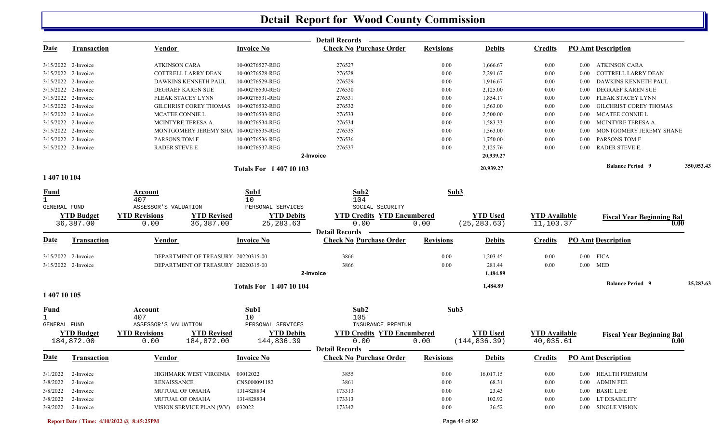|                       |                                |                              |                                       |                                 | <b>Detail Records</b>                                             |                  |                                 |                                   |          |                                          |            |
|-----------------------|--------------------------------|------------------------------|---------------------------------------|---------------------------------|-------------------------------------------------------------------|------------------|---------------------------------|-----------------------------------|----------|------------------------------------------|------------|
| <u>Date</u>           | <b>Transaction</b>             | <b>Vendor</b>                |                                       | <b>Invoice No</b>               | <b>Check No Purchase Order</b>                                    | <b>Revisions</b> | <b>Debits</b>                   | <b>Credits</b>                    |          | <b>PO Amt Description</b>                |            |
| $3/15/2022$ 2-Invoice |                                | <b>ATKINSON CARA</b>         |                                       | 10-00276527-REG                 | 276527                                                            | 0.00             | 1,666.67                        | 0.00                              | $0.00\,$ | ATKINSON CARA                            |            |
| 3/15/2022 2-Invoice   |                                |                              | <b>COTTRELL LARRY DEAN</b>            | 10-00276528-REG                 | 276528                                                            | 0.00             | 2,291.67                        | 0.00                              | 0.00     | COTTRELL LARRY DEAN                      |            |
| 3/15/2022 2-Invoice   |                                |                              | DAWKINS KENNETH PAUL                  | 10-00276529-REG                 | 276529                                                            | 0.00             | 1,916.67                        | 0.00                              | 0.00     | DAWKINS KENNETH PAUL                     |            |
| 3/15/2022 2-Invoice   |                                |                              | DEGRAEF KAREN SUE                     | 10-00276530-REG                 | 276530                                                            | 0.00             | 2,125.00                        | 0.00                              | $0.00\,$ | DEGRAEF KAREN SUE                        |            |
| 3/15/2022 2-Invoice   |                                |                              | FLEAK STACEY LYNN                     | 10-00276531-REG                 | 276531                                                            | 0.00             | 1,854.17                        | 0.00                              | $0.00\,$ | FLEAK STACEY LYNN                        |            |
| 3/15/2022 2-Invoice   |                                |                              | <b>GILCHRIST COREY THOMAS</b>         | 10-00276532-REG                 | 276532                                                            | 0.00             | 1,563.00                        | 0.00                              | 0.00     | <b>GILCHRIST COREY THOMAS</b>            |            |
| 3/15/2022 2-Invoice   |                                |                              | MCATEE CONNIE L                       | 10-00276533-REG                 | 276533                                                            | 0.00             | 2,500.00                        | 0.00                              | $0.00\,$ | MCATEE CONNIE L                          |            |
| 3/15/2022 2-Invoice   |                                |                              | MCINTYRE TERESA A.                    | 10-00276534-REG                 | 276534                                                            | 0.00             | 1,583.33                        | 0.00                              | $0.00\,$ | MCINTYRE TERESA A.                       |            |
| 3/15/2022 2-Invoice   |                                |                              | MONTGOMERY JEREMY SHA 10-00276535-REG |                                 | 276535                                                            | 0.00             | 1,563.00                        | 0.00                              | $0.00\,$ | MONTGOMERY JEREMY SHANE                  |            |
| 3/15/2022 2-Invoice   |                                | PARSONS TOM F                |                                       | 10-00276536-REG                 | 276536                                                            | 0.00             | 1,750.00                        | 0.00                              | 0.00     | PARSONS TOM F                            |            |
| 3/15/2022 2-Invoice   |                                | <b>RADER STEVE E</b>         |                                       | 10-00276537-REG                 | 276537<br>2-Invoice                                               | 0.00             | 2,125.76<br>20,939.27           | 0.00                              | $0.00\,$ | RADER STEVE E.                           |            |
|                       |                                |                              |                                       |                                 |                                                                   |                  |                                 |                                   |          | <b>Balance Period 9</b>                  | 350,053.43 |
| 1 407 10 104          |                                |                              |                                       | <b>Totals For 140710103</b>     |                                                                   |                  | 20,939.27                       |                                   |          |                                          |            |
| <b>Fund</b>           |                                | Account                      |                                       | Sub1                            | Sub2                                                              | Sub3             |                                 |                                   |          |                                          |            |
| $\mathbf{1}$          |                                | 407                          |                                       | 10                              | 104                                                               |                  |                                 |                                   |          |                                          |            |
| GENERAL FUND          |                                | ASSESSOR'S VALUATION         |                                       | PERSONAL SERVICES               | SOCIAL SECURITY                                                   |                  |                                 |                                   |          |                                          |            |
|                       | <b>YTD Budget</b><br>36,387.00 | <b>YTD Revisions</b><br>0.00 | <b>YTD Revised</b><br>36,387.00       | <b>YTD Debits</b><br>25, 283.63 | <b>YTD Credits YTD Encumbered</b><br>0.00                         | 0.00             | <b>YTD</b> Used<br>(25, 283.63) | <b>YTD Available</b><br>11,103.37 |          | <b>Fiscal Year Beginning Bal</b><br>0.00 |            |
|                       |                                |                              |                                       |                                 | <b>Detail Records</b>                                             |                  |                                 |                                   |          |                                          |            |
| <u>Date</u>           | <b>Transaction</b>             | Vendor                       |                                       | <b>Invoice No</b>               | <b>Check No Purchase Order</b>                                    | <b>Revisions</b> | <b>Debits</b>                   | <b>Credits</b>                    |          | <b>PO Amt Description</b>                |            |
|                       | 3/15/2022 2-Invoice            |                              | DEPARTMENT OF TREASURY 20220315-00    |                                 | 3866                                                              | 0.00             | 1,203.45                        | 0.00                              |          | $0.00$ FICA                              |            |
|                       | 3/15/2022 2-Invoice            |                              | DEPARTMENT OF TREASURY 20220315-00    |                                 | 3866                                                              | 0.00             | 281.44                          | 0.00                              |          | $0.00$ MED                               |            |
|                       |                                |                              |                                       |                                 | 2-Invoice                                                         |                  | 1,484.89                        |                                   |          |                                          |            |
|                       |                                |                              |                                       | <b>Totals For 140710104</b>     |                                                                   |                  | 1,484.89                        |                                   |          | <b>Balance Period 9</b>                  | 25,283.63  |
| 1 407 10 105          |                                |                              |                                       |                                 |                                                                   |                  |                                 |                                   |          |                                          |            |
| <u>Fund</u>           |                                | Account<br>407               |                                       | Sub1<br>10                      | Sub2<br>105                                                       | Sub3             |                                 |                                   |          |                                          |            |
| GENERAL FUND          |                                | ASSESSOR'S VALUATION         |                                       | PERSONAL SERVICES               | INSURANCE PREMIUM                                                 |                  |                                 |                                   |          |                                          |            |
|                       | <b>YTD Budget</b>              | <b>YTD Revisions</b>         | <b>YTD Revised</b>                    | <b>YTD Debits</b>               | <b>YTD Credits YTD Encumbered</b>                                 |                  | <b>YTD</b> Used                 | <b>YTD Available</b>              |          | <b>Fiscal Year Beginning Bal</b>         |            |
|                       | 184,872.00                     | 0.00                         | 184,872.00                            | 144,836.39                      | 0.00                                                              | 0.00             | (144, 836.39)                   | 40,035.61                         |          | 0.00                                     |            |
|                       | Date Transaction               | <b>Vendor</b>                |                                       | <b>Invoice No</b>               | <b>Detail Records</b><br><b>Check No Purchase Order Revisions</b> |                  | <b>Debits</b>                   |                                   |          | <b>Credits</b> PO Amt Description        |            |
| 3/1/2022              | 2-Invoice                      |                              | HIGHMARK WEST VIRGINIA                | 03012022                        | 3855                                                              | 0.00             | 16,017.15                       | $0.00\,$                          |          | 0.00 HEALTH PREMIUM                      |            |
| 3/8/2022              | 2-Invoice                      | <b>RENAISSANCE</b>           |                                       | CNS000091182                    | 3861                                                              | 0.00             | 68.31                           | 0.00                              | $0.00\,$ | <b>ADMIN FEE</b>                         |            |
|                       | $3/8/2022$ 2-Invoice           |                              | <b>MUTUAL OF OMAHA</b>                | 1314828834                      | 173313                                                            | 0.00             | 23.43                           | 0.00                              |          | 0.00 BASIC LIFE                          |            |
|                       | $3/8/2022$ 2-Invoice           |                              | <b>MUTUAL OF OMAHA</b>                | 1314828834                      | 173313                                                            | 0.00             | 102.92                          | 0.00                              |          | 0.00 LT DISABILITY                       |            |
| 3/9/2022 2-Invoice    |                                |                              | VISION SERVICE PLAN (WV)              | 032022                          | 173342                                                            | 0.00             | 36.52                           | 0.00                              |          | 0.00 SINGLE VISION                       |            |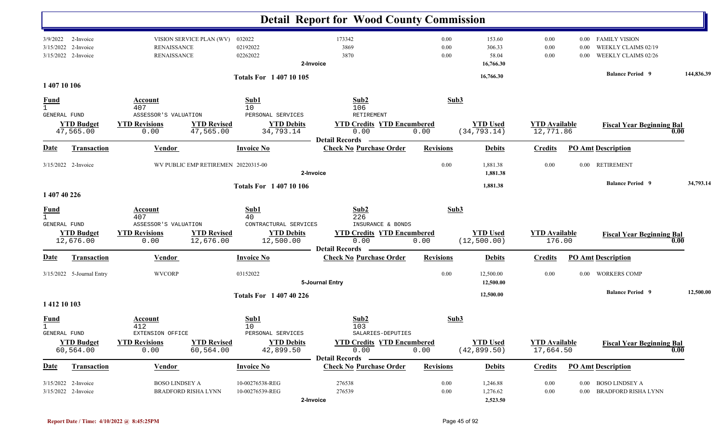|                                             |                                                        |                                                                      |                                                                  | <b>Detail Report for Wood County Commission</b>                    |                      |                                                     |                                   |                      |                                                                                               |            |
|---------------------------------------------|--------------------------------------------------------|----------------------------------------------------------------------|------------------------------------------------------------------|--------------------------------------------------------------------|----------------------|-----------------------------------------------------|-----------------------------------|----------------------|-----------------------------------------------------------------------------------------------|------------|
| 3/15/2022                                   | 3/9/2022 2-Invoice<br>2-Invoice<br>3/15/2022 2-Invoice | VISION SERVICE PLAN (WV)<br><b>RENAISSANCE</b><br><b>RENAISSANCE</b> | 032022<br>02192022<br>02262022<br><b>Totals For 1 407 10 105</b> | 173342<br>3869<br>3870<br>2-Invoice                                | 0.00<br>0.00<br>0.00 | 153.60<br>306.33<br>58.04<br>16,766.30<br>16,766.30 | 0.00<br>0.00<br>0.00              | 0.00<br>0.00<br>0.00 | <b>FAMILY VISION</b><br>WEEKLY CLAIMS 02/19<br>WEEKLY CLAIMS 02/26<br><b>Balance Period 9</b> | 144,836.39 |
| 1 407 10 106                                |                                                        |                                                                      |                                                                  |                                                                    |                      |                                                     |                                   |                      |                                                                                               |            |
| <b>Fund</b><br>$\mathbf{1}$<br>GENERAL FUND |                                                        | <b>Account</b><br>407<br>ASSESSOR'S VALUATION                        | Sub1<br>10<br>PERSONAL SERVICES                                  | Sub2<br>106<br>RETIREMENT                                          | Sub3                 |                                                     |                                   |                      |                                                                                               |            |
|                                             | <b>YTD Budget</b><br>47,565.00                         | <b>YTD Revised</b><br><b>YTD Revisions</b><br>47,565.00<br>0.00      | <b>YTD Debits</b><br>34,793.14                                   | <b>YTD Credits YTD Encumbered</b><br>0.00<br><b>Detail Records</b> | 0.00                 | <b>YTD Used</b><br>(34, 793.14)                     | <b>YTD Available</b><br>12,771.86 |                      | <b>Fiscal Year Beginning Bal</b>                                                              | 0.00       |
| <b>Date</b>                                 | <b>Transaction</b>                                     | <b>Vendor</b>                                                        | <b>Invoice No</b>                                                | <b>Check No Purchase Order</b>                                     | <b>Revisions</b>     | <b>Debits</b>                                       | <b>Credits</b>                    |                      | <b>PO Amt Description</b>                                                                     |            |
|                                             | 3/15/2022 2-Invoice                                    | WV PUBLIC EMP RETIREMEN 20220315-00                                  |                                                                  | 2-Invoice                                                          | 0.00                 | 1,881.38<br>1,881.38                                | 0.00                              | $0.00\,$             | <b>RETIREMENT</b>                                                                             |            |
|                                             |                                                        |                                                                      | <b>Totals For 140710106</b>                                      |                                                                    |                      | 1,881.38                                            |                                   |                      | <b>Balance Period 9</b>                                                                       | 34,793.14  |
| 1 407 40 226                                |                                                        |                                                                      |                                                                  |                                                                    |                      |                                                     |                                   |                      |                                                                                               |            |
| $\frac{Fund}{1}$<br>GENERAL FUND            |                                                        | Account<br>407<br>ASSESSOR'S VALUATION                               | Sub1<br>40<br>CONTRACTURAL SERVICES                              | Sub2<br>226<br>INSURANCE & BONDS                                   | Sub3                 |                                                     |                                   |                      |                                                                                               |            |
|                                             | <b>YTD Budget</b><br>12,676.00                         | <b>YTD Revisions</b><br><b>YTD Revised</b><br>12,676.00<br>0.00      | <b>YTD Debits</b><br>12,500.00                                   | <b>YTD Credits YTD Encumbered</b><br>0.00<br><b>Detail Records</b> | 0.00                 | <b>YTD Used</b><br>(12, 500.00)                     | <b>YTD Available</b><br>176.00    |                      | <b>Fiscal Year Beginning Bal</b>                                                              | 0.00       |
| Date                                        | <b>Transaction</b>                                     | <b>Vendor</b>                                                        | <b>Invoice No</b>                                                | <b>Check No Purchase Order</b>                                     | <b>Revisions</b>     | <b>Debits</b>                                       | <b>Credits</b>                    |                      | <b>PO Amt Description</b>                                                                     |            |
|                                             | 3/15/2022 5-Journal Entry                              | <b>WVCORP</b>                                                        | 03152022                                                         | 5-Journal Entry                                                    | 0.00                 | 12,500.00<br>12,500.00                              | 0.00                              | $0.00\,$             | <b>WORKERS COMP</b>                                                                           |            |
| 1 412 10 103                                |                                                        |                                                                      | <b>Totals For 1 407 40 226</b>                                   |                                                                    |                      | 12,500.00                                           |                                   |                      | <b>Balance Period 9</b>                                                                       | 12,500.00  |
| <u>Fund</u><br>$\mathbf{1}$<br>GENERAL FUND |                                                        | Account<br>412<br>EXTENSION OFFICE                                   | Sub1<br>10<br>PERSONAL SERVICES                                  | Sub2<br>103<br>SALARIES-DEPUTIES                                   | Sub3                 |                                                     |                                   |                      |                                                                                               |            |
|                                             | <b>YTD Budget</b><br>60,564.00                         | <b>YTD Revisions</b><br><b>YTD Revised</b><br>0.00<br>60,564.00      | <b>YTD Debits</b><br>42,899.50                                   | <b>YTD Credits YTD Encumbered</b><br>0.00<br><b>Detail Records</b> | 0.00                 | <b>YTD Used</b><br>(42, 899.50)                     | <b>YTD Available</b><br>17,664.50 |                      | <b>Fiscal Year Beginning Bal</b>                                                              | 0.00       |
| <b>Date</b>                                 | Transaction                                            | <b>Vendor</b>                                                        | <b>Invoice No</b>                                                | <b>Check No Purchase Order</b>                                     | <b>Revisions</b>     | <b>Debits</b>                                       | <b>Credits</b>                    |                      | <b>PO Amt Description</b>                                                                     |            |
|                                             | 3/15/2022 2-Invoice<br>3/15/2022 2-Invoice             | <b>BOSO LINDSEY A</b><br><b>BRADFORD RISHA LYNN</b>                  | 10-00276538-REG<br>10-00276539-REG                               | 276538<br>276539<br>2-Invoice                                      | 0.00<br>0.00         | 1,246.88<br>1,276.62<br>2,523.50                    | 0.00<br>0.00                      | $0.00\,$<br>$0.00\,$ | <b>BOSO LINDSEY A</b><br>BRADFORD RISHA LYNN                                                  |            |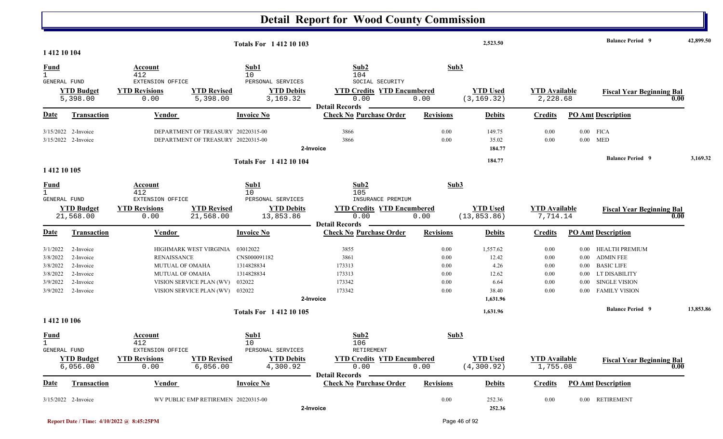|                                                                      |                                                                            |                                                                                                                                                            |                                                              | <b>Detail Report for Wood County Commission</b>                                         |                                                  |                                                                 |                                              |                                          |                                                                                                                               |           |
|----------------------------------------------------------------------|----------------------------------------------------------------------------|------------------------------------------------------------------------------------------------------------------------------------------------------------|--------------------------------------------------------------|-----------------------------------------------------------------------------------------|--------------------------------------------------|-----------------------------------------------------------------|----------------------------------------------|------------------------------------------|-------------------------------------------------------------------------------------------------------------------------------|-----------|
|                                                                      |                                                                            |                                                                                                                                                            | <b>Totals For 141210103</b>                                  |                                                                                         |                                                  | 2,523.50                                                        |                                              |                                          | <b>Balance Period 9</b>                                                                                                       | 42,899.50 |
| 1 412 10 104<br><b>Fund</b><br>$\mathbf 1$<br>GENERAL FUND           |                                                                            | Account<br>412<br>EXTENSION OFFICE                                                                                                                         | Sub1<br>10<br>PERSONAL SERVICES                              | Sub2<br>104<br>SOCIAL SECURITY                                                          | Sub3                                             |                                                                 |                                              |                                          |                                                                                                                               |           |
|                                                                      | <b>YTD Budget</b><br>5,398.00                                              | <b>YTD Revisions</b><br><b>YTD Revised</b><br>5,398.00<br>0.00                                                                                             | <b>YTD Debits</b><br>3,169.32                                | <b>YTD Credits YTD Encumbered</b><br>0.00<br><b>Detail Records</b>                      | 0.00                                             | <b>YTD Used</b><br>(3, 169.32)                                  | <b>YTD Available</b><br>2,228.68             |                                          | <b>Fiscal Year Beginning Bal</b>                                                                                              | 0.00      |
| <b>Date</b>                                                          | <b>Transaction</b>                                                         | <b>Vendor</b>                                                                                                                                              | <b>Invoice No</b>                                            | <b>Check No Purchase Order</b>                                                          | <b>Revisions</b>                                 | <b>Debits</b>                                                   | <b>Credits</b>                               |                                          | <b>PO</b> Amt Description                                                                                                     |           |
|                                                                      | 3/15/2022 2-Invoice<br>3/15/2022 2-Invoice                                 | DEPARTMENT OF TREASURY 20220315-00<br>DEPARTMENT OF TREASURY 20220315-00                                                                                   |                                                              | 3866<br>3866<br>2-Invoice                                                               | 0.00<br>0.00                                     | 149.75<br>35.02<br>184.77                                       | 0.00<br>0.00                                 | 0.00                                     | $0.00$ FICA<br><b>MED</b><br><b>Balance Period 9</b>                                                                          | 3,169.32  |
| 1 412 10 105                                                         |                                                                            |                                                                                                                                                            | <b>Totals For 141210104</b>                                  |                                                                                         |                                                  | 184.77                                                          |                                              |                                          |                                                                                                                               |           |
| <u>Fund</u><br>$\mathbf{1}$                                          |                                                                            | <b>Account</b><br>412                                                                                                                                      | Sub1<br>10                                                   | Sub2<br>105                                                                             | Sub3                                             |                                                                 |                                              |                                          |                                                                                                                               |           |
| GENERAL FUND                                                         | <b>YTD Budget</b><br>21,568.00                                             | EXTENSION OFFICE<br><b>YTD Revisions</b><br><b>YTD Revised</b><br>21,568.00<br>0.00                                                                        | PERSONAL SERVICES<br><b>YTD Debits</b><br>13,853.86          | INSURANCE PREMIUM<br><b>YTD Credits YTD Encumbered</b><br>0.00<br><b>Detail Records</b> | 0.00                                             | <b>YTD Used</b><br>(13, 853.86)                                 | <b>YTD Available</b><br>7,714.14             |                                          | <b>Fiscal Year Beginning Bal</b>                                                                                              | 0.00      |
| <b>Date</b>                                                          | <b>Transaction</b>                                                         | <b>Vendor</b>                                                                                                                                              | <b>Invoice No</b>                                            | <b>Check No Purchase Order</b>                                                          | <b>Revisions</b>                                 | <b>Debits</b>                                                   | <b>Credits</b>                               |                                          | <b>PO Amt Description</b>                                                                                                     |           |
| 3/1/2022<br>3/8/2022<br>3/8/2022<br>3/8/2022<br>3/9/2022<br>3/9/2022 | 2-Invoice<br>2-Invoice<br>2-Invoice<br>2-Invoice<br>2-Invoice<br>2-Invoice | HIGHMARK WEST VIRGINIA 03012022<br><b>RENAISSANCE</b><br><b>MUTUAL OF OMAHA</b><br>MUTUAL OF OMAHA<br>VISION SERVICE PLAN (WV)<br>VISION SERVICE PLAN (WV) | CNS000091182<br>1314828834<br>1314828834<br>032022<br>032022 | 3855<br>3861<br>173313<br>173313<br>173342<br>173342<br>2-Invoice                       | 0.00<br>0.00<br>0.00<br>$0.00\,$<br>0.00<br>0.00 | 1,557.62<br>12.42<br>4.26<br>12.62<br>6.64<br>38.40<br>1,631.96 | 0.00<br>0.00<br>0.00<br>0.00<br>0.00<br>0.00 | $0.00\,$<br>0.00<br>0.00<br>0.00<br>0.00 | 0.00 HEALTH PREMIUM<br><b>ADMIN FEE</b><br><b>BASIC LIFE</b><br>LT DISABILITY<br><b>SINGLE VISION</b><br><b>FAMILY VISION</b> |           |
|                                                                      |                                                                            |                                                                                                                                                            | <b>Totals For 141210105</b>                                  |                                                                                         |                                                  | 1,631.96                                                        |                                              |                                          | <b>Balance Period</b> 9                                                                                                       | 13,853.86 |
| 1 412 10 106<br><b>Fund</b><br>$\mathbf{1}$<br>GENERAL FUND          |                                                                            | <b>Account</b><br>412<br>EXTENSION OFFICE                                                                                                                  | Sub1<br>10<br>PERSONAL SERVICES                              | Sub2<br>106<br>RETIREMENT                                                               | Sub3                                             |                                                                 |                                              |                                          |                                                                                                                               |           |
|                                                                      | <b>YTD Budget</b><br>6,056.00                                              | <b>YTD Revised</b><br><b>YTD Revisions</b><br>6,056.00<br>0.00                                                                                             | <b>YTD Debits</b><br>4,300.92                                | <b>YTD Credits YTD Encumbered</b><br>0.00<br><b>Detail Records</b>                      | 0.00                                             | <b>YTD Used</b><br>(4, 300.92)                                  | <b>YTD Available</b><br>1,755.08             |                                          | <b>Fiscal Year Beginning Bal</b>                                                                                              | 0.00      |
| Date                                                                 | <b>Transaction</b>                                                         | <b>Vendor</b>                                                                                                                                              | <b>Invoice No</b>                                            | <b>Check No Purchase Order</b>                                                          | <b>Revisions</b>                                 | <b>Debits</b>                                                   | <b>Credits</b>                               |                                          | <b>PO Amt Description</b>                                                                                                     |           |
|                                                                      | 3/15/2022 2-Invoice                                                        | WV PUBLIC EMP RETIREMEN 20220315-00                                                                                                                        |                                                              | 2-Invoice                                                                               | $0.00\,$                                         | 252.36<br>252.36                                                | $0.00\,$                                     |                                          | 0.00 RETIREMENT                                                                                                               |           |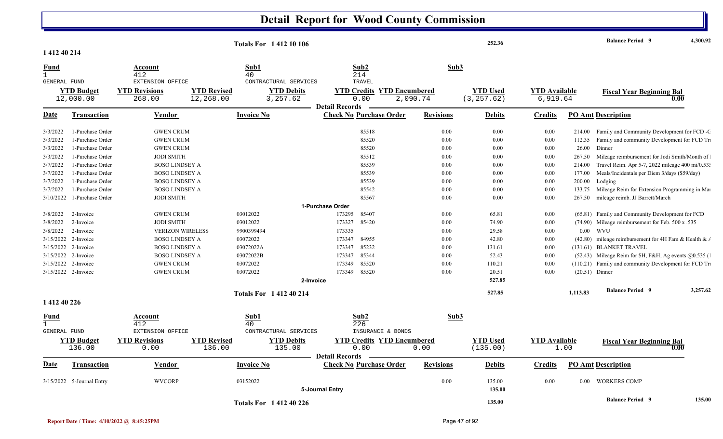| 1 412 40 214<br>Sub2<br>Sub3<br>Sub1<br>Account<br>Fund<br>214<br>412<br>40<br>$\mathbf{1}$<br><b>GENERAL FUND</b><br>EXTENSION OFFICE<br>CONTRACTURAL SERVICES<br>TRAVEL<br><b>YTD</b> Budget<br><b>YTD Revised</b><br><b>YTD Debits</b><br><b>YTD Encumbered</b><br><b>YTD</b> Used<br><b>YTD</b> Available<br><b>YTD Revisions</b><br><b>YTD Credits</b><br><b>Fiscal Year Beginning Bal</b><br>12,268.00<br>3,257.62<br>0.00<br>2,090.74<br>(3, 257.62)<br>6,919.64<br>12,000.00<br>268.00<br>0.00<br><b>Detail Records</b><br>Date<br><b>Invoice No</b><br><b>Check No Purchase Order</b><br><b>Revisions</b><br><b>Credits</b><br><b>PO Amt Description</b><br><b>Transaction</b><br><u>Vendor</u><br><b>Debits</b><br>3/3/2022<br><b>GWEN CRUM</b><br>85518<br>0.00<br>214.00 Family and Community Development for FCD -C<br>1-Purchase Order<br>0.00<br>0.00<br>3/3/2022<br>1-Purchase Order<br><b>GWEN CRUM</b><br>85520<br>0.00<br>0.00<br>0.00<br>Family and community Development for FCD Tr<br>112.35<br>26.00<br>Dinner<br>3/3/2022<br>1-Purchase Order<br><b>GWEN CRUM</b><br>85520<br>0.00<br>0.00<br>0.00<br>3/3/2022<br>1-Purchase Order<br><b>JODI SMITH</b><br>Mileage reimbursement for Jodi Smith/Month of<br>85512<br>0.00<br>0.00<br>0.00<br>267.50<br>1-Purchase Order<br>Travel Reim. Apr 5-7, 2022 mileage 400 mi/0.53:<br>3/7/2022<br><b>BOSO LINDSEY A</b><br>85539<br>0.00<br>0.00<br>0.00<br>214.00<br>3/7/2022<br>1-Purchase Order<br>85539<br>0.00<br>0.00<br>0.00<br>177.00<br>Meals/Incidentals per Diem 3/days (\$59/day)<br><b>BOSO LINDSEY A</b><br>3/7/2022<br>1-Purchase Order<br><b>BOSO LINDSEY A</b><br>85539<br>0.00<br>0.00<br>0.00<br>200.00<br>Lodging<br>3/7/2022<br>1-Purchase Order<br><b>BOSO LINDSEY A</b><br>85542<br>0.00<br>0.00<br>0.00<br>133.75<br>Mileage Reim for Extension Programming in Mai<br>3/10/2022<br><b>JODI SMITH</b><br>85567<br>0.00<br>mileage reimb. JJ Barrett/March<br>1-Purchase Order<br>0.00<br>0.00<br>267.50<br>1-Purchase Order<br><b>GWEN CRUM</b><br>03012022<br>173295<br>85407<br>0.00<br>65.81<br>0.00<br>(65.81) Family and Community Development for FCD<br>3/8/2022<br>2-Invoice<br>03012022<br>3/8/2022<br><b>JODI SMITH</b><br>173327<br>85420<br>0.00<br>74.90<br>0.00<br>(74.90) Mileage reimbursement for Feb. 500 x .535<br>2-Invoice<br>$0.00$ WVU<br>3/8/2022<br>2-Invoice<br><b>VERIZON WIRELESS</b><br>9900399494<br>173335<br>0.00<br>29.58<br>0.00<br>03072022<br>173347<br>84955<br>42.80<br>(42.80) mileage reimbursement for 4H Fam & Health & $\mu$<br>3/15/2022 2-Invoice<br><b>BOSO LINDSEY A</b><br>0.00<br>0.00<br>3/15/2022<br>03072022A<br>85232<br>0.00<br>0.00<br>(131.61) BLANKET TRAVEL<br>2-Invoice<br><b>BOSO LINDSEY A</b><br>173347<br>131.61<br>85344<br>3/15/2022 2-Invoice<br><b>BOSO LINDSEY A</b><br>03072022B<br>0.00<br>52.43<br>0.00<br>$(52.43)$ Mileage Reim for \$H, F&H, Ag events $@0.535$ (<br>173347<br>03072022<br>85520<br>(110.21) Family and community Development for FCD Tr.<br>3/15/2022 2-Invoice<br><b>GWEN CRUM</b><br>173349<br>0.00<br>110.21<br>0.00<br>03072022<br>85520<br>0.00<br>3/15/2022 2-Invoice<br><b>GWEN CRUM</b><br>173349<br>20.51<br>0.00<br>$(20.51)$ Dinner<br>527.85<br>2-Invoice<br><b>Balance Period</b> 9<br>3,257.62<br>527.85<br>1,113.83<br><b>Totals For 141240214</b><br>1 412 40 226<br>Sub1<br>Sub2<br>Sub3<br>Fund<br>Account<br>226<br>$\mathbf{1}$<br>412<br>40<br><b>GENERAL FUND</b><br>EXTENSION OFFICE<br>CONTRACTURAL SERVICES<br>INSURANCE & BONDS<br><b>YTD Debits</b><br><b>YTD Used</b><br><b>YTD Budget</b><br><b>YTD Revisions</b><br><b>YTD Revised</b><br><b>YTD Credits YTD Encumbered</b><br><b>YTD Available</b><br><b>Fiscal Year Beginning Bal</b><br>0.00<br>136.00<br>0.00<br>136.00<br>135.00<br>0.00<br>(135.00)<br>1.00<br>0.00<br><b>Detail Records</b><br><b>Invoice No</b><br><b>PO Amt Description</b><br>Date<br><b>Transaction</b><br><b>Vendor</b><br><b>Check No Purchase Order</b><br><b>Revisions</b><br><b>Debits</b><br><b>Credits</b><br><b>WVCORP</b><br>03152022<br>0.00<br>3/15/2022 5-Journal Entry<br>135.00<br>0.00<br>0.00 WORKERS COMP<br>135.00<br>5-Journal Entry<br>135.00<br><b>Balance Period 9</b> |  | <b>Totals For 141210106</b> |  | 252.36 |  | <b>Balance Period 9</b> | 4,300.92 |
|-----------------------------------------------------------------------------------------------------------------------------------------------------------------------------------------------------------------------------------------------------------------------------------------------------------------------------------------------------------------------------------------------------------------------------------------------------------------------------------------------------------------------------------------------------------------------------------------------------------------------------------------------------------------------------------------------------------------------------------------------------------------------------------------------------------------------------------------------------------------------------------------------------------------------------------------------------------------------------------------------------------------------------------------------------------------------------------------------------------------------------------------------------------------------------------------------------------------------------------------------------------------------------------------------------------------------------------------------------------------------------------------------------------------------------------------------------------------------------------------------------------------------------------------------------------------------------------------------------------------------------------------------------------------------------------------------------------------------------------------------------------------------------------------------------------------------------------------------------------------------------------------------------------------------------------------------------------------------------------------------------------------------------------------------------------------------------------------------------------------------------------------------------------------------------------------------------------------------------------------------------------------------------------------------------------------------------------------------------------------------------------------------------------------------------------------------------------------------------------------------------------------------------------------------------------------------------------------------------------------------------------------------------------------------------------------------------------------------------------------------------------------------------------------------------------------------------------------------------------------------------------------------------------------------------------------------------------------------------------------------------------------------------------------------------------------------------------------------------------------------------------------------------------------------------------------------------------------------------------------------------------------------------------------------------------------------------------------------------------------------------------------------------------------------------------------------------------------------------------------------------------------------------------------------------------------------------------------------------------------------------------------------------------------------------------------------------------------------------------------------------------------------------------------------------------------------------------------------------------------------------------------------------------------------------------------------------------------------------------------------------------------------------------------------------------------------------------------------------------------------------------------------------------------------------------------------------------------------------------------|--|-----------------------------|--|--------|--|-------------------------|----------|
|                                                                                                                                                                                                                                                                                                                                                                                                                                                                                                                                                                                                                                                                                                                                                                                                                                                                                                                                                                                                                                                                                                                                                                                                                                                                                                                                                                                                                                                                                                                                                                                                                                                                                                                                                                                                                                                                                                                                                                                                                                                                                                                                                                                                                                                                                                                                                                                                                                                                                                                                                                                                                                                                                                                                                                                                                                                                                                                                                                                                                                                                                                                                                                                                                                                                                                                                                                                                                                                                                                                                                                                                                                                                                                                                                                                                                                                                                                                                                                                                                                                                                                                                                                                                                                         |  |                             |  |        |  |                         |          |
|                                                                                                                                                                                                                                                                                                                                                                                                                                                                                                                                                                                                                                                                                                                                                                                                                                                                                                                                                                                                                                                                                                                                                                                                                                                                                                                                                                                                                                                                                                                                                                                                                                                                                                                                                                                                                                                                                                                                                                                                                                                                                                                                                                                                                                                                                                                                                                                                                                                                                                                                                                                                                                                                                                                                                                                                                                                                                                                                                                                                                                                                                                                                                                                                                                                                                                                                                                                                                                                                                                                                                                                                                                                                                                                                                                                                                                                                                                                                                                                                                                                                                                                                                                                                                                         |  |                             |  |        |  |                         |          |
|                                                                                                                                                                                                                                                                                                                                                                                                                                                                                                                                                                                                                                                                                                                                                                                                                                                                                                                                                                                                                                                                                                                                                                                                                                                                                                                                                                                                                                                                                                                                                                                                                                                                                                                                                                                                                                                                                                                                                                                                                                                                                                                                                                                                                                                                                                                                                                                                                                                                                                                                                                                                                                                                                                                                                                                                                                                                                                                                                                                                                                                                                                                                                                                                                                                                                                                                                                                                                                                                                                                                                                                                                                                                                                                                                                                                                                                                                                                                                                                                                                                                                                                                                                                                                                         |  |                             |  |        |  |                         |          |
|                                                                                                                                                                                                                                                                                                                                                                                                                                                                                                                                                                                                                                                                                                                                                                                                                                                                                                                                                                                                                                                                                                                                                                                                                                                                                                                                                                                                                                                                                                                                                                                                                                                                                                                                                                                                                                                                                                                                                                                                                                                                                                                                                                                                                                                                                                                                                                                                                                                                                                                                                                                                                                                                                                                                                                                                                                                                                                                                                                                                                                                                                                                                                                                                                                                                                                                                                                                                                                                                                                                                                                                                                                                                                                                                                                                                                                                                                                                                                                                                                                                                                                                                                                                                                                         |  |                             |  |        |  |                         |          |
|                                                                                                                                                                                                                                                                                                                                                                                                                                                                                                                                                                                                                                                                                                                                                                                                                                                                                                                                                                                                                                                                                                                                                                                                                                                                                                                                                                                                                                                                                                                                                                                                                                                                                                                                                                                                                                                                                                                                                                                                                                                                                                                                                                                                                                                                                                                                                                                                                                                                                                                                                                                                                                                                                                                                                                                                                                                                                                                                                                                                                                                                                                                                                                                                                                                                                                                                                                                                                                                                                                                                                                                                                                                                                                                                                                                                                                                                                                                                                                                                                                                                                                                                                                                                                                         |  |                             |  |        |  |                         |          |
|                                                                                                                                                                                                                                                                                                                                                                                                                                                                                                                                                                                                                                                                                                                                                                                                                                                                                                                                                                                                                                                                                                                                                                                                                                                                                                                                                                                                                                                                                                                                                                                                                                                                                                                                                                                                                                                                                                                                                                                                                                                                                                                                                                                                                                                                                                                                                                                                                                                                                                                                                                                                                                                                                                                                                                                                                                                                                                                                                                                                                                                                                                                                                                                                                                                                                                                                                                                                                                                                                                                                                                                                                                                                                                                                                                                                                                                                                                                                                                                                                                                                                                                                                                                                                                         |  |                             |  |        |  |                         |          |
|                                                                                                                                                                                                                                                                                                                                                                                                                                                                                                                                                                                                                                                                                                                                                                                                                                                                                                                                                                                                                                                                                                                                                                                                                                                                                                                                                                                                                                                                                                                                                                                                                                                                                                                                                                                                                                                                                                                                                                                                                                                                                                                                                                                                                                                                                                                                                                                                                                                                                                                                                                                                                                                                                                                                                                                                                                                                                                                                                                                                                                                                                                                                                                                                                                                                                                                                                                                                                                                                                                                                                                                                                                                                                                                                                                                                                                                                                                                                                                                                                                                                                                                                                                                                                                         |  |                             |  |        |  |                         |          |
|                                                                                                                                                                                                                                                                                                                                                                                                                                                                                                                                                                                                                                                                                                                                                                                                                                                                                                                                                                                                                                                                                                                                                                                                                                                                                                                                                                                                                                                                                                                                                                                                                                                                                                                                                                                                                                                                                                                                                                                                                                                                                                                                                                                                                                                                                                                                                                                                                                                                                                                                                                                                                                                                                                                                                                                                                                                                                                                                                                                                                                                                                                                                                                                                                                                                                                                                                                                                                                                                                                                                                                                                                                                                                                                                                                                                                                                                                                                                                                                                                                                                                                                                                                                                                                         |  |                             |  |        |  |                         |          |
|                                                                                                                                                                                                                                                                                                                                                                                                                                                                                                                                                                                                                                                                                                                                                                                                                                                                                                                                                                                                                                                                                                                                                                                                                                                                                                                                                                                                                                                                                                                                                                                                                                                                                                                                                                                                                                                                                                                                                                                                                                                                                                                                                                                                                                                                                                                                                                                                                                                                                                                                                                                                                                                                                                                                                                                                                                                                                                                                                                                                                                                                                                                                                                                                                                                                                                                                                                                                                                                                                                                                                                                                                                                                                                                                                                                                                                                                                                                                                                                                                                                                                                                                                                                                                                         |  |                             |  |        |  |                         |          |
|                                                                                                                                                                                                                                                                                                                                                                                                                                                                                                                                                                                                                                                                                                                                                                                                                                                                                                                                                                                                                                                                                                                                                                                                                                                                                                                                                                                                                                                                                                                                                                                                                                                                                                                                                                                                                                                                                                                                                                                                                                                                                                                                                                                                                                                                                                                                                                                                                                                                                                                                                                                                                                                                                                                                                                                                                                                                                                                                                                                                                                                                                                                                                                                                                                                                                                                                                                                                                                                                                                                                                                                                                                                                                                                                                                                                                                                                                                                                                                                                                                                                                                                                                                                                                                         |  |                             |  |        |  |                         |          |
|                                                                                                                                                                                                                                                                                                                                                                                                                                                                                                                                                                                                                                                                                                                                                                                                                                                                                                                                                                                                                                                                                                                                                                                                                                                                                                                                                                                                                                                                                                                                                                                                                                                                                                                                                                                                                                                                                                                                                                                                                                                                                                                                                                                                                                                                                                                                                                                                                                                                                                                                                                                                                                                                                                                                                                                                                                                                                                                                                                                                                                                                                                                                                                                                                                                                                                                                                                                                                                                                                                                                                                                                                                                                                                                                                                                                                                                                                                                                                                                                                                                                                                                                                                                                                                         |  |                             |  |        |  |                         |          |
|                                                                                                                                                                                                                                                                                                                                                                                                                                                                                                                                                                                                                                                                                                                                                                                                                                                                                                                                                                                                                                                                                                                                                                                                                                                                                                                                                                                                                                                                                                                                                                                                                                                                                                                                                                                                                                                                                                                                                                                                                                                                                                                                                                                                                                                                                                                                                                                                                                                                                                                                                                                                                                                                                                                                                                                                                                                                                                                                                                                                                                                                                                                                                                                                                                                                                                                                                                                                                                                                                                                                                                                                                                                                                                                                                                                                                                                                                                                                                                                                                                                                                                                                                                                                                                         |  |                             |  |        |  |                         |          |
|                                                                                                                                                                                                                                                                                                                                                                                                                                                                                                                                                                                                                                                                                                                                                                                                                                                                                                                                                                                                                                                                                                                                                                                                                                                                                                                                                                                                                                                                                                                                                                                                                                                                                                                                                                                                                                                                                                                                                                                                                                                                                                                                                                                                                                                                                                                                                                                                                                                                                                                                                                                                                                                                                                                                                                                                                                                                                                                                                                                                                                                                                                                                                                                                                                                                                                                                                                                                                                                                                                                                                                                                                                                                                                                                                                                                                                                                                                                                                                                                                                                                                                                                                                                                                                         |  |                             |  |        |  |                         |          |
|                                                                                                                                                                                                                                                                                                                                                                                                                                                                                                                                                                                                                                                                                                                                                                                                                                                                                                                                                                                                                                                                                                                                                                                                                                                                                                                                                                                                                                                                                                                                                                                                                                                                                                                                                                                                                                                                                                                                                                                                                                                                                                                                                                                                                                                                                                                                                                                                                                                                                                                                                                                                                                                                                                                                                                                                                                                                                                                                                                                                                                                                                                                                                                                                                                                                                                                                                                                                                                                                                                                                                                                                                                                                                                                                                                                                                                                                                                                                                                                                                                                                                                                                                                                                                                         |  |                             |  |        |  |                         |          |
|                                                                                                                                                                                                                                                                                                                                                                                                                                                                                                                                                                                                                                                                                                                                                                                                                                                                                                                                                                                                                                                                                                                                                                                                                                                                                                                                                                                                                                                                                                                                                                                                                                                                                                                                                                                                                                                                                                                                                                                                                                                                                                                                                                                                                                                                                                                                                                                                                                                                                                                                                                                                                                                                                                                                                                                                                                                                                                                                                                                                                                                                                                                                                                                                                                                                                                                                                                                                                                                                                                                                                                                                                                                                                                                                                                                                                                                                                                                                                                                                                                                                                                                                                                                                                                         |  |                             |  |        |  |                         |          |
|                                                                                                                                                                                                                                                                                                                                                                                                                                                                                                                                                                                                                                                                                                                                                                                                                                                                                                                                                                                                                                                                                                                                                                                                                                                                                                                                                                                                                                                                                                                                                                                                                                                                                                                                                                                                                                                                                                                                                                                                                                                                                                                                                                                                                                                                                                                                                                                                                                                                                                                                                                                                                                                                                                                                                                                                                                                                                                                                                                                                                                                                                                                                                                                                                                                                                                                                                                                                                                                                                                                                                                                                                                                                                                                                                                                                                                                                                                                                                                                                                                                                                                                                                                                                                                         |  |                             |  |        |  |                         |          |
|                                                                                                                                                                                                                                                                                                                                                                                                                                                                                                                                                                                                                                                                                                                                                                                                                                                                                                                                                                                                                                                                                                                                                                                                                                                                                                                                                                                                                                                                                                                                                                                                                                                                                                                                                                                                                                                                                                                                                                                                                                                                                                                                                                                                                                                                                                                                                                                                                                                                                                                                                                                                                                                                                                                                                                                                                                                                                                                                                                                                                                                                                                                                                                                                                                                                                                                                                                                                                                                                                                                                                                                                                                                                                                                                                                                                                                                                                                                                                                                                                                                                                                                                                                                                                                         |  |                             |  |        |  |                         |          |
|                                                                                                                                                                                                                                                                                                                                                                                                                                                                                                                                                                                                                                                                                                                                                                                                                                                                                                                                                                                                                                                                                                                                                                                                                                                                                                                                                                                                                                                                                                                                                                                                                                                                                                                                                                                                                                                                                                                                                                                                                                                                                                                                                                                                                                                                                                                                                                                                                                                                                                                                                                                                                                                                                                                                                                                                                                                                                                                                                                                                                                                                                                                                                                                                                                                                                                                                                                                                                                                                                                                                                                                                                                                                                                                                                                                                                                                                                                                                                                                                                                                                                                                                                                                                                                         |  |                             |  |        |  |                         |          |
|                                                                                                                                                                                                                                                                                                                                                                                                                                                                                                                                                                                                                                                                                                                                                                                                                                                                                                                                                                                                                                                                                                                                                                                                                                                                                                                                                                                                                                                                                                                                                                                                                                                                                                                                                                                                                                                                                                                                                                                                                                                                                                                                                                                                                                                                                                                                                                                                                                                                                                                                                                                                                                                                                                                                                                                                                                                                                                                                                                                                                                                                                                                                                                                                                                                                                                                                                                                                                                                                                                                                                                                                                                                                                                                                                                                                                                                                                                                                                                                                                                                                                                                                                                                                                                         |  |                             |  |        |  |                         |          |
|                                                                                                                                                                                                                                                                                                                                                                                                                                                                                                                                                                                                                                                                                                                                                                                                                                                                                                                                                                                                                                                                                                                                                                                                                                                                                                                                                                                                                                                                                                                                                                                                                                                                                                                                                                                                                                                                                                                                                                                                                                                                                                                                                                                                                                                                                                                                                                                                                                                                                                                                                                                                                                                                                                                                                                                                                                                                                                                                                                                                                                                                                                                                                                                                                                                                                                                                                                                                                                                                                                                                                                                                                                                                                                                                                                                                                                                                                                                                                                                                                                                                                                                                                                                                                                         |  |                             |  |        |  |                         |          |
|                                                                                                                                                                                                                                                                                                                                                                                                                                                                                                                                                                                                                                                                                                                                                                                                                                                                                                                                                                                                                                                                                                                                                                                                                                                                                                                                                                                                                                                                                                                                                                                                                                                                                                                                                                                                                                                                                                                                                                                                                                                                                                                                                                                                                                                                                                                                                                                                                                                                                                                                                                                                                                                                                                                                                                                                                                                                                                                                                                                                                                                                                                                                                                                                                                                                                                                                                                                                                                                                                                                                                                                                                                                                                                                                                                                                                                                                                                                                                                                                                                                                                                                                                                                                                                         |  |                             |  |        |  |                         |          |
|                                                                                                                                                                                                                                                                                                                                                                                                                                                                                                                                                                                                                                                                                                                                                                                                                                                                                                                                                                                                                                                                                                                                                                                                                                                                                                                                                                                                                                                                                                                                                                                                                                                                                                                                                                                                                                                                                                                                                                                                                                                                                                                                                                                                                                                                                                                                                                                                                                                                                                                                                                                                                                                                                                                                                                                                                                                                                                                                                                                                                                                                                                                                                                                                                                                                                                                                                                                                                                                                                                                                                                                                                                                                                                                                                                                                                                                                                                                                                                                                                                                                                                                                                                                                                                         |  |                             |  |        |  |                         |          |
|                                                                                                                                                                                                                                                                                                                                                                                                                                                                                                                                                                                                                                                                                                                                                                                                                                                                                                                                                                                                                                                                                                                                                                                                                                                                                                                                                                                                                                                                                                                                                                                                                                                                                                                                                                                                                                                                                                                                                                                                                                                                                                                                                                                                                                                                                                                                                                                                                                                                                                                                                                                                                                                                                                                                                                                                                                                                                                                                                                                                                                                                                                                                                                                                                                                                                                                                                                                                                                                                                                                                                                                                                                                                                                                                                                                                                                                                                                                                                                                                                                                                                                                                                                                                                                         |  |                             |  |        |  |                         |          |
|                                                                                                                                                                                                                                                                                                                                                                                                                                                                                                                                                                                                                                                                                                                                                                                                                                                                                                                                                                                                                                                                                                                                                                                                                                                                                                                                                                                                                                                                                                                                                                                                                                                                                                                                                                                                                                                                                                                                                                                                                                                                                                                                                                                                                                                                                                                                                                                                                                                                                                                                                                                                                                                                                                                                                                                                                                                                                                                                                                                                                                                                                                                                                                                                                                                                                                                                                                                                                                                                                                                                                                                                                                                                                                                                                                                                                                                                                                                                                                                                                                                                                                                                                                                                                                         |  |                             |  |        |  |                         |          |
|                                                                                                                                                                                                                                                                                                                                                                                                                                                                                                                                                                                                                                                                                                                                                                                                                                                                                                                                                                                                                                                                                                                                                                                                                                                                                                                                                                                                                                                                                                                                                                                                                                                                                                                                                                                                                                                                                                                                                                                                                                                                                                                                                                                                                                                                                                                                                                                                                                                                                                                                                                                                                                                                                                                                                                                                                                                                                                                                                                                                                                                                                                                                                                                                                                                                                                                                                                                                                                                                                                                                                                                                                                                                                                                                                                                                                                                                                                                                                                                                                                                                                                                                                                                                                                         |  |                             |  |        |  |                         |          |
|                                                                                                                                                                                                                                                                                                                                                                                                                                                                                                                                                                                                                                                                                                                                                                                                                                                                                                                                                                                                                                                                                                                                                                                                                                                                                                                                                                                                                                                                                                                                                                                                                                                                                                                                                                                                                                                                                                                                                                                                                                                                                                                                                                                                                                                                                                                                                                                                                                                                                                                                                                                                                                                                                                                                                                                                                                                                                                                                                                                                                                                                                                                                                                                                                                                                                                                                                                                                                                                                                                                                                                                                                                                                                                                                                                                                                                                                                                                                                                                                                                                                                                                                                                                                                                         |  |                             |  |        |  |                         |          |
|                                                                                                                                                                                                                                                                                                                                                                                                                                                                                                                                                                                                                                                                                                                                                                                                                                                                                                                                                                                                                                                                                                                                                                                                                                                                                                                                                                                                                                                                                                                                                                                                                                                                                                                                                                                                                                                                                                                                                                                                                                                                                                                                                                                                                                                                                                                                                                                                                                                                                                                                                                                                                                                                                                                                                                                                                                                                                                                                                                                                                                                                                                                                                                                                                                                                                                                                                                                                                                                                                                                                                                                                                                                                                                                                                                                                                                                                                                                                                                                                                                                                                                                                                                                                                                         |  |                             |  |        |  |                         |          |
|                                                                                                                                                                                                                                                                                                                                                                                                                                                                                                                                                                                                                                                                                                                                                                                                                                                                                                                                                                                                                                                                                                                                                                                                                                                                                                                                                                                                                                                                                                                                                                                                                                                                                                                                                                                                                                                                                                                                                                                                                                                                                                                                                                                                                                                                                                                                                                                                                                                                                                                                                                                                                                                                                                                                                                                                                                                                                                                                                                                                                                                                                                                                                                                                                                                                                                                                                                                                                                                                                                                                                                                                                                                                                                                                                                                                                                                                                                                                                                                                                                                                                                                                                                                                                                         |  |                             |  |        |  |                         |          |
|                                                                                                                                                                                                                                                                                                                                                                                                                                                                                                                                                                                                                                                                                                                                                                                                                                                                                                                                                                                                                                                                                                                                                                                                                                                                                                                                                                                                                                                                                                                                                                                                                                                                                                                                                                                                                                                                                                                                                                                                                                                                                                                                                                                                                                                                                                                                                                                                                                                                                                                                                                                                                                                                                                                                                                                                                                                                                                                                                                                                                                                                                                                                                                                                                                                                                                                                                                                                                                                                                                                                                                                                                                                                                                                                                                                                                                                                                                                                                                                                                                                                                                                                                                                                                                         |  |                             |  |        |  |                         |          |
|                                                                                                                                                                                                                                                                                                                                                                                                                                                                                                                                                                                                                                                                                                                                                                                                                                                                                                                                                                                                                                                                                                                                                                                                                                                                                                                                                                                                                                                                                                                                                                                                                                                                                                                                                                                                                                                                                                                                                                                                                                                                                                                                                                                                                                                                                                                                                                                                                                                                                                                                                                                                                                                                                                                                                                                                                                                                                                                                                                                                                                                                                                                                                                                                                                                                                                                                                                                                                                                                                                                                                                                                                                                                                                                                                                                                                                                                                                                                                                                                                                                                                                                                                                                                                                         |  |                             |  |        |  |                         |          |
|                                                                                                                                                                                                                                                                                                                                                                                                                                                                                                                                                                                                                                                                                                                                                                                                                                                                                                                                                                                                                                                                                                                                                                                                                                                                                                                                                                                                                                                                                                                                                                                                                                                                                                                                                                                                                                                                                                                                                                                                                                                                                                                                                                                                                                                                                                                                                                                                                                                                                                                                                                                                                                                                                                                                                                                                                                                                                                                                                                                                                                                                                                                                                                                                                                                                                                                                                                                                                                                                                                                                                                                                                                                                                                                                                                                                                                                                                                                                                                                                                                                                                                                                                                                                                                         |  |                             |  |        |  |                         |          |
|                                                                                                                                                                                                                                                                                                                                                                                                                                                                                                                                                                                                                                                                                                                                                                                                                                                                                                                                                                                                                                                                                                                                                                                                                                                                                                                                                                                                                                                                                                                                                                                                                                                                                                                                                                                                                                                                                                                                                                                                                                                                                                                                                                                                                                                                                                                                                                                                                                                                                                                                                                                                                                                                                                                                                                                                                                                                                                                                                                                                                                                                                                                                                                                                                                                                                                                                                                                                                                                                                                                                                                                                                                                                                                                                                                                                                                                                                                                                                                                                                                                                                                                                                                                                                                         |  |                             |  |        |  |                         |          |
|                                                                                                                                                                                                                                                                                                                                                                                                                                                                                                                                                                                                                                                                                                                                                                                                                                                                                                                                                                                                                                                                                                                                                                                                                                                                                                                                                                                                                                                                                                                                                                                                                                                                                                                                                                                                                                                                                                                                                                                                                                                                                                                                                                                                                                                                                                                                                                                                                                                                                                                                                                                                                                                                                                                                                                                                                                                                                                                                                                                                                                                                                                                                                                                                                                                                                                                                                                                                                                                                                                                                                                                                                                                                                                                                                                                                                                                                                                                                                                                                                                                                                                                                                                                                                                         |  |                             |  |        |  |                         |          |
|                                                                                                                                                                                                                                                                                                                                                                                                                                                                                                                                                                                                                                                                                                                                                                                                                                                                                                                                                                                                                                                                                                                                                                                                                                                                                                                                                                                                                                                                                                                                                                                                                                                                                                                                                                                                                                                                                                                                                                                                                                                                                                                                                                                                                                                                                                                                                                                                                                                                                                                                                                                                                                                                                                                                                                                                                                                                                                                                                                                                                                                                                                                                                                                                                                                                                                                                                                                                                                                                                                                                                                                                                                                                                                                                                                                                                                                                                                                                                                                                                                                                                                                                                                                                                                         |  |                             |  |        |  |                         |          |
|                                                                                                                                                                                                                                                                                                                                                                                                                                                                                                                                                                                                                                                                                                                                                                                                                                                                                                                                                                                                                                                                                                                                                                                                                                                                                                                                                                                                                                                                                                                                                                                                                                                                                                                                                                                                                                                                                                                                                                                                                                                                                                                                                                                                                                                                                                                                                                                                                                                                                                                                                                                                                                                                                                                                                                                                                                                                                                                                                                                                                                                                                                                                                                                                                                                                                                                                                                                                                                                                                                                                                                                                                                                                                                                                                                                                                                                                                                                                                                                                                                                                                                                                                                                                                                         |  |                             |  |        |  |                         |          |
|                                                                                                                                                                                                                                                                                                                                                                                                                                                                                                                                                                                                                                                                                                                                                                                                                                                                                                                                                                                                                                                                                                                                                                                                                                                                                                                                                                                                                                                                                                                                                                                                                                                                                                                                                                                                                                                                                                                                                                                                                                                                                                                                                                                                                                                                                                                                                                                                                                                                                                                                                                                                                                                                                                                                                                                                                                                                                                                                                                                                                                                                                                                                                                                                                                                                                                                                                                                                                                                                                                                                                                                                                                                                                                                                                                                                                                                                                                                                                                                                                                                                                                                                                                                                                                         |  |                             |  |        |  |                         |          |
|                                                                                                                                                                                                                                                                                                                                                                                                                                                                                                                                                                                                                                                                                                                                                                                                                                                                                                                                                                                                                                                                                                                                                                                                                                                                                                                                                                                                                                                                                                                                                                                                                                                                                                                                                                                                                                                                                                                                                                                                                                                                                                                                                                                                                                                                                                                                                                                                                                                                                                                                                                                                                                                                                                                                                                                                                                                                                                                                                                                                                                                                                                                                                                                                                                                                                                                                                                                                                                                                                                                                                                                                                                                                                                                                                                                                                                                                                                                                                                                                                                                                                                                                                                                                                                         |  | <b>Totals For 141240226</b> |  | 135.00 |  |                         |          |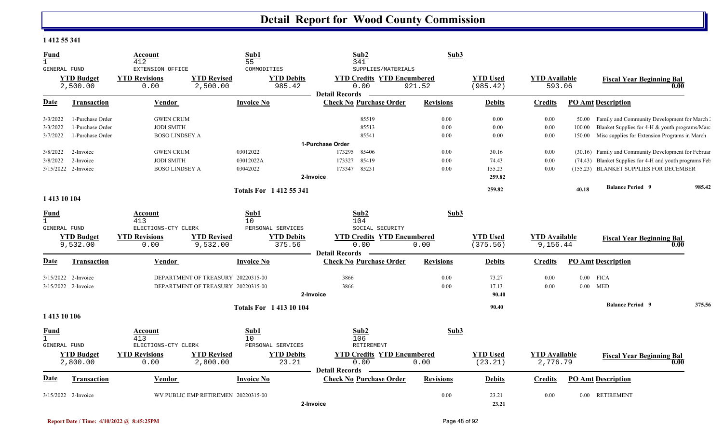#### **1 412 55 341**

| <b>Fund</b><br>$\mathbf{1}$<br><b>GENERAL FUND</b> |                               | Account<br>412<br>EXTENSION OFFICE |                                     | Sub1<br>55<br>COMMODITIES   |                             | Sub2<br>341<br>SUPPLIES/MATERIALS                                  | Sub3             |                             |                                  |          |                                                         |        |
|----------------------------------------------------|-------------------------------|------------------------------------|-------------------------------------|-----------------------------|-----------------------------|--------------------------------------------------------------------|------------------|-----------------------------|----------------------------------|----------|---------------------------------------------------------|--------|
|                                                    | <b>YTD Budget</b><br>2,500.00 | <b>YTD Revisions</b><br>0.00       | <b>YTD Revised</b><br>2,500.00      |                             | <b>YTD Debits</b><br>985.42 | <b>YTD Credits YTD Encumbered</b><br>0.00<br><b>Detail Records</b> | 921.52           | <b>YTD Used</b><br>(985.42) | <b>YTD Available</b><br>593.06   |          | <b>Fiscal Year Beginning Bal</b>                        | 0.00   |
| Date                                               | <b>Transaction</b>            | Vendor                             |                                     | <b>Invoice No</b>           |                             | <b>Check No Purchase Order</b>                                     | <b>Revisions</b> | <b>Debits</b>               | <b>Credits</b>                   |          | <b>PO Amt Description</b>                               |        |
| 3/3/2022                                           | 1-Purchase Order              | <b>GWEN CRUM</b>                   |                                     |                             |                             | 85519                                                              | 0.00             | 0.00                        | 0.00                             | 50.00    | Family and Community Development for March              |        |
| 3/3/2022                                           | 1-Purchase Order              | <b>JODI SMITH</b>                  |                                     |                             |                             | 85513                                                              | 0.00             | 0.00                        | 0.00                             | 100.00   | Blanket Supplies for 4-H & youth programs/Marc          |        |
| 3/7/2022                                           | 1-Purchase Order              | <b>BOSO LINDSEY A</b>              |                                     |                             |                             | 85541                                                              | 0.00             | 0.00                        | 0.00                             | 150.00   | Misc supplies for Extension Programs in March           |        |
|                                                    |                               |                                    |                                     |                             |                             | 1-Purchase Order                                                   |                  |                             |                                  |          |                                                         |        |
| 3/8/2022                                           | 2-Invoice                     | <b>GWEN CRUM</b>                   |                                     | 03012022                    |                             | 173295<br>85406                                                    | 0.00             | 30.16                       | 0.00                             |          | (30.16) Family and Community Development for Februar    |        |
| 3/8/2022                                           | 2-Invoice                     | <b>JODI SMITH</b>                  |                                     | 03012022A                   |                             | 85419<br>173327                                                    | 0.00             | 74.43                       | 0.00                             |          | (74.43) Blanket Supplies for 4-H and youth programs Feb |        |
|                                                    | 3/15/2022 2-Invoice           | <b>BOSO LINDSEY A</b>              |                                     | 03042022                    |                             | 85231<br>173347                                                    | 0.00             | 155.23                      | 0.00                             |          | (155.23) BLANKET SUPPLIES FOR DECEMBER                  |        |
|                                                    |                               |                                    |                                     |                             |                             | 2-Invoice                                                          |                  | 259.82                      |                                  |          |                                                         |        |
|                                                    |                               |                                    |                                     | <b>Totals For 141255341</b> |                             |                                                                    |                  | 259.82                      |                                  | 40.18    | <b>Balance Period 9</b>                                 | 985.42 |
| 1 413 10 104                                       |                               |                                    |                                     |                             |                             |                                                                    |                  |                             |                                  |          |                                                         |        |
| <b>Fund</b>                                        |                               | Account                            |                                     | Sub1                        |                             | Sub2                                                               | Sub3             |                             |                                  |          |                                                         |        |
| $\mathbf{1}$                                       |                               | 413                                |                                     | 10                          |                             | 104                                                                |                  |                             |                                  |          |                                                         |        |
| <b>GENERAL FUND</b>                                |                               | ELECTIONS-CTY CLERK                |                                     | PERSONAL SERVICES           |                             | SOCIAL SECURITY                                                    |                  |                             |                                  |          |                                                         |        |
|                                                    | <b>YTD Budget</b><br>9,532.00 | <b>YTD Revisions</b><br>0.00       | <b>YTD Revised</b><br>9,532.00      |                             | <b>YTD Debits</b><br>375.56 | <b>YTD Credits YTD Encumbered</b><br>0.00                          | 0.00             | <b>YTD</b> Used<br>(375.56) | <b>YTD Available</b><br>9,156.44 |          | <b>Fiscal Year Beginning Bal</b>                        | 0.00   |
|                                                    |                               |                                    |                                     |                             |                             | <b>Detail Records</b>                                              |                  |                             |                                  |          |                                                         |        |
| Date                                               | Transaction                   | Vendor                             |                                     | <b>Invoice No</b>           |                             | <b>Check No Purchase Order</b>                                     | <b>Revisions</b> | <b>Debits</b>               | Credits                          |          | <b>PO Amt Description</b>                               |        |
|                                                    | 3/15/2022 2-Invoice           |                                    | DEPARTMENT OF TREASURY 20220315-00  |                             |                             | 3866                                                               | 0.00             | 73.27                       | 0.00                             | $0.00\,$ | <b>FICA</b>                                             |        |
|                                                    | 3/15/2022 2-Invoice           |                                    | DEPARTMENT OF TREASURY 20220315-00  |                             |                             | 3866                                                               | 0.00             | 17.13                       | 0.00                             | $0.00\,$ | MED                                                     |        |
|                                                    |                               |                                    |                                     |                             |                             | 2-Invoice                                                          |                  | 90.40                       |                                  |          |                                                         |        |
|                                                    |                               |                                    |                                     | <b>Totals For 141310104</b> |                             |                                                                    |                  | 90.40                       |                                  |          | <b>Balance Period 9</b>                                 | 375.56 |
| 1 413 10 106                                       |                               |                                    |                                     |                             |                             |                                                                    |                  |                             |                                  |          |                                                         |        |
| <b>Fund</b>                                        |                               | Account                            |                                     | Sub1                        |                             | Sub2                                                               | Sub3             |                             |                                  |          |                                                         |        |
| $\mathbf{1}$                                       |                               | 413                                |                                     | 10                          |                             | 106                                                                |                  |                             |                                  |          |                                                         |        |
| GENERAL FUND                                       |                               | ELECTIONS-CTY CLERK                |                                     | PERSONAL SERVICES           |                             | RETIREMENT                                                         |                  |                             |                                  |          |                                                         |        |
|                                                    | <b>YTD Budget</b>             | <b>YTD Revisions</b>               | <b>YTD Revised</b>                  |                             | <b>YTD Debits</b>           | <b>YTD Credits YTD Encumbered</b>                                  |                  | <b>YTD Used</b>             | <b>YTD Available</b>             |          | <b>Fiscal Year Beginning Bal</b>                        |        |
|                                                    | 2,800.00                      | 0.00                               | 2,800.00                            |                             | 23.21                       | 0.00                                                               | 0.00             | (23.21)                     | 2,776.79                         |          |                                                         | 0.00   |
| Date                                               | <b>Transaction</b>            | <b>Vendor</b>                      |                                     | <b>Invoice No</b>           |                             | <b>Detail Records</b><br><b>Check No Purchase Order</b>            | <b>Revisions</b> | <b>Debits</b>               | <b>Credits</b>                   |          | <b>PO Amt Description</b>                               |        |
|                                                    |                               |                                    |                                     |                             |                             |                                                                    |                  |                             |                                  |          |                                                         |        |
|                                                    | $3/15/2022$ 2-Invoice         |                                    | WV PUBLIC EMP RETIREMEN 20220315-00 |                             |                             |                                                                    | 0.00             | 23.21                       | 0.00                             |          | 0.00 RETIREMENT                                         |        |
|                                                    |                               |                                    |                                     |                             |                             | 2-Invoice                                                          |                  | 23.21                       |                                  |          |                                                         |        |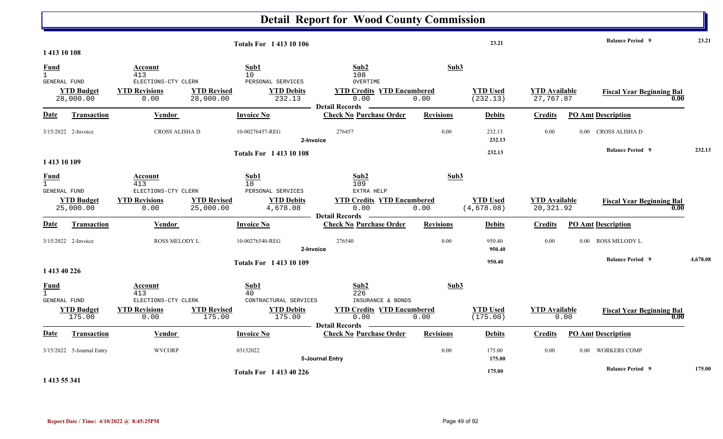|                                                    |                                |                                              |                                                                  | <b>Detail Report for Wood County Commission</b>                    |                  |                                |                                    |          |                                          |          |
|----------------------------------------------------|--------------------------------|----------------------------------------------|------------------------------------------------------------------|--------------------------------------------------------------------|------------------|--------------------------------|------------------------------------|----------|------------------------------------------|----------|
| 1413 10 108                                        |                                |                                              | <b>Totals For 141310106</b>                                      |                                                                    |                  | 23.21                          |                                    |          | <b>Balance Period 9</b>                  | 23.21    |
| <b>Fund</b><br>$\mathbf{1}$<br>GENERAL FUND        |                                | Account<br>413<br>ELECTIONS-CTY CLERK        | Sub1<br>10<br>PERSONAL SERVICES                                  | Sub2<br>108<br>OVERTIME                                            | Sub3             |                                |                                    |          |                                          |          |
|                                                    | <b>YTD Budget</b><br>28,000.00 | <b>YTD Revisions</b><br>0.00                 | <b>YTD Revised</b><br><b>YTD Debits</b><br>28,000.00<br>232.13   | <b>YTD Credits YTD Encumbered</b><br>0.00<br><b>Detail Records</b> | 0.00             | <b>YTD Used</b><br>(232.13)    | <b>YTD Available</b><br>27,767.87  |          | <b>Fiscal Year Beginning Bal</b><br>0.00 |          |
| Date                                               | Transaction                    | Vendor                                       | <b>Invoice No</b>                                                | <b>Check No Purchase Order</b>                                     | <b>Revisions</b> | <b>Debits</b>                  | <b>Credits</b>                     |          | <b>PO Amt Description</b>                |          |
|                                                    | 3/15/2022 2-Invoice            | CROSS ALISHA D                               | 10-00276457-REG                                                  | 276457<br>2-Invoice                                                | 0.00             | 232.13<br>232.13               | 0.00                               |          | 0.00 CROSS ALISHA D                      |          |
|                                                    |                                |                                              | <b>Totals For 141310108</b>                                      |                                                                    |                  | 232.13                         |                                    |          | <b>Balance Period 9</b>                  | 232.13   |
| 1413 10 109                                        |                                |                                              |                                                                  |                                                                    |                  |                                |                                    |          |                                          |          |
| <b>Fund</b><br>$\mathbf{1}$<br><b>GENERAL FUND</b> |                                | <u>Account</u><br>413<br>ELECTIONS-CTY CLERK | Sub1<br>10<br>PERSONAL SERVICES                                  | Sub2<br>109<br>EXTRA HELP                                          | Sub3             |                                |                                    |          |                                          |          |
|                                                    | <b>YTD Budget</b><br>25,000.00 | <b>YTD Revisions</b><br>0.00                 | <b>YTD Revised</b><br><b>YTD Debits</b><br>4,678.08<br>25,000.00 | <b>YTD Credits YTD Encumbered</b><br>0.00<br><b>Detail Records</b> | 0.00             | <b>YTD Used</b><br>(4, 678.08) | <b>YTD Available</b><br>20, 321.92 |          | <b>Fiscal Year Beginning Bal</b><br>0.00 |          |
| Date                                               | Transaction                    | <b>Vendor</b>                                | <b>Invoice No</b>                                                | <b>Check No Purchase Order</b>                                     | <b>Revisions</b> | <b>Debits</b>                  | <b>Credits</b>                     |          | <b>PO Amt Description</b>                |          |
|                                                    | 3/15/2022 2-Invoice            | ROSS MELODY L.                               | 10-00276540-REG                                                  | 276540<br>2-Invoice                                                | 0.00             | 950.40<br>950.40               | 0.00                               | $0.00 -$ | ROSS MELODY L.                           |          |
| 1 413 40 226                                       |                                |                                              | <b>Totals For 141310109</b>                                      |                                                                    |                  | 950.40                         |                                    |          | <b>Balance Period 9</b>                  | 4,678.08 |
| <b>Fund</b><br>$\mathbf{1}$<br><b>GENERAL FUND</b> |                                | <b>Account</b><br>413<br>ELECTIONS-CTY CLERK | Sub1<br>40<br>CONTRACTURAL SERVICES                              | Sub2<br>226<br>INSURANCE & BONDS                                   | Sub3             |                                |                                    |          |                                          |          |
|                                                    | <b>YTD Budget</b><br>175.00    | <b>YTD Revisions</b><br>0.00                 | <b>YTD Revised</b><br><b>YTD Debits</b><br>175.00<br>175.00      | <b>YTD Credits YTD Encumbered</b><br>0.00<br><b>Detail Records</b> | 0.00             | <b>YTD Used</b><br>(175.00)    | <b>YTD</b> Available               | 0.00     | <b>Fiscal Year Beginning Bal</b><br>0.00 |          |
| <b>Date</b>                                        | <b>Transaction</b>             | <b>Vendor</b>                                | <b>Invoice No</b>                                                | <b>Check No Purchase Order</b>                                     | <b>Revisions</b> | <b>Debits</b>                  | <b>Credits</b>                     |          | <b>PO Amt Description</b>                |          |
|                                                    | 3/15/2022 5-Journal Entry      | <b>WVCORP</b>                                | 03152022                                                         | 5-Journal Entry                                                    | 0.00             | 175.00<br>175.00               | 0.00                               |          | 0.00 WORKERS COMP                        |          |
|                                                    |                                |                                              | <b>Totals For 141340226</b>                                      |                                                                    |                  | 175.00                         |                                    |          | <b>Balance Period 9</b>                  | 175.00   |

**1 413 55 341**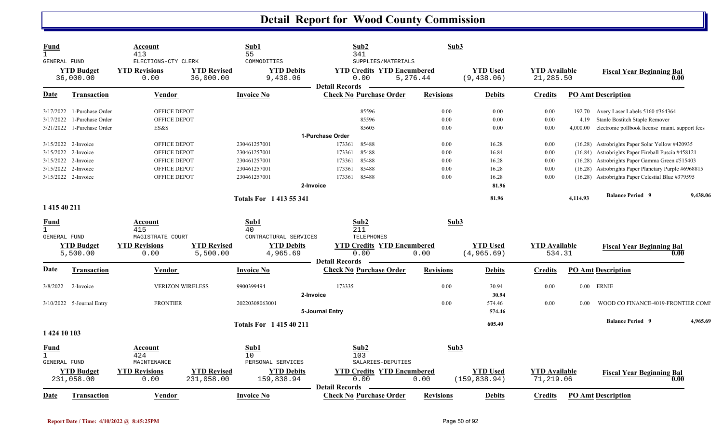| Fund<br>$\mathbf{1}$                |                                 | Account<br>413                                      |                                 | Sub1<br>55                                   | Sub2<br>341                                                                              |                  | Sub3                             |                                   |          |                                                      |          |
|-------------------------------------|---------------------------------|-----------------------------------------------------|---------------------------------|----------------------------------------------|------------------------------------------------------------------------------------------|------------------|----------------------------------|-----------------------------------|----------|------------------------------------------------------|----------|
| <b>GENERAL FUND</b>                 | <b>YTD Budget</b><br>36,000.00  | ELECTIONS-CTY CLERK<br><b>YTD Revisions</b><br>0.00 | <b>YTD Revised</b><br>36,000.00 | COMMODITIES<br><b>YTD Debits</b><br>9,438.06 | SUPPLIES/MATERIALS<br><b>YTD Credits YTD Encumbered</b><br>0.00<br><b>Detail Records</b> | 5,276.44         | <b>YTD Used</b><br>(9, 438.06)   | <b>YTD</b> Available<br>21,285.50 |          | <b>Fiscal Year Beginning Bal</b>                     | 0.00     |
| Date                                | <b>Transaction</b>              | Vendor                                              |                                 | <b>Invoice No</b>                            | <b>Check No Purchase Order</b>                                                           | <b>Revisions</b> | <b>Debits</b>                    | <b>Credits</b>                    |          | <b>PO Amt Description</b>                            |          |
| 3/17/2022                           | 1-Purchase Order                | <b>OFFICE DEPOT</b>                                 |                                 |                                              | 85596                                                                                    | 0.00             | 0.00                             | 0.00                              | 192.70   | Avery Laser Labels 5160 #364364                      |          |
| 3/17/2022                           | 1-Purchase Order                | OFFICE DEPOT                                        |                                 |                                              | 85596                                                                                    | 0.00             | $0.00\,$                         | 0.00                              | 4.19     | Stanle Bostitch Staple Remover                       |          |
| 3/21/2022                           | 1-Purchase Order                | ES&S                                                |                                 |                                              | 85605                                                                                    | 0.00             | 0.00                             | 0.00                              | 4,000.00 | electronic pollbook license maint. support fees      |          |
|                                     |                                 |                                                     |                                 |                                              | 1-Purchase Order                                                                         |                  |                                  |                                   |          |                                                      |          |
|                                     | 3/15/2022 2-Invoice             | <b>OFFICE DEPOT</b>                                 |                                 | 230461257001                                 | 173361<br>85488                                                                          | 0.00             | 16.28                            | 0.00                              |          | (16.28) Astrobrights Paper Solar Yellow #420935      |          |
| 3/15/2022                           | 2-Invoice                       | OFFICE DEPOT                                        |                                 | 230461257001                                 | 85488<br>173361                                                                          | 0.00             | 16.84                            | 0.00                              |          | (16.84) Astrobrights Paper Fireball Fuscia #458121   |          |
| 3/15/2022                           | 2-Invoice                       | OFFICE DEPOT                                        |                                 | 230461257001                                 | 85488<br>173361                                                                          | 0.00             | 16.28                            | 0.00                              |          | (16.28) Astrobrights Paper Gamma Green #515403       |          |
|                                     | 3/15/2022 2-Invoice             | OFFICE DEPOT                                        |                                 | 230461257001                                 | 173361<br>85488                                                                          | 0.00             | 16.28                            | 0.00                              |          | (16.28) Astrobrights Paper Planetary Purple #6968815 |          |
|                                     | 3/15/2022 2-Invoice             | <b>OFFICE DEPOT</b>                                 |                                 | 230461257001                                 | 173361<br>85488                                                                          | 0.00             | 16.28                            | 0.00                              |          | (16.28) Astrobrights Paper Celestial Blue #379595    |          |
|                                     |                                 |                                                     |                                 |                                              | 2-Invoice                                                                                |                  | 81.96                            |                                   |          |                                                      |          |
|                                     |                                 |                                                     |                                 | <b>Totals For 141355341</b>                  |                                                                                          |                  | 81.96                            |                                   | 4,114.93 | <b>Balance Period 9</b>                              | 9,438.06 |
| 1 415 40 211                        |                                 |                                                     |                                 |                                              |                                                                                          |                  |                                  |                                   |          |                                                      |          |
| Fund                                |                                 | Account                                             |                                 | Sub1                                         | Sub2                                                                                     |                  | Sub3                             |                                   |          |                                                      |          |
| $\mathbf{1}$                        |                                 | 415                                                 |                                 | 40                                           | 211                                                                                      |                  |                                  |                                   |          |                                                      |          |
| <b>GENERAL FUND</b>                 |                                 | MAGISTRATE COURT                                    |                                 | CONTRACTURAL SERVICES                        | <b>TELEPHONES</b>                                                                        |                  |                                  |                                   |          |                                                      |          |
|                                     | <b>YTD Budget</b><br>5,500.00   | <b>YTD Revisions</b><br>0.00                        | <b>YTD Revised</b><br>5,500.00  | <b>YTD Debits</b><br>4,965.69                | <b>YTD Credits YTD Encumbered</b><br>0.00                                                | 0.00             | <b>YTD Used</b><br>(4, 965.69)   | <b>YTD</b> Available<br>534.31    |          | <b>Fiscal Year Beginning Bal</b>                     | 0.00     |
|                                     |                                 |                                                     |                                 |                                              | <b>Detail Records</b>                                                                    |                  |                                  |                                   |          |                                                      |          |
| Date                                | Transaction                     | Vendor                                              |                                 | <b>Invoice No</b>                            | <b>Check No Purchase Order</b>                                                           | <b>Revisions</b> | <b>Debits</b>                    | Credits                           |          | <b>PO Amt Description</b>                            |          |
| 3/8/2022                            | 2-Invoice                       | <b>VERIZON WIRELESS</b>                             |                                 | 9900399494                                   | 173335                                                                                   | 0.00             | 30.94                            | 0.00                              | $0.00\,$ | <b>ERNIE</b>                                         |          |
|                                     |                                 |                                                     |                                 |                                              | 2-Invoice                                                                                |                  | 30.94                            |                                   |          |                                                      |          |
|                                     | 3/10/2022 5-Journal Entry       | <b>FRONTIER</b>                                     |                                 | 20220308063001                               |                                                                                          | 0.00             | 574.46                           | 0.00                              | 0.00     | WOOD CO FINANCE-4019-FRONTIER COMI                   |          |
|                                     |                                 |                                                     |                                 |                                              | 5-Journal Entry                                                                          |                  | 574.46                           |                                   |          |                                                      |          |
|                                     |                                 |                                                     |                                 | <b>Totals For 141540211</b>                  |                                                                                          |                  | 605.40                           |                                   |          | <b>Balance Period 9</b>                              | 4,965.69 |
| 1 424 10 103                        |                                 |                                                     |                                 |                                              |                                                                                          |                  |                                  |                                   |          |                                                      |          |
| <u>Fund</u>                         |                                 | Account                                             |                                 | Sub1                                         | Sub2                                                                                     |                  | Sub3                             |                                   |          |                                                      |          |
| $\mathbf{1}$<br><b>GENERAL FUND</b> |                                 | 424<br>MAINTENANCE                                  |                                 | 10<br>PERSONAL SERVICES                      | 103<br>SALARIES-DEPUTIES                                                                 |                  |                                  |                                   |          |                                                      |          |
|                                     |                                 |                                                     |                                 |                                              |                                                                                          |                  |                                  |                                   |          |                                                      |          |
|                                     | <b>YTD Budget</b><br>231,058.00 | <b>YTD Revisions</b><br>0.00                        | <b>YTD Revised</b>              | <b>YTD Debits</b>                            | <b>YTD Credits YTD Encumbered</b><br>0.00                                                | 0.00             | <b>YTD Used</b><br>(159, 838.94) | <b>YTD</b> Available<br>71,219.06 |          | <b>Fiscal Year Beginning Bal</b>                     | 0.00     |
|                                     |                                 |                                                     | 231,058.00                      | 159,838.94                                   | <b>Detail Records</b>                                                                    |                  |                                  |                                   |          |                                                      |          |
| Date                                | Transaction                     | Vendor                                              |                                 | <b>Invoice No</b>                            | <b>Check No Purchase Order</b>                                                           | <b>Revisions</b> | <b>Debits</b>                    | <b>Credits</b>                    |          | <b>PO Amt Description</b>                            |          |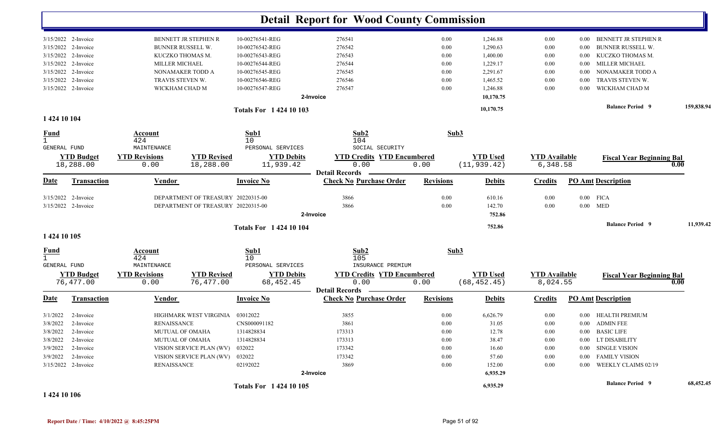|                         |                      |                      |                                    |                             | <b>Detail Report for Wood County Commission</b>         |                  |                 |                      |          |                                  |            |
|-------------------------|----------------------|----------------------|------------------------------------|-----------------------------|---------------------------------------------------------|------------------|-----------------|----------------------|----------|----------------------------------|------------|
|                         |                      |                      |                                    |                             |                                                         |                  |                 |                      |          |                                  |            |
|                         | 3/15/2022 2-Invoice  |                      | BENNETT JR STEPHEN R               | 10-00276541-REG             | 276541                                                  | 0.00             | 1,246.88        | 0.00                 | $0.00\,$ | BENNETT JR STEPHEN R             |            |
| 3/15/2022               | 2-Invoice            |                      | <b>BUNNER RUSSELL W.</b>           | 10-00276542-REG             | 276542                                                  | 0.00             | 1,290.63        | 0.00                 | 0.00     | <b>BUNNER RUSSELL W.</b>         |            |
| 3/15/2022               | 2-Invoice            |                      | KUCZKO THOMAS M.                   | 10-00276543-REG             | 276543                                                  | 0.00             | 1,400.00        | 0.00                 | 0.00     | KUCZKO THOMAS M.                 |            |
| 3/15/2022               | 2-Invoice            | MILLER MICHAEL       |                                    | 10-00276544-REG             | 276544                                                  | 0.00             | 1,229.17        | 0.00                 | 0.00     | <b>MILLER MICHAEL</b>            |            |
|                         | 3/15/2022 2-Invoice  |                      | NONAMAKER TODD A                   | 10-00276545-REG             | 276545                                                  | 0.00             | 2,291.67        | 0.00                 | 0.00     | NONAMAKER TODD A                 |            |
|                         | 3/15/2022 2-Invoice  | TRAVIS STEVEN W.     |                                    | 10-00276546-REG             | 276546                                                  | 0.00             | 1,465.52        | 0.00                 | 0.00     | TRAVIS STEVEN W.                 |            |
|                         | 3/15/2022 2-Invoice  | WICKHAM CHAD M       |                                    | 10-00276547-REG             | 276547                                                  | 0.00             | 1,246.88        | 0.00                 | 0.00     | WICKHAM CHAD M                   |            |
|                         |                      |                      |                                    |                             | 2-Invoice                                               |                  | 10,170.75       |                      |          |                                  |            |
|                         |                      |                      |                                    | <b>Totals For 142410103</b> |                                                         |                  | 10,170.75       |                      |          | <b>Balance Period 9</b>          | 159,838.94 |
| 1 424 10 104            |                      |                      |                                    |                             |                                                         |                  |                 |                      |          |                                  |            |
| <u>Fund</u>             |                      | Account              |                                    | Sub1                        | Sub2                                                    | Sub3             |                 |                      |          |                                  |            |
| $\mathbf{1}$            |                      | 424                  |                                    | 10                          | 104                                                     |                  |                 |                      |          |                                  |            |
| GENERAL FUND            |                      | MAINTENANCE          |                                    | PERSONAL SERVICES           | SOCIAL SECURITY                                         |                  |                 |                      |          |                                  |            |
|                         | <b>YTD Budget</b>    | <b>YTD Revisions</b> | <b>YTD Revised</b>                 | <b>YTD Debits</b>           | <b>YTD Credits YTD Encumbered</b>                       |                  | <b>YTD</b> Used | <b>YTD Available</b> |          | <b>Fiscal Year Beginning Bal</b> |            |
|                         | 18,288.00            | 0.00                 | 18,288.00                          | 11,939.42                   | 0.00                                                    | 0.00             | (11, 939.42)    | 6,348.58             |          |                                  | 0.00       |
| Date                    | <b>Transaction</b>   | <u>Vendor</u>        |                                    | <b>Invoice No</b>           | <b>Detail Records</b><br><b>Check No Purchase Order</b> | <b>Revisions</b> | <b>Debits</b>   | <b>Credits</b>       |          | <b>PO Amt Description</b>        |            |
| 3/15/2022               | 2-Invoice            |                      | DEPARTMENT OF TREASURY 20220315-00 |                             | 3866                                                    | 0.00             | 610.16          | 0.00                 | $0.00\,$ | <b>FICA</b>                      |            |
|                         | 3/15/2022 2-Invoice  |                      | DEPARTMENT OF TREASURY 20220315-00 |                             | 3866                                                    | 0.00             | 142.70          | 0.00                 | $0.00\,$ | MED                              |            |
|                         |                      |                      |                                    |                             | 2-Invoice                                               |                  | 752.86          |                      |          |                                  |            |
|                         |                      |                      |                                    | <b>Totals For 142410104</b> |                                                         |                  | 752.86          |                      |          | <b>Balance Period 9</b>          | 11,939.42  |
| 1 424 10 105            |                      |                      |                                    |                             |                                                         |                  |                 |                      |          |                                  |            |
|                         |                      | <b>Account</b>       |                                    | Sub1                        | Sub2                                                    | Sub3             |                 |                      |          |                                  |            |
| $\frac{\text{Fund}}{1}$ |                      | 424                  |                                    | 10                          | 105                                                     |                  |                 |                      |          |                                  |            |
| GENERAL FUND            |                      | MAINTENANCE          |                                    | PERSONAL SERVICES           | INSURANCE PREMIUM                                       |                  |                 |                      |          |                                  |            |
|                         | <b>YTD Budget</b>    | <b>YTD Revisions</b> | <b>YTD Revised</b>                 | <b>YTD Debits</b>           | <b>YTD Credits YTD Encumbered</b>                       |                  | <b>YTD Used</b> | <b>YTD</b> Available |          | <b>Fiscal Year Beginning Bal</b> |            |
|                         | 76,477.00            | 0.00                 | 76,477.00                          | 68, 452.45                  | 0.00                                                    | 0.00             | (68, 452.45)    | 8,024.55             |          |                                  | 0.00       |
| <u>Date</u>             | <b>Transaction</b>   | <b>Vendor</b>        |                                    | <b>Invoice No</b>           | <b>Detail Records</b><br><b>Check No Purchase Order</b> | <b>Revisions</b> | <b>Debits</b>   | <b>Credits</b>       |          | <b>PO Amt Description</b>        |            |
| 3/1/2022                | 2-Invoice            |                      | HIGHMARK WEST VIRGINIA             | 03012022                    | 3855                                                    | 0.00             | 6,626.79        | 0.00                 |          | 0.00 HEALTH PREMIUM              |            |
|                         | 3/8/2022 2-Invoice   | <b>RENAISSANCE</b>   |                                    | CNS000091182                | 3861                                                    | 0.00             | 31.05           | 0.00                 |          | 0.00 ADMIN FEE                   |            |
|                         | 3/8/2022 2-Invoice   |                      | MUTUAL OF OMAHA                    | 1314828834                  | 173313                                                  | $0.00\,$         | 12.78           | 0.00                 |          | 0.00 BASIC LIFE                  |            |
|                         | $3/8/2022$ 2-Invoice | MUTUAL OF OMAHA      |                                    | 1314828834                  | 173313                                                  | 0.00             | 38.47           | 0.00                 |          | 0.00 LT DISABILITY               |            |
|                         | 3/9/2022 2-Invoice   |                      | VISION SERVICE PLAN (WV)           | 032022                      | 173342                                                  | $0.00\,$         | 16.60           | 0.00                 |          | 0.00 SINGLE VISION               |            |
|                         | 3/9/2022 2-Invoice   |                      | VISION SERVICE PLAN (WV) 032022    |                             | 173342                                                  | $0.00\,$         | 57.60           | 0.00                 |          | 0.00 FAMILY VISION               |            |
|                         | 3/15/2022 2-Invoice  | <b>RENAISSANCE</b>   |                                    | 02192022                    | 3869                                                    | $0.00\,$         | 152.00          | 0.00                 |          | 0.00 WEEKLY CLAIMS 02/19         |            |
|                         |                      |                      |                                    |                             | 2-Invoice                                               |                  | 6,935.29        |                      |          |                                  |            |
|                         |                      |                      |                                    | <b>Totals For 142410105</b> |                                                         |                  | 6,935.29        |                      |          | <b>Balance Period 9</b>          | 68,452.45  |

**1 424 10 106**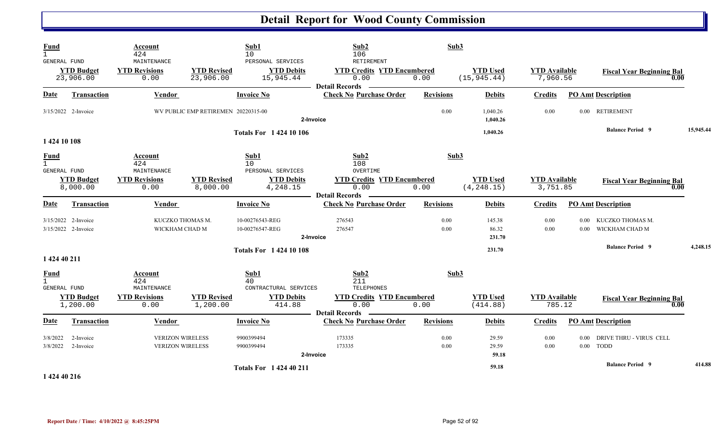| <b>Fund</b><br>$\mathbf{1}$<br>GENERAL FUND        | <b>YTD Budget</b><br>23,906.00             | Account<br>424<br>MAINTENANCE<br><b>YTD Revisions</b><br>0.00        | <b>YTD Revised</b><br>23,906.00     | Sub1<br>10<br>PERSONAL SERVICES<br><b>YTD Debits</b><br>15,945.44  | Sub2<br>106<br>RETIREMENT<br><b>YTD Credits YTD Encumbered</b><br>0.00<br><b>Detail Records</b> | Sub3<br>0.00     | <b>YTD Used</b><br>(15, 945.44) | <b>YTD</b> Available<br>7,960.56 |                      | <b>Fiscal Year Beginning Bal</b><br>0.00    |           |
|----------------------------------------------------|--------------------------------------------|----------------------------------------------------------------------|-------------------------------------|--------------------------------------------------------------------|-------------------------------------------------------------------------------------------------|------------------|---------------------------------|----------------------------------|----------------------|---------------------------------------------|-----------|
| Date                                               | <b>Transaction</b>                         | <b>Vendor</b>                                                        |                                     | <b>Invoice No</b>                                                  | <b>Check No Purchase Order</b>                                                                  | <b>Revisions</b> | <b>Debits</b>                   | <b>Credits</b>                   |                      | <b>PO Amt Description</b>                   |           |
|                                                    | 3/15/2022 2-Invoice                        |                                                                      | WV PUBLIC EMP RETIREMEN 20220315-00 |                                                                    | 2-Invoice                                                                                       | 0.00             | 1,040.26<br>1,040.26            | 0.00                             |                      | 0.00 RETIREMENT                             |           |
| 1 424 10 108                                       |                                            |                                                                      |                                     | <b>Totals For 1 424 10 106</b>                                     |                                                                                                 |                  | 1,040.26                        |                                  |                      | <b>Balance Period 9</b>                     | 15,945.44 |
| <u>Fund</u><br>$\mathbf{1}$<br>GENERAL FUND        |                                            | Account<br>424<br>MAINTENANCE                                        |                                     | Sub1<br>10 <sup>°</sup><br>PERSONAL SERVICES                       | Sub2<br>108<br>OVERTIME                                                                         | Sub3             |                                 |                                  |                      |                                             |           |
|                                                    | <b>YTD Budget</b><br>8,000.00              | <b>YTD Revisions</b><br>0.00                                         | <b>YTD Revised</b><br>8,000.00      | <b>YTD Debits</b><br>4,248.15                                      | <b>YTD Credits YTD Encumbered</b><br>0.00<br><b>Detail Records</b>                              | 0.00             | <b>YTD Used</b><br>(4, 248.15)  | <b>YTD Available</b><br>3,751.85 |                      | <b>Fiscal Year Beginning Bal</b><br>0.00    |           |
| Date                                               | Transaction                                | Vendor                                                               |                                     | <b>Invoice No</b>                                                  | <b>Check No Purchase Order</b>                                                                  | <b>Revisions</b> | <b>Debits</b>                   | <b>Credits</b>                   |                      | <b>PO Amt Description</b>                   |           |
|                                                    | 3/15/2022 2-Invoice<br>3/15/2022 2-Invoice | KUCZKO THOMAS M.<br>WICKHAM CHAD M                                   |                                     | 10-00276543-REG<br>10-00276547-REG                                 | 276543<br>276547<br>2-Invoice                                                                   | 0.00<br>0.00     | 145.38<br>86.32<br>231.70       | 0.00<br>0.00                     | $0.00\,$<br>$0.00\,$ | KUCZKO THOMAS M.<br>WICKHAM CHAD M          |           |
| 1 424 40 211                                       |                                            |                                                                      |                                     | <b>Totals For 1 424 10 108</b>                                     |                                                                                                 |                  | 231.70                          |                                  |                      | <b>Balance Period 9</b>                     | 4,248.15  |
| <b>Fund</b><br>$\mathbf{1}$<br><b>GENERAL FUND</b> | <b>YTD Budget</b><br>1,200.00              | <b>Account</b><br>424<br>MAINTENANCE<br><b>YTD Revisions</b><br>0.00 | <b>YTD Revised</b><br>1,200.00      | Sub1<br>40<br>CONTRACTURAL SERVICES<br><b>YTD Debits</b><br>414.88 | Sub2<br>211<br>TELEPHONES<br><b>YTD Credits YTD Encumbered</b><br>0.00                          | Sub3<br>0.00     | <b>YTD Used</b><br>(414.88)     | <b>YTD Available</b><br>785.12   |                      | <b>Fiscal Year Beginning Bal</b><br>0.00    |           |
| Date                                               | Transaction                                | Vendor                                                               |                                     | <b>Invoice No</b>                                                  | <b>Detail Records</b><br><b>Check No Purchase Order</b>                                         | <b>Revisions</b> | <b>Debits</b>                   | <b>Credits</b>                   |                      | <b>PO Amt Description</b>                   |           |
| 3/8/2022<br>3/8/2022                               | 2-Invoice<br>2-Invoice                     | <b>VERIZON WIRELESS</b><br><b>VERIZON WIRELESS</b>                   |                                     | 9900399494<br>9900399494                                           | 173335<br>173335<br>2-Invoice                                                                   | 0.00<br>0.00     | 29.59<br>29.59<br>59.18         | 0.00<br>0.00                     |                      | 0.00 DRIVE THRU - VIRUS CELL<br>$0.00$ TODD |           |
| 1 424 40 216                                       |                                            |                                                                      |                                     | <b>Totals For 142440211</b>                                        |                                                                                                 |                  | 59.18                           |                                  |                      | <b>Balance Period 9</b>                     | 414.88    |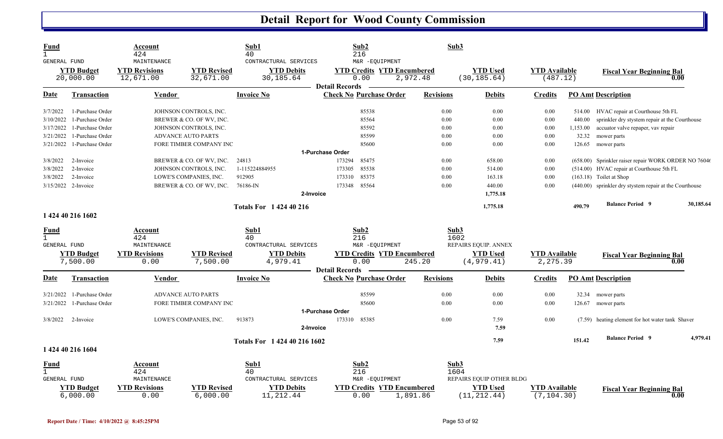| Fund<br>$\mathbf{1}$        | GENERAL FUND<br><b>YTD Budget</b><br>20,000.00 | Account<br>424<br>MAINTENANCE<br><b>YTD Revisions</b><br>12,671.00 | <b>YTD Revised</b><br>32,671.00 | Sub1<br>40<br>CONTRACTURAL SERVICES<br><b>YTD Debits</b><br>30,185.64 | Sub2<br>216<br>M&R -EQUIPMENT<br><b>YTD Credits YTD Encumbered</b><br>0.00 | 2,972.48         | Sub3<br><b>YTD Used</b><br>(30, 185.64) | <b>YTD</b> Available<br>(487.12)    |          | <b>Fiscal Year Beginning Bal</b><br>0.00                |           |
|-----------------------------|------------------------------------------------|--------------------------------------------------------------------|---------------------------------|-----------------------------------------------------------------------|----------------------------------------------------------------------------|------------------|-----------------------------------------|-------------------------------------|----------|---------------------------------------------------------|-----------|
| Date                        | <b>Transaction</b>                             | <b>Vendor</b>                                                      |                                 | <b>Invoice No</b>                                                     | <b>Detail Records</b><br><b>Check No Purchase Order</b>                    | <b>Revisions</b> | Debits                                  | <b>Credits</b>                      |          | <b>PO Amt Description</b>                               |           |
| 3/7/2022                    | 1-Purchase Order                               |                                                                    | JOHNSON CONTROLS, INC.          |                                                                       | 85538                                                                      |                  | $0.00\,$<br>0.00                        | 0.00                                |          | 514.00 HVAC repair at Courthouse 5th FL                 |           |
| 3/10/2022                   | 1-Purchase Order                               |                                                                    | BREWER & CO. OF WV, INC.        |                                                                       | 85564                                                                      |                  | 0.00<br>0.00                            | 0.00                                | 440.00   | sprinkler dry stystem repair at the Courthouse          |           |
| 3/17/2022                   | 1-Purchase Order                               |                                                                    | JOHNSON CONTROLS, INC.          |                                                                       | 85592                                                                      |                  | 0.00<br>0.00                            | 0.00                                | 1,153.00 | accuator valve repaper, vav repair                      |           |
| 3/21/2022                   | 1-Purchase Order                               |                                                                    | <b>ADVANCE AUTO PARTS</b>       |                                                                       | 85599                                                                      |                  | 0.00<br>0.00                            | 0.00                                | 32.32    | mower parts                                             |           |
| 3/21/2022                   | 1-Purchase Order                               |                                                                    | FORE TIMBER COMPANY INC         |                                                                       | 85600                                                                      |                  | 0.00<br>0.00                            | 0.00                                |          | 126.65 mower parts                                      |           |
|                             |                                                |                                                                    |                                 |                                                                       | 1-Purchase Order                                                           |                  |                                         |                                     |          |                                                         |           |
| 3/8/2022                    | 2-Invoice                                      |                                                                    | BREWER & CO. OF WV, INC.        | 24813                                                                 | 173294<br>85475                                                            |                  | 0.00<br>658.00                          | 0.00                                |          | (658.00) Sprinkler raiser repair WORK ORDER NO 76046    |           |
| 3/8/2022                    | 2-Invoice                                      |                                                                    | JOHNSON CONTROLS, INC.          | 1-115224884955                                                        | 85538<br>173305                                                            |                  | $0.00\,$<br>514.00                      | 0.00                                |          | (514.00) HVAC repair at Courthouse 5th FL               |           |
| 3/8/2022                    | 2-Invoice                                      |                                                                    | LOWE'S COMPANIES, INC.          | 912905                                                                | 85375<br>173310                                                            |                  | 0.00<br>163.18                          | 0.00                                |          | $(163.18)$ Toilet at Shop                               |           |
|                             | 3/15/2022 2-Invoice                            |                                                                    | BREWER & CO. OF WV, INC.        | 76186-IN                                                              | 173348<br>85564                                                            |                  | 0.00<br>440.00                          | 0.00                                |          | (440.00) sprinkler dry stystem repair at the Courthouse |           |
|                             |                                                |                                                                    |                                 | 2-Invoice                                                             |                                                                            |                  | 1,775.18                                |                                     |          |                                                         |           |
|                             |                                                |                                                                    |                                 | <b>Totals For 142440216</b>                                           |                                                                            |                  | 1,775.18                                |                                     | 490.79   | <b>Balance Period 9</b>                                 | 30,185.64 |
|                             | 1 424 40 216 1602                              |                                                                    |                                 |                                                                       |                                                                            |                  |                                         |                                     |          |                                                         |           |
|                             |                                                |                                                                    |                                 |                                                                       |                                                                            |                  |                                         |                                     |          |                                                         |           |
| <u>Fund</u><br>$\mathbf{1}$ |                                                | <b>Account</b>                                                     |                                 | Sub1                                                                  | Sub2                                                                       |                  | Sub3                                    |                                     |          |                                                         |           |
|                             | GENERAL FUND                                   | 424<br>MAINTENANCE                                                 |                                 | 40<br>CONTRACTURAL SERVICES                                           | 216<br>M&R -EQUIPMENT                                                      |                  | 1602<br>REPAIRS EQUIP. ANNEX            |                                     |          |                                                         |           |
|                             | <b>YTD Budget</b>                              | <b>YTD Revisions</b>                                               | <b>YTD Revised</b>              | <b>YTD Debits</b>                                                     | <b>YTD Credits YTD Encumbered</b>                                          |                  | <b>YTD</b> Used                         | <b>YTD Available</b>                |          |                                                         |           |
|                             | 7,500.00                                       | 0.00                                                               | 7,500.00                        | 4,979.41                                                              | 0.00                                                                       | 245.20           | (4, 979.41)                             | 2,275.39                            |          | <b>Fiscal Year Beginning Bal</b><br>0.00                |           |
|                             |                                                |                                                                    |                                 |                                                                       | <b>Detail Records</b>                                                      |                  |                                         |                                     |          |                                                         |           |
| Date                        | <b>Transaction</b>                             | <b>Vendor</b>                                                      |                                 | <b>Invoice No</b>                                                     | <b>Check No Purchase Order</b>                                             | <b>Revisions</b> | <b>Debits</b>                           | <b>Credits</b>                      |          | <b>PO Amt Description</b>                               |           |
|                             |                                                |                                                                    |                                 |                                                                       |                                                                            |                  |                                         |                                     |          |                                                         |           |
| 3/21/2022                   | 1-Purchase Order                               |                                                                    | <b>ADVANCE AUTO PARTS</b>       |                                                                       | 85599<br>85600                                                             |                  | $0.00\,$<br>0.00                        | 0.00                                |          | 32.34 mower parts                                       |           |
| 3/21/2022                   | 1-Purchase Order                               |                                                                    | FORE TIMBER COMPANY INC         |                                                                       |                                                                            |                  | 0.00<br>0.00                            | 0.00                                |          | 126.67 mower parts                                      |           |
|                             |                                                |                                                                    |                                 |                                                                       | 1-Purchase Order                                                           |                  |                                         |                                     |          |                                                         |           |
| 3/8/2022                    | 2-Invoice                                      |                                                                    | LOWE'S COMPANIES, INC.          | 913873                                                                | 85385<br>173310                                                            |                  | 0.00<br>7.59                            | 0.00                                |          | (7.59) heating element for hot water tank Shaver        |           |
|                             |                                                |                                                                    |                                 | 2-Invoice                                                             |                                                                            |                  | 7.59                                    |                                     |          |                                                         |           |
|                             |                                                |                                                                    |                                 | Totals For 1 424 40 216 1602                                          |                                                                            |                  | 7.59                                    |                                     | 151.42   | <b>Balance Period 9</b>                                 | 4,979.41  |
|                             | 1 424 40 216 1604                              |                                                                    |                                 |                                                                       |                                                                            |                  |                                         |                                     |          |                                                         |           |
| Fund                        |                                                | Account                                                            |                                 | Sub1                                                                  | Sub2                                                                       |                  | Sub3                                    |                                     |          |                                                         |           |
|                             |                                                | 424                                                                |                                 | 40                                                                    | 216                                                                        |                  | 1604                                    |                                     |          |                                                         |           |
|                             | <b>GENERAL FUND</b>                            | MAINTENANCE                                                        |                                 | CONTRACTURAL SERVICES                                                 | M&R -EQUIPMENT                                                             |                  | REPAIRS EQUIP OTHER BLDG                |                                     |          |                                                         |           |
|                             | <b>YTD Budget</b><br>6,000.00                  | <b>YTD Revisions</b><br>0.00                                       | <b>YTD Revised</b><br>6,000.00  | <b>YTD Debits</b><br>11, 212.44                                       | <b>YTD Credits YTD Encumbered</b><br>0.00                                  | 1,891.86         | <b>YTD</b> Used<br>(11, 212.44)         | <b>YTD Available</b><br>(7, 104.30) |          | <b>Fiscal Year Beginning Bal</b><br>0.00                |           |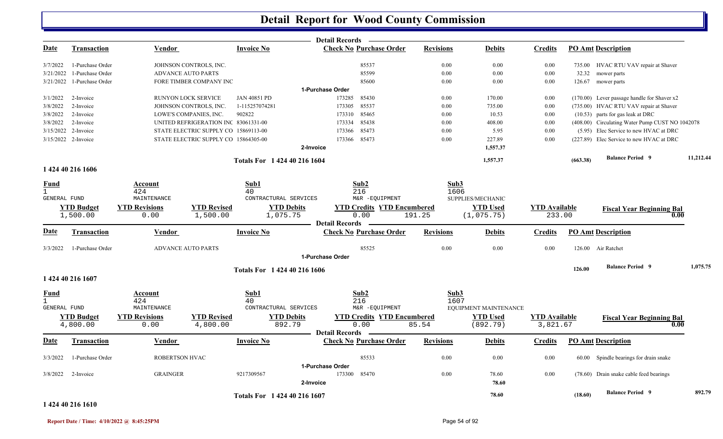|              |                     |                      |                                      |                              | Detail Records —                                        |                                   |                       |                |                      |                                                 |           |
|--------------|---------------------|----------------------|--------------------------------------|------------------------------|---------------------------------------------------------|-----------------------------------|-----------------------|----------------|----------------------|-------------------------------------------------|-----------|
| <u>Date</u>  | <b>Transaction</b>  | <b>Vendor</b>        |                                      | <b>Invoice No</b>            | <b>Check No Purchase Order</b>                          | <b>Revisions</b>                  | <b>Debits</b>         | <b>Credits</b> |                      | <b>PO Amt Description</b>                       |           |
| 3/7/2022     | 1-Purchase Order    |                      | JOHNSON CONTROLS, INC.               |                              | 85537                                                   | 0.00                              | 0.00                  |                | 0.00                 | 735.00 HVAC RTU VAV repair at Shaver            |           |
| 3/21/2022    | 1-Purchase Order    |                      | <b>ADVANCE AUTO PARTS</b>            |                              | 85599                                                   | 0.00                              | $0.00\,$              |                | 0.00<br>32.32        | mower parts                                     |           |
| 3/21/2022    | 1-Purchase Order    |                      | FORE TIMBER COMPANY INC              |                              | 85600                                                   | 0.00                              | 0.00                  |                | 0.00                 | 126.67 mower parts                              |           |
|              |                     |                      |                                      |                              | 1-Purchase Order                                        |                                   |                       |                |                      |                                                 |           |
| 3/1/2022     | 2-Invoice           |                      | <b>RUNYON LOCK SERVICE</b>           | JAN 40851 PD                 | 173285<br>85430                                         | 0.00                              | 170.00                |                | 0.00                 | (170.00) Lever passage handle for Shaver x2     |           |
| 3/8/2022     | 2-Invoice           |                      | JOHNSON CONTROLS, INC.               | 1-115257074281               | 85537<br>173305                                         | 0.00                              | 735.00                |                | 0.00                 | (735.00) HVAC RTU VAV repair at Shaver          |           |
| 3/8/2022     | 2-Invoice           |                      | LOWE'S COMPANIES, INC.               | 902822                       | 85465<br>173310                                         | 0.00                              | 10.53                 |                | 0.00                 | (10.53) parts for gas leak at DRC               |           |
| 3/8/2022     | 2-Invoice           |                      | UNITED REFRIGERATION INC 83061331-00 |                              | 85438<br>173334                                         | 0.00                              | 408.00                |                | 0.00                 | (408.00) Circulating Water Pump CUST NO 1042078 |           |
| 3/15/2022    | 2-Invoice           |                      | STATE ELECTRIC SUPPLY CO 15869113-00 |                              | 85473<br>173366                                         | 0.00                              | 5.95                  |                | 0.00                 | (5.95) Elec Service to new HVAC at DRC          |           |
|              | 3/15/2022 2-Invoice |                      | STATE ELECTRIC SUPPLY CO 15864305-00 |                              | 85473<br>173366                                         | 0.00                              | 227.89                |                | 0.00                 | (227.89) Elec Service to new HVAC at DRC        |           |
|              |                     |                      |                                      |                              | 2-Invoice                                               |                                   | 1,557.37              |                |                      |                                                 |           |
|              |                     |                      |                                      | Totals For 1 424 40 216 1604 |                                                         |                                   | 1,557.37              |                | (663.38)             | <b>Balance Period 9</b>                         | 11,212.44 |
|              | 1 424 40 216 1606   |                      |                                      |                              |                                                         |                                   |                       |                |                      |                                                 |           |
| Fund         |                     | Account              |                                      | Sub1                         | Sub2                                                    |                                   | Sub3                  |                |                      |                                                 |           |
|              |                     | 424                  |                                      | 40                           | 216                                                     |                                   | 1606                  |                |                      |                                                 |           |
| GENERAL FUND |                     | MAINTENANCE          |                                      | CONTRACTURAL SERVICES        |                                                         | M&R -EQUIPMENT                    | SUPPLIES/MECHANIC     |                |                      |                                                 |           |
|              | <b>YTD Budget</b>   | <b>YTD Revisions</b> | <b>YTD Revised</b>                   | <b>YTD Debits</b>            |                                                         | <b>YTD Credits YTD Encumbered</b> | <b>YTD Used</b>       |                | <b>YTD</b> Available | <b>Fiscal Year Beginning Bal</b>                |           |
|              | 1,500.00            | 0.00                 | 1,500.00                             | 1,075.75                     | 0.00                                                    | 191.25                            | (1,075.75)            |                | 233.00               | 0.00                                            |           |
|              |                     |                      |                                      |                              | <b>Detail Records</b>                                   |                                   |                       |                |                      |                                                 |           |
| <u>Date</u>  | Transaction         | Vendor               |                                      | <b>Invoice No</b>            | <b>Check No Purchase Order</b>                          | <b>Revisions</b>                  | <b>Debits</b>         | <b>Credits</b> |                      | <b>PO Amt Description</b>                       |           |
| 3/3/2022     | 1-Purchase Order    |                      | <b>ADVANCE AUTO PARTS</b>            |                              | 85525                                                   | 0.00                              | 0.00                  |                | 0.00                 | 126.00 Air Ratchet                              |           |
|              |                     |                      |                                      |                              | 1-Purchase Order                                        |                                   |                       |                |                      |                                                 |           |
|              |                     |                      |                                      | Totals For 1 424 40 216 1606 |                                                         |                                   |                       |                | 126.00               | <b>Balance Period</b> 9                         | 1,075.75  |
|              | 1 424 40 216 1607   |                      |                                      |                              |                                                         |                                   |                       |                |                      |                                                 |           |
| Fund         |                     | Account              |                                      | Sub1                         | Sub2                                                    |                                   | Sub3                  |                |                      |                                                 |           |
|              |                     | 424                  |                                      | 40                           | 216                                                     |                                   | 1607                  |                |                      |                                                 |           |
| GENERAL FUND |                     | MAINTENANCE          |                                      | CONTRACTURAL SERVICES        |                                                         | M&R -EQUIPMENT                    | EQUIPMENT MAINTENANCE |                |                      |                                                 |           |
|              | <b>YTD Budget</b>   | <b>YTD Revisions</b> | <b>YTD Revised</b>                   | <b>YTD Debits</b>            |                                                         | <b>YTD Credits YTD Encumbered</b> | <b>YTD Used</b>       |                | <b>YTD</b> Available | <b>Fiscal Year Beginning Bal</b>                |           |
|              | 4,800.00            | 0.00                 | 4,800.00                             | 892.79                       | 0.00                                                    | 85.54                             | (892.79)              |                | 3,821.67             | 0.00                                            |           |
| <b>Date</b>  | <b>Transaction</b>  | Vendor               |                                      | <b>Invoice No</b>            | <b>Detail Records</b><br><b>Check No Purchase Order</b> | <b>Revisions</b>                  | <b>Debits</b>         | <b>Credits</b> |                      | <b>PO Amt Description</b>                       |           |
|              |                     |                      |                                      |                              |                                                         |                                   |                       |                |                      |                                                 |           |
| 3/3/2022     | 1-Purchase Order    | ROBERTSON HVAC       |                                      |                              | 85533<br>1-Purchase Order                               | 0.00                              | 0.00                  |                | 0.00                 | 60.00 Spindle bearings for drain snake          |           |
|              |                     |                      |                                      |                              |                                                         |                                   |                       |                |                      |                                                 |           |
| 3/8/2022     | 2-Invoice           | <b>GRAINGER</b>      |                                      | 9217309567                   | 173300<br>85470                                         | 0.00                              | 78.60                 |                | 0.00                 | (78.60) Drain snake cable feed bearings         |           |
|              |                     |                      |                                      |                              | 2-Invoice                                               |                                   |                       | 78.60          |                      |                                                 |           |
|              |                     |                      |                                      | Totals For 1 424 40 216 1607 |                                                         |                                   | 78.60                 |                | (18.60)              | <b>Balance Period</b> 9                         | 892.79    |

#### **1 424 40 216 1610**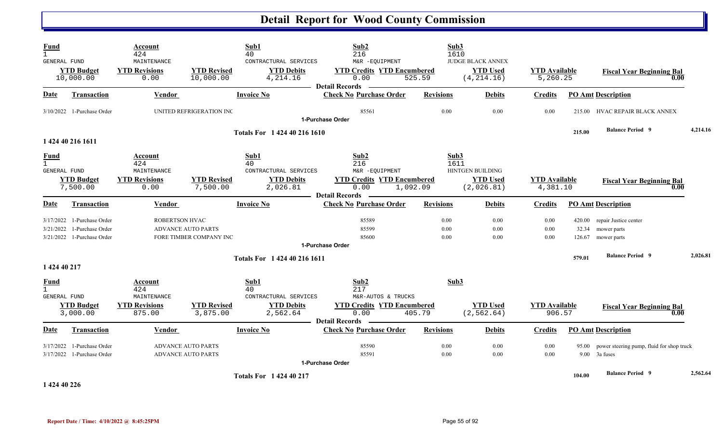| <b>Fund</b><br>$\mathbf{1}$                 |                                                                                | Account<br>424                              |                                                        | Sub1<br>40                                             | Sub2<br>216                                                                          | Sub3<br>1610         |                                                     |                                  |                           |                                                                    |          |
|---------------------------------------------|--------------------------------------------------------------------------------|---------------------------------------------|--------------------------------------------------------|--------------------------------------------------------|--------------------------------------------------------------------------------------|----------------------|-----------------------------------------------------|----------------------------------|---------------------------|--------------------------------------------------------------------|----------|
| GENERAL FUND                                | <b>YTD Budget</b><br>10,000.00                                                 | MAINTENANCE<br><b>YTD Revisions</b><br>0.00 | <b>YTD Revised</b><br>10,000.00                        | CONTRACTURAL SERVICES<br><b>YTD Debits</b><br>4,214.16 | M&R -EQUIPMENT<br><b>YTD Credits YTD Encumbered</b><br>0.00<br><b>Detail Records</b> | 525.59               | JUDGE BLACK ANNEX<br><b>YTD Used</b><br>(4, 214.16) | <b>YTD Available</b><br>5,260.25 |                           | <b>Fiscal Year Beginning Bal</b><br>0.00                           |          |
| Date                                        | <b>Transaction</b>                                                             | <b>Vendor</b>                               |                                                        | <b>Invoice No</b>                                      | <b>Check No Purchase Order</b>                                                       | <b>Revisions</b>     | <b>Debits</b>                                       | <b>Credits</b>                   |                           | <b>PO Amt Description</b>                                          |          |
|                                             | $3/10/2022$ 1-Purchase Order                                                   |                                             | UNITED REFRIGERATION INC                               |                                                        | 85561<br>1-Purchase Order                                                            | 0.00                 | 0.00                                                | 0.00                             |                           | 215.00 HVAC REPAIR BLACK ANNEX                                     |          |
|                                             | 1 424 40 216 1611                                                              |                                             |                                                        | Totals For 1 424 40 216 1610                           |                                                                                      |                      |                                                     |                                  | 215.00                    | <b>Balance Period 9</b>                                            | 4,214.16 |
| <b>Fund</b><br>$\mathbf{1}$<br>GENERAL FUND |                                                                                | Account<br>424<br>MAINTENANCE               |                                                        | Sub1<br>40<br>CONTRACTURAL SERVICES                    | Sub2<br>216<br>M&R -EQUIPMENT                                                        | Sub3<br>1611         | <b>HINTGEN BUILDING</b>                             |                                  |                           |                                                                    |          |
|                                             | <b>YTD Budget</b><br>7,500.00                                                  | <b>YTD Revisions</b><br>0.00                | <b>YTD Revised</b><br>7,500.00                         | <b>YTD Debits</b><br>2,026.81                          | <b>YTD Credits YTD Encumbered</b><br>0.00<br><b>Detail Records</b>                   | 1,092.09             | <b>YTD Used</b><br>(2,026.81)                       | <b>YTD Available</b><br>4,381.10 |                           | <b>Fiscal Year Beginning Bal</b><br>0.00                           |          |
| <b>Date</b>                                 | Transaction                                                                    | Vendor                                      |                                                        | Invoice No                                             | <b>Check No Purchase Order</b>                                                       | <b>Revisions</b>     | <b>Debits</b>                                       | <b>Credits</b>                   |                           | <b>PO Amt Description</b>                                          |          |
| 3/21/2022                                   | $3/17/2022$ 1-Purchase Order<br>1-Purchase Order<br>3/21/2022 1-Purchase Order | <b>ROBERTSON HVAC</b>                       | <b>ADVANCE AUTO PARTS</b><br>FORE TIMBER COMPANY INC   |                                                        | 85589<br>85599<br>85600<br>1-Purchase Order                                          | 0.00<br>0.00<br>0.00 | 0.00<br>0.00<br>0.00                                | 0.00<br>0.00<br>0.00             | 420.00<br>32.34<br>126.67 | repair Justice center<br>mower parts<br>mower parts                |          |
| 1 424 40 217                                |                                                                                |                                             |                                                        | Totals For 1 424 40 216 1611                           |                                                                                      |                      |                                                     |                                  | 579.01                    | <b>Balance Period 9</b>                                            | 2,026.81 |
| <b>Fund</b><br>$\mathbf{1}$<br>GENERAL FUND |                                                                                | Account<br>424<br>MAINTENANCE               |                                                        | Sub1<br>40<br>CONTRACTURAL SERVICES                    | Sub2<br>217<br>M&R-AUTOS & TRUCKS                                                    | Sub3                 |                                                     |                                  |                           |                                                                    |          |
|                                             | <b>YTD Budget</b><br>3,000.00                                                  | <b>YTD Revisions</b><br>875.00              | <b>YTD Revised</b><br>3,875.00                         | <b>YTD Debits</b><br>2,562.64                          | <b>YTD Credits YTD Encumbered</b><br>0.00<br><b>Detail Records</b>                   | 405.79               | <b>YTD Used</b><br>(2, 562.64)                      | <b>YTD Available</b><br>906.57   |                           | <b>Fiscal Year Beginning Bal</b><br>0.00                           |          |
| <b>Date</b>                                 | Transaction                                                                    | Vendor                                      |                                                        | <b>Invoice No</b>                                      | <b>Check No Purchase Order</b>                                                       | <b>Revisions</b>     | <b>Debits</b>                                       | <b>Credits</b>                   |                           | <b>PO Amt Description</b>                                          |          |
| 3/17/2022                                   | 1-Purchase Order<br>3/17/2022 1-Purchase Order                                 |                                             | <b>ADVANCE AUTO PARTS</b><br><b>ADVANCE AUTO PARTS</b> |                                                        | 85590<br>85591<br>1-Purchase Order                                                   | 0.00<br>0.00         | 0.00<br>0.00                                        | 0.00<br>0.00                     |                           | 95.00 power steering pump, fluid for shop truck<br>$9.00$ 3a fuses |          |
| 1 424 40 226                                |                                                                                |                                             |                                                        | <b>Totals For 1 424 40 217</b>                         |                                                                                      |                      |                                                     |                                  | 104.00                    | <b>Balance Period 9</b>                                            | 2,562.64 |

**Report Date / Time: 4/10/2022 @ 8:45:25PM** Page 55 of 92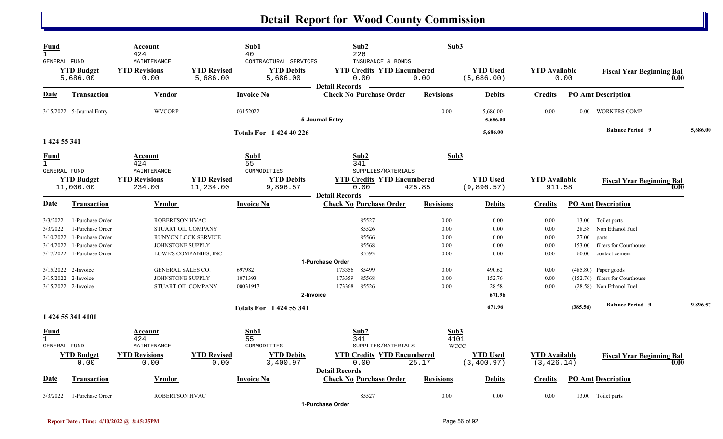| Fund<br>$\mathbf{1}$                        | GENERAL FUND                                             | Account<br>424<br>MAINTENANCE                |                                 | Sub1<br>40<br>CONTRACTURAL SERVICES | Sub2<br>226<br>INSURANCE & BONDS                                   | Sub3                        |                                |                                     |                          |                                                                                       |          |
|---------------------------------------------|----------------------------------------------------------|----------------------------------------------|---------------------------------|-------------------------------------|--------------------------------------------------------------------|-----------------------------|--------------------------------|-------------------------------------|--------------------------|---------------------------------------------------------------------------------------|----------|
|                                             | <b>YTD Budget</b><br>5,686.00                            | <b>YTD Revisions</b><br>0.00                 | <b>YTD Revised</b><br>5,686.00  | <b>YTD Debits</b><br>5,686.00       | <b>YTD Credits YTD Encumbered</b><br>0.00<br><b>Detail Records</b> | 0.00                        | <b>YTD Used</b><br>(5,686.00)  | <b>YTD</b> Available                | 0.00                     | <b>Fiscal Year Beginning Bal</b><br>0.00                                              |          |
| Date                                        | <b>Transaction</b>                                       | Vendor                                       |                                 | <b>Invoice No</b>                   | <b>Check No Purchase Order</b>                                     | <b>Revisions</b>            | <b>Debits</b>                  | <b>Credits</b>                      |                          | <b>PO Amt Description</b>                                                             |          |
|                                             | 3/15/2022 5-Journal Entry                                | <b>WVCORP</b>                                |                                 | 03152022                            | 5-Journal Entry                                                    | 0.00                        | 5,686.00<br>5,686.00           | 0.00                                | $0.00\,$                 | <b>WORKERS COMP</b>                                                                   |          |
| 1 424 55 341                                |                                                          |                                              |                                 | <b>Totals For 1 424 40 226</b>      |                                                                    |                             | 5,686.00                       |                                     |                          | <b>Balance Period 9</b>                                                               | 5,686.00 |
| <u>Fund</u><br>$\mathbf{1}$                 | GENERAL FUND                                             | Account<br>424<br>MAINTENANCE                |                                 | Sub1<br>55<br>COMMODITIES           | Sub2<br>341<br>SUPPLIES/MATERIALS                                  | Sub3                        |                                |                                     |                          |                                                                                       |          |
|                                             | <b>YTD Budget</b><br>11,000.00                           | <b>YTD Revisions</b><br>234.00               | <b>YTD Revised</b><br>11,234.00 | <b>YTD Debits</b><br>9,896.57       | <b>YTD Credits YTD Encumbered</b><br>0.00<br><b>Detail Records</b> | 425.85                      | <b>YTD Used</b><br>(9,896.57)  | <b>YTD</b> Available<br>911.58      |                          | <b>Fiscal Year Beginning Bal</b><br>0.00                                              |          |
| Date                                        | Transaction                                              | Vendor                                       |                                 | <b>Invoice No</b>                   | <b>Check No Purchase Order</b>                                     | <b>Revisions</b>            | <b>Debits</b>                  | <b>Credits</b>                      |                          | <b>PO Amt Description</b>                                                             |          |
| 3/3/2022<br>3/3/2022                        | 1-Purchase Order<br>1-Purchase Order                     | <b>ROBERTSON HVAC</b>                        | STUART OIL COMPANY              |                                     | 85527<br>85526                                                     | 0.00<br>0.00                | 0.00<br>0.00                   | 0.00<br>0.00                        | 28.58                    | 13.00 Toilet parts<br>Non Ethanol Fuel                                                |          |
| 3/10/2022<br>3/14/2022<br>3/17/2022         | 1-Purchase Order<br>1-Purchase Order<br>1-Purchase Order | JOHNSTONE SUPPLY                             | RUNYON LOCK SERVICE             |                                     | 85566<br>85568<br>85593                                            | 0.00<br>0.00<br>0.00        | 0.00<br>0.00<br>0.00           | 0.00<br>0.00<br>0.00                | 27.00<br>153.00<br>60.00 | parts<br>filters for Courthouse<br>contact cement                                     |          |
|                                             |                                                          |                                              | LOWE'S COMPANIES, INC.          |                                     | 1-Purchase Order                                                   |                             |                                |                                     |                          |                                                                                       |          |
| 3/15/2022                                   | 3/15/2022 2-Invoice<br>2-Invoice<br>3/15/2022 2-Invoice  | <b>GENERAL SALES CO.</b><br>JOHNSTONE SUPPLY | STUART OIL COMPANY              | 697982<br>1071393<br>00031947       | 85499<br>173356<br>85568<br>173359<br>85526<br>173368              | 0.00<br>0.00<br>0.00        | 490.62<br>152.76<br>28.58      | 0.00<br>0.00<br>0.00                |                          | $(485.80)$ Paper goods<br>(152.76) filters for Courthouse<br>(28.58) Non Ethanol Fuel |          |
|                                             |                                                          |                                              |                                 |                                     | 2-Invoice                                                          |                             | 671.96                         |                                     |                          |                                                                                       |          |
|                                             | 1 424 55 341 4101                                        |                                              |                                 | Totals For 1 424 55 341             |                                                                    |                             | 671.96                         |                                     | (385.56)                 | <b>Balance Period 9</b>                                                               | 9,896.57 |
| Fund<br>$\mathbf{1}$<br><b>GENERAL FUND</b> |                                                          | Account<br>424<br>MAINTENANCE                |                                 | Sub1<br>55<br>COMMODITIES           | Sub2<br>341<br>SUPPLIES/MATERIALS                                  | Sub3<br>4101<br><b>WCCC</b> |                                |                                     |                          |                                                                                       |          |
|                                             | <b>YTD Budget</b><br>0.00                                | <b>YTD Revisions</b><br>0.00                 | <b>YTD Revised</b><br>0.00      | <b>YTD Debits</b><br>3,400.97       | <b>YTD Credits YTD Encumbered</b><br>0.00                          | 25.17                       | <b>YTD Used</b><br>(3, 400.97) | <b>YTD Available</b><br>(3, 426.14) |                          | <b>Fiscal Year Beginning Bal</b><br>0.00                                              |          |
| Date                                        | <b>Transaction</b>                                       | Vendor                                       |                                 | <b>Invoice No</b>                   | <b>Detail Records</b><br><b>Check No Purchase Order</b>            | <b>Revisions</b>            | <b>Debits</b>                  | <b>Credits</b>                      |                          | <b>PO Amt Description</b>                                                             |          |
| 3/3/2022                                    | 1-Purchase Order                                         | <b>ROBERTSON HVAC</b>                        |                                 |                                     | 85527<br>1-Purchase Order                                          | 0.00                        | 0.00                           | 0.00                                |                          | 13.00 Toilet parts                                                                    |          |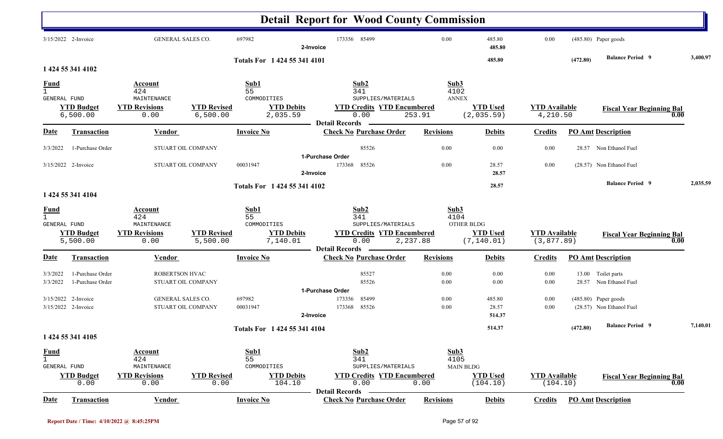|                                                    |                                            |                                                               |                                |                                                            | <b>Detail Report for Wood County Commission</b>                                                         |                                        |                                |                                     |          |                                                    |          |
|----------------------------------------------------|--------------------------------------------|---------------------------------------------------------------|--------------------------------|------------------------------------------------------------|---------------------------------------------------------------------------------------------------------|----------------------------------------|--------------------------------|-------------------------------------|----------|----------------------------------------------------|----------|
|                                                    | 3/15/2022 2-Invoice                        | <b>GENERAL SALES CO.</b>                                      |                                | 697982                                                     | 173356 85499<br>2-Invoice                                                                               | 0.00                                   | 485.80<br>485.80               | 0.00                                |          | (485.80) Paper goods                               |          |
|                                                    | 1 424 55 341 4102                          |                                                               |                                | Totals For 1 424 55 341 4101                               |                                                                                                         |                                        | 485.80                         |                                     | (472.80) | <b>Balance Period 9</b>                            | 3,400.97 |
| <b>Fund</b><br>$\mathbf{1}$<br>GENERAL FUND        | <b>YTD Budget</b><br>6,500.00              | Account<br>424<br>MAINTENANCE<br><b>YTD Revisions</b><br>0.00 | <b>YTD Revised</b><br>6,500.00 | Sub1<br>55<br>COMMODITIES<br><b>YTD Debits</b><br>2,035.59 | Sub2<br>341<br>SUPPLIES/MATERIALS<br><b>YTD Credits YTD Encumbered</b><br>0.00<br><b>Detail Records</b> | Sub3<br>4102<br><b>ANNEX</b><br>253.91 | <b>YTD Used</b><br>(2,035.59)  | <b>YTD Available</b><br>4,210.50    |          | <b>Fiscal Year Beginning Bal</b>                   | 0.00     |
| <b>Date</b>                                        | <b>Transaction</b>                         | <b>Vendor</b>                                                 |                                | <b>Invoice No</b>                                          | <b>Check No Purchase Order</b>                                                                          | <b>Revisions</b>                       | <b>Debits</b>                  | <b>Credits</b>                      |          | <b>PO Amt Description</b>                          |          |
| 3/3/2022                                           | 1-Purchase Order                           |                                                               | STUART OIL COMPANY             |                                                            | 85526                                                                                                   | 0.00                                   | 0.00                           | 0.00                                |          | 28.57 Non Ethanol Fuel                             |          |
|                                                    | 3/15/2022 2-Invoice                        | STUART OIL COMPANY                                            |                                | 00031947                                                   | 1-Purchase Order<br>173368<br>85526<br>2-Invoice                                                        | 0.00                                   | 28.57<br>28.57                 | 0.00                                |          | (28.57) Non Ethanol Fuel                           |          |
|                                                    |                                            |                                                               |                                | Totals For 1 424 55 341 4102                               |                                                                                                         |                                        | 28.57                          |                                     |          | <b>Balance Period 9</b>                            | 2,035.59 |
|                                                    | 1 424 55 341 4104                          |                                                               |                                |                                                            |                                                                                                         |                                        |                                |                                     |          |                                                    |          |
| $\frac{Fund}{1}$<br>GENERAL FUND                   |                                            | Account<br>424<br>MAINTENANCE                                 |                                | Sub1<br>55<br>COMMODITIES                                  | Sub2<br>341<br>SUPPLIES/MATERIALS                                                                       | Sub3<br>4104<br>OTHER BLDG             |                                |                                     |          |                                                    |          |
|                                                    | <b>YTD Budget</b><br>5,500.00              | <b>YTD Revisions</b><br>0.00                                  | <b>YTD Revised</b><br>5,500.00 | <b>YTD Debits</b><br>7,140.01                              | <b>YTD Credits YTD Encumbered</b><br>0.00<br>2,237.88<br>Detail Records —                               |                                        | <b>YTD Used</b><br>(7, 140.01) | <b>YTD Available</b><br>(3, 877.89) |          | <b>Fiscal Year Beginning Bal</b>                   | 0.00     |
| <b>Date</b>                                        | Transaction                                | Vendor                                                        |                                | <b>Invoice No</b>                                          | <b>Check No Purchase Order</b>                                                                          | <b>Revisions</b>                       | <b>Debits</b>                  | <b>Credits</b>                      |          | <b>PO Amt Description</b>                          |          |
| 3/3/2022<br>3/3/2022                               | 1-Purchase Order<br>1-Purchase Order       | ROBERTSON HVAC                                                | STUART OIL COMPANY             |                                                            | 85527<br>85526<br>1-Purchase Order                                                                      | 0.00<br>0.00                           | $0.00\,$<br>0.00               | 0.00<br>0.00                        |          | 13.00 Toilet parts<br>28.57 Non Ethanol Fuel       |          |
|                                                    | 3/15/2022 2-Invoice<br>3/15/2022 2-Invoice | <b>GENERAL SALES CO.</b>                                      | STUART OIL COMPANY             | 697982<br>00031947                                         | 85499<br>173356<br>173368 85526<br>2-Invoice                                                            | 0.00<br>0.00                           | 485.80<br>28.57<br>514.37      | 0.00<br>0.00                        |          | $(485.80)$ Paper goods<br>(28.57) Non Ethanol Fuel |          |
|                                                    | 1 424 55 341 4105                          |                                                               |                                | Totals For 1 424 55 341 4104                               |                                                                                                         |                                        | 514.37                         |                                     | (472.80) | <b>Balance Period</b> 9                            | 7,140.01 |
| <u>Fund</u><br>$\mathbf{1}$<br><b>GENERAL FUND</b> |                                            | <b>Account</b><br>424<br>MAINTENANCE                          |                                | Sub1<br>55<br>COMMODITIES                                  | Sub2<br>341<br>SUPPLIES/MATERIALS                                                                       | Sub3<br>4105<br><b>MAIN BLDG</b>       |                                |                                     |          |                                                    |          |
|                                                    | <b>YTD Budget</b><br>0.00                  | <b>YTD Revisions</b><br>0.00                                  | <b>YTD Revised</b><br>0.00     | <b>YTD Debits</b><br>104.10                                | <b>YTD Credits YTD Encumbered</b><br>0.00<br><b>Detail Records</b>                                      | 0.00                                   | <b>YTD Used</b><br>(104.10)    | <b>YTD Available</b><br>(104.10)    |          | <b>Fiscal Year Beginning Bal</b>                   | 0.00     |
| <b>Date</b>                                        | Transaction                                | Vendor                                                        |                                | <b>Invoice No</b>                                          | <b>Check No Purchase Order</b>                                                                          | <b>Revisions</b>                       | <b>Debits</b>                  | <b>Credits</b>                      |          | <b>PO Amt Description</b>                          |          |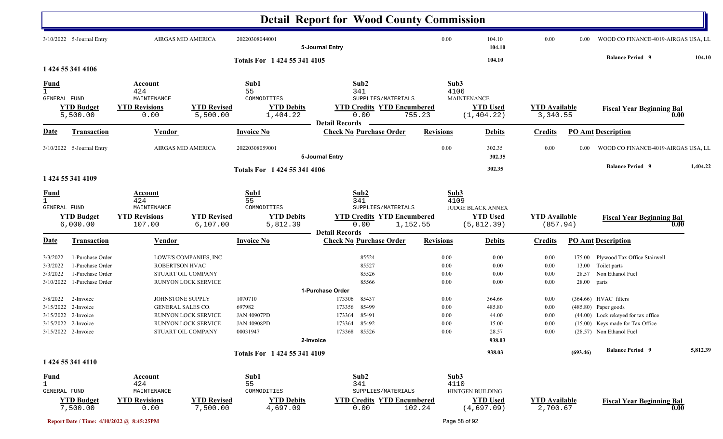|                                  |                                      |                                |                                | <b>Detail Report for Wood County Commission</b> |                       |                                           |          |                  |                                |                                  |             |                                                           |          |
|----------------------------------|--------------------------------------|--------------------------------|--------------------------------|-------------------------------------------------|-----------------------|-------------------------------------------|----------|------------------|--------------------------------|----------------------------------|-------------|-----------------------------------------------------------|----------|
|                                  | 3/10/2022 5-Journal Entry            |                                | AIRGAS MID AMERICA             | 20220308044001                                  | 5-Journal Entry       |                                           |          | 0.00             | 104.10<br>104.10               | 0.00                             | 0.00        | WOOD CO FINANCE-4019-AIRGAS USA, LL                       |          |
|                                  |                                      |                                |                                | Totals For 1 424 55 341 4105                    |                       |                                           |          |                  | 104.10                         |                                  |             | <b>Balance Period 9</b>                                   | 104.10   |
|                                  | 1 424 55 341 4106                    |                                |                                |                                                 |                       |                                           |          |                  |                                |                                  |             |                                                           |          |
| $\frac{Fund}{1}$<br>GENERAL FUND |                                      | Account<br>424<br>MAINTENANCE  |                                | Sub1<br>55<br>COMMODITIES                       |                       | Sub2<br>341<br>SUPPLIES/MATERIALS         |          | Sub3<br>4106     | <b>MAINTENANCE</b>             |                                  |             |                                                           |          |
|                                  | <b>YTD Budget</b><br>5,500.00        | <b>YTD Revisions</b><br>0.00   | <b>YTD Revised</b><br>5,500.00 | <b>YTD Debits</b><br>1,404.22                   |                       | <b>YTD Credits YTD Encumbered</b><br>0.00 | 755.23   |                  | <b>YTD Used</b><br>(1, 404.22) | <b>YTD</b> Available<br>3,340.55 |             | <b>Fiscal Year Beginning Bal</b><br>0.00                  |          |
|                                  |                                      |                                |                                |                                                 | <b>Detail Records</b> |                                           |          |                  |                                |                                  |             |                                                           |          |
| <b>Date</b>                      | Transaction                          | Vendor                         |                                | <b>Invoice No</b>                               |                       | <b>Check No Purchase Order</b>            |          | <b>Revisions</b> | <b>Debits</b>                  | <b>Credits</b>                   |             | <b>PO Amt Description</b>                                 |          |
|                                  | 3/10/2022 5-Journal Entry            |                                | AIRGAS MID AMERICA             | 20220308059001                                  | 5-Journal Entry       |                                           |          | 0.00             | 302.35<br>302.35               | 0.00                             | 0.00        | WOOD CO FINANCE-4019-AIRGAS USA, LL                       |          |
|                                  | 1 424 55 341 4109                    |                                |                                | Totals For 1 424 55 341 4106                    |                       |                                           |          |                  | 302.35                         |                                  |             | <b>Balance Period 9</b>                                   | 1,404.22 |
| <u>Fund</u>                      |                                      | Account                        |                                | Sub1                                            |                       | Sub2                                      |          | Sub3             |                                |                                  |             |                                                           |          |
| $\mathbf{1}$                     |                                      | 424                            |                                | 55                                              |                       | 341                                       |          | 4109             |                                |                                  |             |                                                           |          |
| GENERAL FUND                     |                                      | MAINTENANCE                    |                                | COMMODITIES                                     |                       | SUPPLIES/MATERIALS                        |          |                  | <b>JUDGE BLACK ANNEX</b>       |                                  |             |                                                           |          |
|                                  | <b>YTD Budget</b><br>6,000.00        | <b>YTD Revisions</b><br>107.00 | <b>YTD Revised</b><br>6,107.00 | <b>YTD Debits</b><br>5,812.39                   |                       | <b>YTD Credits YTD Encumbered</b><br>0.00 | 1,152.55 |                  | <b>YTD Used</b><br>(5, 812.39) | <b>YTD Available</b><br>(857.94) |             | <b>Fiscal Year Beginning Bal</b><br>0.00                  |          |
| <b>Date</b>                      | <b>Transaction</b>                   | <b>Vendor</b>                  |                                | <b>Invoice No</b>                               | <b>Detail Records</b> | <b>Check No Purchase Order</b>            |          | <b>Revisions</b> | <b>Debits</b>                  | <b>Credits</b>                   |             | <b>PO Amt Description</b>                                 |          |
|                                  |                                      |                                | LOWE'S COMPANIES, INC.         |                                                 |                       | 85524                                     |          |                  |                                |                                  |             |                                                           |          |
| 3/3/2022<br>3/3/2022             | 1-Purchase Order<br>1-Purchase Order | ROBERTSON HVAC                 |                                |                                                 |                       | 85527                                     |          | 0.00<br>0.00     | 0.00<br>0.00                   | 0.00<br>0.00                     |             | 175.00 Plywood Tax Office Stairwell<br>13.00 Toilet parts |          |
| 3/3/2022                         | 1-Purchase Order                     |                                | STUART OIL COMPANY             |                                                 |                       | 85526                                     |          | 0.00             | 0.00                           | 0.00                             |             | 28.57 Non Ethanol Fuel                                    |          |
| 3/10/2022                        | 1-Purchase Order                     |                                | RUNYON LOCK SERVICE            |                                                 |                       | 85566                                     |          | 0.00             | 0.00                           | 0.00                             | 28.00 parts |                                                           |          |
|                                  |                                      |                                |                                |                                                 | 1-Purchase Order      |                                           |          |                  |                                |                                  |             |                                                           |          |
| 3/8/2022                         | 2-Invoice                            | JOHNSTONE SUPPLY               |                                | 1070710                                         | 173306                | 85437                                     |          | 0.00             | 364.66                         | 0.00                             |             | (364.66) HVAC filters                                     |          |
|                                  | 3/15/2022 2-Invoice                  | GENERAL SALES CO.              |                                | 697982                                          | 173356                | 85499                                     |          | 0.00             | 485.80                         | 0.00                             |             | (485.80) Paper goods                                      |          |
|                                  | 3/15/2022 2-Invoice                  |                                | RUNYON LOCK SERVICE            | <b>JAN 40907PD</b>                              | 173364                | 85491                                     |          | 0.00             | 44.00                          | 0.00                             |             | (44.00) Lock rekeyed for tax office                       |          |
|                                  | 3/15/2022 2-Invoice                  |                                | RUNYON LOCK SERVICE            | <b>JAN 40908PD</b>                              | 173364                | 85492                                     |          | 0.00             | 15.00                          | 0.00                             |             | (15.00) Keys made for Tax Office                          |          |
|                                  | 3/15/2022 2-Invoice                  |                                | STUART OIL COMPANY             | 00031947                                        |                       | 173368 85526                              |          | $0.00\,$         | 28.57                          | 0.00                             |             | (28.57) Non Ethanol Fuel                                  |          |
|                                  |                                      |                                |                                |                                                 | 2-Invoice             |                                           |          |                  | 938.03                         |                                  |             |                                                           |          |
|                                  |                                      |                                |                                | Totals For 1 424 55 341 4109                    |                       |                                           |          |                  | 938.03                         |                                  | (693.46)    | <b>Balance Period 9</b>                                   | 5,812.39 |
|                                  | 1 424 55 341 4110                    |                                |                                |                                                 |                       |                                           |          |                  |                                |                                  |             |                                                           |          |
| <u>Fund</u>                      |                                      | <b>Account</b>                 |                                | Sub1                                            |                       | Sub2                                      |          | Sub3             |                                |                                  |             |                                                           |          |
| $\mathbf{1}$                     |                                      | 424                            |                                | 55                                              |                       | 341                                       |          | 4110             |                                |                                  |             |                                                           |          |
| GENERAL FUND                     |                                      | MAINTENANCE                    |                                | COMMODITIES                                     |                       | SUPPLIES/MATERIALS                        |          |                  | HINTGEN BUILDING               |                                  |             |                                                           |          |
|                                  | <b>YTD Budget</b><br>7,500.00        | <b>YTD Revisions</b><br>0.00   | <b>YTD Revised</b><br>7,500.00 | <b>YTD Debits</b><br>4,697.09                   |                       | <b>YTD Credits YTD Encumbered</b><br>0.00 | 102.24   |                  | <b>YTD Used</b><br>(4,697.09)  | <b>YTD Available</b><br>2,700.67 |             | <b>Fiscal Year Beginning Bal</b><br>0.00                  |          |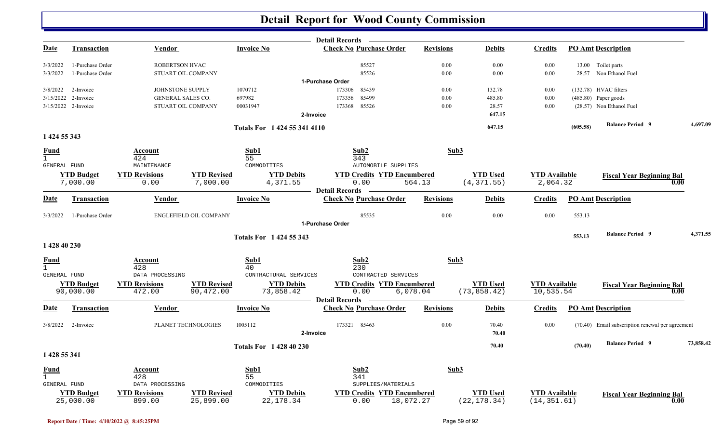|                      |                                |                                |                                 |                                 | Detail Records —                                        |                  |                                 |                                      |          |                                                  |           |
|----------------------|--------------------------------|--------------------------------|---------------------------------|---------------------------------|---------------------------------------------------------|------------------|---------------------------------|--------------------------------------|----------|--------------------------------------------------|-----------|
| <b>Date</b>          | <b>Transaction</b>             | <b>Vendor</b>                  |                                 | <b>Invoice No</b>               | <b>Check No Purchase Order</b>                          | <b>Revisions</b> | <b>Debits</b>                   | <b>Credits</b>                       |          | <b>PO Amt Description</b>                        |           |
| 3/3/2022             | 1-Purchase Order               | ROBERTSON HVAC                 |                                 |                                 | 85527                                                   | 0.00             | 0.00                            | 0.00                                 |          | 13.00 Toilet parts                               |           |
| 3/3/2022             | 1-Purchase Order               | STUART OIL COMPANY             |                                 |                                 | 85526                                                   | $0.00\,$         | 0.00                            | $0.00\,$                             |          | 28.57 Non Ethanol Fuel                           |           |
| 3/8/2022             | 2-Invoice                      | JOHNSTONE SUPPLY               |                                 | 1070712                         | 1-Purchase Order<br>173306<br>85439                     | 0.00             | 132.78                          | $0.00\,$                             |          | $(132.78)$ HVAC filters                          |           |
| 3/15/2022            | 2-Invoice                      | GENERAL SALES CO.              |                                 | 697982                          | 85499<br>173356                                         | 0.00             | 485.80                          | 0.00                                 |          | $(485.80)$ Paper goods                           |           |
|                      | 3/15/2022 2-Invoice            | STUART OIL COMPANY             |                                 | 00031947                        | 85526<br>173368                                         | 0.00             | 28.57                           | 0.00                                 |          | (28.57) Non Ethanol Fuel                         |           |
|                      |                                |                                |                                 |                                 | 2-Invoice                                               |                  | 647.15                          |                                      |          |                                                  |           |
|                      |                                |                                |                                 | Totals For 1424 55 341 4110     |                                                         |                  | 647.15                          |                                      | (605.58) | <b>Balance Period 9</b>                          | 4,697.09  |
| 1 424 55 343         |                                |                                |                                 |                                 |                                                         |                  |                                 |                                      |          |                                                  |           |
| Fund<br>$\mathbf{1}$ |                                | Account<br>424                 |                                 | Sub1<br>55                      | Sub2<br>343                                             | Sub3             |                                 |                                      |          |                                                  |           |
| <b>GENERAL FUND</b>  |                                | MAINTENANCE                    |                                 | COMMODITIES                     | <b>AUTOMOBILE SUPPLIES</b>                              |                  |                                 |                                      |          |                                                  |           |
|                      | <b>YTD Budget</b><br>7,000.00  | <b>YTD Revisions</b><br>0.00   | <b>YTD Revised</b><br>7,000.00  | <b>YTD</b> Debits<br>4,371.55   | <b>YTD Credits YTD Encumbered</b><br>0.00               | 564.13           | <b>YTD Used</b><br>(4, 371.55)  | <b>YTD Available</b><br>2,064.32     |          | <b>Fiscal Year Beginning Bal</b><br>0.00         |           |
| <u>Date</u>          | Transaction                    | Vendor                         |                                 | <b>Invoice No</b>               | <b>Detail Records</b><br><b>Check No Purchase Order</b> | <b>Revisions</b> | <b>Debits</b>                   | <b>Credits</b>                       |          | <b>PO Amt Description</b>                        |           |
|                      |                                |                                |                                 |                                 |                                                         |                  |                                 |                                      |          |                                                  |           |
| 3/3/2022             | 1-Purchase Order               |                                | ENGLEFIELD OIL COMPANY          |                                 | 85535<br>1-Purchase Order                               | 0.00             | 0.00                            | 0.00                                 | 553.13   |                                                  |           |
|                      |                                |                                |                                 |                                 |                                                         |                  |                                 |                                      |          | <b>Balance Period 9</b>                          | 4,371.55  |
| 1 428 40 230         |                                |                                |                                 | <b>Totals For 1424 55 343</b>   |                                                         |                  |                                 |                                      | 553.13   |                                                  |           |
| Fund                 |                                | Account                        |                                 | Sub1                            | Sub2                                                    | Sub3             |                                 |                                      |          |                                                  |           |
| GENERAL FUND         |                                | 428<br>DATA PROCESSING         |                                 | 40<br>CONTRACTURAL SERVICES     | 230<br>CONTRACTED SERVICES                              |                  |                                 |                                      |          |                                                  |           |
|                      | <b>YTD Budget</b><br>90,000.00 | <b>YTD Revisions</b><br>472.00 | <b>YTD Revised</b><br>90,472.00 | <b>YTD Debits</b><br>73,858.42  | <b>YTD Credits YTD Encumbered</b><br>0.00<br>6,078.04   |                  | <b>YTD Used</b><br>(73, 858.42) | <b>YTD Available</b><br>10,535.54    |          | <b>Fiscal Year Beginning Bal</b><br>0.00         |           |
| <u>Date</u>          | <b>Transaction</b>             | <b>Vendor</b>                  |                                 | <b>Invoice No</b>               | <b>Detail Records</b><br><b>Check No Purchase Order</b> | <b>Revisions</b> | <b>Debits</b>                   | <b>Credits</b>                       |          | <b>PO Amt Description</b>                        |           |
|                      |                                |                                |                                 |                                 |                                                         |                  |                                 |                                      |          |                                                  |           |
| 3/8/2022             | 2-Invoice                      |                                | PLANET TECHNOLOGIES             | 1005112                         | 173321 85463<br>2-Invoice                               | 0.00             | 70.40<br>70.40                  | 0.00                                 |          | (70.40) Email subscription renewal per agreement |           |
|                      |                                |                                |                                 | <b>Totals For 1 428 40 230</b>  |                                                         |                  | 70.40                           |                                      | (70.40)  | <b>Balance Period 9</b>                          | 73,858.42 |
| 1 428 55 341         |                                |                                |                                 |                                 |                                                         |                  |                                 |                                      |          |                                                  |           |
| <u>Fund</u>          |                                | Account                        |                                 | Sub1                            | Sub2                                                    | Sub3             |                                 |                                      |          |                                                  |           |
| $\mathbf{1}$         |                                | 428                            |                                 | 55                              | 341                                                     |                  |                                 |                                      |          |                                                  |           |
| GENERAL FUND         |                                | DATA PROCESSING                |                                 | COMMODITIES                     | SUPPLIES/MATERIALS                                      |                  |                                 |                                      |          |                                                  |           |
|                      | <b>YTD Budget</b><br>25,000.00 | <b>YTD Revisions</b><br>899.00 | <b>YTD Revised</b><br>25,899.00 | <b>YTD Debits</b><br>22, 178.34 | <b>YTD Credits YTD Encumbered</b><br>0.00<br>18,072.27  |                  | <b>YTD Used</b><br>(22, 178.34) | <b>YTD</b> Available<br>(14, 351.61) |          | <b>Fiscal Year Beginning Bal</b><br>0.00         |           |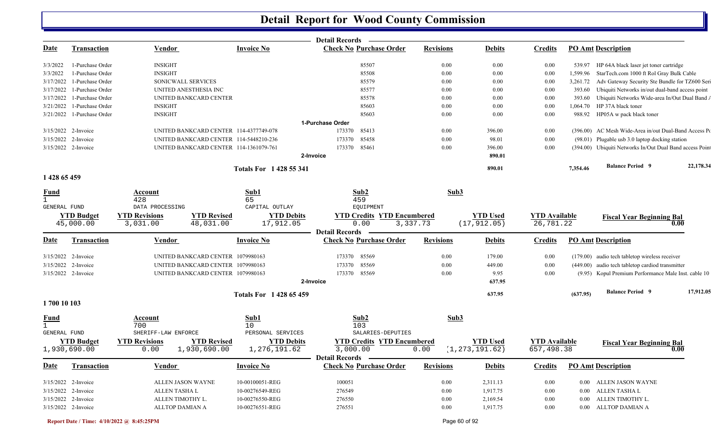| <b>Invoice No</b><br><b>Check No Purchase Order</b><br><b>Revisions</b><br><b>PO Amt Description</b><br><u>Date</u><br><b>Transaction</b><br><b>Vendor</b><br><b>Debits</b><br><b>Credits</b><br><b>INSIGHT</b><br>85507<br>0.00<br>0.00<br>3/3/2022<br>1-Purchase Order<br>0.00<br>HP 64A black laser jet toner cartridge<br>539.97<br><b>INSIGHT</b><br>3/3/2022<br>1-Purchase Order<br>85508<br>0.00<br>0.00<br>0.00<br>StarTech.com 1000 ft Rol Gray Bulk Cable<br>1,599.96<br>1-Purchase Order<br>SONICWALL SERVICES<br>85579<br>0.00<br>0.00<br>0.00<br>Adv Gateway Security Ste Bundle for TZ600 Seri<br>3/17/2022<br>3,261.72<br>1-Purchase Order<br>UNITED ANESTHESIA INC<br>85577<br>0.00<br>0.00<br>0.00<br>Ubiquiti Networks in/out dual-band access point<br>3/17/2022<br>393.60<br>Ubiquiti Networks Wide-area In/Out Dual Band<br>3/17/2022<br>1-Purchase Order<br>UNITED BANKCARD CENTER<br>85578<br>0.00<br>0.00<br>0.00<br>393.60<br>HP 37A black toner<br>3/21/2022<br>1-Purchase Order<br><b>INSIGHT</b><br>85603<br>0.00<br>0.00<br>0.00<br>1,064.70<br>3/21/2022 1-Purchase Order<br><b>INSIGHT</b><br>85603<br>0.00<br>0.00<br>0.00<br>988.92<br>HP05A w pack black toner<br>1-Purchase Order<br>(396.00) AC Mesh Wide-Area in/out Dual-Band Access Po<br>3/15/2022 2-Invoice<br>UNITED BANKCARD CENTER 114-4377749-078<br>173370<br>85413<br>0.00<br>396.00<br>0.00<br>85458<br>3/15/2022 2-Invoice<br>UNITED BANKCARD CENTER 114-5448210-236<br>173370<br>0.00<br>0.00<br>(98.01) Plugable usb 3.0 laptop docking station<br>98.01<br>85461<br>(394.00) Ubiquiti Networks In/Out Dual Band access Point<br>3/15/2022 2-Invoice<br>UNITED BANKCARD CENTER 114-1361079-761<br>173370<br>0.00<br>396.00<br>0.00<br>2-Invoice<br>890.01<br><b>Balance Period 9</b><br>22,178.34<br>890.01<br>7,354.46<br><b>Totals For 1428 55 341</b><br>1 428 65 459<br>Sub1<br>Sub2<br>Sub3<br><b>Fund</b><br>Account<br>65<br>459<br>$\mathbf{1}$<br>428<br>CAPITAL OUTLAY<br>EQUIPMENT<br>GENERAL FUND<br>DATA PROCESSING<br><b>YTD Revisions</b><br><b>YTD Revised</b><br><b>YTD Budget</b><br><b>YTD Debits</b><br><b>YTD Encumbered</b><br><b>YTD Used</b><br><b>YTD Available</b><br><b>YTD Credits</b><br><b>Fiscal Year Beginning Bal</b><br>0.00<br>(17, 912.05)<br>45,000.00<br>3,031.00<br>48,031.00<br>17,912.05<br>3,337.73<br>26,781.22<br>0.00<br><b>Detail Records</b><br><b>Check No Purchase Order</b><br><b>Revisions</b><br><b>Debits</b><br><b>PO Amt Description</b><br><u>Date</u><br><b>Transaction</b><br><b>Vendor</b><br><b>Invoice No</b><br><b>Credits</b><br>85569<br>(179.00) audio tech tabletop wireless receiver<br>3/15/2022 2-Invoice<br>UNITED BANKCARD CENTER 1079980163<br>173370<br>0.00<br>179.00<br>0.00<br>85569<br>0.00<br>(449.00) audio tech tabletop cardiod transmitter<br>3/15/2022 2-Invoice<br>UNITED BANKCARD CENTER 1079980163<br>0.00<br>449.00<br>173370<br>173370 85569<br>(9.95) Kopul Premium Performance Male Inst. cable 10<br>3/15/2022 2-Invoice<br>UNITED BANKCARD CENTER 1079980163<br>0.00<br>9.95<br>0.00<br>2-Invoice<br>637.95<br><b>Balance Period 9</b><br>17,912.05<br>637.95<br>(637.95)<br><b>Totals For 1428 65 459</b><br>1700 10 103<br>Sub1<br>Sub2<br>Sub3<br><u>Fund</u><br>Account<br>700<br>103<br>10<br>PERSONAL SERVICES<br>SALARIES-DEPUTIES<br>GENERAL FUND<br>SHERIFF-LAW ENFORCE<br><b>YTD Credits YTD Encumbered</b><br><b>YTD Budget</b><br><b>YTD Revisions</b><br><b>YTD Revised</b><br><b>YTD Debits</b><br><b>YTD Used</b><br><b>YTD Available</b><br><b>Fiscal Year Beginning Bal</b><br>3,000.00<br>(1, 273, 191.62)<br>657,498.38<br>1,930,690.00<br>0.00<br>1,930,690.00<br>1,276,191.62<br>0.00<br>0.00<br>Detail Records -<br><b>Invoice No</b><br><b>Check No Purchase Order</b><br><b>Revisions</b><br><b>Debits</b><br><b>Credits</b><br><b>PO Amt Description</b><br><b>Date</b><br>Transaction<br><b>Vendor</b><br>3/15/2022 2-Invoice<br>ALLEN JASON WAYNE<br>10-00100051-REG<br>100051<br>2,311.13<br>0.00<br>0.00<br>0.00 ALLEN JASON WAYNE<br>1,917.75<br>3/15/2022 2-Invoice<br>ALLEN TASHA L<br>10-00276549-REG<br>276549<br>0.00<br>0.00<br>ALLEN TASHA L<br>$0.00\,$<br>3/15/2022 2-Invoice<br>ALLEN TIMOTHY L.<br>10-00276550-REG<br>2,169.54<br>ALLEN TIMOTHY L.<br>276550<br>0.00<br>$0.00\,$<br>$0.00\,$<br>3/15/2022 2-Invoice<br>ALLTOP DAMIAN A<br>10-00276551-REG<br>276551<br>1,917.75<br>0.00<br>0.00 ALLTOP DAMIAN A<br>0.00 |  |  | <b>Detail Records</b> |  |  |  |
|-----------------------------------------------------------------------------------------------------------------------------------------------------------------------------------------------------------------------------------------------------------------------------------------------------------------------------------------------------------------------------------------------------------------------------------------------------------------------------------------------------------------------------------------------------------------------------------------------------------------------------------------------------------------------------------------------------------------------------------------------------------------------------------------------------------------------------------------------------------------------------------------------------------------------------------------------------------------------------------------------------------------------------------------------------------------------------------------------------------------------------------------------------------------------------------------------------------------------------------------------------------------------------------------------------------------------------------------------------------------------------------------------------------------------------------------------------------------------------------------------------------------------------------------------------------------------------------------------------------------------------------------------------------------------------------------------------------------------------------------------------------------------------------------------------------------------------------------------------------------------------------------------------------------------------------------------------------------------------------------------------------------------------------------------------------------------------------------------------------------------------------------------------------------------------------------------------------------------------------------------------------------------------------------------------------------------------------------------------------------------------------------------------------------------------------------------------------------------------------------------------------------------------------------------------------------------------------------------------------------------------------------------------------------------------------------------------------------------------------------------------------------------------------------------------------------------------------------------------------------------------------------------------------------------------------------------------------------------------------------------------------------------------------------------------------------------------------------------------------------------------------------------------------------------------------------------------------------------------------------------------------------------------------------------------------------------------------------------------------------------------------------------------------------------------------------------------------------------------------------------------------------------------------------------------------------------------------------------------------------------------------------------------------------------------------------------------------------------------------------------------------------------------------------------------------------------------------------------------------------------------------------------------------------------------------------------------------------------------------------------------------------------------------------------------------------------------------------------------------------------------------------------------------------------------------------------------------------------------------------------------------------------------------------------------------------------------------------------------------------------------------------------------------------------------------------------------------------|--|--|-----------------------|--|--|--|
|                                                                                                                                                                                                                                                                                                                                                                                                                                                                                                                                                                                                                                                                                                                                                                                                                                                                                                                                                                                                                                                                                                                                                                                                                                                                                                                                                                                                                                                                                                                                                                                                                                                                                                                                                                                                                                                                                                                                                                                                                                                                                                                                                                                                                                                                                                                                                                                                                                                                                                                                                                                                                                                                                                                                                                                                                                                                                                                                                                                                                                                                                                                                                                                                                                                                                                                                                                                                                                                                                                                                                                                                                                                                                                                                                                                                                                                                                                                                                                                                                                                                                                                                                                                                                                                                                                                                                                                                                                                                 |  |  |                       |  |  |  |
|                                                                                                                                                                                                                                                                                                                                                                                                                                                                                                                                                                                                                                                                                                                                                                                                                                                                                                                                                                                                                                                                                                                                                                                                                                                                                                                                                                                                                                                                                                                                                                                                                                                                                                                                                                                                                                                                                                                                                                                                                                                                                                                                                                                                                                                                                                                                                                                                                                                                                                                                                                                                                                                                                                                                                                                                                                                                                                                                                                                                                                                                                                                                                                                                                                                                                                                                                                                                                                                                                                                                                                                                                                                                                                                                                                                                                                                                                                                                                                                                                                                                                                                                                                                                                                                                                                                                                                                                                                                                 |  |  |                       |  |  |  |
|                                                                                                                                                                                                                                                                                                                                                                                                                                                                                                                                                                                                                                                                                                                                                                                                                                                                                                                                                                                                                                                                                                                                                                                                                                                                                                                                                                                                                                                                                                                                                                                                                                                                                                                                                                                                                                                                                                                                                                                                                                                                                                                                                                                                                                                                                                                                                                                                                                                                                                                                                                                                                                                                                                                                                                                                                                                                                                                                                                                                                                                                                                                                                                                                                                                                                                                                                                                                                                                                                                                                                                                                                                                                                                                                                                                                                                                                                                                                                                                                                                                                                                                                                                                                                                                                                                                                                                                                                                                                 |  |  |                       |  |  |  |
|                                                                                                                                                                                                                                                                                                                                                                                                                                                                                                                                                                                                                                                                                                                                                                                                                                                                                                                                                                                                                                                                                                                                                                                                                                                                                                                                                                                                                                                                                                                                                                                                                                                                                                                                                                                                                                                                                                                                                                                                                                                                                                                                                                                                                                                                                                                                                                                                                                                                                                                                                                                                                                                                                                                                                                                                                                                                                                                                                                                                                                                                                                                                                                                                                                                                                                                                                                                                                                                                                                                                                                                                                                                                                                                                                                                                                                                                                                                                                                                                                                                                                                                                                                                                                                                                                                                                                                                                                                                                 |  |  |                       |  |  |  |
|                                                                                                                                                                                                                                                                                                                                                                                                                                                                                                                                                                                                                                                                                                                                                                                                                                                                                                                                                                                                                                                                                                                                                                                                                                                                                                                                                                                                                                                                                                                                                                                                                                                                                                                                                                                                                                                                                                                                                                                                                                                                                                                                                                                                                                                                                                                                                                                                                                                                                                                                                                                                                                                                                                                                                                                                                                                                                                                                                                                                                                                                                                                                                                                                                                                                                                                                                                                                                                                                                                                                                                                                                                                                                                                                                                                                                                                                                                                                                                                                                                                                                                                                                                                                                                                                                                                                                                                                                                                                 |  |  |                       |  |  |  |
|                                                                                                                                                                                                                                                                                                                                                                                                                                                                                                                                                                                                                                                                                                                                                                                                                                                                                                                                                                                                                                                                                                                                                                                                                                                                                                                                                                                                                                                                                                                                                                                                                                                                                                                                                                                                                                                                                                                                                                                                                                                                                                                                                                                                                                                                                                                                                                                                                                                                                                                                                                                                                                                                                                                                                                                                                                                                                                                                                                                                                                                                                                                                                                                                                                                                                                                                                                                                                                                                                                                                                                                                                                                                                                                                                                                                                                                                                                                                                                                                                                                                                                                                                                                                                                                                                                                                                                                                                                                                 |  |  |                       |  |  |  |
|                                                                                                                                                                                                                                                                                                                                                                                                                                                                                                                                                                                                                                                                                                                                                                                                                                                                                                                                                                                                                                                                                                                                                                                                                                                                                                                                                                                                                                                                                                                                                                                                                                                                                                                                                                                                                                                                                                                                                                                                                                                                                                                                                                                                                                                                                                                                                                                                                                                                                                                                                                                                                                                                                                                                                                                                                                                                                                                                                                                                                                                                                                                                                                                                                                                                                                                                                                                                                                                                                                                                                                                                                                                                                                                                                                                                                                                                                                                                                                                                                                                                                                                                                                                                                                                                                                                                                                                                                                                                 |  |  |                       |  |  |  |
|                                                                                                                                                                                                                                                                                                                                                                                                                                                                                                                                                                                                                                                                                                                                                                                                                                                                                                                                                                                                                                                                                                                                                                                                                                                                                                                                                                                                                                                                                                                                                                                                                                                                                                                                                                                                                                                                                                                                                                                                                                                                                                                                                                                                                                                                                                                                                                                                                                                                                                                                                                                                                                                                                                                                                                                                                                                                                                                                                                                                                                                                                                                                                                                                                                                                                                                                                                                                                                                                                                                                                                                                                                                                                                                                                                                                                                                                                                                                                                                                                                                                                                                                                                                                                                                                                                                                                                                                                                                                 |  |  |                       |  |  |  |
|                                                                                                                                                                                                                                                                                                                                                                                                                                                                                                                                                                                                                                                                                                                                                                                                                                                                                                                                                                                                                                                                                                                                                                                                                                                                                                                                                                                                                                                                                                                                                                                                                                                                                                                                                                                                                                                                                                                                                                                                                                                                                                                                                                                                                                                                                                                                                                                                                                                                                                                                                                                                                                                                                                                                                                                                                                                                                                                                                                                                                                                                                                                                                                                                                                                                                                                                                                                                                                                                                                                                                                                                                                                                                                                                                                                                                                                                                                                                                                                                                                                                                                                                                                                                                                                                                                                                                                                                                                                                 |  |  |                       |  |  |  |
|                                                                                                                                                                                                                                                                                                                                                                                                                                                                                                                                                                                                                                                                                                                                                                                                                                                                                                                                                                                                                                                                                                                                                                                                                                                                                                                                                                                                                                                                                                                                                                                                                                                                                                                                                                                                                                                                                                                                                                                                                                                                                                                                                                                                                                                                                                                                                                                                                                                                                                                                                                                                                                                                                                                                                                                                                                                                                                                                                                                                                                                                                                                                                                                                                                                                                                                                                                                                                                                                                                                                                                                                                                                                                                                                                                                                                                                                                                                                                                                                                                                                                                                                                                                                                                                                                                                                                                                                                                                                 |  |  |                       |  |  |  |
|                                                                                                                                                                                                                                                                                                                                                                                                                                                                                                                                                                                                                                                                                                                                                                                                                                                                                                                                                                                                                                                                                                                                                                                                                                                                                                                                                                                                                                                                                                                                                                                                                                                                                                                                                                                                                                                                                                                                                                                                                                                                                                                                                                                                                                                                                                                                                                                                                                                                                                                                                                                                                                                                                                                                                                                                                                                                                                                                                                                                                                                                                                                                                                                                                                                                                                                                                                                                                                                                                                                                                                                                                                                                                                                                                                                                                                                                                                                                                                                                                                                                                                                                                                                                                                                                                                                                                                                                                                                                 |  |  |                       |  |  |  |
|                                                                                                                                                                                                                                                                                                                                                                                                                                                                                                                                                                                                                                                                                                                                                                                                                                                                                                                                                                                                                                                                                                                                                                                                                                                                                                                                                                                                                                                                                                                                                                                                                                                                                                                                                                                                                                                                                                                                                                                                                                                                                                                                                                                                                                                                                                                                                                                                                                                                                                                                                                                                                                                                                                                                                                                                                                                                                                                                                                                                                                                                                                                                                                                                                                                                                                                                                                                                                                                                                                                                                                                                                                                                                                                                                                                                                                                                                                                                                                                                                                                                                                                                                                                                                                                                                                                                                                                                                                                                 |  |  |                       |  |  |  |
|                                                                                                                                                                                                                                                                                                                                                                                                                                                                                                                                                                                                                                                                                                                                                                                                                                                                                                                                                                                                                                                                                                                                                                                                                                                                                                                                                                                                                                                                                                                                                                                                                                                                                                                                                                                                                                                                                                                                                                                                                                                                                                                                                                                                                                                                                                                                                                                                                                                                                                                                                                                                                                                                                                                                                                                                                                                                                                                                                                                                                                                                                                                                                                                                                                                                                                                                                                                                                                                                                                                                                                                                                                                                                                                                                                                                                                                                                                                                                                                                                                                                                                                                                                                                                                                                                                                                                                                                                                                                 |  |  |                       |  |  |  |
|                                                                                                                                                                                                                                                                                                                                                                                                                                                                                                                                                                                                                                                                                                                                                                                                                                                                                                                                                                                                                                                                                                                                                                                                                                                                                                                                                                                                                                                                                                                                                                                                                                                                                                                                                                                                                                                                                                                                                                                                                                                                                                                                                                                                                                                                                                                                                                                                                                                                                                                                                                                                                                                                                                                                                                                                                                                                                                                                                                                                                                                                                                                                                                                                                                                                                                                                                                                                                                                                                                                                                                                                                                                                                                                                                                                                                                                                                                                                                                                                                                                                                                                                                                                                                                                                                                                                                                                                                                                                 |  |  |                       |  |  |  |
|                                                                                                                                                                                                                                                                                                                                                                                                                                                                                                                                                                                                                                                                                                                                                                                                                                                                                                                                                                                                                                                                                                                                                                                                                                                                                                                                                                                                                                                                                                                                                                                                                                                                                                                                                                                                                                                                                                                                                                                                                                                                                                                                                                                                                                                                                                                                                                                                                                                                                                                                                                                                                                                                                                                                                                                                                                                                                                                                                                                                                                                                                                                                                                                                                                                                                                                                                                                                                                                                                                                                                                                                                                                                                                                                                                                                                                                                                                                                                                                                                                                                                                                                                                                                                                                                                                                                                                                                                                                                 |  |  |                       |  |  |  |
|                                                                                                                                                                                                                                                                                                                                                                                                                                                                                                                                                                                                                                                                                                                                                                                                                                                                                                                                                                                                                                                                                                                                                                                                                                                                                                                                                                                                                                                                                                                                                                                                                                                                                                                                                                                                                                                                                                                                                                                                                                                                                                                                                                                                                                                                                                                                                                                                                                                                                                                                                                                                                                                                                                                                                                                                                                                                                                                                                                                                                                                                                                                                                                                                                                                                                                                                                                                                                                                                                                                                                                                                                                                                                                                                                                                                                                                                                                                                                                                                                                                                                                                                                                                                                                                                                                                                                                                                                                                                 |  |  |                       |  |  |  |
|                                                                                                                                                                                                                                                                                                                                                                                                                                                                                                                                                                                                                                                                                                                                                                                                                                                                                                                                                                                                                                                                                                                                                                                                                                                                                                                                                                                                                                                                                                                                                                                                                                                                                                                                                                                                                                                                                                                                                                                                                                                                                                                                                                                                                                                                                                                                                                                                                                                                                                                                                                                                                                                                                                                                                                                                                                                                                                                                                                                                                                                                                                                                                                                                                                                                                                                                                                                                                                                                                                                                                                                                                                                                                                                                                                                                                                                                                                                                                                                                                                                                                                                                                                                                                                                                                                                                                                                                                                                                 |  |  |                       |  |  |  |
|                                                                                                                                                                                                                                                                                                                                                                                                                                                                                                                                                                                                                                                                                                                                                                                                                                                                                                                                                                                                                                                                                                                                                                                                                                                                                                                                                                                                                                                                                                                                                                                                                                                                                                                                                                                                                                                                                                                                                                                                                                                                                                                                                                                                                                                                                                                                                                                                                                                                                                                                                                                                                                                                                                                                                                                                                                                                                                                                                                                                                                                                                                                                                                                                                                                                                                                                                                                                                                                                                                                                                                                                                                                                                                                                                                                                                                                                                                                                                                                                                                                                                                                                                                                                                                                                                                                                                                                                                                                                 |  |  |                       |  |  |  |
|                                                                                                                                                                                                                                                                                                                                                                                                                                                                                                                                                                                                                                                                                                                                                                                                                                                                                                                                                                                                                                                                                                                                                                                                                                                                                                                                                                                                                                                                                                                                                                                                                                                                                                                                                                                                                                                                                                                                                                                                                                                                                                                                                                                                                                                                                                                                                                                                                                                                                                                                                                                                                                                                                                                                                                                                                                                                                                                                                                                                                                                                                                                                                                                                                                                                                                                                                                                                                                                                                                                                                                                                                                                                                                                                                                                                                                                                                                                                                                                                                                                                                                                                                                                                                                                                                                                                                                                                                                                                 |  |  |                       |  |  |  |
|                                                                                                                                                                                                                                                                                                                                                                                                                                                                                                                                                                                                                                                                                                                                                                                                                                                                                                                                                                                                                                                                                                                                                                                                                                                                                                                                                                                                                                                                                                                                                                                                                                                                                                                                                                                                                                                                                                                                                                                                                                                                                                                                                                                                                                                                                                                                                                                                                                                                                                                                                                                                                                                                                                                                                                                                                                                                                                                                                                                                                                                                                                                                                                                                                                                                                                                                                                                                                                                                                                                                                                                                                                                                                                                                                                                                                                                                                                                                                                                                                                                                                                                                                                                                                                                                                                                                                                                                                                                                 |  |  |                       |  |  |  |
|                                                                                                                                                                                                                                                                                                                                                                                                                                                                                                                                                                                                                                                                                                                                                                                                                                                                                                                                                                                                                                                                                                                                                                                                                                                                                                                                                                                                                                                                                                                                                                                                                                                                                                                                                                                                                                                                                                                                                                                                                                                                                                                                                                                                                                                                                                                                                                                                                                                                                                                                                                                                                                                                                                                                                                                                                                                                                                                                                                                                                                                                                                                                                                                                                                                                                                                                                                                                                                                                                                                                                                                                                                                                                                                                                                                                                                                                                                                                                                                                                                                                                                                                                                                                                                                                                                                                                                                                                                                                 |  |  |                       |  |  |  |
|                                                                                                                                                                                                                                                                                                                                                                                                                                                                                                                                                                                                                                                                                                                                                                                                                                                                                                                                                                                                                                                                                                                                                                                                                                                                                                                                                                                                                                                                                                                                                                                                                                                                                                                                                                                                                                                                                                                                                                                                                                                                                                                                                                                                                                                                                                                                                                                                                                                                                                                                                                                                                                                                                                                                                                                                                                                                                                                                                                                                                                                                                                                                                                                                                                                                                                                                                                                                                                                                                                                                                                                                                                                                                                                                                                                                                                                                                                                                                                                                                                                                                                                                                                                                                                                                                                                                                                                                                                                                 |  |  |                       |  |  |  |
|                                                                                                                                                                                                                                                                                                                                                                                                                                                                                                                                                                                                                                                                                                                                                                                                                                                                                                                                                                                                                                                                                                                                                                                                                                                                                                                                                                                                                                                                                                                                                                                                                                                                                                                                                                                                                                                                                                                                                                                                                                                                                                                                                                                                                                                                                                                                                                                                                                                                                                                                                                                                                                                                                                                                                                                                                                                                                                                                                                                                                                                                                                                                                                                                                                                                                                                                                                                                                                                                                                                                                                                                                                                                                                                                                                                                                                                                                                                                                                                                                                                                                                                                                                                                                                                                                                                                                                                                                                                                 |  |  |                       |  |  |  |
|                                                                                                                                                                                                                                                                                                                                                                                                                                                                                                                                                                                                                                                                                                                                                                                                                                                                                                                                                                                                                                                                                                                                                                                                                                                                                                                                                                                                                                                                                                                                                                                                                                                                                                                                                                                                                                                                                                                                                                                                                                                                                                                                                                                                                                                                                                                                                                                                                                                                                                                                                                                                                                                                                                                                                                                                                                                                                                                                                                                                                                                                                                                                                                                                                                                                                                                                                                                                                                                                                                                                                                                                                                                                                                                                                                                                                                                                                                                                                                                                                                                                                                                                                                                                                                                                                                                                                                                                                                                                 |  |  |                       |  |  |  |
|                                                                                                                                                                                                                                                                                                                                                                                                                                                                                                                                                                                                                                                                                                                                                                                                                                                                                                                                                                                                                                                                                                                                                                                                                                                                                                                                                                                                                                                                                                                                                                                                                                                                                                                                                                                                                                                                                                                                                                                                                                                                                                                                                                                                                                                                                                                                                                                                                                                                                                                                                                                                                                                                                                                                                                                                                                                                                                                                                                                                                                                                                                                                                                                                                                                                                                                                                                                                                                                                                                                                                                                                                                                                                                                                                                                                                                                                                                                                                                                                                                                                                                                                                                                                                                                                                                                                                                                                                                                                 |  |  |                       |  |  |  |
|                                                                                                                                                                                                                                                                                                                                                                                                                                                                                                                                                                                                                                                                                                                                                                                                                                                                                                                                                                                                                                                                                                                                                                                                                                                                                                                                                                                                                                                                                                                                                                                                                                                                                                                                                                                                                                                                                                                                                                                                                                                                                                                                                                                                                                                                                                                                                                                                                                                                                                                                                                                                                                                                                                                                                                                                                                                                                                                                                                                                                                                                                                                                                                                                                                                                                                                                                                                                                                                                                                                                                                                                                                                                                                                                                                                                                                                                                                                                                                                                                                                                                                                                                                                                                                                                                                                                                                                                                                                                 |  |  |                       |  |  |  |
|                                                                                                                                                                                                                                                                                                                                                                                                                                                                                                                                                                                                                                                                                                                                                                                                                                                                                                                                                                                                                                                                                                                                                                                                                                                                                                                                                                                                                                                                                                                                                                                                                                                                                                                                                                                                                                                                                                                                                                                                                                                                                                                                                                                                                                                                                                                                                                                                                                                                                                                                                                                                                                                                                                                                                                                                                                                                                                                                                                                                                                                                                                                                                                                                                                                                                                                                                                                                                                                                                                                                                                                                                                                                                                                                                                                                                                                                                                                                                                                                                                                                                                                                                                                                                                                                                                                                                                                                                                                                 |  |  |                       |  |  |  |
|                                                                                                                                                                                                                                                                                                                                                                                                                                                                                                                                                                                                                                                                                                                                                                                                                                                                                                                                                                                                                                                                                                                                                                                                                                                                                                                                                                                                                                                                                                                                                                                                                                                                                                                                                                                                                                                                                                                                                                                                                                                                                                                                                                                                                                                                                                                                                                                                                                                                                                                                                                                                                                                                                                                                                                                                                                                                                                                                                                                                                                                                                                                                                                                                                                                                                                                                                                                                                                                                                                                                                                                                                                                                                                                                                                                                                                                                                                                                                                                                                                                                                                                                                                                                                                                                                                                                                                                                                                                                 |  |  |                       |  |  |  |
|                                                                                                                                                                                                                                                                                                                                                                                                                                                                                                                                                                                                                                                                                                                                                                                                                                                                                                                                                                                                                                                                                                                                                                                                                                                                                                                                                                                                                                                                                                                                                                                                                                                                                                                                                                                                                                                                                                                                                                                                                                                                                                                                                                                                                                                                                                                                                                                                                                                                                                                                                                                                                                                                                                                                                                                                                                                                                                                                                                                                                                                                                                                                                                                                                                                                                                                                                                                                                                                                                                                                                                                                                                                                                                                                                                                                                                                                                                                                                                                                                                                                                                                                                                                                                                                                                                                                                                                                                                                                 |  |  |                       |  |  |  |
|                                                                                                                                                                                                                                                                                                                                                                                                                                                                                                                                                                                                                                                                                                                                                                                                                                                                                                                                                                                                                                                                                                                                                                                                                                                                                                                                                                                                                                                                                                                                                                                                                                                                                                                                                                                                                                                                                                                                                                                                                                                                                                                                                                                                                                                                                                                                                                                                                                                                                                                                                                                                                                                                                                                                                                                                                                                                                                                                                                                                                                                                                                                                                                                                                                                                                                                                                                                                                                                                                                                                                                                                                                                                                                                                                                                                                                                                                                                                                                                                                                                                                                                                                                                                                                                                                                                                                                                                                                                                 |  |  |                       |  |  |  |
|                                                                                                                                                                                                                                                                                                                                                                                                                                                                                                                                                                                                                                                                                                                                                                                                                                                                                                                                                                                                                                                                                                                                                                                                                                                                                                                                                                                                                                                                                                                                                                                                                                                                                                                                                                                                                                                                                                                                                                                                                                                                                                                                                                                                                                                                                                                                                                                                                                                                                                                                                                                                                                                                                                                                                                                                                                                                                                                                                                                                                                                                                                                                                                                                                                                                                                                                                                                                                                                                                                                                                                                                                                                                                                                                                                                                                                                                                                                                                                                                                                                                                                                                                                                                                                                                                                                                                                                                                                                                 |  |  |                       |  |  |  |
|                                                                                                                                                                                                                                                                                                                                                                                                                                                                                                                                                                                                                                                                                                                                                                                                                                                                                                                                                                                                                                                                                                                                                                                                                                                                                                                                                                                                                                                                                                                                                                                                                                                                                                                                                                                                                                                                                                                                                                                                                                                                                                                                                                                                                                                                                                                                                                                                                                                                                                                                                                                                                                                                                                                                                                                                                                                                                                                                                                                                                                                                                                                                                                                                                                                                                                                                                                                                                                                                                                                                                                                                                                                                                                                                                                                                                                                                                                                                                                                                                                                                                                                                                                                                                                                                                                                                                                                                                                                                 |  |  |                       |  |  |  |
|                                                                                                                                                                                                                                                                                                                                                                                                                                                                                                                                                                                                                                                                                                                                                                                                                                                                                                                                                                                                                                                                                                                                                                                                                                                                                                                                                                                                                                                                                                                                                                                                                                                                                                                                                                                                                                                                                                                                                                                                                                                                                                                                                                                                                                                                                                                                                                                                                                                                                                                                                                                                                                                                                                                                                                                                                                                                                                                                                                                                                                                                                                                                                                                                                                                                                                                                                                                                                                                                                                                                                                                                                                                                                                                                                                                                                                                                                                                                                                                                                                                                                                                                                                                                                                                                                                                                                                                                                                                                 |  |  |                       |  |  |  |
|                                                                                                                                                                                                                                                                                                                                                                                                                                                                                                                                                                                                                                                                                                                                                                                                                                                                                                                                                                                                                                                                                                                                                                                                                                                                                                                                                                                                                                                                                                                                                                                                                                                                                                                                                                                                                                                                                                                                                                                                                                                                                                                                                                                                                                                                                                                                                                                                                                                                                                                                                                                                                                                                                                                                                                                                                                                                                                                                                                                                                                                                                                                                                                                                                                                                                                                                                                                                                                                                                                                                                                                                                                                                                                                                                                                                                                                                                                                                                                                                                                                                                                                                                                                                                                                                                                                                                                                                                                                                 |  |  |                       |  |  |  |
|                                                                                                                                                                                                                                                                                                                                                                                                                                                                                                                                                                                                                                                                                                                                                                                                                                                                                                                                                                                                                                                                                                                                                                                                                                                                                                                                                                                                                                                                                                                                                                                                                                                                                                                                                                                                                                                                                                                                                                                                                                                                                                                                                                                                                                                                                                                                                                                                                                                                                                                                                                                                                                                                                                                                                                                                                                                                                                                                                                                                                                                                                                                                                                                                                                                                                                                                                                                                                                                                                                                                                                                                                                                                                                                                                                                                                                                                                                                                                                                                                                                                                                                                                                                                                                                                                                                                                                                                                                                                 |  |  |                       |  |  |  |
|                                                                                                                                                                                                                                                                                                                                                                                                                                                                                                                                                                                                                                                                                                                                                                                                                                                                                                                                                                                                                                                                                                                                                                                                                                                                                                                                                                                                                                                                                                                                                                                                                                                                                                                                                                                                                                                                                                                                                                                                                                                                                                                                                                                                                                                                                                                                                                                                                                                                                                                                                                                                                                                                                                                                                                                                                                                                                                                                                                                                                                                                                                                                                                                                                                                                                                                                                                                                                                                                                                                                                                                                                                                                                                                                                                                                                                                                                                                                                                                                                                                                                                                                                                                                                                                                                                                                                                                                                                                                 |  |  |                       |  |  |  |
|                                                                                                                                                                                                                                                                                                                                                                                                                                                                                                                                                                                                                                                                                                                                                                                                                                                                                                                                                                                                                                                                                                                                                                                                                                                                                                                                                                                                                                                                                                                                                                                                                                                                                                                                                                                                                                                                                                                                                                                                                                                                                                                                                                                                                                                                                                                                                                                                                                                                                                                                                                                                                                                                                                                                                                                                                                                                                                                                                                                                                                                                                                                                                                                                                                                                                                                                                                                                                                                                                                                                                                                                                                                                                                                                                                                                                                                                                                                                                                                                                                                                                                                                                                                                                                                                                                                                                                                                                                                                 |  |  |                       |  |  |  |
|                                                                                                                                                                                                                                                                                                                                                                                                                                                                                                                                                                                                                                                                                                                                                                                                                                                                                                                                                                                                                                                                                                                                                                                                                                                                                                                                                                                                                                                                                                                                                                                                                                                                                                                                                                                                                                                                                                                                                                                                                                                                                                                                                                                                                                                                                                                                                                                                                                                                                                                                                                                                                                                                                                                                                                                                                                                                                                                                                                                                                                                                                                                                                                                                                                                                                                                                                                                                                                                                                                                                                                                                                                                                                                                                                                                                                                                                                                                                                                                                                                                                                                                                                                                                                                                                                                                                                                                                                                                                 |  |  |                       |  |  |  |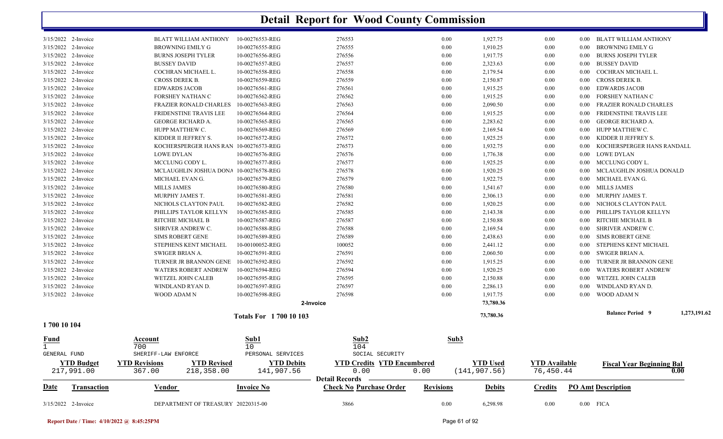|                              | 3/15/2022 2-Invoice                        |                            | DEPARTMENT OF TREASURY 20220315-00     |                               | 3866                                                    | 0.00             | 6,298.98             | 0.00                 |                      | $0.00$ FICA                                     |              |
|------------------------------|--------------------------------------------|----------------------------|----------------------------------------|-------------------------------|---------------------------------------------------------|------------------|----------------------|----------------------|----------------------|-------------------------------------------------|--------------|
| Date                         | Transaction                                | Vendor                     |                                        | <b>Invoice No</b>             | <b>Detail Records</b><br><b>Check No Purchase Order</b> | <b>Revisions</b> | <b>Debits</b>        | <b>Credits</b>       |                      | <b>PO Amt Description</b>                       |              |
|                              | 217,991.00                                 | 367.00                     | 218,358.00                             | 141,907.56                    | 0.00                                                    | 0.00             | (141, 907.56)        | 76,450.44            |                      | <b>Fiscal Year Beginning Bal</b>                | 0.00         |
|                              | <b>YTD Budget</b>                          | <b>YTD Revisions</b>       | <b>YTD Revised</b>                     | <b>YTD Debits</b>             | <b>YTD Credits YTD Encumbered</b>                       |                  | <b>YTD Used</b>      | <b>YTD</b> Available |                      |                                                 |              |
| $\mathbf{1}$<br>GENERAL FUND |                                            | 700<br>SHERIFF-LAW ENFORCE |                                        | 10<br>PERSONAL SERVICES       | 104<br>SOCIAL SECURITY                                  |                  |                      |                      |                      |                                                 |              |
| Fund                         |                                            | Account                    |                                        | <u>Sub1</u>                   | Sub2                                                    | Sub3             |                      |                      |                      |                                                 |              |
| 1700 10 104                  |                                            |                            |                                        |                               |                                                         |                  |                      |                      |                      |                                                 |              |
|                              |                                            |                            |                                        | <b>Totals For 1700 10 103</b> |                                                         |                  | 73,780.36            |                      |                      | <b>Balance Period 9</b>                         | 1,273,191.62 |
|                              |                                            |                            |                                        |                               | 2-Invoice                                               |                  | 73,780.36            |                      |                      |                                                 |              |
|                              | 3/15/2022 2-Invoice                        | WOOD ADAM N                |                                        | 10-00276598-REG               | 276598                                                  | 0.00             | 1,917.75             | 0.00                 | $0.00\,$             | WOOD ADAM N                                     |              |
|                              | 3/15/2022 2-Invoice                        | WINDLAND RYAN D.           |                                        | 10-00276597-REG               | 276597                                                  | 0.00             | 2,286.13             | 0.00                 | 0.00                 | WINDLAND RYAN D.                                |              |
|                              | 3/15/2022 2-Invoice                        |                            | WETZEL JOHN CALEB                      | 10-00276595-REG               | 276595                                                  | 0.00             | 2,150.88             | 0.00                 | $0.00\,$             | WETZEL JOHN CALEB                               |              |
|                              | 3/15/2022 2-Invoice                        |                            | <b>WATERS ROBERT ANDREW</b>            | 10-00276594-REG               | 276594                                                  | 0.00             | 1,920.25             | 0.00                 | 0.00                 | <b>WATERS ROBERT ANDREW</b>                     |              |
|                              | 3/15/2022 2-Invoice                        |                            | TURNER JR BRANNON GENE                 | 10-00276592-REG               | 276592                                                  | 0.00             | 1,915.25             | 0.00                 | 0.00                 | TURNER JR BRANNON GENE                          |              |
|                              | 3/15/2022 2-Invoice                        | <b>SWIGER BRIAN A.</b>     |                                        | 10-00276591-REG               | 276591                                                  | 0.00             | 2,060.50             | 0.00                 | $0.00\,$             | SWIGER BRIAN A.                                 |              |
|                              | 3/15/2022 2-Invoice                        |                            | STEPHENS KENT MICHAEL                  | 10-00100052-REG               | 100052                                                  | 0.00             | 2,441.12             | 0.00                 | 0.00                 | STEPHENS KENT MICHAEL                           |              |
|                              | 3/15/2022 2-Invoice                        | <b>SIMS ROBERT GENE</b>    |                                        | 10-00276589-REG               | 276589                                                  | 0.00             | 2,438.63             | 0.00                 | $0.00\,$             | SIMS ROBERT GENE                                |              |
|                              | 3/15/2022 2-Invoice                        | SHRIVER ANDREW C.          |                                        | 10-00276588-REG               | 276588                                                  | 0.00             | 2,169.54             | 0.00                 | $0.00\,$             | SHRIVER ANDREW C.                               |              |
|                              | 3/15/2022 2-Invoice                        | RITCHIE MICHAEL B          |                                        | 10-00276587-REG               | 276587                                                  | 0.00             | 2,150.88             | 0.00                 | 0.00                 | RITCHIE MICHAEL B                               |              |
|                              | 3/15/2022 2-Invoice                        |                            | PHILLIPS TAYLOR KELLYN                 | 10-00276585-REG               | 276585                                                  | 0.00             | 2,143.38             | 0.00                 | $0.00\,$             | PHILLIPS TAYLOR KELLYN                          |              |
|                              | 3/15/2022 2-Invoice                        |                            | NICHOLS CLAYTON PAUL                   | 10-00276582-REG               | 276582                                                  | 0.00             | 1,920.25             | 0.00                 | $0.00\,$             | NICHOLS CLAYTON PAUL                            |              |
|                              | 3/15/2022 2-Invoice                        | MURPHY JAMES T.            |                                        | 10-00276581-REG               | 276581                                                  | 0.00             | 2,306.13             | 0.00                 | $0.00\,$             | MURPHY JAMES T.                                 |              |
|                              | 3/15/2022 2-Invoice                        | <b>MILLS JAMES</b>         |                                        | 10-00276580-REG               | 276580                                                  | 0.00             | 1,541.67             | 0.00                 | $0.00\,$             | MILLS JAMES                                     |              |
|                              | 3/15/2022 2-Invoice                        | MICHAEL EVAN G.            |                                        | 10-00276579-REG               | 276579                                                  | 0.00             | 1,922.75             | 0.00                 | $0.00\,$             | MICHAEL EVAN G.                                 |              |
|                              | 3/15/2022 2-Invoice                        |                            | MCLAUGHLIN JOSHUA DONA 10-00276578-REG |                               | 276578                                                  | 0.00             | 1,920.25             | 0.00                 | 0.00                 | MCLAUGHLIN JOSHUA DONALD                        |              |
|                              | 3/15/2022 2-Invoice                        | MCCLUNG CODY L.            |                                        | 10-00276577-REG               | 276577                                                  | 0.00             | 1,925.25             | 0.00                 |                      | 0.00 MCCLUNG CODY L.                            |              |
|                              | 3/15/2022 2-Invoice<br>3/15/2022 2-Invoice | <b>LOWE DYLAN</b>          | KOCHERSPERGER HANS RAN 10-00276573-REG | 10-00276576-REG               | 276576                                                  | 0.00             | 1,932.75<br>1,776.38 | 0.00<br>0.00         | $0.00\,$<br>$0.00\,$ | KOCHERSPERGER HANS RANDALL<br><b>LOWE DYLAN</b> |              |
|                              | 3/15/2022 2-Invoice                        | KIDDER II JEFFREY S.       |                                        | 10-00276572-REG               | 276572<br>276573                                        | 0.00<br>0.00     | 1,925.25             | 0.00                 | $0.00\,$             | KIDDER II JEFFREY S.                            |              |
|                              | 3/15/2022 2-Invoice                        | HUPP MATTHEW C.            |                                        | 10-00276569-REG               | 276569                                                  | 0.00             | 2,169.54             | 0.00                 | 0.00                 | HUPP MATTHEW C.                                 |              |
|                              | 3/15/2022 2-Invoice                        | <b>GEORGE RICHARD A.</b>   |                                        | 10-00276565-REG               | 276565                                                  | 0.00             | 2,283.62             | 0.00                 | $0.00\,$             | <b>GEORGE RICHARD A.</b>                        |              |
|                              | 3/15/2022 2-Invoice                        |                            | FRIDENSTINE TRAVIS LEE                 | 10-00276564-REG               | 276564                                                  | 0.00             | 1,915.25             | 0.00                 | $0.00\,$             | FRIDENSTINE TRAVIS LEE                          |              |
|                              | 3/15/2022 2-Invoice                        |                            | <b>FRAZIER RONALD CHARLES</b>          | 10-00276563-REG               | 276563                                                  | 0.00             | 2,090.50             | 0.00                 | 0.00                 | FRAZIER RONALD CHARLES                          |              |
|                              | 3/15/2022 2-Invoice                        | FORSHEY NATHAN C           |                                        | 10-00276562-REG               | 276562                                                  | 0.00             | 1,915.25             | 0.00                 | $0.00\,$             | FORSHEY NATHAN C                                |              |
|                              | 3/15/2022 2-Invoice                        | <b>EDWARDS JACOB</b>       |                                        | 10-00276561-REG               | 276561                                                  | 0.00             | 1,915.25             | 0.00                 | $0.00\,$             | <b>EDWARDS JACOB</b>                            |              |
|                              | 3/15/2022 2-Invoice                        | <b>CROSS DEREK B.</b>      |                                        | 10-00276559-REG               | 276559                                                  | 0.00             | 2,150.87             | 0.00                 | 0.00                 | CROSS DEREK B.                                  |              |
|                              | 3/15/2022 2-Invoice                        |                            | COCHRAN MICHAEL L.                     | 10-00276558-REG               | 276558                                                  | 0.00             | 2,179.54             | 0.00                 | 0.00                 | COCHRAN MICHAEL L.                              |              |
|                              | 3/15/2022 2-Invoice                        | <b>BUSSEY DAVID</b>        |                                        | 10-00276557-REG               | 276557                                                  | 0.00             | 2,323.63             | 0.00                 | $0.00\,$             | <b>BUSSEY DAVID</b>                             |              |
|                              | 3/15/2022 2-Invoice                        |                            | <b>BURNS JOSEPH TYLER</b>              | 10-00276556-REG               | 276556                                                  | 0.00             | 1,917.75             | 0.00                 | 0.00                 | <b>BURNS JOSEPH TYLER</b>                       |              |
|                              | 3/15/2022 2-Invoice                        | <b>BROWNING EMILY G</b>    |                                        | 10-00276555-REG               | 276555                                                  | 0.00             | 1,910.25             | 0.00                 | $0.00\,$             | BROWNING EMILY G                                |              |
|                              |                                            |                            |                                        |                               |                                                         |                  |                      |                      |                      |                                                 |              |

**Report Date / Time: 4/10/2022 @ 8:45:25PM** Page 61 of 92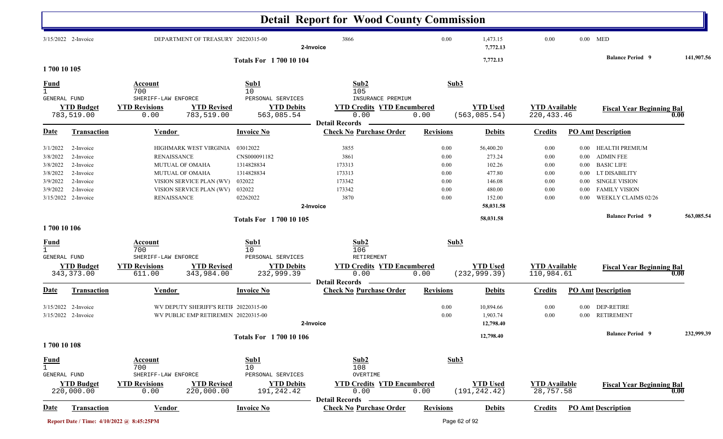|                                                                      |                                                                                                   |                                                                                                                                                                                |                                                                                      | <b>Detail Report for Wood County Commission</b>                        |                                                      |                                                                       |                                                      |                                                                          |                                                                                                                                                 |            |
|----------------------------------------------------------------------|---------------------------------------------------------------------------------------------------|--------------------------------------------------------------------------------------------------------------------------------------------------------------------------------|--------------------------------------------------------------------------------------|------------------------------------------------------------------------|------------------------------------------------------|-----------------------------------------------------------------------|------------------------------------------------------|--------------------------------------------------------------------------|-------------------------------------------------------------------------------------------------------------------------------------------------|------------|
|                                                                      | $3/15/2022$ 2-Invoice                                                                             | DEPARTMENT OF TREASURY 20220315-00                                                                                                                                             |                                                                                      | 3866<br>2-Invoice                                                      | 0.00                                                 | 1,473.15<br>7,772.13                                                  | 0.00                                                 | $0.00$ MED                                                               |                                                                                                                                                 |            |
| 1700 10 105                                                          |                                                                                                   |                                                                                                                                                                                | <b>Totals For 170010104</b>                                                          |                                                                        |                                                      | 7,772.13                                                              |                                                      |                                                                          | <b>Balance Period 9</b>                                                                                                                         | 141,907.56 |
| <b>Fund</b><br><b>GENERAL FUND</b>                                   |                                                                                                   | Account<br>700<br>SHERIFF-LAW ENFORCE                                                                                                                                          | Sub1<br>10<br>PERSONAL SERVICES                                                      | Sub2<br>105<br>INSURANCE PREMIUM                                       | Sub3                                                 |                                                                       |                                                      |                                                                          |                                                                                                                                                 |            |
|                                                                      | <b>YTD Budget</b><br>783,519.00                                                                   | <b>YTD Revisions</b><br><b>YTD Revised</b><br>783,519.00<br>0.00                                                                                                               | <b>YTD Debits</b><br>563,085.54                                                      | <b>YTD Credits YTD Encumbered</b><br>0.00                              | 0.00                                                 | <b>YTD Used</b><br>(563, 085.54)                                      | <b>YTD Available</b><br>220, 433.46                  |                                                                          | <b>Fiscal Year Beginning Bal</b>                                                                                                                | 0.00       |
| Date                                                                 | <b>Transaction</b>                                                                                | <b>Vendor</b>                                                                                                                                                                  | <b>Invoice No</b>                                                                    | <b>Detail Records</b><br><b>Check No Purchase Order</b>                | <b>Revisions</b>                                     | <b>Debits</b>                                                         | <b>Credits</b>                                       |                                                                          | <b>PO Amt Description</b>                                                                                                                       |            |
| 3/1/2022<br>3/8/2022<br>3/8/2022<br>3/8/2022<br>3/9/2022<br>3/9/2022 | 2-Invoice<br>2-Invoice<br>2-Invoice<br>2-Invoice<br>2-Invoice<br>2-Invoice<br>3/15/2022 2-Invoice | HIGHMARK WEST VIRGINIA<br><b>RENAISSANCE</b><br><b>MUTUAL OF OMAHA</b><br><b>MUTUAL OF OMAHA</b><br>VISION SERVICE PLAN (WV)<br>VISION SERVICE PLAN (WV)<br><b>RENAISSANCE</b> | 03012022<br>CNS000091182<br>1314828834<br>1314828834<br>032022<br>032022<br>02262022 | 3855<br>3861<br>173313<br>173313<br>173342<br>173342<br>3870           | 0.00<br>0.00<br>0.00<br>0.00<br>0.00<br>0.00<br>0.00 | 56,400.20<br>273.24<br>102.26<br>477.80<br>146.08<br>480.00<br>152.00 | 0.00<br>0.00<br>0.00<br>0.00<br>0.00<br>0.00<br>0.00 | $0.00\,$<br>$0.00\,$<br>$0.00\,$<br>$0.00\,$<br>$0.00\,$<br>0.00<br>0.00 | HEALTH PREMIUM<br><b>ADMIN FEE</b><br><b>BASIC LIFE</b><br>LT DISABILITY<br><b>SINGLE VISION</b><br><b>FAMILY VISION</b><br>WEEKLY CLAIMS 02/26 |            |
|                                                                      |                                                                                                   |                                                                                                                                                                                | <b>Totals For 1700 10 105</b>                                                        | 2-Invoice                                                              |                                                      | 58,031.58<br>58,031.58                                                |                                                      |                                                                          | <b>Balance Period 9</b>                                                                                                                         | 563,085.54 |
| 1700 10 106<br><b>Fund</b><br><b>GENERAL FUND</b>                    | <b>YTD Budget</b><br>343, 373.00                                                                  | Account<br>700<br>SHERIFF-LAW ENFORCE<br><b>YTD Revisions</b><br><b>YTD Revised</b><br>343,984.00<br>611.00                                                                    | Sub1<br>10<br>PERSONAL SERVICES<br><b>YTD Debits</b><br>232,999.39                   | Sub2<br>106<br>RETIREMENT<br><b>YTD Credits YTD Encumbered</b><br>0.00 | Sub3<br>0.00                                         | <b>YTD Used</b><br>(232, 999.39)                                      | <b>YTD Available</b><br>110,984.61                   |                                                                          | <b>Fiscal Year Beginning Bal</b>                                                                                                                | 0.00       |
| Date                                                                 | <b>Transaction</b>                                                                                | <b>Vendor</b>                                                                                                                                                                  | <b>Invoice No</b>                                                                    | <b>Detail Records</b><br><b>Check No Purchase Order</b>                | <b>Revisions</b>                                     | <b>Debits</b>                                                         | <b>Credits</b>                                       |                                                                          | <b>PO Amt Description</b>                                                                                                                       |            |
| 3/15/2022                                                            | 2-Invoice<br>3/15/2022 2-Invoice                                                                  | WV DEPUTY SHERIFF'S RETIF 20220315-00<br>WV PUBLIC EMP RETIREMEN 20220315-00                                                                                                   |                                                                                      | 2-Invoice                                                              | 0.00<br>0.00                                         | 10,894.66<br>1,903.74<br>12,798.40                                    | 0.00<br>0.00                                         |                                                                          | 0.00 DEP-RETIRE<br>0.00 RETIREMENT                                                                                                              |            |
| 1700 10 108                                                          |                                                                                                   |                                                                                                                                                                                | <b>Totals For 1700 10 106</b>                                                        |                                                                        |                                                      | 12,798.40                                                             |                                                      |                                                                          | <b>Balance Period</b> 9                                                                                                                         | 232,999.39 |
| <u>Fund</u><br>$\mathbf{1}$<br>GENERAL FUND                          | <b>YTD Budget</b><br>220,000.00                                                                   | <b>Account</b><br>700<br>SHERIFF-LAW ENFORCE<br><b>YTD Revisions</b><br><b>YTD Revised</b><br>220,000.00<br>0.00                                                               | Sub1<br>10<br>PERSONAL SERVICES<br><b>YTD Debits</b><br>191,242.42                   | Sub2<br>108<br>OVERTIME<br><b>YTD Credits YTD Encumbered</b><br>0.00   | Sub3<br>0.00                                         | <b>YTD Used</b><br>(191, 242.42)                                      | <b>YTD Available</b><br>28,757.58                    |                                                                          | <b>Fiscal Year Beginning Bal</b>                                                                                                                | 0.00       |
| <u>Date</u>                                                          | <b>Transaction</b>                                                                                | <b>Vendor</b>                                                                                                                                                                  | <b>Invoice No</b>                                                                    | <b>Detail Records</b><br><b>Check No Purchase Order</b>                | <b>Revisions</b>                                     | <b>Debits</b>                                                         | <b>Credits</b>                                       |                                                                          | <b>PO Amt Description</b>                                                                                                                       |            |
|                                                                      |                                                                                                   | Report Date / Time: 4/10/2022 @ 8:45:25PM                                                                                                                                      |                                                                                      |                                                                        |                                                      | Page 62 of 92                                                         |                                                      |                                                                          |                                                                                                                                                 |            |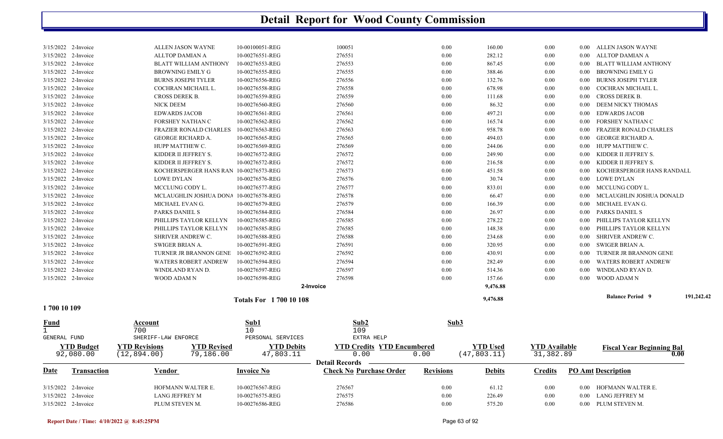|                      | 3/15/2022 2-Invoice<br>3/15/2022 2-Invoice | LANG JEFFREY M<br>PLUM STEVEN M.                                        | 10-00276575-REG<br>10-00276586-REG | 276575<br>276586                                        | 0.00<br>0.00     | 226.49<br>575.20                | 0.00<br>0.00                      |                   | 0.00 LANG JEFFREY M<br>0.00 PLUM STEVEN M. |            |
|----------------------|--------------------------------------------|-------------------------------------------------------------------------|------------------------------------|---------------------------------------------------------|------------------|---------------------------------|-----------------------------------|-------------------|--------------------------------------------|------------|
|                      | 3/15/2022 2-Invoice                        | HOFMANN WALTER E.                                                       | 10-00276567-REG                    | 276567                                                  | 0.00             | 61.12                           | 0.00                              |                   | 0.00 HOFMANN WALTER E.                     |            |
| Date                 | <b>Transaction</b>                         | <b>Vendor</b>                                                           | <b>Invoice No</b>                  | <b>Detail Records</b><br><b>Check No Purchase Order</b> | <b>Revisions</b> | <b>Debits</b>                   | <b>Credits</b>                    |                   | <b>PO Amt Description</b>                  |            |
|                      | <b>YTD Budget</b><br>92,080.00             | <b>YTD Revised</b><br><b>YTD Revisions</b><br>79,186.00<br>(12, 894.00) | <b>YTD Debits</b><br>47,803.11     | <b>YTD Credits YTD Encumbered</b><br>0.00               | 0.00             | <b>YTD Used</b><br>(47, 803.11) | <b>YTD</b> Available<br>31,382.89 |                   | <b>Fiscal Year Beginning Bal</b><br>0.00   |            |
| GENERAL FUND         |                                            | SHERIFF-LAW ENFORCE                                                     | PERSONAL SERVICES                  | EXTRA HELP                                              |                  |                                 |                                   |                   |                                            |            |
| Fund<br>$\mathbf{1}$ |                                            | Account<br>700                                                          | Sub1<br>10                         | Sub2<br>109                                             | Sub3             |                                 |                                   |                   |                                            |            |
| 1700 10 109          |                                            |                                                                         |                                    |                                                         |                  |                                 |                                   |                   |                                            |            |
|                      |                                            |                                                                         | <b>Totals For 170010108</b>        |                                                         |                  | 9,476.88                        |                                   |                   | <b>Balance Period 9</b>                    | 191,242.42 |
|                      |                                            |                                                                         |                                    | 2-Invoice                                               |                  | 9,476.88                        |                                   |                   |                                            |            |
|                      | 3/15/2022 2-Invoice                        | WOOD ADAM N                                                             | 10-00276598-REG                    | 276598                                                  | 0.00             | 157.66                          | 0.00                              | 0.00              | WOOD ADAM N                                |            |
|                      | 3/15/2022 2-Invoice                        | WINDLAND RYAN D.                                                        | 10-00276597-REG                    | 276597                                                  | 0.00             | 514.36                          | 0.00                              | $0.00\,$          | WINDLAND RYAN D.                           |            |
|                      | 3/15/2022 2-Invoice                        | <b>WATERS ROBERT ANDREW</b>                                             | 10-00276594-REG                    | 276594                                                  | 0.00             | 282.49                          | 0.00                              | $0.00\,$          | <b>WATERS ROBERT ANDREW</b>                |            |
|                      | 3/15/2022 2-Invoice                        | TURNER JR BRANNON GENE                                                  | 10-00276592-REG                    | 276592                                                  | 0.00             | 430.91                          | 0.00                              | $0.00\,$          | TURNER JR BRANNON GENE                     |            |
|                      | 3/15/2022 2-Invoice                        | SWIGER BRIAN A.                                                         | 10-00276591-REG                    | 276591                                                  | 0.00             | 320.95                          | 0.00                              | $0.00\,$          | SWIGER BRIAN A.                            |            |
|                      | 3/15/2022 2-Invoice                        | SHRIVER ANDREW C.                                                       | 10-00276588-REG                    | 276588                                                  | 0.00             | 234.68                          | 0.00                              | $0.00\,$          | SHRIVER ANDREW C.                          |            |
|                      | 3/15/2022 2-Invoice                        | PHILLIPS TAYLOR KELLYN                                                  | 10-00276585-REG                    | 276585                                                  | 0.00             | 148.38                          | 0.00                              | $0.00\,$          | PHILLIPS TAYLOR KELLYN                     |            |
|                      | 3/15/2022 2-Invoice                        | PHILLIPS TAYLOR KELLYN                                                  | 10-00276585-REG                    | 276585                                                  | 0.00             | 278.22                          | 0.00                              | $0.00\,$          | PHILLIPS TAYLOR KELLYN                     |            |
|                      | 3/15/2022 2-Invoice                        | PARKS DANIEL S                                                          | 10-00276584-REG                    | 276584                                                  | 0.00             | 26.97                           | 0.00                              | $0.00\,$          | PARKS DANIEL S                             |            |
|                      | 3/15/2022 2-Invoice                        | MICHAEL EVAN G.                                                         | 10-00276579-REG                    | 276579                                                  | 0.00             | 166.39                          | 0.00                              | 0.00              | MICHAEL EVAN G.                            |            |
|                      | 3/15/2022 2-Invoice                        | MCLAUGHLIN JOSHUA DONA 10-00276578-REG                                  |                                    | 276578                                                  | 0.00             | 66.47                           | 0.00                              | 0.00 <sub>1</sub> | MCLAUGHLIN JOSHUA DONALD                   |            |
|                      | 3/15/2022 2-Invoice                        | <b>LOWE DYLAN</b><br>MCCLUNG CODY L.                                    | 10-00276576-REG<br>10-00276577-REG | 276577                                                  | 0.00<br>0.00     | 30.74<br>833.01                 | 0.00<br>0.00                      | $0.00\,$          | 0.00 LOWE DYLAN<br>MCCLUNG CODY L.         |            |
|                      | 3/15/2022 2-Invoice<br>3/15/2022 2-Invoice | KOCHERSPERGER HANS RAN 10-00276573-REG                                  |                                    | 276573<br>276576                                        | 0.00             | 451.58                          | 0.00                              | $0.00\,$          | KOCHERSPERGER HANS RANDALL                 |            |
|                      | 3/15/2022 2-Invoice                        | KIDDER II JEFFREY S.                                                    | 10-00276572-REG                    | 276572                                                  | 0.00             | 216.58                          | 0.00                              | 0.00              | KIDDER II JEFFREY S.                       |            |
|                      | 3/15/2022 2-Invoice                        | KIDDER II JEFFREY S.                                                    | 10-00276572-REG                    | 276572                                                  | 0.00             | 249.90                          | 0.00                              | $0.00\,$          | KIDDER II JEFFREY S.                       |            |
|                      | 3/15/2022 2-Invoice                        | HUPP MATTHEW C.                                                         | 10-00276569-REG                    | 276569                                                  | 0.00             | 244.06                          | 0.00                              |                   | 0.00 HUPP MATTHEW C.                       |            |
|                      | 3/15/2022 2-Invoice                        | <b>GEORGE RICHARD A.</b>                                                | 10-00276565-REG                    | 276565                                                  | 0.00             | 494.03                          | 0.00                              | 0.00              | GEORGE RICHARD A.                          |            |
|                      | 3/15/2022 2-Invoice                        | <b>FRAZIER RONALD CHARLES</b>                                           | 10-00276563-REG                    | 276563                                                  | 0.00             | 958.78                          | 0.00                              | 0.00              | FRAZIER RONALD CHARLES                     |            |
|                      | 3/15/2022 2-Invoice                        | FORSHEY NATHAN C                                                        | 10-00276562-REG                    | 276562                                                  | 0.00             | 165.74                          | 0.00                              | $0.00\,$          | FORSHEY NATHAN C                           |            |
|                      | 3/15/2022 2-Invoice                        | <b>EDWARDS JACOB</b>                                                    | 10-00276561-REG                    | 276561                                                  | 0.00             | 497.21                          | 0.00                              | $0.00\,$          | <b>EDWARDS JACOB</b>                       |            |
|                      | 3/15/2022 2-Invoice                        | <b>NICK DEEM</b>                                                        | 10-00276560-REG                    | 276560                                                  | 0.00             | 86.32                           | 0.00                              | $0.00\,$          | <b>DEEM NICKY THOMAS</b>                   |            |
|                      | 3/15/2022 2-Invoice                        | CROSS DEREK B.                                                          | 10-00276559-REG                    | 276559                                                  | 0.00             | 111.68                          | 0.00                              | $0.00\,$          | CROSS DEREK B.                             |            |
|                      | 3/15/2022 2-Invoice                        | COCHRAN MICHAEL L.                                                      | 10-00276558-REG                    | 276558                                                  | 0.00             | 678.98                          | 0.00                              | 0.00              | COCHRAN MICHAEL L.                         |            |
|                      | 3/15/2022 2-Invoice                        | <b>BURNS JOSEPH TYLER</b>                                               | 10-00276556-REG                    | 276556                                                  | 0.00             | 132.76                          | 0.00                              | $0.00\,$          | <b>BURNS JOSEPH TYLER</b>                  |            |
|                      | 3/15/2022 2-Invoice                        | BROWNING EMILY G                                                        | 10-00276555-REG                    | 276555                                                  | 0.00             | 388.46                          | 0.00                              | $0.00\,$          | BROWNING EMILY G                           |            |
|                      | 3/15/2022 2-Invoice                        | <b>BLATT WILLIAM ANTHONY</b>                                            | 10-00276553-REG                    | 276553                                                  | 0.00             | 867.45                          | 0.00                              | $0.00\,$          | BLATT WILLIAM ANTHONY                      |            |
|                      | 3/15/2022 2-Invoice                        | <b>ALLTOP DAMIAN A</b>                                                  | 10-00276551-REG                    | 276551                                                  | 0.00             | 282.12                          | 0.00                              | 0.00              | ALLTOP DAMIAN A                            |            |
|                      | 3/15/2022 2-Invoice                        | ALLEN JASON WAYNE                                                       | 10-00100051-REG                    | 100051                                                  | 0.00             | 160.00                          | 0.00                              |                   | 0.00 ALLEN JASON WAYNE                     |            |
|                      |                                            |                                                                         |                                    |                                                         |                  |                                 |                                   |                   |                                            |            |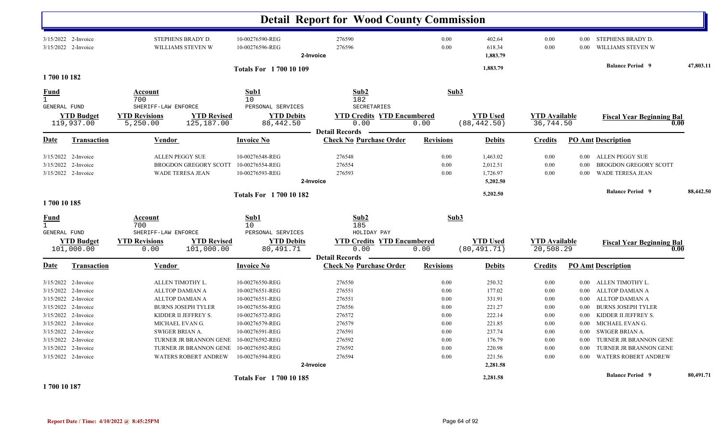|                                            |                                                                                                                                                                                      |                                                                                                                                                                                                                                      |                                                                                                                                                                                            | <b>Detail Report for Wood County Commission</b>                                                               |                                                                              |                                                                                                              |                                                                                  |                                                                                                  |                                                                                                                                                                                                                                             |           |
|--------------------------------------------|--------------------------------------------------------------------------------------------------------------------------------------------------------------------------------------|--------------------------------------------------------------------------------------------------------------------------------------------------------------------------------------------------------------------------------------|--------------------------------------------------------------------------------------------------------------------------------------------------------------------------------------------|---------------------------------------------------------------------------------------------------------------|------------------------------------------------------------------------------|--------------------------------------------------------------------------------------------------------------|----------------------------------------------------------------------------------|--------------------------------------------------------------------------------------------------|---------------------------------------------------------------------------------------------------------------------------------------------------------------------------------------------------------------------------------------------|-----------|
|                                            | 3/15/2022 2-Invoice<br>3/15/2022 2-Invoice                                                                                                                                           | STEPHENS BRADY D.<br>WILLIAMS STEVEN W                                                                                                                                                                                               | 10-00276590-REG<br>10-00276596-REG                                                                                                                                                         | 276590<br>276596<br>2-Invoice                                                                                 | 0.00<br>0.00                                                                 | 402.64<br>618.34<br>1,883.79                                                                                 | 0.00<br>0.00                                                                     | 0.00                                                                                             | 0.00 STEPHENS BRADY D.<br>WILLIAMS STEVEN W                                                                                                                                                                                                 |           |
|                                            |                                                                                                                                                                                      |                                                                                                                                                                                                                                      | <b>Totals For 1700 10 109</b>                                                                                                                                                              |                                                                                                               |                                                                              | 1,883.79                                                                                                     |                                                                                  |                                                                                                  | <b>Balance Period 9</b>                                                                                                                                                                                                                     | 47,803.11 |
| 1700 10 182                                |                                                                                                                                                                                      |                                                                                                                                                                                                                                      |                                                                                                                                                                                            |                                                                                                               |                                                                              |                                                                                                              |                                                                                  |                                                                                                  |                                                                                                                                                                                                                                             |           |
| <u>Fund</u><br>$\mathbf{1}$                |                                                                                                                                                                                      | Account<br>700                                                                                                                                                                                                                       | Sub1<br>10                                                                                                                                                                                 | Sub2<br>182<br>SECRETARIES                                                                                    | Sub3                                                                         |                                                                                                              |                                                                                  |                                                                                                  |                                                                                                                                                                                                                                             |           |
| GENERAL FUND                               | <b>YTD Budget</b><br>119,937.00                                                                                                                                                      | SHERIFF-LAW ENFORCE<br><b>YTD Revisions</b><br>5,250.00                                                                                                                                                                              | PERSONAL SERVICES<br><b>YTD Revised</b><br><b>YTD Debits</b><br>125,187.00<br>88,442.50                                                                                                    | <b>YTD Credits YTD Encumbered</b><br>0.00                                                                     | 0.00                                                                         | <b>YTD Used</b><br>(88, 442.50)                                                                              | <b>YTD</b> Available<br>36,744.50                                                |                                                                                                  | <b>Fiscal Year Beginning Bal</b><br>0.00                                                                                                                                                                                                    |           |
| Date                                       | <b>Transaction</b>                                                                                                                                                                   | <u>Vendor</u>                                                                                                                                                                                                                        | <b>Invoice No</b>                                                                                                                                                                          | <b>Detail Records</b><br><b>Check No Purchase Order</b>                                                       | <b>Revisions</b>                                                             | <b>Debits</b>                                                                                                | <b>Credits</b>                                                                   |                                                                                                  | <b>PO Amt Description</b>                                                                                                                                                                                                                   |           |
|                                            | $3/15/2022$ 2-Invoice<br>3/15/2022 2-Invoice<br>3/15/2022 2-Invoice                                                                                                                  | <b>ALLEN PEGGY SUE</b><br><b>BROGDON GREGORY SCOTT</b><br><b>WADE TERESA JEAN</b>                                                                                                                                                    | 10-00276548-REG<br>10-00276554-REG<br>10-00276593-REG                                                                                                                                      | 276548<br>276554<br>276593<br>2-Invoice                                                                       | 0.00<br>0.00<br>0.00                                                         | 1,463.02<br>2,012.51<br>1,726.97<br>5,202.50                                                                 | 0.00<br>0.00<br>0.00                                                             | $0.00\,$<br>$0.00\,$<br>0.00                                                                     | ALLEN PEGGY SUE<br><b>BROGDON GREGORY SCOTT</b><br><b>WADE TERESA JEAN</b>                                                                                                                                                                  |           |
|                                            |                                                                                                                                                                                      |                                                                                                                                                                                                                                      | <b>Totals For 1700 10 182</b>                                                                                                                                                              |                                                                                                               |                                                                              | 5,202.50                                                                                                     |                                                                                  |                                                                                                  | <b>Balance Period 9</b>                                                                                                                                                                                                                     | 88,442.50 |
| 1700 10 185                                |                                                                                                                                                                                      |                                                                                                                                                                                                                                      |                                                                                                                                                                                            |                                                                                                               |                                                                              |                                                                                                              |                                                                                  |                                                                                                  |                                                                                                                                                                                                                                             |           |
| Fund<br>$\mathbf{1}$                       |                                                                                                                                                                                      | Account<br>700                                                                                                                                                                                                                       | Sub1<br>10                                                                                                                                                                                 | Sub2<br>185                                                                                                   | Sub3                                                                         |                                                                                                              |                                                                                  |                                                                                                  |                                                                                                                                                                                                                                             |           |
| <b>GENERAL FUND</b>                        | <b>YTD Budget</b>                                                                                                                                                                    | SHERIFF-LAW ENFORCE<br><b>YTD Revisions</b>                                                                                                                                                                                          | PERSONAL SERVICES<br><b>YTD Revised</b><br><b>YTD Debits</b>                                                                                                                               | HOLIDAY PAY<br><b>YTD Credits YTD Encumbered</b>                                                              |                                                                              | <b>YTD Used</b>                                                                                              | <b>YTD</b> Available                                                             |                                                                                                  | <b>Fiscal Year Beginning Bal</b>                                                                                                                                                                                                            |           |
|                                            | 101,000.00                                                                                                                                                                           | 0.00                                                                                                                                                                                                                                 | 101,000.00<br>80,491.71                                                                                                                                                                    | 0.00<br><b>Detail Records</b>                                                                                 | 0.00                                                                         | (80, 491.71)                                                                                                 | 20,508.29                                                                        |                                                                                                  | 0.00                                                                                                                                                                                                                                        |           |
| <b>Date</b>                                | <b>Transaction</b>                                                                                                                                                                   | Vendor                                                                                                                                                                                                                               | <b>Invoice No</b>                                                                                                                                                                          | <b>Check No Purchase Order</b>                                                                                | <b>Revisions</b>                                                             | <b>Debits</b>                                                                                                | <b>Credits</b>                                                                   |                                                                                                  | <b>PO Amt Description</b>                                                                                                                                                                                                                   |           |
| 3/15/2022 2-Invoice<br>3/15/2022 2-Invoice | 3/15/2022 2-Invoice<br>3/15/2022 2-Invoice<br>3/15/2022 2-Invoice<br>3/15/2022 2-Invoice<br>3/15/2022 2-Invoice<br>3/15/2022 2-Invoice<br>3/15/2022 2-Invoice<br>3/15/2022 2-Invoice | ALLEN TIMOTHY L.<br>ALLTOP DAMIAN A<br>ALLTOP DAMIAN A<br><b>BURNS JOSEPH TYLER</b><br>KIDDER II JEFFREY S.<br>MICHAEL EVAN G.<br>SWIGER BRIAN A.<br>TURNER JR BRANNON GENE<br>TURNER JR BRANNON GENE<br><b>WATERS ROBERT ANDREW</b> | 10-00276550-REG<br>10-00276551-REG<br>10-00276551-REG<br>10-00276556-REG<br>10-00276572-REG<br>10-00276579-REG<br>10-00276591-REG<br>10-00276592-REG<br>10-00276592-REG<br>10-00276594-REG | 276550<br>276551<br>276551<br>276556<br>276572<br>276579<br>276591<br>276592<br>276592<br>276594<br>2-Invoice | 0.00<br>0.00<br>0.00<br>0.00<br>0.00<br>0.00<br>0.00<br>0.00<br>0.00<br>0.00 | 250.32<br>177.02<br>331.91<br>221.27<br>222.14<br>221.85<br>237.74<br>176.79<br>220.98<br>221.56<br>2,281.58 | 0.00<br>0.00<br>0.00<br>0.00<br>$0.00\,$<br>0.00<br>0.00<br>0.00<br>0.00<br>0.00 | $0.00\,$<br>$0.00\,$<br>0.00<br>$0.00\,$<br>0.00<br>0.00<br>$0.00\,$<br>$0.00\,$<br>0.00<br>0.00 | ALLEN TIMOTHY L.<br>ALLTOP DAMIAN A<br><b>ALLTOP DAMIAN A</b><br><b>BURNS JOSEPH TYLER</b><br>KIDDER II JEFFREY S.<br>MICHAEL EVAN G.<br>SWIGER BRIAN A.<br>TURNER JR BRANNON GENE<br>TURNER JR BRANNON GENE<br><b>WATERS ROBERT ANDREW</b> |           |
|                                            |                                                                                                                                                                                      |                                                                                                                                                                                                                                      | <b>Totals For 1700 10 185</b>                                                                                                                                                              |                                                                                                               |                                                                              | 2,281.58                                                                                                     |                                                                                  |                                                                                                  | <b>Balance Period 9</b>                                                                                                                                                                                                                     | 80,491.71 |

**1 700 10 187**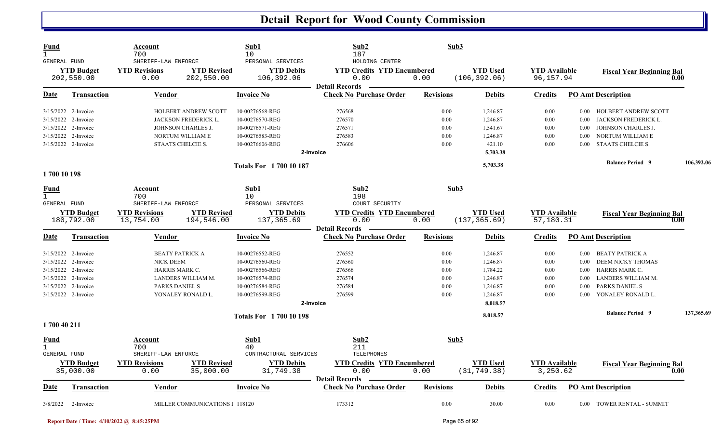| Fund<br>$\mathbf{1}$<br>GENERAL FUND                |                                                                                                                                        | Account<br>700<br>SHERIFF-LAW ENFORCE                                          |                                                                                                      | Sub1<br>10<br>PERSONAL SERVICES                                                                                | Sub2<br>187<br>HOLDING CENTER                                              | Sub3                                         |                                                                                  |                                              |                                                      |                                                                                                                     |            |
|-----------------------------------------------------|----------------------------------------------------------------------------------------------------------------------------------------|--------------------------------------------------------------------------------|------------------------------------------------------------------------------------------------------|----------------------------------------------------------------------------------------------------------------|----------------------------------------------------------------------------|----------------------------------------------|----------------------------------------------------------------------------------|----------------------------------------------|------------------------------------------------------|---------------------------------------------------------------------------------------------------------------------|------------|
|                                                     | <b>YTD Budget</b><br>202,550.00                                                                                                        | <b>YTD Revisions</b><br>0.00                                                   | <b>YTD Revised</b><br>202,550.00                                                                     | <b>YTD Debits</b><br>106,392.06                                                                                | <b>YTD Credits YTD Encumbered</b><br>0.00<br><b>Detail Records</b>         | 0.00                                         | <b>YTD</b> Used<br>(106, 392.06)                                                 | <b>YTD Available</b><br>96,157.94            |                                                      | <b>Fiscal Year Beginning Bal</b>                                                                                    | 0.00       |
| Date                                                | <b>Transaction</b>                                                                                                                     | <b>Vendor</b>                                                                  |                                                                                                      | <b>Invoice No</b>                                                                                              | <b>Check No Purchase Order</b>                                             | <b>Revisions</b>                             | <b>Debits</b>                                                                    | <b>Credits</b>                               |                                                      | <b>PO Amt Description</b>                                                                                           |            |
| 3/15/2022                                           | 3/15/2022 2-Invoice<br>3/15/2022 2-Invoice<br>2-Invoice<br>3/15/2022 2-Invoice<br>3/15/2022 2-Invoice                                  | STAATS CHELCIE S.                                                              | <b>HOLBERT ANDREW SCOTT</b><br><b>JACKSON FREDERICK L.</b><br>JOHNSON CHARLES J.<br>NORTUM WILLIAM E | 10-00276568-REG<br>10-00276570-REG<br>10-00276571-REG<br>10-00276583-REG<br>10-00276606-REG                    | 276568<br>276570<br>276571<br>276583<br>276606<br>2-Invoice                | 0.00<br>0.00<br>0.00<br>0.00<br>0.00         | 1,246.87<br>1,246.87<br>1,541.67<br>1,246.87<br>421.10<br>5,703.38               | 0.00<br>0.00<br>0.00<br>0.00<br>0.00         | $0.00\,$<br>0.00<br>0.00<br>0.00<br>0.00             | HOLBERT ANDREW SCOTT<br>JACKSON FREDERICK L.<br>JOHNSON CHARLES J.<br>NORTUM WILLIAM E<br><b>STAATS CHELCIE S.</b>  |            |
|                                                     |                                                                                                                                        |                                                                                |                                                                                                      | <b>Totals For 1700 10 187</b>                                                                                  |                                                                            |                                              | 5,703.38                                                                         |                                              |                                                      | <b>Balance Period 9</b>                                                                                             | 106,392.06 |
| 1700 10 198<br>Fund<br>$\mathbf{1}$<br>GENERAL FUND | <b>YTD Budget</b><br>180,792.00                                                                                                        | Account<br>700<br>SHERIFF-LAW ENFORCE<br><b>YTD Revisions</b><br>13,754.00     | <b>YTD Revised</b><br>194,546.00                                                                     | Sub1<br>10<br>PERSONAL SERVICES<br><b>YTD Debits</b><br>137,365.69                                             | Sub2<br>198<br>COURT SECURITY<br><b>YTD Credits YTD Encumbered</b><br>0.00 | Sub3<br>0.00                                 | <b>YTD Used</b><br>(137, 365.69)                                                 | <b>YTD</b> Available<br>57,180.31            |                                                      | <b>Fiscal Year Beginning Bal</b>                                                                                    | 0.00       |
| Date                                                | Transaction                                                                                                                            | <b>Vendor</b>                                                                  |                                                                                                      | <b>Invoice No</b>                                                                                              | <b>Detail Records</b><br><b>Check No Purchase Order</b>                    | <b>Revisions</b>                             | <b>Debits</b>                                                                    | <b>Credits</b>                               |                                                      | <b>PO Amt Description</b>                                                                                           |            |
|                                                     | 3/15/2022 2-Invoice<br>3/15/2022 2-Invoice<br>3/15/2022 2-Invoice<br>3/15/2022 2-Invoice<br>3/15/2022 2-Invoice<br>3/15/2022 2-Invoice | <b>BEATY PATRICK A</b><br><b>NICK DEEM</b><br>HARRIS MARK C.<br>PARKS DANIEL S | LANDERS WILLIAM M.<br>YONALEY RONALD L.                                                              | 10-00276552-REG<br>10-00276560-REG<br>10-00276566-REG<br>10-00276574-REG<br>10-00276584-REG<br>10-00276599-REG | 276552<br>276560<br>276566<br>276574<br>276584<br>276599<br>2-Invoice      | 0.00<br>0.00<br>0.00<br>0.00<br>0.00<br>0.00 | 1,246.87<br>1,246.87<br>1,784.22<br>1,246.87<br>1,246.87<br>1,246.87<br>8,018.57 | 0.00<br>0.00<br>0.00<br>0.00<br>0.00<br>0.00 | $0.00\,$<br>0.00<br>$0.00\,$<br>0.00<br>0.00<br>0.00 | BEATY PATRICK A<br>DEEM NICKY THOMAS<br>HARRIS MARK C.<br>LANDERS WILLIAM M.<br>PARKS DANIEL S<br>YONALEY RONALD L. |            |
|                                                     |                                                                                                                                        |                                                                                |                                                                                                      | <b>Totals For 1700 10 198</b>                                                                                  |                                                                            |                                              | 8,018.57                                                                         |                                              |                                                      | <b>Balance Period 9</b>                                                                                             | 137,365.69 |
| 1700 40 211                                         |                                                                                                                                        |                                                                                |                                                                                                      |                                                                                                                |                                                                            |                                              |                                                                                  |                                              |                                                      |                                                                                                                     |            |
| Fund                                                |                                                                                                                                        |                                                                                |                                                                                                      |                                                                                                                |                                                                            |                                              |                                                                                  |                                              |                                                      |                                                                                                                     |            |
| $\mathbf{1}$<br><b>GENERAL FUND</b>                 | <b>YTD Budget</b>                                                                                                                      | Account<br>700<br>SHERIFF-LAW ENFORCE<br><b>YTD Revisions</b>                  | <b>YTD Revised</b>                                                                                   | Sub1<br>40<br>CONTRACTURAL SERVICES<br><b>YTD Debits</b>                                                       | Sub2<br>211<br>TELEPHONES<br><b>YTD Credits YTD Encumbered</b>             | Sub3                                         | <b>YTD</b> Used                                                                  | <b>YTD Available</b>                         |                                                      | <b>Fiscal Year Beginning Bal</b>                                                                                    |            |
| <u>Date</u>                                         | 35,000.00<br><b>Transaction</b>                                                                                                        | 0.00<br><b>Vendor</b>                                                          | 35,000.00                                                                                            | 31,749.38<br><b>Invoice No</b>                                                                                 | 0.00<br><b>Detail Records</b><br><b>Check No Purchase Order</b>            | 0.00<br><b>Revisions</b>                     | (31, 749.38)<br><b>Debits</b>                                                    | 3,250.62<br><b>Credits</b>                   |                                                      | <b>PO Amt Description</b>                                                                                           | 0.00       |

**Report Date / Time: 4/10/2022 @ 8:45:25PM** Page 65 of 92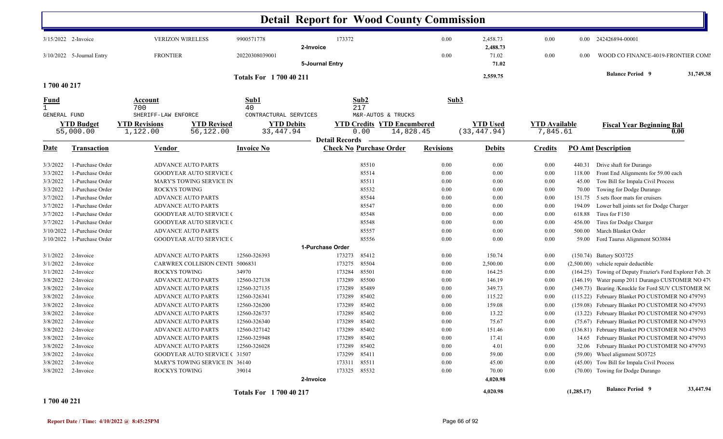|                      |                                |                                                                                            |                               | <b>Detail Report for Wood County Commission</b>          |                                                                              |                  |                                 |                                  |            |                                                           |
|----------------------|--------------------------------|--------------------------------------------------------------------------------------------|-------------------------------|----------------------------------------------------------|------------------------------------------------------------------------------|------------------|---------------------------------|----------------------------------|------------|-----------------------------------------------------------|
|                      | 3/15/2022 2-Invoice            | <b>VERIZON WIRELESS</b>                                                                    | 9900571778                    | 173372<br>2-Invoice                                      |                                                                              | 0.00             | 2,458.73<br>2,488.73            | 0.00                             |            | 0.00 242426894-00001                                      |
|                      | 3/10/2022 5-Journal Entry      | <b>FRONTIER</b>                                                                            | 20220308039001                | 5-Journal Entry                                          |                                                                              | 0.00             | 71.02<br>71.02                  | 0.00                             | 0.00       | WOOD CO FINANCE-4019-FRONTIER COMI                        |
|                      |                                |                                                                                            | <b>Totals For 1700 40 211</b> |                                                          |                                                                              |                  | 2,559.75                        |                                  |            | <b>Balance Period 9</b><br>31,749.38                      |
| 1700 40 217          |                                |                                                                                            |                               |                                                          |                                                                              |                  |                                 |                                  |            |                                                           |
| Fund<br>$\mathbf{1}$ |                                | Account<br>700                                                                             | Sub1<br>40                    |                                                          | Sub2<br>217                                                                  | Sub3             |                                 |                                  |            |                                                           |
| <b>GENERAL FUND</b>  | <b>YTD Budget</b><br>55,000.00 | SHERIFF-LAW ENFORCE<br><b>YTD Revised</b><br><b>YTD Revisions</b><br>1,122.00<br>56,122.00 |                               | CONTRACTURAL SERVICES<br><b>YTD Debits</b><br>33, 447.94 | M&R-AUTOS & TRUCKS<br><b>YTD Credits YTD Encumbered</b><br>14,828.45<br>0.00 |                  | <b>YTD Used</b><br>(33, 447.94) | <b>YTD Available</b><br>7,845.61 |            | <b>Fiscal Year Beginning Bal</b><br>0.00                  |
| <u>Date</u>          | <b>Transaction</b>             | Vendor                                                                                     | <b>Invoice No</b>             | <b>Detail Records</b>                                    | <b>Check No Purchase Order</b>                                               | <b>Revisions</b> | <b>Debits</b>                   | <b>Credits</b>                   |            | <b>PO Amt Description</b>                                 |
| 3/3/2022             | 1-Purchase Order               | <b>ADVANCE AUTO PARTS</b>                                                                  |                               |                                                          | 85510                                                                        | 0.00             | 0.00                            | 0.00                             | 440.31     | Drive shaft for Durango                                   |
| 3/3/2022             | 1-Purchase Order               | <b>GOODYEAR AUTO SERVICE (</b>                                                             |                               |                                                          | 85514                                                                        | $0.00\,$         | 0.00                            | $0.00\,$                         | 118.00     | Front End Alignments for 59.00 each                       |
| 3/3/2022             | 1-Purchase Order               | MARY'S TOWING SERVICE IN                                                                   |                               |                                                          | 85511                                                                        | 0.00             | 0.00                            | $0.00\,$                         | 45.00      | Tow Bill for Impala Civil Process                         |
| 3/3/2022             | 1-Purchase Order               | ROCKYS TOWING                                                                              |                               |                                                          | 85532                                                                        | $0.00\,$         | 0.00                            | $0.00\,$                         | 70.00      | Towing for Dodge Durango                                  |
| 3/7/2022             | 1-Purchase Order               | <b>ADVANCE AUTO PARTS</b>                                                                  |                               |                                                          | 85544                                                                        | $0.00\,$         | 0.00                            | $0.00\,$                         | 151.75     | 5 sets floor mats for cruisers                            |
| 3/7/2022             | 1-Purchase Order               | <b>ADVANCE AUTO PARTS</b>                                                                  |                               |                                                          | 85547                                                                        | 0.00             | 0.00                            | 0.00                             | 194.09     | Lower ball joints set for Dodge Charger                   |
| 3/7/2022             | 1-Purchase Order               | <b>GOODYEAR AUTO SERVICE (</b>                                                             |                               |                                                          | 85548                                                                        | 0.00             | 0.00                            | $0.00\,$                         | 618.88     | Tires for F150                                            |
| 3/7/2022             | 1-Purchase Order               | <b>GOODYEAR AUTO SERVICE (</b>                                                             |                               |                                                          | 85548                                                                        | 0.00             | 0.00                            | $0.00\,$                         | 456.00     | Tires for Dodge Charger                                   |
| 3/10/2022            | 1-Purchase Order               | <b>ADVANCE AUTO PARTS</b>                                                                  |                               |                                                          | 85557                                                                        | 0.00             | 0.00                            | 0.00                             | 500.00     | March Blanket Order                                       |
| 3/10/2022            | 1-Purchase Order               | <b>GOODYEAR AUTO SERVICE (</b>                                                             |                               |                                                          | 85556                                                                        | $0.00\,$         | 0.00                            | $0.00\,$                         | 59.00      | Ford Taurus Alignment SO3884                              |
|                      |                                |                                                                                            |                               | 1-Purchase Order                                         |                                                                              |                  |                                 |                                  |            |                                                           |
| 3/1/2022             | 2-Invoice                      | <b>ADVANCE AUTO PARTS</b>                                                                  | 12560-326393                  | 173273                                                   | 85412                                                                        | 0.00             | 150.74                          | 0.00                             |            | (150.74) Battery SO3725                                   |
| 3/1/2022             | 2-Invoice                      | CARWREX COLLISION CENTI 5006831                                                            |                               | 173275                                                   | 85504                                                                        | 0.00             | 2,500.00                        | 0.00                             |            | $(2,500.00)$ vehicle repair deductible                    |
| 3/1/2022             | 2-Invoice                      | ROCKYS TOWING                                                                              | 34970                         | 173284                                                   | 85501                                                                        | 0.00             | 164.25                          | 0.00                             |            | (164.25) Towing of Deputy Frazier's Ford Explorer Feb. 20 |
| 3/8/2022             | 2-Invoice                      | <b>ADVANCE AUTO PARTS</b>                                                                  | 12560-327138                  | 173289                                                   | 85500                                                                        | 0.00             | 146.19                          | 0.00                             |            | (146.19) Water pump 2011 Durango CUSTOMER NO 479          |
| 3/8/2022             | 2-Invoice                      | <b>ADVANCE AUTO PARTS</b>                                                                  | 12560-327135                  | 173289                                                   | 85489                                                                        | $0.00\,$         | 349.73                          | 0.00                             |            | (349.73) Bearing /Knuckle for Ford SUV CUSTOMER NO        |
| 3/8/2022             | 2-Invoice                      | <b>ADVANCE AUTO PARTS</b>                                                                  | 12560-326341                  | 173289                                                   | 85402                                                                        | $0.00\,$         | 115.22                          | 0.00                             |            | (115.22) February Blanket PO CUSTOMER NO 479793           |
| 3/8/2022             | 2-Invoice                      | <b>ADVANCE AUTO PARTS</b>                                                                  | 12560-326200                  | 173289                                                   | 85402                                                                        | 0.00             | 159.08                          | 0.00                             |            | (159.08) February Blanket PO CUSTOMER NO 479793           |
| 3/8/2022             | 2-Invoice                      | <b>ADVANCE AUTO PARTS</b>                                                                  | 12560-326737                  | 173289                                                   | 85402                                                                        | $0.00\,$         | 13.22                           | $0.00\,$                         |            | (13.22) February Blanket PO CUSTOMER NO 479793            |
| 3/8/2022             | 2-Invoice                      | <b>ADVANCE AUTO PARTS</b>                                                                  | 12560-326340                  | 173289                                                   | 85402                                                                        | 0.00             | 75.67                           | 0.00                             |            | (75.67) February Blanket PO CUSTOMER NO 479793            |
| 3/8/2022             | 2-Invoice                      | ADVANCE AUTO PARTS                                                                         | 12560-327142                  |                                                          | 173289 85402                                                                 | $0.00\,$         | 151.46                          | $0.00\,$                         |            | (136.81) February Blanket PO CUSTOMER NO 479793           |
|                      | $3/8/2022$ 2-Invoice           | <b>ADVANCE AUTO PARTS</b>                                                                  | 12560-325948                  |                                                          | 173289 85402                                                                 | $0.00\,$         | 17.41                           | $0.00\,$                         |            | 14.65 February Blanket PO CUSTOMER NO 479793              |
| 3/8/2022             | 2-Invoice                      | <b>ADVANCE AUTO PARTS</b>                                                                  | 12560-326028                  |                                                          | 173289 85402                                                                 | $0.00\,$         | 4.01                            | $0.00\,$                         |            | 32.06 February Blanket PO CUSTOMER NO 479793              |
| 3/8/2022             | 2-Invoice                      | <b>GOODYEAR AUTO SERVICE (31507</b>                                                        |                               |                                                          | 173299 85411                                                                 | $0.00\,$         | 59.00                           | $0.00\,$                         |            | (59.00) Wheel alignment SO3725                            |
| 3/8/2022             | 2-Invoice                      | MARY'S TOWING SERVICE IN 36140                                                             |                               |                                                          | 173311 85511                                                                 | $0.00\,$         | 45.00                           | $0.00\,$                         |            | (45.00) Tow Bill for Impala Civil Process                 |
| 3/8/2022             | 2-Invoice                      | ROCKYS TOWING                                                                              | 39014                         | 2-Invoice                                                | 173325 85532                                                                 | $0.00\,$         | 70.00<br>4,020.98               | $0.00\,$                         |            | (70.00) Towing for Dodge Durango                          |
|                      |                                |                                                                                            | <b>Totals For 1700 40 217</b> |                                                          |                                                                              |                  | 4,020.98                        |                                  | (1,285.17) | <b>Balance Period 9</b><br>33,447.94                      |

**1 700 40 221**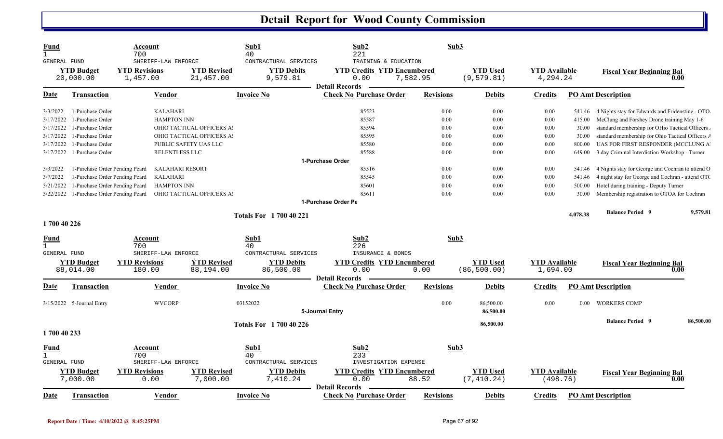| <b>Fund</b><br>$\mathbf{1}$<br>GENERAL FUND |                                | Account<br>700<br>SHERIFF-LAW ENFORCE |                                 | Sub1<br>40<br>CONTRACTURAL SERVICES | Sub2<br>221<br>TRAINING & EDUCATION                                | Sub3             |                                |                                  |          |                                                        |           |
|---------------------------------------------|--------------------------------|---------------------------------------|---------------------------------|-------------------------------------|--------------------------------------------------------------------|------------------|--------------------------------|----------------------------------|----------|--------------------------------------------------------|-----------|
|                                             | <b>YTD Budget</b><br>20,000.00 | <b>YTD Revisions</b><br>1,457.00      | <b>YTD Revised</b><br>21,457.00 | <b>YTD Debits</b><br>9,579.81       | <b>YTD Credits YTD Encumbered</b><br>0.00<br><b>Detail Records</b> | 7,582.95         | <b>YTD Used</b><br>(9, 579.81) | <b>YTD</b> Available<br>4,294.24 |          | <b>Fiscal Year Beginning Bal</b><br>0.00               |           |
| Date                                        | Transaction                    | Vendor                                |                                 | Invoice No                          | <b>Check No Purchase Order</b>                                     | <b>Revisions</b> | <b>Debits</b>                  | <b>Credits</b>                   |          | <b>PO Amt Description</b>                              |           |
| 3/3/2022                                    | 1-Purchase Order               | <b>KALAHARI</b>                       |                                 |                                     | 85523                                                              | 0.00             | 0.00                           | 0.00                             |          | 541.46 4 Nights stay for Edwards and Fridenstine - OTO |           |
| 3/17/2022                                   | 1-Purchase Order               | <b>HAMPTON INN</b>                    |                                 |                                     | 85587                                                              | 0.00             | 0.00                           | 0.00                             | 415.00   | McClung and Forshey Drone training May 1-6             |           |
| 3/17/2022                                   | 1-Purchase Order               |                                       | OHIO TACTICAL OFFICERS A        |                                     | 85594                                                              | 0.00             | 0.00                           | 0.00                             | 30.00    | standard membership for OHio Tactical Officers         |           |
| 3/17/2022                                   | 1-Purchase Order               |                                       | OHIO TACTICAL OFFICERS A        |                                     | 85595                                                              | 0.00             | 0.00                           | 0.00                             | 30.00    | standard membership for Ohio Tactical Officers /       |           |
| 3/17/2022                                   | 1-Purchase Order               |                                       | PUBLIC SAFETY UAS LLC           |                                     | 85580                                                              | 0.00             | 0.00                           | 0.00                             | 800.00   | UAS FOR FIRST RESPONDER (MCCLUNG A                     |           |
| 3/17/2022                                   | 1-Purchase Order               | RELENTLESS LLC                        |                                 |                                     | 85588                                                              | 0.00             | 0.00                           | 0.00                             | 649.00   | 3 day Criminal Interdiction Workshop - Turner          |           |
|                                             |                                |                                       |                                 |                                     | 1-Purchase Order                                                   |                  |                                |                                  |          |                                                        |           |
| 3/3/2022                                    | 1-Purchase Order Pending Pcard | <b>KALAHARI RESORT</b>                |                                 |                                     | 85516                                                              | 0.00             | 0.00                           | 0.00                             | 541.46   | 4 Nights stay for George and Cochran to attend O       |           |
| 3/7/2022                                    | 1-Purchase Order Pending Pcard | <b>KALAHARI</b>                       |                                 |                                     | 85545                                                              | 0.00             | 0.00                           | 0.00                             | 541.46   | 4 night stay for George and Cochran - attend OTC       |           |
| 3/21/2022                                   | 1-Purchase Order Pending Pcard | <b>HAMPTON INN</b>                    |                                 |                                     | 85601                                                              | 0.00             | 0.00                           | 0.00                             | 500.00   | Hotel during training - Deputy Turner                  |           |
| 3/22/2022                                   | 1-Purchase Order Pending Pcard |                                       | OHIO TACTICAL OFFICERS A        |                                     | 85611                                                              | 0.00             | 0.00                           | 0.00                             | 30.00    | Membership registration to OTOA for Cochran            |           |
|                                             |                                |                                       |                                 |                                     | 1-Purchase Order Pe                                                |                  |                                |                                  |          |                                                        |           |
|                                             |                                |                                       |                                 | <b>Totals For 1 700 40 221</b>      |                                                                    |                  |                                |                                  | 4,078.38 | <b>Balance Period 9</b>                                | 9,579.81  |
| 1700 40 226                                 |                                |                                       |                                 |                                     |                                                                    |                  |                                |                                  |          |                                                        |           |
| Fund                                        |                                | Account                               |                                 | Sub1                                | Sub2                                                               | Sub3             |                                |                                  |          |                                                        |           |
|                                             |                                | 700                                   |                                 | 40                                  | 226                                                                |                  |                                |                                  |          |                                                        |           |
| <b>GENERAL FUND</b>                         |                                | SHERIFF-LAW ENFORCE                   |                                 | CONTRACTURAL SERVICES               | INSURANCE & BONDS                                                  |                  |                                |                                  |          |                                                        |           |
|                                             | <b>YTD Budget</b>              | <b>YTD Revisions</b>                  | <b>YTD Revised</b>              | <b>YTD Debits</b>                   | <b>YTD Credits YTD Encumbered</b>                                  |                  | <b>YTD Used</b>                | <b>YTD Available</b>             |          | <b>Fiscal Year Beginning Bal</b>                       |           |
|                                             | 88,014.00                      | 180.00                                | 88,194.00                       | 86,500.00                           | 0.00<br><b>Detail Records</b>                                      | 0.00             | (86, 500.00)                   | 1,694.00                         |          | 0.00                                                   |           |
| Date                                        | <b>Transaction</b>             | <b>Vendor</b>                         |                                 | <b>Invoice No</b>                   | <b>Check No Purchase Order</b>                                     | <b>Revisions</b> | <b>Debits</b>                  | <b>Credits</b>                   |          | <b>PO Amt Description</b>                              |           |
|                                             | 3/15/2022 5-Journal Entry      | <b>WVCORP</b>                         |                                 | 03152022                            |                                                                    | 0.00             | 86,500.00                      | 0.00                             | $0.00\,$ | <b>WORKERS COMP</b>                                    |           |
|                                             |                                |                                       |                                 |                                     | 5-Journal Entry                                                    |                  | 86,500.00                      |                                  |          |                                                        |           |
|                                             |                                |                                       |                                 | <b>Totals For 1 700 40 226</b>      |                                                                    |                  | 86,500.00                      |                                  |          | <b>Balance Period 9</b>                                | 86,500.00 |
| 1700 40 233                                 |                                |                                       |                                 |                                     |                                                                    |                  |                                |                                  |          |                                                        |           |
| <u>Fund</u>                                 |                                | <u>Account</u>                        |                                 | Sub1                                | Sub2                                                               | Sub3             |                                |                                  |          |                                                        |           |
| $\mathbf{1}$<br><b>GENERAL FUND</b>         |                                | 700<br>SHERIFF-LAW ENFORCE            |                                 | 40<br>CONTRACTURAL SERVICES         | 233<br>INVESTIGATION EXPENSE                                       |                  |                                |                                  |          |                                                        |           |
|                                             |                                |                                       |                                 |                                     |                                                                    |                  |                                |                                  |          |                                                        |           |
|                                             | <b>YTD Budget</b><br>7,000.00  | <b>YTD Revisions</b>                  | <b>YTD Revised</b>              | <b>YTD Debits</b>                   | <b>YTD Credits YTD Encumbered</b>                                  |                  | <b>YTD Used</b><br>(7, 410.24) | <b>YTD Available</b>             |          | <b>Fiscal Year Beginning Bal</b>                       |           |
|                                             |                                | 0.00                                  | 7,000.00                        | 7,410.24                            | 0.00<br><b>Detail Records</b>                                      | 88.52            |                                | (498.76)                         |          | 0.00                                                   |           |
| Date                                        | <b>Transaction</b>             | Vendor                                |                                 | Invoice No                          | <b>Check No Purchase Order</b>                                     | <b>Revisions</b> | <b>Debits</b>                  | <b>Credits</b>                   |          | <b>PO Amt Description</b>                              |           |

A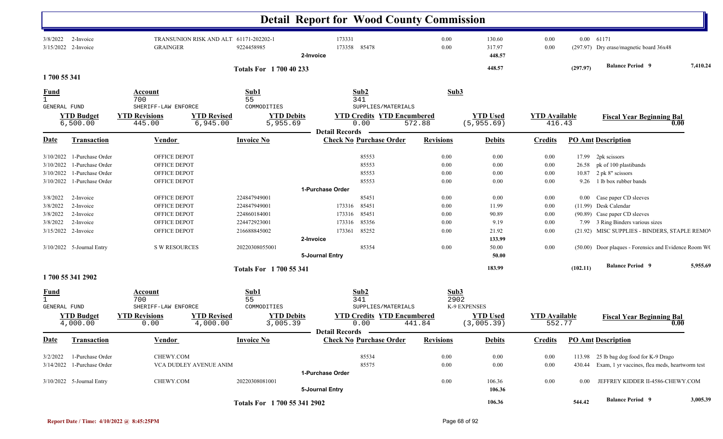|                                     |                                  |                                              |                                        |                               | <b>Detail Report for Wood County Commission</b> |                          |                            |                      |          |                                                       |          |
|-------------------------------------|----------------------------------|----------------------------------------------|----------------------------------------|-------------------------------|-------------------------------------------------|--------------------------|----------------------------|----------------------|----------|-------------------------------------------------------|----------|
| 3/8/2022                            | 2-Invoice<br>3/15/2022 2-Invoice | <b>GRAINGER</b>                              | TRANSUNION RISK AND ALT 61171-202202-1 | 9224458985                    | 173331<br>173358<br>85478<br>2-Invoice          | $0.00\,$<br>0.00         | 130.60<br>317.97<br>448.57 | 0.00<br>0.00         |          | 0.00 61171<br>(297.97) Dry erase/magnetic board 36x48 |          |
| 1700 55 341                         |                                  |                                              |                                        | <b>Totals For 1700 40 233</b> |                                                 |                          | 448.57                     |                      | (297.97) | <b>Balance Period 9</b>                               | 7,410.24 |
| <u>Fund</u>                         |                                  | Account                                      |                                        | Sub1                          | Sub2                                            | Sub3                     |                            |                      |          |                                                       |          |
| $\mathbf{1}$<br><b>GENERAL FUND</b> |                                  | 700<br>SHERIFF-LAW ENFORCE                   |                                        | 55<br>COMMODITIES             | 341<br>SUPPLIES/MATERIALS                       |                          |                            |                      |          |                                                       |          |
|                                     | <b>YTD Budget</b>                | <b>YTD Revisions</b>                         | <b>YTD Revised</b>                     | <b>YTD Debits</b>             | <b>YTD Credits YTD Encumbered</b>               |                          | <b>YTD Used</b>            | <b>YTD Available</b> |          |                                                       |          |
|                                     | 6,500.00                         | 445.00                                       | 6,945.00                               | 5,955.69                      | 0.00                                            | 572.88                   | (5, 955.69)                | 416.43               |          | <b>Fiscal Year Beginning Bal</b><br>0.00              |          |
|                                     |                                  |                                              |                                        |                               | <b>Detail Records</b>                           |                          |                            |                      |          |                                                       |          |
| <b>Date</b>                         | <b>Transaction</b>               | <b>Vendor</b>                                |                                        | <b>Invoice No</b>             | <b>Check No Purchase Order</b>                  | <b>Revisions</b>         | <b>Debits</b>              | <b>Credits</b>       |          | <b>PO Amt Description</b>                             |          |
| 3/10/2022                           | 1-Purchase Order                 | OFFICE DEPOT                                 |                                        |                               | 85553                                           | 0.00                     | 0.00                       | 0.00                 |          | 17.99 2pk scissors                                    |          |
| 3/10/2022                           | 1-Purchase Order                 | OFFICE DEPOT                                 |                                        |                               | 85553                                           | 0.00                     | 0.00                       | 0.00                 | 26.58    | pk of 100 plastibands                                 |          |
| 3/10/2022                           | 1-Purchase Order                 | OFFICE DEPOT                                 |                                        |                               | 85553                                           | 0.00                     | 0.00                       | 0.00                 | 10.87    | 2 pk 8" scissors                                      |          |
| 3/10/2022                           | 1-Purchase Order                 | OFFICE DEPOT                                 |                                        |                               | 85553                                           | 0.00                     | 0.00                       | 0.00                 | 9.26     | 1 lb box rubber bands                                 |          |
|                                     |                                  |                                              |                                        |                               | 1-Purchase Order                                |                          |                            |                      |          |                                                       |          |
| 3/8/2022                            | 2-Invoice                        | OFFICE DEPOT                                 |                                        | 224847949001                  | 85451                                           | 0.00                     | 0.00                       | 0.00                 |          | 0.00 Case paper CD sleeves                            |          |
| 3/8/2022                            | 2-Invoice                        | OFFICE DEPOT                                 |                                        | 224847949001                  | 85451<br>173316                                 | 0.00                     | 11.99                      | 0.00                 |          | (11.99) Desk Calendar                                 |          |
| 3/8/2022                            | 2-Invoice                        | OFFICE DEPOT                                 |                                        | 224860184001                  | 85451<br>173316                                 | $0.00\,$                 | 90.89                      | 0.00                 |          | (90.89) Case paper CD sleeves                         |          |
| 3/8/2022                            | 2-Invoice                        | OFFICE DEPOT                                 |                                        | 224472923001                  | 85356<br>173316                                 | $0.00\,$                 | 9.19                       | 0.00                 |          | 7.99 3 Ring Binders various sizes                     |          |
|                                     | 3/15/2022 2-Invoice              | OFFICE DEPOT                                 |                                        | 216688845002                  | 85252<br>173361                                 | 0.00                     | 21.92                      | 0.00                 |          | (21.92) MISC SUPPLIES - BINDERS, STAPLE REMOV         |          |
|                                     |                                  |                                              |                                        |                               | 2-Invoice                                       |                          | 133.99                     |                      |          |                                                       |          |
|                                     | 3/10/2022 5-Journal Entry        | <b>S W RESOURCES</b>                         |                                        | 20220308055001                | 85354<br>5-Journal Entry                        | 0.00                     | 50.00<br>50.00             | 0.00                 |          | (50.00) Door plaques - Forensics and Evidence Room W( |          |
|                                     |                                  |                                              |                                        | <b>Totals For 1700 55 341</b> |                                                 |                          | 183.99                     |                      | (102.11) | <b>Balance Period 9</b>                               | 5,955.69 |
|                                     | 1700 55 341 2902                 |                                              |                                        |                               |                                                 |                          |                            |                      |          |                                                       |          |
| <b>Fund</b><br><b>GENERAL FUND</b>  |                                  | <b>Account</b><br>700<br>SHERIFF-LAW ENFORCE |                                        | Sub1<br>55<br>COMMODITIES     | Sub2<br>341<br>SUPPLIES/MATERIALS               | Sub <sub>3</sub><br>2902 | K-9 EXPENSES               |                      |          |                                                       |          |
|                                     | <b>YTD Budget</b>                | <b>YTD Revisions</b>                         | <b>YTD Revised</b>                     | <b>YTD Debits</b>             | <b>YTD Credits YTD Encumbered</b>               |                          | <b>YTD Used</b>            | <b>YTD Available</b> |          | <b>Fiscal Year Beginning Bal</b>                      |          |
|                                     | 4,000.00                         | 0.00                                         | 4,000.00                               | 3,005.39                      | 0.00<br><b>Detail Records</b>                   | 441.84                   | (3,005.39)                 | 552.77               |          | 0.00                                                  |          |
| <b>Date</b>                         | Transaction                      | <b>Vendor</b>                                |                                        | <b>Invoice No</b>             | <b>Check No Purchase Order</b>                  | <b>Revisions</b>         | <b>Debits</b>              | <b>Credits</b>       |          | <b>PO Amt Description</b>                             |          |
| 3/2/2022                            | 1-Purchase Order                 | CHEWY.COM                                    |                                        |                               | 85534                                           | $0.00\,$                 | 0.00                       | $0.00\,$             |          | 113.98 25 lb bag dog food for K-9 Drago               |          |
|                                     | 3/14/2022 1-Purchase Order       | VCA DUDLEY AVENUE ANIM                       |                                        |                               | 85575                                           | $0.00\,$                 | 0.00                       | $0.00\,$             | 430.44   | Exam, 1 yr vaccines, flea meds, heartworm test        |          |
|                                     |                                  |                                              |                                        |                               | 1-Purchase Order                                |                          |                            |                      |          |                                                       |          |
|                                     | 3/10/2022 5-Journal Entry        | CHEWY.COM                                    |                                        | 20220308081001                | 5-Journal Entry                                 | 0.00                     | 106.36<br>106.36           | $0.00\,$             | $0.00\,$ | JEFFREY KIDDER II-4586-CHEWY.COM                      |          |
|                                     |                                  |                                              |                                        | Totals For 1700 55 341 2902   |                                                 |                          | 106.36                     |                      | 544.42   | <b>Balance Period 9</b>                               | 3,005.39 |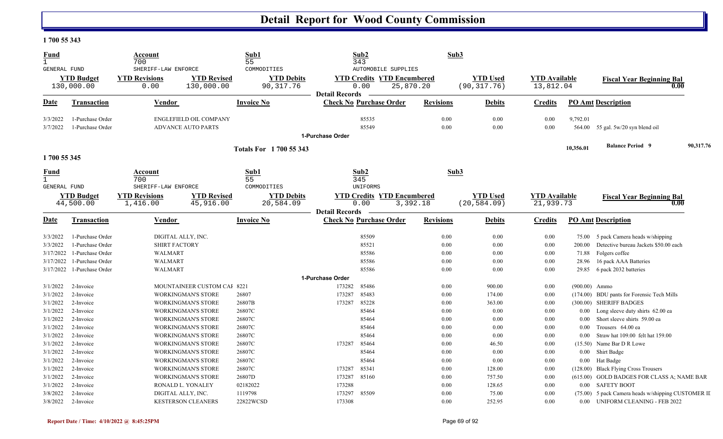#### **1 700 55 343**

| <b>Fund</b><br>$\mathbf{1}$ |                                      | Account<br>700                                          |                                                            | Sub1<br>55                                     |                       | Sub2<br>343                                                                          | Sub3             |                                 |                                   |                    |                                                                       |           |
|-----------------------------|--------------------------------------|---------------------------------------------------------|------------------------------------------------------------|------------------------------------------------|-----------------------|--------------------------------------------------------------------------------------|------------------|---------------------------------|-----------------------------------|--------------------|-----------------------------------------------------------------------|-----------|
| <b>GENERAL FUND</b>         | <b>YTD Budget</b><br>130,000.00      | SHERIFF-LAW ENFORCE<br><b>YTD Revisions</b><br>0.00     | <b>YTD Revised</b><br>130,000.00                           | COMMODITIES<br><b>YTD Debits</b><br>90, 317.76 | <b>Detail Records</b> | <b>AUTOMOBILE SUPPLIES</b><br><b>YTD Credits YTD Encumbered</b><br>0.00<br>25,870.20 |                  | <b>YTD Used</b><br>(90, 317.76) | <b>YTD Available</b><br>13,812.04 |                    | <b>Fiscal Year Beginning Bal</b><br>0.00                              |           |
| Date                        | Transaction                          | Vendor                                                  |                                                            | <b>Invoice No</b>                              |                       | <b>Check No Purchase Order</b>                                                       | <b>Revisions</b> | <b>Debits</b>                   | <b>Credits</b>                    |                    | <b>PO Amt Description</b>                                             |           |
| 3/3/2022<br>3/7/2022        | 1-Purchase Order<br>1-Purchase Order |                                                         | <b>ENGLEFIELD OIL COMPANY</b><br><b>ADVANCE AUTO PARTS</b> |                                                |                       | 85535<br>85549                                                                       | 0.00<br>0.00     | 0.00<br>0.00                    | 0.00<br>0.00                      | 9,792.01<br>564.00 | 55 gal. 5w/20 syn blend oil                                           |           |
|                             |                                      |                                                         |                                                            |                                                | 1-Purchase Order      |                                                                                      |                  |                                 |                                   |                    |                                                                       |           |
|                             |                                      |                                                         |                                                            | <b>Totals For 1700 55 343</b>                  |                       |                                                                                      |                  |                                 |                                   | 10,356.01          | <b>Balance Period 9</b>                                               | 90,317.76 |
| 1700 55 345                 |                                      |                                                         |                                                            |                                                |                       |                                                                                      |                  |                                 |                                   |                    |                                                                       |           |
| <u>Fund</u><br>$\mathbf{1}$ |                                      | Account<br>700                                          |                                                            | Sub1<br>55                                     |                       | Sub2<br>345                                                                          | Sub3             |                                 |                                   |                    |                                                                       |           |
| GENERAL FUND                | <b>YTD Budget</b><br>44,500.00       | SHERIFF-LAW ENFORCE<br><b>YTD Revisions</b><br>1,416.00 | <b>YTD Revised</b><br>45,916.00                            | COMMODITIES<br><b>YTD Debits</b><br>20,584.09  | <b>Detail Records</b> | UNIFORMS<br><b>YTD Credits YTD Encumbered</b><br>0.00<br>3,392.18                    |                  | <b>YTD Used</b><br>(20, 584.09) | <b>YTD</b> Available<br>21,939.73 |                    | <b>Fiscal Year Beginning Bal</b><br>0.00                              |           |
| Date                        | Transaction                          | Vendor                                                  |                                                            | <b>Invoice No</b>                              |                       | <b>Check No Purchase Order</b>                                                       | <b>Revisions</b> | <b>Debits</b>                   | <b>Credits</b>                    |                    | <b>PO Amt Description</b>                                             |           |
| 3/3/2022                    | 1-Purchase Order                     | DIGITAL ALLY, INC.                                      |                                                            |                                                |                       | 85509                                                                                | 0.00             | 0.00                            | 0.00                              | 75.00              | 5 pack Camera heads w/shipping                                        |           |
| 3/3/2022                    | 1-Purchase Order                     | <b>SHIRT FACTORY</b>                                    |                                                            |                                                |                       | 85521                                                                                | 0.00             | 0.00                            | 0.00                              | 200.00             | Detective bureau Jackets \$50.00 each                                 |           |
| 3/17/2022                   | 1-Purchase Order                     | WALMART                                                 |                                                            |                                                |                       | 85586                                                                                | 0.00             | 0.00                            | 0.00                              | 71.88              | Folgers coffee                                                        |           |
| 3/17/2022                   | 1-Purchase Order                     | WALMART                                                 |                                                            |                                                |                       | 85586                                                                                | 0.00             | 0.00                            | 0.00                              | 28.96              | 16 pack AAA Batteries                                                 |           |
| 3/17/2022                   | 1-Purchase Order                     | <b>WALMART</b>                                          |                                                            |                                                |                       | 85586                                                                                | 0.00             | 0.00                            | 0.00                              | 29.85              | 6 pack 2032 batteries                                                 |           |
|                             |                                      |                                                         |                                                            |                                                | 1-Purchase Order      |                                                                                      |                  |                                 |                                   |                    |                                                                       |           |
| 3/1/2022                    | 2-Invoice                            |                                                         | MOUNTAINEER CUSTOM CAI 8221                                |                                                | 173282                | 85486                                                                                | 0.00             | 900.00                          | 0.00                              |                    | $(900.00)$ Ammo                                                       |           |
| 3/1/2022<br>3/1/2022        | 2-Invoice<br>2-Invoice               |                                                         | <b>WORKINGMAN'S STORE</b>                                  | 26807<br>26807B                                | 173287<br>173287      | 85483<br>85228                                                                       | 0.00<br>0.00     | 174.00<br>363.00                | 0.00<br>0.00                      |                    | (174.00) BDU pants for Forensic Tech Mills<br>(300.00) SHERIFF BADGES |           |
| 3/1/2022                    | 2-Invoice                            |                                                         | <b>WORKINGMAN'S STORE</b><br><b>WORKINGMAN'S STORE</b>     | 26807C                                         |                       | 85464                                                                                | 0.00             | 0.00                            | 0.00                              | $0.00\,$           | Long sleeve duty shirts 62.00 ea                                      |           |
| 3/1/2022                    | 2-Invoice                            |                                                         | <b>WORKINGMAN'S STORE</b>                                  | 26807C                                         |                       | 85464                                                                                | 0.00             | 0.00                            | 0.00                              | $0.00\,$           | Short sleeve shirts 59.00 ea                                          |           |
| 3/1/2022                    | 2-Invoice                            |                                                         | <b>WORKINGMAN'S STORE</b>                                  | 26807C                                         |                       | 85464                                                                                | 0.00             | 0.00                            | 0.00                              | $0.00\,$           | Trousers 64.00 ea                                                     |           |
| 3/1/2022                    | 2-Invoice                            |                                                         | <b>WORKINGMAN'S STORE</b>                                  | 26807C                                         |                       | 85464                                                                                | 0.00             | 0.00                            | 0.00                              | $0.00\,$           | Straw hat 109.00 felt hat 159.00                                      |           |
| 3/1/2022                    | 2-Invoice                            |                                                         | <b>WORKINGMAN'S STORE</b>                                  | 26807C                                         | 173287                | 85464                                                                                | 0.00             | 46.50                           | 0.00                              | (15.50)            | Name Bar D R Lowe                                                     |           |
| 3/1/2022                    | 2-Invoice                            |                                                         | <b>WORKINGMAN'S STORE</b>                                  | 26807C                                         |                       | 85464                                                                                | 0.00             | 0.00                            | 0.00                              | $0.00\,$           | Shirt Badge                                                           |           |
| 3/1/2022                    | 2-Invoice                            |                                                         | <b>WORKINGMAN'S STORE</b>                                  | 26807C                                         |                       | 85464                                                                                | 0.00             | 0.00                            | 0.00                              | $0.00\,$           | Hat Badge                                                             |           |
| 3/1/2022                    | 2-Invoice                            |                                                         | <b>WORKINGMAN'S STORE</b>                                  | 26807C                                         | 173287                | 85341                                                                                | 0.00             | 128.00                          | 0.00                              | (128.00)           | <b>Black Flying Cross Trousers</b>                                    |           |
| 3/1/2022                    | 2-Invoice                            |                                                         | <b>WORKINGMAN'S STORE</b>                                  | 26807D                                         | 173287                | 85160                                                                                | 0.00             | 757.50                          | 0.00                              |                    | (615.00) GOLD BADGES FOR CLASS A; NAME BAR                            |           |
| 3/1/2022                    | 2-Invoice                            |                                                         | RONALD L. YONALEY                                          | 02182022                                       | 173288                |                                                                                      | 0.00             | 128.65                          | 0.00                              |                    | 0.00 SAFETY BOOT                                                      |           |
| 3/8/2022                    | 2-Invoice                            | DIGITAL ALLY, INC.                                      |                                                            | 1119798                                        | 173297                | 85509                                                                                | 0.00             | 75.00                           | 0.00                              |                    | (75.00) 5 pack Camera heads w/shipping CUSTOMER II                    |           |
| 3/8/2022                    | 2-Invoice                            |                                                         | <b>KESTERSON CLEANERS</b>                                  | 22822WCSD                                      | 173308                |                                                                                      | 0.00             | 252.95                          | 0.00                              | $0.00\,$           | <b>UNIFORM CLEANING - FEB 2022</b>                                    |           |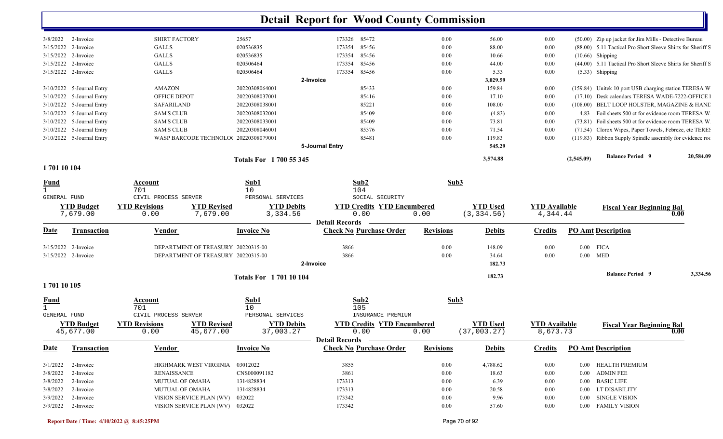|                     |                           |                                            |                               | <b>Detail Report for Wood County Commission</b> |                  |                 |                      |            |                                                             |           |
|---------------------|---------------------------|--------------------------------------------|-------------------------------|-------------------------------------------------|------------------|-----------------|----------------------|------------|-------------------------------------------------------------|-----------|
|                     | $3/8/2022$ 2-Invoice      | <b>SHIRT FACTORY</b>                       | 25657                         | 173326 85472                                    | $0.00\,$         | 56.00           | 0.00                 |            | (50.00) Zip up jacket for Jim Mills - Detective Bureau      |           |
|                     | 3/15/2022 2-Invoice       | <b>GALLS</b>                               | 020536835                     | 85456<br>173354                                 | $0.00\,$         | 88.00           | 0.00                 |            | (88.00) 5.11 Tactical Pro Short Sleeve Shirts for Sheriff S |           |
|                     | 3/15/2022 2-Invoice       | <b>GALLS</b>                               | 020536835                     | 85456<br>173354                                 | $0.00\,$         | 10.66           | 0.00                 |            | $(10.66)$ Shipping                                          |           |
|                     | 3/15/2022 2-Invoice       | <b>GALLS</b>                               | 020506464                     | 85456<br>173354                                 | 0.00             | 44.00           | 0.00                 |            | (44.00) 5.11 Tactical Pro Short Sleeve Shirts for Sheriff S |           |
| 3/15/2022 2-Invoice |                           | <b>GALLS</b>                               | 020506464                     | 85456<br>173354                                 | $0.00\,$         | 5.33            | 0.00                 |            | $(5.33)$ Shipping                                           |           |
|                     |                           |                                            |                               | 2-Invoice                                       |                  | 3,029.59        |                      |            |                                                             |           |
|                     | 3/10/2022 5-Journal Entry | AMAZON                                     | 20220308064001                | 85433                                           | 0.00             | 159.84          | 0.00                 |            | (159.84) Unitek 10 port USB charging station TERESA W       |           |
|                     | 3/10/2022 5-Journal Entry | OFFICE DEPOT                               | 20220308037001                | 85416                                           | $0.00\,$         | 17.10           | 0.00                 |            | (17.10) Desk calendars TERESA WADE-7222-OFFICE              |           |
|                     | 3/10/2022 5-Journal Entry | SAFARILAND                                 | 20220308038001                | 85221                                           | 0.00             | 108.00          | 0.00                 |            | (108.00) BELT LOOP HOLSTER, MAGAZINE & HAND                 |           |
|                     | 3/10/2022 5-Journal Entry | <b>SAM'S CLUB</b>                          | 20220308032001                | 85409                                           | 0.00             | (4.83)          | 0.00                 |            | 4.83 Foil sheets 500 ct for evidence room TERESA W.         |           |
|                     | 3/10/2022 5-Journal Entry | <b>SAM'S CLUB</b>                          | 20220308033001                | 85409                                           | 0.00             | 73.81           | 0.00                 |            | (73.81) Foil sheets 500 ct for evidence room TERESA W.      |           |
|                     | 3/10/2022 5-Journal Entry | <b>SAM'S CLUB</b>                          | 20220308046001                | 85376                                           | 0.00             | 71.54           | 0.00                 |            | (71.54) Clorox Wipes, Paper Towels, Febreze, etc TERE!      |           |
|                     | 3/10/2022 5-Journal Entry | WASP BARCODE TECHNOLO(20220308079001       |                               | 85481                                           | 0.00             | 119.83          | 0.00                 |            | (119.83) Ribbon Supply Spindle assembly for evidence root   |           |
|                     |                           |                                            |                               | 5-Journal Entry                                 |                  | 545.29          |                      |            |                                                             |           |
|                     |                           |                                            | <b>Totals For 1700 55 345</b> |                                                 |                  | 3,574.88        |                      | (2,545.09) | <b>Balance Period 9</b>                                     | 20,584.09 |
| 170110104           |                           |                                            |                               |                                                 |                  |                 |                      |            |                                                             |           |
| <u>Fund</u>         |                           | <b>Account</b>                             | Sub1                          | Sub2                                            | Sub3             |                 |                      |            |                                                             |           |
| $\mathbf{1}$        |                           | 701                                        | 10                            | 104                                             |                  |                 |                      |            |                                                             |           |
| <b>GENERAL FUND</b> |                           | CIVIL PROCESS SERVER                       | PERSONAL SERVICES             | SOCIAL SECURITY                                 |                  |                 |                      |            |                                                             |           |
|                     | <b>YTD Budget</b>         | <b>YTD Revisions</b><br><b>YTD Revised</b> | <b>YTD Debits</b>             | <b>YTD Credits YTD Encumbered</b>               |                  | <b>YTD Used</b> | <b>YTD Available</b> |            | <b>Fiscal Year Beginning Bal</b>                            |           |
|                     | 7,679.00                  | 7,679.00<br>0.00                           | 3,334.56                      | 0.00                                            | 0.00             | (3, 334.56)     | 4,344.44             |            |                                                             | 0.00      |
|                     |                           |                                            |                               | <b>Detail Records</b>                           |                  |                 |                      |            |                                                             |           |
| Date                | <b>Transaction</b>        |                                            |                               |                                                 |                  | <b>Debits</b>   |                      |            | <b>PO Amt Description</b>                                   |           |
|                     |                           | <b>Vendor</b>                              | <b>Invoice No</b>             | <b>Check No Purchase Order</b>                  | <b>Revisions</b> |                 | <b>Credits</b>       |            |                                                             |           |
|                     | 3/15/2022 2-Invoice       | DEPARTMENT OF TREASURY 20220315-00         |                               | 3866                                            | 0.00             |                 | 0.00                 |            | $0.00$ FICA                                                 |           |
|                     |                           |                                            |                               | 3866                                            |                  | 148.09          |                      |            |                                                             |           |
| 3/15/2022 2-Invoice |                           | DEPARTMENT OF TREASURY 20220315-00         |                               | 2-Invoice                                       | 0.00             | 34.64<br>182.73 | 0.00                 |            | $0.00$ MED                                                  |           |
|                     |                           |                                            | <b>Totals For 170110104</b>   |                                                 |                  | 182.73          |                      |            | <b>Balance Period 9</b>                                     | 3,334.56  |
| 1701 10 105         |                           |                                            |                               |                                                 |                  |                 |                      |            |                                                             |           |
| <u>Fund</u>         |                           | Account                                    | Sub1                          | Sub <sub>2</sub>                                | Sub3             |                 |                      |            |                                                             |           |
|                     |                           | 701                                        | 10                            | 105                                             |                  |                 |                      |            |                                                             |           |
| GENERAL FUND        |                           | CIVIL PROCESS SERVER                       | PERSONAL SERVICES             | INSURANCE PREMIUM                               |                  |                 |                      |            |                                                             |           |
|                     | <b>YTD Budget</b>         | <b>YTD Revisions</b><br><b>YTD Revised</b> | <b>YTD Debits</b>             | <b>YTD Credits YTD Encumbered</b>               |                  | <b>YTD Used</b> | <b>YTD Available</b> |            | <b>Fiscal Year Beginning Bal</b>                            |           |
|                     | 45,677.00                 | 45,677.00<br>0.00                          | 37,003.27                     | 0.00                                            | 0.00             | (37,003.27)     | 8,673.73             |            |                                                             | 0.00      |
|                     |                           |                                            |                               | Detail Records —————                            |                  |                 |                      |            |                                                             |           |
| <u>Date</u>         | <b>Transaction</b>        | Vendor                                     | <b>Invoice No</b>             | <b>Check No Purchase Order</b>                  | <b>Revisions</b> | <b>Debits</b>   | <b>Credits</b>       |            | <b>PO Amt Description</b>                                   |           |
|                     | $3/1/2022$ 2-Invoice      | HIGHMARK WEST VIRGINIA 03012022            |                               | 3855                                            | $0.00\,$         | 4,788.62        | $0.00\,$             |            | 0.00 HEALTH PREMIUM                                         |           |
| 3/8/2022            | 2-Invoice                 | <b>RENAISSANCE</b>                         | CNS000091182                  | 3861                                            | $0.00\,$         | 18.63           | $0.00\,$             |            | 0.00 ADMIN FEE                                              |           |
|                     | 3/8/2022 2-Invoice        | MUTUAL OF OMAHA                            | 1314828834                    | 173313                                          | $0.00\,$         | 6.39            | $0.00\,$             |            | 0.00 BASIC LIFE                                             |           |
|                     | 3/8/2022 2-Invoice        | <b>MUTUAL OF OMAHA</b>                     | 1314828834                    | 173313                                          | $0.00\,$         | 20.58           | $0.00\,$             |            | 0.00 LT DISABILITY                                          |           |
|                     | 3/9/2022 2-Invoice        | VISION SERVICE PLAN (WV) 032022            |                               | 173342                                          | $0.00\,$         | 9.96            | $0.00\,$             |            | 0.00 SINGLE VISION                                          |           |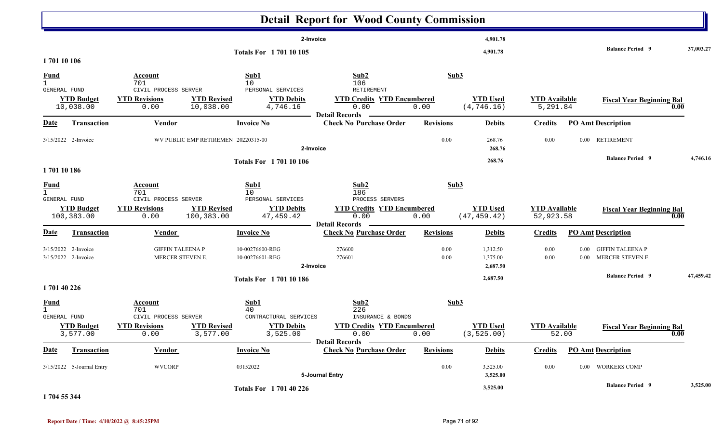|                                                    |                                            |                                                                           |                                                                                 | <b>Detail Report for Wood County Commission</b>                                              |                  |                                  |                                   |                           |                                             |                   |
|----------------------------------------------------|--------------------------------------------|---------------------------------------------------------------------------|---------------------------------------------------------------------------------|----------------------------------------------------------------------------------------------|------------------|----------------------------------|-----------------------------------|---------------------------|---------------------------------------------|-------------------|
|                                                    |                                            |                                                                           | <b>Totals For 170110105</b>                                                     | 2-Invoice                                                                                    |                  | 4,901.78<br>4,901.78             |                                   |                           | <b>Balance Period 9</b>                     | 37,003.27         |
| 170110106                                          |                                            |                                                                           |                                                                                 |                                                                                              |                  |                                  |                                   |                           |                                             |                   |
| <u>Fund</u><br>$\mathbf{1}$<br>GENERAL FUND        |                                            | Account<br>701<br>CIVIL PROCESS SERVER                                    | Sub1<br>10<br>PERSONAL SERVICES                                                 | Sub2<br>106<br>RETIREMENT                                                                    | Sub3             |                                  |                                   |                           |                                             |                   |
|                                                    | <b>YTD Budget</b><br>10,038.00             | <b>YTD Revisions</b><br>0.00                                              | <b>YTD Revised</b><br><b>YTD Debits</b><br>10,038.00<br>4,746.16                | <b>YTD Credits YTD Encumbered</b><br>0.00<br><b>Detail Records</b>                           | 0.00             | <b>YTD Used</b><br>(4, 746.16)   | <b>YTD Available</b><br>5,291.84  |                           | <b>Fiscal Year Beginning Bal</b>            | 0.00              |
| <b>Date</b>                                        | <b>Transaction</b>                         | <b>Vendor</b>                                                             | <b>Invoice No</b>                                                               | <b>Check No Purchase Order</b>                                                               | <b>Revisions</b> | <b>Debits</b>                    | <b>Credits</b>                    | <b>PO Amt Description</b> |                                             |                   |
|                                                    | 3/15/2022 2-Invoice                        |                                                                           | WV PUBLIC EMP RETIREMEN 20220315-00                                             | 2-Invoice                                                                                    | 0.00             | 268.76<br>268.76                 | 0.00                              | $0.00\,$                  | <b>RETIREMENT</b>                           |                   |
| 170110186                                          |                                            |                                                                           | <b>Totals For 170110106</b>                                                     |                                                                                              |                  | 268.76                           |                                   |                           | <b>Balance Period 9</b>                     | 4,746.16          |
| <u>Fund</u>                                        |                                            | Account                                                                   | Sub1                                                                            | Sub2                                                                                         | Sub3             |                                  |                                   |                           |                                             |                   |
| $\mathbf{1}$<br><b>GENERAL FUND</b>                | <b>YTD Budget</b><br>100,383.00            | 701<br>CIVIL PROCESS SERVER<br><b>YTD Revisions</b><br>100,383.00<br>0.00 | 10<br>PERSONAL SERVICES<br><b>YTD Revised</b><br><b>YTD Debits</b><br>47,459.42 | 186<br>PROCESS SERVERS<br><b>YTD Credits YTD Encumbered</b><br>0.00<br><b>Detail Records</b> | 0.00             | <b>YTD Used</b><br>(47, 459.42)  | <b>YTD Available</b><br>52,923.58 |                           | <b>Fiscal Year Beginning Bal</b>            | 0.00              |
| <u>Date</u>                                        | <b>Transaction</b>                         | <b>Vendor</b>                                                             | <b>Invoice No</b>                                                               | <b>Check No Purchase Order</b>                                                               | <b>Revisions</b> | <b>Debits</b>                    | <b>Credits</b>                    | <b>PO Amt Description</b> |                                             |                   |
|                                                    | 3/15/2022 2-Invoice<br>3/15/2022 2-Invoice | <b>GIFFIN TALEENA P</b><br>MERCER STEVEN E.                               | 10-00276600-REG<br>10-00276601-REG                                              | 276600<br>276601<br>2-Invoice                                                                | 0.00<br>0.00     | 1,312.50<br>1,375.00<br>2,687.50 | 0.00<br>0.00                      | 0.00<br>0.00              | <b>GIFFIN TALEENA P</b><br>MERCER STEVEN E. |                   |
|                                                    |                                            |                                                                           | <b>Totals For 170110186</b>                                                     |                                                                                              |                  | 2,687.50                         |                                   |                           | <b>Balance Period 9</b>                     | 47,459.42         |
| 1701 40 226                                        |                                            |                                                                           |                                                                                 |                                                                                              |                  |                                  |                                   |                           |                                             |                   |
| <b>Fund</b><br>$\mathbf{1}$<br><b>GENERAL FUND</b> |                                            | <b>Account</b><br>701<br>CIVIL PROCESS SERVER                             | Sub1<br>40<br>CONTRACTURAL SERVICES                                             | Sub2<br>226<br>INSURANCE & BONDS                                                             | Sub3             |                                  |                                   |                           |                                             |                   |
|                                                    | <b>YTD Budget</b><br>3,577.00              | <b>YTD Revisions</b><br>0.00                                              | <b>YTD Revised</b><br><b>YTD Debits</b><br>3,577.00<br>3,525.00                 | <b>YTD Credits YTD Encumbered</b><br>0.00<br><b>Detail Records</b> -                         | 0.00             | <b>YTD Used</b><br>(3, 525.00)   | <b>YTD</b> Available<br>52.00     |                           | <b>Fiscal Year Beginning Bal</b>            | $\overline{0.00}$ |
| <u>Date</u>                                        | <b>Transaction</b>                         | <b>Vendor</b>                                                             | <b>Invoice No</b>                                                               | <b>Check No Purchase Order</b>                                                               | <b>Revisions</b> | <b>Debits</b>                    | <b>Credits</b>                    | <b>PO Amt Description</b> |                                             |                   |
|                                                    | 3/15/2022 5-Journal Entry                  | <b>WVCORP</b>                                                             | 03152022                                                                        | 5-Journal Entry                                                                              | $0.00\,$         | 3,525.00<br>3,525.00             | 0.00                              |                           | 0.00 WORKERS COMP                           |                   |
| 1.701.7731                                         |                                            |                                                                           | <b>Totals For 170140226</b>                                                     |                                                                                              |                  | 3,525.00                         |                                   |                           | <b>Balance Period</b> 9                     | 3,525.00          |

**1 704 55 344**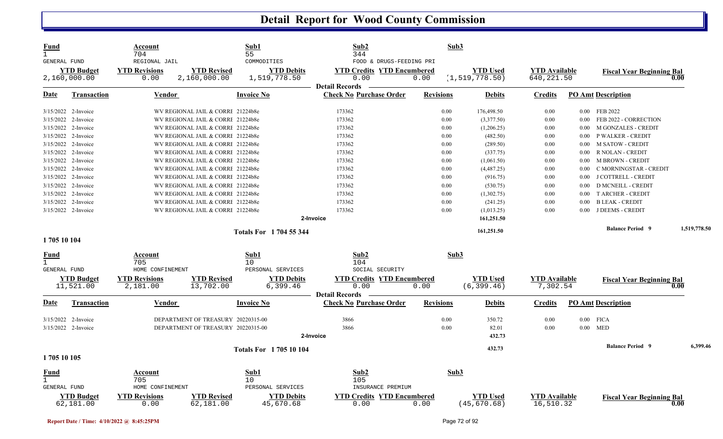| Fund<br>$\mathbf{1}$<br>GENERAL FUND |                                   | Account<br>704<br>REGIONAL JAIL  |                                    | Sub1<br>55<br>COMMODITIES         | Sub2<br>344<br>FOOD & DRUGS-FEEDING PRI                            | Sub3             |                                     |                                    |          |                                  |              |
|--------------------------------------|-----------------------------------|----------------------------------|------------------------------------|-----------------------------------|--------------------------------------------------------------------|------------------|-------------------------------------|------------------------------------|----------|----------------------------------|--------------|
|                                      | <b>YTD Budget</b><br>2,160,000.00 | <b>YTD Revisions</b><br>0.00     | <b>YTD Revised</b><br>2,160,000.00 | <b>YTD Debits</b><br>1,519,778.50 | <b>YTD Credits YTD Encumbered</b><br>0.00<br><b>Detail Records</b> | 0.00             | <b>YTD</b> Used<br>(1, 519, 778.50) | <b>YTD Available</b><br>640,221.50 |          | <b>Fiscal Year Beginning Bal</b> | 0.00         |
| Date                                 | Transaction                       | Vendor                           |                                    | Invoice No                        | <b>Check No Purchase Order</b>                                     | <b>Revisions</b> | <b>Debits</b>                       | Credits                            |          | <b>PO Amt Description</b>        |              |
|                                      | 3/15/2022 2-Invoice               |                                  | WV REGIONAL JAIL & CORRI 21224b8e  |                                   | 173362                                                             | 0.00             | 176,498.50                          | 0.00                               |          | 0.00 FEB 2022                    |              |
|                                      | 3/15/2022 2-Invoice               |                                  | WV REGIONAL JAIL & CORRI 21224b8e  |                                   | 173362                                                             | 0.00             | (3,377.50)                          | 0.00                               | 0.00     | FEB 2022 - CORRECTION            |              |
|                                      | 3/15/2022 2-Invoice               |                                  | WV REGIONAL JAIL & CORRI 21224b8e  |                                   | 173362                                                             | 0.00             | (1,206.25)                          | 0.00                               | 0.00     | <b>M GONZALES - CREDIT</b>       |              |
|                                      | 3/15/2022 2-Invoice               |                                  | WV REGIONAL JAIL & CORRI 21224b8e  |                                   | 173362                                                             | 0.00             | (482.50)                            | 0.00                               | 0.00     | P WALKER - CREDIT                |              |
|                                      | 3/15/2022 2-Invoice               |                                  | WV REGIONAL JAIL & CORRI 21224b8e  |                                   | 173362                                                             | 0.00             | (289.50)                            | 0.00                               | 0.00     | <b>M SATOW - CREDIT</b>          |              |
|                                      | 3/15/2022 2-Invoice               |                                  | WV REGIONAL JAIL & CORRI 21224b8e  |                                   | 173362                                                             | 0.00             | (337.75)                            | 0.00                               | 0.00     | R NOLAN - CREDIT                 |              |
|                                      | 3/15/2022 2-Invoice               |                                  | WV REGIONAL JAIL & CORRI 21224b8e  |                                   | 173362                                                             | 0.00             | (1,061.50)                          | 0.00                               | 0.00     | <b>M BROWN - CREDIT</b>          |              |
|                                      | 3/15/2022 2-Invoice               |                                  | WV REGIONAL JAIL & CORRI 21224b8e  |                                   | 173362                                                             | 0.00             | (4,487.25)                          | 0.00                               | 0.00     | C MORNINGSTAR - CREDIT           |              |
|                                      | 3/15/2022 2-Invoice               |                                  | WV REGIONAL JAIL & CORRI 21224b8e  |                                   | 173362                                                             | 0.00             | (916.75)                            | 0.00                               | 0.00     | J COTTRELL - CREDIT              |              |
|                                      | 3/15/2022 2-Invoice               |                                  | WV REGIONAL JAIL & CORRI 21224b8e  |                                   | 173362                                                             | 0.00             | (530.75)                            | 0.00                               | 0.00     | <b>D MCNEILL - CREDIT</b>        |              |
|                                      | 3/15/2022 2-Invoice               |                                  | WV REGIONAL JAIL & CORRI 21224b8e  |                                   | 173362                                                             | 0.00             | (1,302.75)                          | 0.00                               | $0.00\,$ | <b>T ARCHER - CREDIT</b>         |              |
|                                      | 3/15/2022 2-Invoice               |                                  | WV REGIONAL JAIL & CORRI 21224b8e  |                                   | 173362                                                             | 0.00             | (241.25)                            | 0.00                               | 0.00     | <b>B LEAK - CREDIT</b>           |              |
|                                      | 3/15/2022 2-Invoice               |                                  | WV REGIONAL JAIL & CORRI 21224b8e  |                                   | 173362                                                             | 0.00             | (1,013.25)                          | 0.00                               | 0.00     | J DEEMS - CREDIT                 |              |
|                                      |                                   |                                  |                                    |                                   | 2-Invoice                                                          |                  | 161,251.50                          |                                    |          |                                  |              |
|                                      |                                   |                                  |                                    |                                   |                                                                    |                  |                                     |                                    |          |                                  |              |
| 1705 10 104                          |                                   |                                  |                                    | <b>Totals For 1704 55 344</b>     |                                                                    |                  | 161,251.50                          |                                    |          | <b>Balance Period</b> 9          | 1,519,778.50 |
|                                      |                                   |                                  |                                    |                                   |                                                                    |                  |                                     |                                    |          |                                  |              |
| <u>Fund</u>                          |                                   | Account<br>705                   |                                    | Sub1<br>10                        | Sub <sub>2</sub><br>104                                            | Sub3             |                                     |                                    |          |                                  |              |
| <b>GENERAL FUND</b>                  |                                   | HOME CONFINEMENT                 |                                    | PERSONAL SERVICES                 | SOCIAL SECURITY                                                    |                  |                                     |                                    |          |                                  |              |
|                                      | <b>YTD Budget</b><br>11,521.00    | <b>YTD Revisions</b><br>2,181.00 | <b>YTD Revised</b><br>13,702.00    | <b>YTD Debits</b><br>6,399.46     | <b>YTD Credits YTD Encumbered</b><br>0.00                          | 0.00             | <b>YTD Used</b><br>(6, 399.46)      | <b>YTD Available</b><br>7,302.54   |          | <b>Fiscal Year Beginning Bal</b> | 0.00         |
|                                      |                                   |                                  |                                    |                                   | <b>Detail Records</b>                                              |                  |                                     |                                    |          |                                  |              |
| Date                                 | <b>Transaction</b>                | <b>Vendor</b>                    |                                    | <b>Invoice No</b>                 | <b>Check No Purchase Order</b>                                     | <b>Revisions</b> | <b>Debits</b>                       | <b>Credits</b>                     |          | <b>PO Amt Description</b>        |              |
|                                      | 3/15/2022 2-Invoice               |                                  | DEPARTMENT OF TREASURY 20220315-00 |                                   | 3866                                                               | 0.00             | 350.72                              | 0.00                               |          | $0.00$ FICA                      |              |
|                                      | 3/15/2022 2-Invoice               |                                  | DEPARTMENT OF TREASURY 20220315-00 |                                   | 3866                                                               | 0.00             | 82.01                               | 0.00                               | $0.00\,$ | <b>MED</b>                       |              |
|                                      |                                   |                                  |                                    |                                   | 2-Invoice                                                          |                  | 432.73                              |                                    |          |                                  |              |
|                                      |                                   |                                  |                                    | <b>Totals For 170510104</b>       |                                                                    |                  | 432.73                              |                                    |          | <b>Balance Period 9</b>          | 6,399.46     |
| 1705 10 105                          |                                   |                                  |                                    |                                   |                                                                    |                  |                                     |                                    |          |                                  |              |
| Fund                                 |                                   | Account                          |                                    | Sub1                              | Sub2                                                               | Sub3             |                                     |                                    |          |                                  |              |
|                                      |                                   | 705                              |                                    | 10                                | 105                                                                |                  |                                     |                                    |          |                                  |              |
| GENERAL FUND                         |                                   | HOME CONFINEMENT                 |                                    | PERSONAL SERVICES                 | INSURANCE PREMIUM                                                  |                  |                                     |                                    |          |                                  |              |
|                                      | <b>YTD Budget</b>                 | <b>YTD Revisions</b>             | <b>YTD Revised</b>                 | <b>YTD Debits</b>                 | <b>YTD Credits</b><br><b>YTD Encumbered</b>                        |                  | <b>YTD</b> Used                     | <b>YTD Available</b>               |          | <b>Fiscal Year Beginning Bal</b> |              |
|                                      | 62,181.00                         | 0.00                             | 62,181.00                          | 45,670.68                         | 0.00                                                               | 0.00             | (45, 670.68)                        | 16,510.32                          |          |                                  | 0.00         |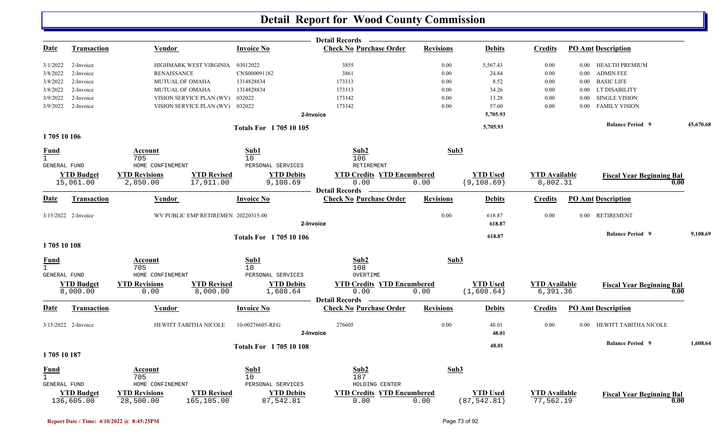|              |                                 |                                    |                                     |                                 | <b>Detail Records</b>                                              |                  |                                 |                                   |          |                                          |           |
|--------------|---------------------------------|------------------------------------|-------------------------------------|---------------------------------|--------------------------------------------------------------------|------------------|---------------------------------|-----------------------------------|----------|------------------------------------------|-----------|
| <u>Date</u>  | <b>Transaction</b>              | Vendor                             |                                     | <b>Invoice No</b>               | <b>Check No Purchase Order</b>                                     | <b>Revisions</b> | <b>Debits</b>                   | <b>Credits</b>                    |          | <b>PO Amt Description</b>                |           |
| 3/1/2022     | 2-Invoice                       |                                    | HIGHMARK WEST VIRGINIA 03012022     |                                 | 3855                                                               | 0.00             | 5,567.43                        | 0.00                              |          | 0.00 HEALTH PREMIUM                      |           |
| 3/8/2022     | 2-Invoice                       | <b>RENAISSANCE</b>                 |                                     | CNS000091182                    | 3861                                                               | 0.00             | 24.84                           | 0.00                              | $0.00\,$ | <b>ADMIN FEE</b>                         |           |
| 3/8/2022     | 2-Invoice                       | MUTUAL OF OMAHA                    |                                     | 1314828834                      | 173313                                                             | 0.00             | 8.52                            | 0.00                              | $0.00\,$ | <b>BASIC LIFE</b>                        |           |
| 3/8/2022     | 2-Invoice                       | <b>MUTUAL OF OMAHA</b>             |                                     | 1314828834                      | 173313                                                             | 0.00             | 34.26                           | 0.00                              | $0.00\,$ | LT DISABILITY                            |           |
| 3/9/2022     | 2-Invoice                       |                                    | VISION SERVICE PLAN (WV)            | 032022                          | 173342                                                             | 0.00             | 13.28                           | 0.00                              | 0.00     | <b>SINGLE VISION</b>                     |           |
| 3/9/2022     | 2-Invoice                       |                                    | VISION SERVICE PLAN (WV)            | 032022                          | 173342                                                             | 0.00             | 57.60                           | 0.00                              | 0.00     | <b>FAMILY VISION</b>                     |           |
|              |                                 |                                    |                                     |                                 | 2-Invoice                                                          |                  | 5,705.93                        |                                   |          |                                          |           |
|              |                                 |                                    |                                     | <b>Totals For 170510105</b>     |                                                                    |                  | 5,705.93                        |                                   |          | <b>Balance Period</b> 9                  | 45,670.68 |
| 1705 10 106  |                                 |                                    |                                     |                                 |                                                                    |                  |                                 |                                   |          |                                          |           |
| <u>Fund</u>  |                                 | <u>Account</u><br>705              |                                     | Sub1<br>10                      | Sub2<br>106                                                        | Sub3             |                                 |                                   |          |                                          |           |
| GENERAL FUND |                                 | HOME CONFINEMENT                   |                                     | PERSONAL SERVICES               | RETIREMENT                                                         |                  |                                 |                                   |          |                                          |           |
|              | <b>YTD Budget</b><br>15,061.00  | <b>YTD Revisions</b><br>2,850.00   | <b>YTD Revised</b><br>17,911.00     | <b>YTD Debits</b><br>9,108.69   | <b>YTD Credits YTD Encumbered</b><br>0.00                          | 0.00             | <b>YTD Used</b><br>(9, 108.69)  | <b>YTD</b> Available<br>8,802.31  |          | <b>Fiscal Year Beginning Bal</b><br>0.00 |           |
| <u>Date</u>  | <b>Transaction</b>              | Vendor                             |                                     | <b>Invoice No</b>               | <b>Detail Records</b><br><b>Check No Purchase Order</b>            | <b>Revisions</b> | <b>Debits</b>                   | <b>Credits</b>                    |          | <b>PO Amt Description</b>                |           |
|              | 3/15/2022 2-Invoice             |                                    | WV PUBLIC EMP RETIREMEN 20220315-00 |                                 | 2-Invoice                                                          | 0.00             | 618.87<br>618.87                | 0.00                              |          | 0.00 RETIREMENT                          |           |
|              |                                 |                                    |                                     |                                 |                                                                    |                  |                                 |                                   |          |                                          |           |
| 1705 10 108  |                                 |                                    |                                     | <b>Totals For 170510106</b>     |                                                                    |                  | 618.87                          |                                   |          | <b>Balance Period 9</b>                  | 9,108.69  |
| <u>Fund</u>  |                                 | Account<br>705<br>HOME CONFINEMENT |                                     | Sub1<br>10<br>PERSONAL SERVICES | Sub2<br>108<br>OVERTIME                                            | Sub3             |                                 |                                   |          |                                          |           |
| GENERAL FUND | <b>YTD Budget</b><br>8,000.00   | <b>YTD Revisions</b><br>0.00       | <b>YTD Revised</b><br>8,000.00      | <b>YTD Debits</b><br>1,608.64   | <b>YTD Credits YTD Encumbered</b><br>0.00<br><b>Detail Records</b> | 0.00             | <b>YTD Used</b><br>(1,608.64)   | <b>YTD Available</b><br>6,391.36  |          | <b>Fiscal Year Beginning Bal</b><br>0.00 |           |
| <b>Date</b>  | <u>Transaction</u>              | <b>Vendor</b>                      |                                     | <b>Invoice No</b>               | <b>Check No Purchase Order</b>                                     | <b>Revisions</b> | <b>Debits</b>                   | <b>Credits</b>                    |          | <b>PO Amt Description</b>                |           |
|              | 3/15/2022 2-Invoice             |                                    | HEWITT TABITHA NICOLE               | 10-00276605-REG                 | 276605<br>2-Invoice                                                | 0.00             | 48.01<br>48.01                  | 0.00                              | 0.00     | HEWITT TABITHA NICOLE                    |           |
|              |                                 |                                    |                                     |                                 |                                                                    |                  |                                 |                                   |          | <b>Balance Period 9</b>                  | 1,608.64  |
| 1705 10 187  |                                 |                                    |                                     | <b>Totals For 170510108</b>     |                                                                    |                  | 48.01                           |                                   |          |                                          |           |
| <b>Fund</b>  |                                 | Account                            |                                     | Sub1                            | Sub2                                                               | Sub3             |                                 |                                   |          |                                          |           |
| $\mathbf{1}$ |                                 | 705                                |                                     | 10                              | 187                                                                |                  |                                 |                                   |          |                                          |           |
| GENERAL FUND |                                 | HOME CONFINEMENT                   |                                     | PERSONAL SERVICES               | HOLDING CENTER                                                     |                  |                                 |                                   |          |                                          |           |
|              | <b>YTD Budget</b><br>136,605.00 | <b>YTD Revisions</b><br>28,500.00  | <b>YTD Revised</b><br>165,105.00    | <b>YTD Debits</b><br>87,542.81  | <b>YTD Credits YTD Encumbered</b><br>0.00                          | 0.00             | <b>YTD Used</b><br>(87, 542.81) | <b>YTD Available</b><br>77,562.19 |          | <b>Fiscal Year Beginning Bal</b><br>0.00 |           |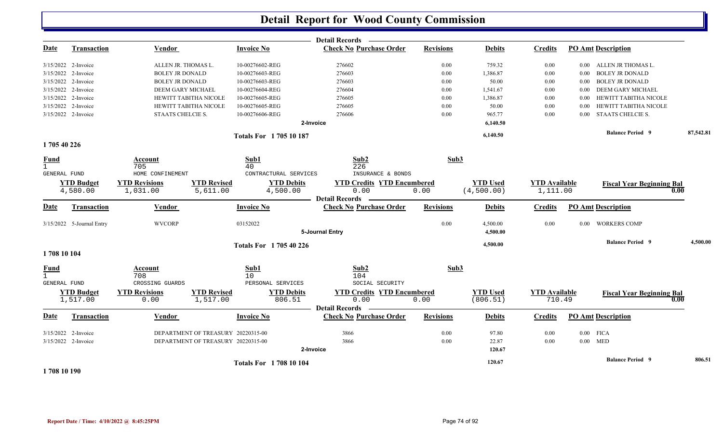|              |                               |                              |                                    |                               |                             | Detail Records -                          |                  |                             |                                |          |                                          |           |
|--------------|-------------------------------|------------------------------|------------------------------------|-------------------------------|-----------------------------|-------------------------------------------|------------------|-----------------------------|--------------------------------|----------|------------------------------------------|-----------|
| <u>Date</u>  | <b>Transaction</b>            | <b>Vendor</b>                |                                    | <b>Invoice No</b>             |                             | <b>Check No Purchase Order</b>            | <b>Revisions</b> | <b>Debits</b>               | <b>Credits</b>                 |          | <b>PO Amt Description</b>                |           |
|              | 3/15/2022 2-Invoice           | ALLEN JR. THOMAS L.          |                                    | 10-00276602-REG               |                             | 276602                                    | 0.00             | 759.32                      | 0.00                           | $0.00\,$ | ALLEN JR THOMAS L.                       |           |
| 3/15/2022    | 2-Invoice                     | <b>BOLEY JR DONALD</b>       |                                    | 10-00276603-REG               |                             | 276603                                    | $0.00\,$         | 1,386.87                    | 0.00                           | 0.00     | <b>BOLEY JR DONALD</b>                   |           |
|              | 3/15/2022 2-Invoice           | <b>BOLEY JR DONALD</b>       |                                    | 10-00276603-REG               |                             | 276603                                    | 0.00             | 50.00                       | 0.00                           | 0.00     | <b>BOLEY JR DONALD</b>                   |           |
|              | 3/15/2022 2-Invoice           | DEEM GARY MICHAEL            |                                    | 10-00276604-REG               |                             | 276604                                    | 0.00             | 1,541.67                    | 0.00                           | 0.00     | <b>DEEM GARY MICHAEL</b>                 |           |
|              | 3/15/2022 2-Invoice           |                              | <b>HEWITT TABITHA NICOLE</b>       | 10-00276605-REG               |                             | 276605                                    | 0.00             | 1,386.87                    | 0.00                           | 0.00     | HEWITT TABITHA NICOLE                    |           |
|              | 3/15/2022 2-Invoice           |                              | HEWITT TABITHA NICOLE              | 10-00276605-REG               |                             | 276605                                    | 0.00             | 50.00                       | 0.00                           | 0.00     | HEWITT TABITHA NICOLE                    |           |
|              | 3/15/2022 2-Invoice           | STAATS CHELCIE S.            |                                    | 10-00276606-REG               |                             | 276606                                    | 0.00             | 965.77                      | 0.00                           | 0.00     | STAATS CHELCIE S.                        |           |
|              |                               |                              |                                    |                               | 2-Invoice                   |                                           |                  | 6,140.50                    |                                |          |                                          |           |
|              |                               |                              |                                    | <b>Totals For 170510187</b>   |                             |                                           |                  | 6,140.50                    |                                |          | <b>Balance Period 9</b>                  | 87,542.81 |
| 1705 40 226  |                               |                              |                                    |                               |                             |                                           |                  |                             |                                |          |                                          |           |
| <b>Fund</b>  |                               | <b>Account</b>               |                                    | Sub1                          |                             | Sub2                                      | Sub3             |                             |                                |          |                                          |           |
| $\mathbf{1}$ |                               | 705                          |                                    | 40                            |                             | 226                                       |                  |                             |                                |          |                                          |           |
| GENERAL FUND |                               | HOME CONFINEMENT             |                                    | CONTRACTURAL SERVICES         |                             | INSURANCE & BONDS                         |                  |                             |                                |          |                                          |           |
|              | <b>YTD Budget</b>             | <b>YTD Revisions</b>         | <b>YTD Revised</b>                 |                               | <b>YTD Debits</b>           | <b>YTD Credits YTD Encumbered</b>         |                  | <b>YTD Used</b>             | <b>YTD Available</b>           |          | <b>Fiscal Year Beginning Bal</b>         |           |
|              | 4,580.00                      | 1,031.00                     | 5,611.00                           |                               | 4,500.00                    | 0.00<br><b>Detail Records</b>             | 0.00             | (4,500.00)                  | 1,111.00                       |          | 0.00                                     |           |
| <b>Date</b>  | Transaction                   | Vendor                       |                                    | <b>Invoice No</b>             |                             | <b>Check No Purchase Order</b>            | <b>Revisions</b> | <b>Debits</b>               | <b>Credits</b>                 |          | <b>PO Amt Description</b>                |           |
|              | 3/15/2022 5-Journal Entry     | <b>WVCORP</b>                |                                    | 03152022                      |                             |                                           | 0.00             | 4,500.00                    | 0.00                           | 0.00     | <b>WORKERS COMP</b>                      |           |
|              |                               |                              |                                    |                               |                             | 5-Journal Entry                           |                  | 4,500.00                    |                                |          |                                          |           |
|              |                               |                              |                                    | <b>Totals For 170540226</b>   |                             |                                           |                  | 4,500.00                    |                                |          | <b>Balance Period 9</b>                  | 4,500.00  |
| 1708 10 104  |                               |                              |                                    |                               |                             |                                           |                  |                             |                                |          |                                          |           |
| <b>Fund</b>  |                               | Account                      |                                    | Sub1                          |                             | Sub2                                      | Sub3             |                             |                                |          |                                          |           |
| $\mathbf{1}$ |                               | 708                          |                                    | 10                            |                             | 104                                       |                  |                             |                                |          |                                          |           |
| GENERAL FUND |                               | CROSSING GUARDS              |                                    | PERSONAL SERVICES             |                             | SOCIAL SECURITY                           |                  |                             |                                |          |                                          |           |
|              | <b>YTD Budget</b><br>1,517.00 | <b>YTD Revisions</b><br>0.00 | <b>YTD Revised</b><br>1,517.00     |                               | <b>YTD Debits</b><br>806.51 | <b>YTD Credits YTD Encumbered</b><br>0.00 | 0.00             | <b>YTD Used</b><br>(806.51) | <b>YTD</b> Available<br>710.49 |          | <b>Fiscal Year Beginning Bal</b><br>0.00 |           |
|              |                               |                              |                                    |                               |                             | Detail Records —                          |                  |                             |                                |          |                                          |           |
| <b>Date</b>  | <b>Transaction</b>            | Vendor                       |                                    | <b>Invoice No</b>             |                             | <b>Check No Purchase Order</b>            | <b>Revisions</b> | <b>Debits</b>               | <b>Credits</b>                 |          | <b>PO Amt Description</b>                |           |
|              | 3/15/2022 2-Invoice           |                              | DEPARTMENT OF TREASURY 20220315-00 |                               |                             | 3866                                      | 0.00             | 97.80                       | 0.00                           |          | $0.00$ FICA                              |           |
|              | 3/15/2022 2-Invoice           |                              | DEPARTMENT OF TREASURY 20220315-00 |                               |                             | 3866                                      | 0.00             | 22.87                       | 0.00                           |          | $0.00$ MED                               |           |
|              |                               |                              |                                    |                               | 2-Invoice                   |                                           |                  | 120.67                      |                                |          |                                          |           |
|              |                               |                              |                                    |                               |                             |                                           |                  | 120.67                      |                                |          | <b>Balance Period 9</b>                  | 806.51    |
|              |                               |                              |                                    | <b>Totals For 1708 10 104</b> |                             |                                           |                  |                             |                                |          |                                          |           |

**1 708 10 190**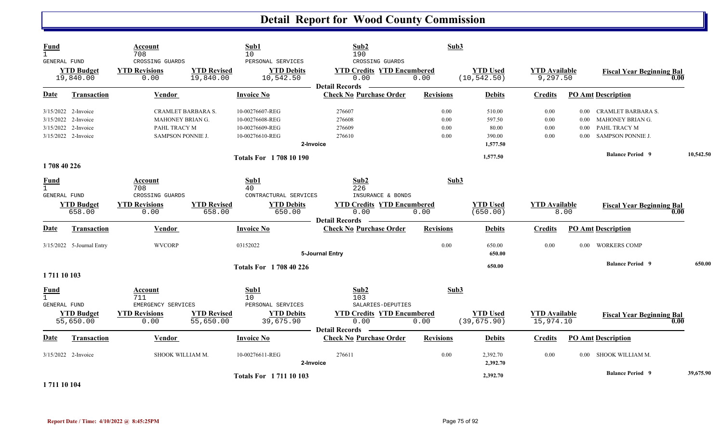| <b>Fund</b><br>$\mathbf{1}$                        |                                                                                          | Account<br>708                                                                     |                                 | Sub1<br>10                                                               | Sub2<br>190                                                                               | Sub3                         |                                                 |                                   |                                  |                                                                                           |      |           |
|----------------------------------------------------|------------------------------------------------------------------------------------------|------------------------------------------------------------------------------------|---------------------------------|--------------------------------------------------------------------------|-------------------------------------------------------------------------------------------|------------------------------|-------------------------------------------------|-----------------------------------|----------------------------------|-------------------------------------------------------------------------------------------|------|-----------|
| GENERAL FUND                                       | <b>YTD Budget</b><br>19,840.00                                                           | CROSSING GUARDS<br><b>YTD Revisions</b><br>0.00                                    | <b>YTD Revised</b><br>19,840.00 | PERSONAL SERVICES<br><b>YTD Debits</b><br>10,542.50                      | CROSSING GUARDS<br><b>YTD Credits YTD Encumbered</b><br>0.00<br><b>Detail Records</b>     | 0.00                         | <b>YTD Used</b><br>(10, 542.50)                 | <b>YTD Available</b><br>9,297.50  |                                  | <b>Fiscal Year Beginning Bal</b>                                                          | 0.00 |           |
| <b>Date</b>                                        | <b>Transaction</b>                                                                       | <b>Vendor</b>                                                                      |                                 | <b>Invoice No</b>                                                        | <b>Check No Purchase Order</b>                                                            | <b>Revisions</b>             | <b>Debits</b>                                   | <b>Credits</b>                    |                                  | <b>PO Amt Description</b>                                                                 |      |           |
|                                                    | 3/15/2022 2-Invoice<br>3/15/2022 2-Invoice<br>3/15/2022 2-Invoice<br>3/15/2022 2-Invoice | <b>CRAMLET BARBARA S.</b><br>MAHONEY BRIAN G.<br>PAHL TRACY M<br>SAMPSON PONNIE J. |                                 | 10-00276607-REG<br>10-00276608-REG<br>10-00276609-REG<br>10-00276610-REG | 276607<br>276608<br>276609<br>276610<br>2-Invoice                                         | 0.00<br>0.00<br>0.00<br>0.00 | 510.00<br>597.50<br>80.00<br>390.00<br>1,577.50 | 0.00<br>0.00<br>0.00<br>0.00      | $0.00\,$<br>0.00<br>0.00<br>0.00 | CRAMLET BARBARA S.<br><b>MAHONEY BRIAN G.</b><br>PAHL TRACY M<br><b>SAMPSON PONNIE J.</b> |      |           |
|                                                    |                                                                                          |                                                                                    |                                 | <b>Totals For 1708 10 190</b>                                            |                                                                                           |                              | 1,577.50                                        |                                   |                                  | <b>Balance Period 9</b>                                                                   |      | 10,542.50 |
| 1708 40 226                                        |                                                                                          |                                                                                    |                                 |                                                                          |                                                                                           |                              |                                                 |                                   |                                  |                                                                                           |      |           |
| <b>Fund</b><br>$\mathbf{1}$<br>GENERAL FUND        | <b>YTD Budget</b><br>658.00                                                              | Account<br>708<br>CROSSING GUARDS<br><b>YTD Revisions</b><br>0.00                  | <b>YTD Revised</b><br>658.00    | Sub1<br>40<br>CONTRACTURAL SERVICES<br><b>YTD Debits</b><br>650.00       | Sub <sub>2</sub><br>226<br>INSURANCE & BONDS<br><b>YTD Credits YTD Encumbered</b><br>0.00 | Sub3<br>0.00                 | <b>YTD Used</b><br>(650.00)                     | <b>YTD Available</b>              | 8.00                             | <b>Fiscal Year Beginning Bal</b>                                                          | 0.00 |           |
| <b>Date</b>                                        | <b>Transaction</b>                                                                       | Vendor                                                                             |                                 | <b>Invoice No</b>                                                        | <b>Detail Records</b><br><b>Check No Purchase Order</b>                                   | <b>Revisions</b>             | <b>Debits</b>                                   | <b>Credits</b>                    |                                  | <b>PO Amt Description</b>                                                                 |      |           |
|                                                    | 3/15/2022 5-Journal Entry                                                                | <b>WVCORP</b>                                                                      |                                 | 03152022                                                                 | 5-Journal Entry                                                                           | 0.00                         | 650.00<br>650.00                                | 0.00                              | 0.00 <sub>1</sub>                | <b>WORKERS COMP</b>                                                                       |      |           |
| 1711 10 103                                        |                                                                                          |                                                                                    |                                 | <b>Totals For 1708 40 226</b>                                            |                                                                                           |                              | 650.00                                          |                                   |                                  | <b>Balance Period 9</b>                                                                   |      | 650.00    |
| <b>Fund</b><br>$\mathbf{1}$<br><b>GENERAL FUND</b> |                                                                                          | Account<br>711<br>EMERGENCY SERVICES                                               |                                 | Sub1<br>10<br>PERSONAL SERVICES                                          | Sub2<br>103<br>SALARIES-DEPUTIES                                                          | Sub3                         |                                                 |                                   |                                  |                                                                                           |      |           |
|                                                    | <b>YTD Budget</b><br>55,650.00                                                           | <b>YTD Revisions</b><br>0.00                                                       | <b>YTD Revised</b><br>55,650.00 | <b>YTD Debits</b><br>39,675.90                                           | <b>YTD Credits YTD Encumbered</b><br>0.00<br><b>Detail Records</b>                        | 0.00                         | <b>YTD Used</b><br>(39, 675.90)                 | <b>YTD</b> Available<br>15,974.10 |                                  | <b>Fiscal Year Beginning Bal</b>                                                          | 0.00 |           |
| <u>Date</u>                                        | <b>Transaction</b>                                                                       | Vendor                                                                             |                                 | <b>Invoice No</b>                                                        | <b>Check No Purchase Order</b>                                                            | <b>Revisions</b>             | <b>Debits</b>                                   | <b>Credits</b>                    |                                  | <b>PO Amt Description</b>                                                                 |      |           |
|                                                    | 3/15/2022 2-Invoice                                                                      | SHOOK WILLIAM M.                                                                   |                                 | 10-00276611-REG                                                          | 276611<br>2-Invoice                                                                       | 0.00                         | 2,392.70<br>2,392.70                            | 0.00                              | $0.00 -$                         | SHOOK WILLIAM M.                                                                          |      |           |
| _________                                          |                                                                                          |                                                                                    |                                 | <b>Totals For 171110103</b>                                              |                                                                                           |                              | 2,392.70                                        |                                   |                                  | <b>Balance Period 9</b>                                                                   |      | 39,675.90 |

**1 711 10 104**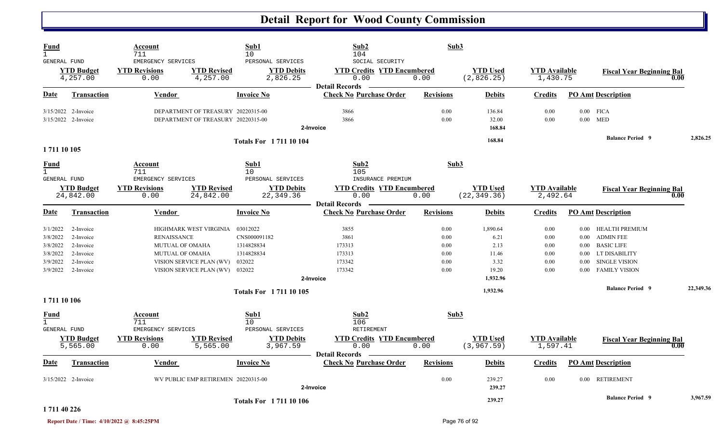| <b>Fund</b><br>$\mathbf{1}$<br>GENERAL FUND                          |                                                                            | Account<br>711<br>EMERGENCY SERVICES                                 |                                                                                       | Sub1<br>10<br>PERSONAL SERVICES                                  | Sub2<br>104<br>SOCIAL SECURITY                                         | Sub3                                         |                                                                |                                                  |                      |                                                                                                                                |           |
|----------------------------------------------------------------------|----------------------------------------------------------------------------|----------------------------------------------------------------------|---------------------------------------------------------------------------------------|------------------------------------------------------------------|------------------------------------------------------------------------|----------------------------------------------|----------------------------------------------------------------|--------------------------------------------------|----------------------|--------------------------------------------------------------------------------------------------------------------------------|-----------|
|                                                                      | <b>YTD Budget</b><br>4,257.00                                              | <b>YTD Revisions</b><br>0.00                                         | <b>YTD Revised</b><br>4,257.00                                                        | <b>YTD Debits</b><br>2,826.25                                    | <b>YTD Credits YTD Encumbered</b><br>0.00<br><b>Detail Records</b>     | 0.00                                         | <b>YTD Used</b><br>(2,826.25)                                  | <b>YTD Available</b><br>1,430.75                 |                      | <b>Fiscal Year Beginning Bal</b><br>0.00                                                                                       |           |
| Date                                                                 | <b>Transaction</b>                                                         | <b>Vendor</b>                                                        |                                                                                       | <b>Invoice No</b>                                                | <b>Check No Purchase Order</b>                                         | <b>Revisions</b>                             | <b>Debits</b>                                                  | <b>Credits</b>                                   |                      | <b>PO Amt Description</b>                                                                                                      |           |
|                                                                      | 3/15/2022 2-Invoice<br>3/15/2022 2-Invoice                                 |                                                                      | DEPARTMENT OF TREASURY 20220315-00<br>DEPARTMENT OF TREASURY 20220315-00              |                                                                  | 3866<br>3866<br>2-Invoice                                              | 0.00<br>0.00                                 | 136.84<br>32.00<br>168.84                                      | 0.00<br>0.00                                     |                      | $0.00$ FICA<br>$0.00$ MED                                                                                                      |           |
| 1711 10 105                                                          |                                                                            |                                                                      |                                                                                       | <b>Totals For 171110104</b>                                      |                                                                        |                                              | 168.84                                                         |                                                  |                      | <b>Balance Period</b> 9                                                                                                        | 2,826.25  |
| Fund<br>$\mathbf{1}$<br>GENERAL FUND                                 |                                                                            | Account<br>711<br>EMERGENCY SERVICES                                 |                                                                                       | Sub1<br>10<br>PERSONAL SERVICES                                  | Sub2<br>105<br>INSURANCE PREMIUM                                       | Sub3                                         |                                                                |                                                  |                      |                                                                                                                                |           |
|                                                                      | <b>YTD Budget</b><br>24,842.00                                             | <b>YTD Revisions</b><br>0.00                                         | <b>YTD Revised</b><br>24,842.00                                                       | <b>YTD Debits</b><br>22, 349.36                                  | <b>YTD Credits YTD Encumbered</b><br>0.00<br><b>Detail Records</b>     | 0.00                                         | <b>YTD</b> Used<br>(22, 349.36)                                | <b>YTD</b> Available<br>2,492.64                 |                      | <b>Fiscal Year Beginning Bal</b><br>0.00                                                                                       |           |
| Date                                                                 | <b>Transaction</b>                                                         | <b>Vendor</b>                                                        |                                                                                       | <b>Invoice No</b>                                                | <b>Check No Purchase Order</b>                                         | <b>Revisions</b>                             | <b>Debits</b>                                                  | <b>Credits</b>                                   |                      | <b>PO Amt Description</b>                                                                                                      |           |
| 3/1/2022<br>3/8/2022<br>3/8/2022<br>3/8/2022<br>3/9/2022<br>3/9/2022 | 2-Invoice<br>2-Invoice<br>2-Invoice<br>2-Invoice<br>2-Invoice<br>2-Invoice | <b>RENAISSANCE</b><br><b>MUTUAL OF OMAHA</b><br>MUTUAL OF OMAHA      | HIGHMARK WEST VIRGINIA<br>VISION SERVICE PLAN (WV)<br>VISION SERVICE PLAN (WV) 032022 | 03012022<br>CNS000091182<br>1314828834<br>1314828834<br>032022   | 3855<br>3861<br>173313<br>173313<br>173342<br>173342<br>2-Invoice      | 0.00<br>0.00<br>0.00<br>0.00<br>0.00<br>0.00 | 1,890.64<br>6.21<br>2.13<br>11.46<br>3.32<br>19.20<br>1,932.96 | 0.00<br>0.00<br>$0.00\,$<br>0.00<br>0.00<br>0.00 | $0.00\,$<br>$0.00\,$ | 0.00 HEALTH PREMIUM<br><b>ADMIN FEE</b><br>0.00 BASIC LIFE<br>0.00 LT DISABILITY<br><b>SINGLE VISION</b><br>0.00 FAMILY VISION |           |
|                                                                      |                                                                            |                                                                      |                                                                                       | <b>Totals For 171110105</b>                                      |                                                                        |                                              | 1,932.96                                                       |                                                  |                      | <b>Balance Period</b> 9                                                                                                        | 22,349.36 |
| 1711 10 106<br>Fund<br>$\mathbf{1}$<br>GENERAL FUND                  | <b>YTD Budget</b><br>5,565.00                                              | Account<br>711<br>EMERGENCY SERVICES<br><b>YTD Revisions</b><br>0.00 | <b>YTD Revised</b><br>5,565.00                                                        | Sub1<br>10<br>PERSONAL SERVICES<br><b>YTD Debits</b><br>3,967.59 | Sub2<br>106<br>RETIREMENT<br><b>YTD Credits YTD Encumbered</b><br>0.00 | Sub3<br>0.00                                 | <b>YTD</b> Used<br>(3, 967.59)                                 | <b>YTD</b> Available<br>1,597.41                 |                      | <b>Fiscal Year Beginning Bal</b><br>0.00                                                                                       |           |
| Date                                                                 | <b>Transaction</b>                                                         | Vendor                                                               |                                                                                       | <b>Invoice No</b>                                                | <b>Detail Records</b><br><b>Check No Purchase Order</b>                | <b>Revisions</b>                             | <b>Debits</b>                                                  | <b>Credits</b>                                   |                      | <b>PO Amt Description</b>                                                                                                      |           |
|                                                                      | 3/15/2022 2-Invoice                                                        |                                                                      | WV PUBLIC EMP RETIREMEN 20220315-00                                                   |                                                                  | 2-Invoice                                                              | 0.00                                         | 239.27<br>239.27                                               | 0.00                                             |                      | 0.00 RETIREMENT                                                                                                                |           |
| 1 711 40 226                                                         |                                                                            |                                                                      |                                                                                       | <b>Totals For 171110106</b>                                      |                                                                        |                                              | 239.27                                                         |                                                  |                      | <b>Balance Period 9</b>                                                                                                        | 3,967.59  |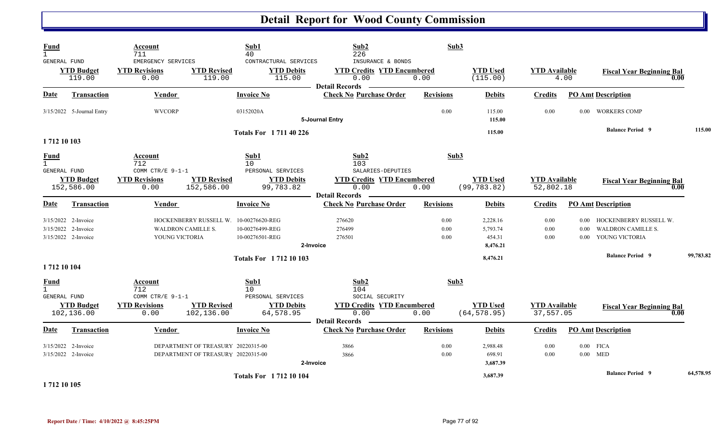| <b>Fund</b><br>$\mathbf{1}$<br>GENERAL FUND        |                                                                   | Account<br>711<br>EMERGENCY SERVICES |                                                                          | $\mathbf{Sub1}$<br>40<br>CONTRACTURAL SERVICES | Sub2<br>226<br>INSURANCE & BONDS                                   | Sub3                 |                                            |                                   |                  |                                                                            |           |
|----------------------------------------------------|-------------------------------------------------------------------|--------------------------------------|--------------------------------------------------------------------------|------------------------------------------------|--------------------------------------------------------------------|----------------------|--------------------------------------------|-----------------------------------|------------------|----------------------------------------------------------------------------|-----------|
|                                                    | <b>YTD Budget</b><br>119.00                                       | <b>YTD Revisions</b><br>0.00         | <b>YTD Revised</b><br>119.00                                             | <b>YTD Debits</b><br>115.00                    | <b>YTD Credits YTD Encumbered</b><br>0.00<br><b>Detail Records</b> | 0.00                 | <b>YTD</b> Used<br>(115.00)                | <b>YTD</b> Available              | 4.00             | <b>Fiscal Year Beginning Bal</b><br>0.00                                   |           |
| Date                                               | <b>Transaction</b>                                                | <b>Vendor</b>                        |                                                                          | <b>Invoice No</b>                              | <b>Check No Purchase Order</b>                                     | <b>Revisions</b>     | <b>Debits</b>                              | <b>Credits</b>                    |                  | <b>PO Amt Description</b>                                                  |           |
|                                                    | 3/15/2022 5-Journal Entry                                         | <b>WVCORP</b>                        |                                                                          | 03152020A                                      | 5-Journal Entry                                                    | 0.00                 | 115.00<br>115.00                           | 0.00                              | 0.00             | <b>WORKERS COMP</b>                                                        |           |
| 1712 10 103                                        |                                                                   |                                      |                                                                          | <b>Totals For 171140226</b>                    |                                                                    |                      | 115.00                                     |                                   |                  | <b>Balance Period 9</b>                                                    | 115.00    |
| <b>Fund</b><br>$\mathbf{1}$<br><b>GENERAL FUND</b> |                                                                   | Account<br>712<br>COMM CTR/E 9-1-1   |                                                                          | Sub1<br>10<br>PERSONAL SERVICES                | Sub2<br>103<br>SALARIES-DEPUTIES                                   | Sub3                 |                                            |                                   |                  |                                                                            |           |
|                                                    | <b>YTD Budget</b><br>152,586.00                                   | <b>YTD Revisions</b><br>0.00         | <b>YTD Revised</b><br>152,586.00                                         | <b>YTD Debits</b><br>99,783.82                 | <b>YTD Credits YTD Encumbered</b><br>0.00<br><b>Detail Records</b> | 0.00                 | <b>YTD</b> Used<br>(99, 783.82)            | <b>YTD</b> Available<br>52,802.18 |                  | <b>Fiscal Year Beginning Bal</b><br>0.00                                   |           |
| <b>Date</b>                                        | <b>Transaction</b>                                                | Vendor                               |                                                                          | <b>Invoice No</b>                              | <b>Check No Purchase Order</b>                                     | <b>Revisions</b>     | <b>Debits</b>                              | <b>Credits</b>                    |                  | <b>PO Amt Description</b>                                                  |           |
|                                                    | 3/15/2022 2-Invoice<br>3/15/2022 2-Invoice<br>3/15/2022 2-Invoice | WALDRON CAMILLE S.<br>YOUNG VICTORIA | HOCKENBERRY RUSSELL W. 10-00276620-REG                                   | 10-00276499-REG<br>10-00276501-REG             | 276620<br>276499<br>276501<br>2-Invoice                            | 0.00<br>0.00<br>0.00 | 2,228.16<br>5,793.74<br>454.31<br>8,476.21 | 0.00<br>0.00<br>0.00              | 0.00<br>$0.00 -$ | 0.00 HOCKENBERRY RUSSELL W.<br><b>WALDRON CAMILLE S.</b><br>YOUNG VICTORIA |           |
| 1712 10 104                                        |                                                                   |                                      |                                                                          | <b>Totals For 171210103</b>                    |                                                                    |                      | 8,476.21                                   |                                   |                  | <b>Balance Period 9</b>                                                    | 99,783.82 |
| <b>Fund</b><br>$\mathbf{1}$<br>GENERAL FUND        |                                                                   | Account<br>712<br>COMM CTR/E 9-1-1   |                                                                          | Sub1<br>10<br>PERSONAL SERVICES                | Sub2<br>104<br>SOCIAL SECURITY                                     | Sub3                 |                                            |                                   |                  |                                                                            |           |
|                                                    | <b>YTD Budget</b><br>102,136.00                                   | <b>YTD Revisions</b><br>0.00         | <b>YTD Revised</b><br>102,136.00                                         | <b>YTD Debits</b><br>64,578.95                 | <b>YTD Credits YTD Encumbered</b><br>0.00                          | 0.00                 | <b>YTD Used</b><br>(64, 578.95)            | <b>YTD</b> Available<br>37,557.05 |                  | <b>Fiscal Year Beginning Bal</b><br>0.00                                   |           |
| Date                                               | Transaction                                                       | Vendor                               |                                                                          | <b>Invoice No</b>                              | <b>Detail Records</b><br><b>Check No Purchase Order</b>            | <b>Revisions</b>     | <b>Debits</b>                              | <b>Credits</b>                    |                  | <b>PO Amt Description</b>                                                  |           |
| 3/15/2022                                          | 2-Invoice<br>3/15/2022 2-Invoice                                  |                                      | DEPARTMENT OF TREASURY 20220315-00<br>DEPARTMENT OF TREASURY 20220315-00 |                                                | 3866<br>3866<br>2-Invoice                                          | 0.00<br>0.00         | 2,988.48<br>698.91<br>3,687.39             | 0.00<br>0.00                      | $0.00$ MED       | $0.00$ FICA                                                                |           |
| $     -$                                           |                                                                   |                                      |                                                                          | <b>Totals For 171210104</b>                    |                                                                    |                      | 3,687.39                                   |                                   |                  | <b>Balance Period 9</b>                                                    | 64,578.95 |

**1 712 10 105**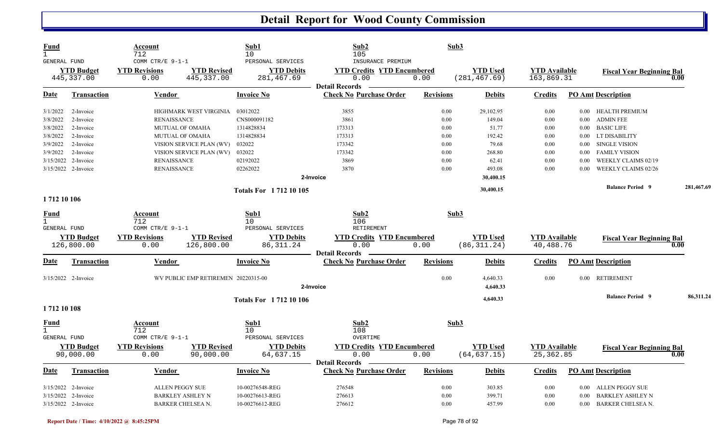| Sub1<br>Sub2<br>Sub3<br><b>Fund</b><br>Account<br>$\mathbf{1}$<br>712<br>105<br>10<br>COMM CTR/E 9-1-1<br>PERSONAL SERVICES<br>INSURANCE PREMIUM<br>GENERAL FUND                                                                                             |                                    |                                                         |
|--------------------------------------------------------------------------------------------------------------------------------------------------------------------------------------------------------------------------------------------------------------|------------------------------------|---------------------------------------------------------|
| <b>YTD Used</b><br><b>YTD Budget</b><br><b>YTD Revisions</b><br><b>YTD Revised</b><br><b>YTD Debits</b><br><b>YTD Credits YTD Encumbered</b><br>0.00<br>445, 337.00<br>445, 337.00<br>281, 467.69<br>0.00<br>(281, 467, 69)<br>0.00<br><b>Detail Records</b> | <b>YTD Available</b><br>163,869.31 | <b>Fiscal Year Beginning Bal</b><br>0.00                |
| <b>Check No Purchase Order</b><br><b>Revisions</b><br>Date<br><b>Transaction</b><br>Vendor<br><b>Invoice No</b><br><b>Debits</b>                                                                                                                             | <b>Credits</b>                     | <b>PO Amt Description</b>                               |
| 03012022<br>0.00<br>29,102.95<br>3/1/2022<br>2-Invoice<br>HIGHMARK WEST VIRGINIA<br>3855                                                                                                                                                                     | 0.00                               | 0.00 HEALTH PREMIUM                                     |
| 3861<br>0.00<br>149.04<br>3/8/2022<br>2-Invoice<br><b>RENAISSANCE</b><br>CNS000091182                                                                                                                                                                        | 0.00                               | <b>ADMIN FEE</b><br>$0.00\,$                            |
| 1314828834<br>173313<br>0.00<br>51.77<br>3/8/2022<br>2-Invoice<br><b>MUTUAL OF OMAHA</b>                                                                                                                                                                     | 0.00                               | <b>BASIC LIFE</b><br>$0.00\,$                           |
| 192.42<br>3/8/2022<br>2-Invoice<br>1314828834<br>173313<br>0.00<br><b>MUTUAL OF OMAHA</b>                                                                                                                                                                    | 0.00                               | 0.00 LT DISABILITY                                      |
| 032022<br>173342<br>79.68<br>3/9/2022<br>0.00<br>2-Invoice<br>VISION SERVICE PLAN (WV)                                                                                                                                                                       | 0.00                               | <b>SINGLE VISION</b><br>$0.00\,$                        |
| 032022<br>173342<br>3/9/2022<br>2-Invoice<br>VISION SERVICE PLAN (WV)<br>0.00<br>268.80                                                                                                                                                                      | 0.00                               | <b>FAMILY VISION</b><br>$0.00\,$                        |
| 3/15/2022 2-Invoice<br><b>RENAISSANCE</b><br>02192022<br>3869<br>0.00<br>62.41                                                                                                                                                                               | 0.00                               | WEEKLY CLAIMS 02/19<br>0.00                             |
| 02262022<br>3870<br>3/15/2022 2-Invoice<br><b>RENAISSANCE</b><br>0.00<br>493.08                                                                                                                                                                              | 0.00                               | WEEKLY CLAIMS 02/26<br>0.00                             |
| 2-Invoice<br>30,400.15                                                                                                                                                                                                                                       |                                    |                                                         |
| 30,400.15<br><b>Totals For 171210105</b>                                                                                                                                                                                                                     |                                    | <b>Balance Period 9</b><br>281,467.69                   |
| 1 712 10 106                                                                                                                                                                                                                                                 |                                    |                                                         |
| Sub2<br>Sub1<br>Sub3<br>Fund<br>Account<br>$\mathbf{1}$<br>10<br>106<br>712                                                                                                                                                                                  |                                    |                                                         |
| PERSONAL SERVICES<br>COMM CTR/E 9-1-1<br>RETIREMENT<br><b>GENERAL FUND</b>                                                                                                                                                                                   |                                    |                                                         |
| <b>YTD Revisions</b><br><b>YTD Revised</b><br><b>YTD Debits</b><br><b>YTD Credits YTD Encumbered</b><br><b>YTD Used</b><br><b>YTD Budget</b>                                                                                                                 | <b>YTD Available</b>               | <b>Fiscal Year Beginning Bal</b>                        |
| 126,800.00<br>0.00<br>126,800.00<br>86, 311.24<br>0.00<br>0.00<br>(86, 311, 24)<br><b>Detail Records</b>                                                                                                                                                     | 40,488.76                          | 0.00                                                    |
| <b>Check No Purchase Order</b><br>Date<br><b>Transaction</b><br><b>Invoice No</b><br><b>Revisions</b><br>Vendor<br><b>Debits</b>                                                                                                                             | <b>Credits</b>                     | <b>PO Amt Description</b>                               |
| 0.00<br>3/15/2022 2-Invoice<br>WV PUBLIC EMP RETIREMEN 20220315-00<br>4,640.33                                                                                                                                                                               | 0.00                               | 0.00 RETIREMENT                                         |
| 4,640.33<br>2-Invoice                                                                                                                                                                                                                                        |                                    |                                                         |
| <b>Totals For 171210106</b><br>4,640.33                                                                                                                                                                                                                      |                                    | <b>Balance Period 9</b><br>86,311.24                    |
| 1712 10 108                                                                                                                                                                                                                                                  |                                    |                                                         |
| Sub2<br>Sub3<br>Sub1<br><u>Fund</u><br><u>Account</u><br>$\mathbf{1}$                                                                                                                                                                                        |                                    |                                                         |
| 712<br>108<br>10<br>GENERAL FUND<br>COMM CTR/E 9-1-1<br>PERSONAL SERVICES<br>OVERTIME                                                                                                                                                                        |                                    |                                                         |
| <b>YTD Budget</b><br><b>YTD Revisions</b><br><b>YTD Revised</b><br><b>YTD Debits</b><br><b>YTD Credits YTD Encumbered</b><br><b>YTD Used</b>                                                                                                                 | <b>YTD Available</b>               |                                                         |
| 0.00<br>(64, 637.15)<br>90,000.00<br>90,000.00<br>64,637.15<br>0.00<br>0.00                                                                                                                                                                                  | 25, 362.85                         | <b>Fiscal Year Beginning Bal</b><br>0.00                |
| <b>Detail Records</b>                                                                                                                                                                                                                                        |                                    |                                                         |
| <b>Check No Purchase Order</b><br>Date<br><b>Transaction</b><br>Vendor<br><b>Invoice No</b><br><b>Revisions</b><br><b>Debits</b>                                                                                                                             | <b>Credits</b>                     | <b>PO Amt Description</b>                               |
| 276548<br>0.00<br>3/15/2022 2-Invoice<br><b>ALLEN PEGGY SUE</b><br>10-00276548-REG<br>303.85                                                                                                                                                                 |                                    |                                                         |
|                                                                                                                                                                                                                                                              | 0.00                               |                                                         |
| 276613<br>3/15/2022 2-Invoice<br><b>BARKLEY ASHLEY N</b><br>10-00276613-REG<br>0.00<br>399.71                                                                                                                                                                | 0.00                               | 0.00 ALLEN PEGGY SUE<br><b>BARKLEY ASHLEY N</b><br>0.00 |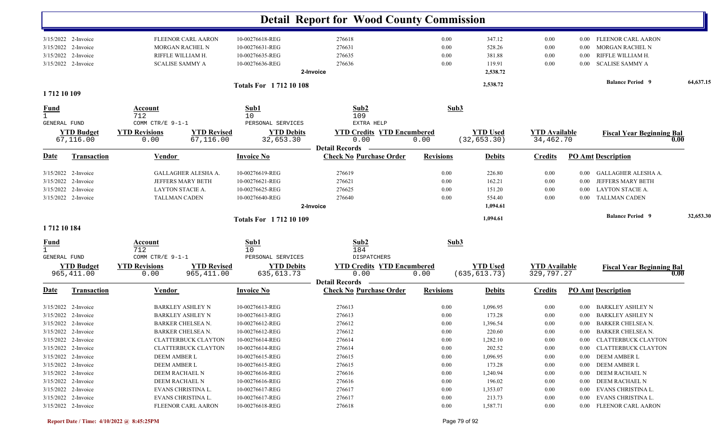|                                     |                                                                                            |                                                                                                    |                                                                          | <b>Detail Report for Wood County Commission</b>                    |                                          |                                                  |                                      |                                      |                                                                                                      |           |
|-------------------------------------|--------------------------------------------------------------------------------------------|----------------------------------------------------------------------------------------------------|--------------------------------------------------------------------------|--------------------------------------------------------------------|------------------------------------------|--------------------------------------------------|--------------------------------------|--------------------------------------|------------------------------------------------------------------------------------------------------|-----------|
|                                     | 3/15/2022 2-Invoice<br>3/15/2022 2-Invoice<br>3/15/2022 2-Invoice<br>3/15/2022 2-Invoice   | <b>FLEENOR CARL AARON</b><br><b>MORGAN RACHEL N</b><br>RIFFLE WILLIAM H.<br><b>SCALISE SAMMY A</b> | 10-00276618-REG<br>10-00276631-REG<br>10-00276635-REG<br>10-00276636-REG | 276618<br>276631<br>276635<br>276636<br>2-Invoice                  | $0.00\,$<br>0.00<br>0.00<br>0.00         | 347.12<br>528.26<br>381.88<br>119.91<br>2,538.72 | $0.00\,$<br>0.00<br>0.00<br>0.00     | $0.00\,$<br>0.00<br>0.00<br>$0.00\,$ | FLEENOR CARL AARON<br>MORGAN RACHEL N<br>RIFFLE WILLIAM H.<br><b>SCALISE SAMMY A</b>                 |           |
| 1712 10 109                         |                                                                                            |                                                                                                    | <b>Totals For 171210108</b>                                              |                                                                    |                                          | 2,538.72                                         |                                      |                                      | <b>Balance Period 9</b>                                                                              | 64,637.15 |
| <u>Fund</u><br>$\mathbf{1}$         |                                                                                            | Account<br>712                                                                                     | Sub1<br>10                                                               | Sub2<br>109                                                        |                                          | Sub3                                             |                                      |                                      |                                                                                                      |           |
| <b>GENERAL FUND</b>                 | <b>YTD Budget</b><br>67,116.00                                                             | COMM CTR/E 9-1-1<br><b>YTD Revisions</b><br><b>YTD Revised</b><br>67,116.00<br>0.00                | PERSONAL SERVICES<br><b>YTD Debits</b><br>32,653.30                      | EXTRA HELP<br><b>YTD Credits YTD Encumbered</b><br>0.00            | 0.00                                     | <b>YTD Used</b><br>(32, 653.30)                  | <b>YTD Available</b><br>34,462.70    |                                      | <b>Fiscal Year Beginning Bal</b><br>0.00                                                             |           |
| Date                                | <b>Transaction</b>                                                                         | <b>Vendor</b>                                                                                      | <b>Invoice No</b>                                                        | <b>Detail Records</b><br><b>Check No Purchase Order</b>            | <b>Revisions</b>                         | <b>Debits</b>                                    | <b>Credits</b>                       | <b>PO Amt Description</b>            |                                                                                                      |           |
| 3/15/2022<br>3/15/2022<br>3/15/2022 | 2-Invoice<br>2-Invoice<br>2-Invoice<br>3/15/2022 2-Invoice                                 | GALLAGHER ALESHA A.<br>JEFFERS MARY BETH<br>LAYTON STACIE A.<br>TALLMAN CADEN                      | 10-00276619-REG<br>10-00276621-REG<br>10-00276625-REG<br>10-00276640-REG | 276619<br>276621<br>276625<br>276640<br>2-Invoice                  | 0.00<br>0.00<br>0.00<br>0.00             | 226.80<br>162.21<br>151.20<br>554.40<br>1,094.61 | 0.00<br>0.00<br>0.00<br>0.00         | $0.00\,$<br>0.00<br>0.00<br>$0.00\,$ | GALLAGHER ALESHA A.<br>JEFFERS MARY BETH<br><b>LAYTON STACIE A.</b><br><b>TALLMAN CADEN</b>          |           |
| 1712 10 184                         |                                                                                            |                                                                                                    | <b>Totals For 171210109</b>                                              |                                                                    |                                          | 1,094.61                                         |                                      |                                      | <b>Balance Period 9</b>                                                                              | 32,653.30 |
| $\frac{Fund}{1}$<br>GENERAL FUND    |                                                                                            | <b>Account</b><br>712<br>COMM CTR/E 9-1-1                                                          | Sub1<br>10<br>PERSONAL SERVICES                                          | Sub2<br>184<br>DISPATCHERS                                         |                                          | Sub3                                             |                                      |                                      |                                                                                                      |           |
|                                     | <b>YTD Budget</b><br>965,411.00                                                            | <b>YTD Revisions</b><br><b>YTD Revised</b><br>0.00<br>965, 411.00                                  | <b>YTD Debits</b><br>635, 613.73                                         | <b>YTD Credits YTD Encumbered</b><br>0.00<br><b>Detail Records</b> | 0.00                                     | <b>YTD Used</b><br>(635, 613.73)                 | <b>YTD Available</b><br>329,797.27   |                                      | <b>Fiscal Year Beginning Bal</b><br>0.00                                                             |           |
| Date                                | <b>Transaction</b>                                                                         | <b>Vendor</b>                                                                                      | <b>Invoice No</b>                                                        | <b>Check No Purchase Order</b>                                     | <b>Revisions</b>                         | <b>Debits</b>                                    | <b>Credits</b>                       | <b>PO Amt Description</b>            |                                                                                                      |           |
| 3/15/2022<br>3/15/2022              | 2-Invoice<br>2-Invoice<br>3/15/2022 2-Invoice                                              | <b>BARKLEY ASHLEY N</b><br><b>BARKLEY ASHLEY N</b><br><b>BARKER CHELSEA N.</b>                     | 10-00276613-REG<br>10-00276613-REG<br>10-00276612-REG                    | 276613<br>276613<br>276612                                         | 0.00<br>0.00<br>0.00                     | 1,096.95<br>173.28<br>1,396.54                   | 0.00<br>0.00<br>0.00                 | $0.00\,$<br>0.00<br>$0.00\,$         | BARKLEY ASHLEY N<br><b>BARKLEY ASHLEY N</b><br><b>BARKER CHELSEA N.</b>                              |           |
|                                     | 3/15/2022 2-Invoice<br>$3/15/2022$ 2-Invoice<br>3/15/2022 2-Invoice                        | BARKER CHELSEA N.<br><b>CLATTERBUCK CLAYTON</b><br><b>CLATTERBUCK CLAYTON</b>                      | 10-00276612-REG<br>10-00276614-REG<br>10-00276614-REG                    | 276612<br>276614<br>276614                                         | $0.00\,$<br>$0.00\,$<br>$0.00\,$         | 220.60<br>1,282.10<br>202.52                     | 0.00<br>0.00<br>$0.00\,$             |                                      | 0.00 BARKER CHELSEA N.<br>0.00 CLATTERBUCK CLAYTON<br>0.00 CLATTERBUCK CLAYTON                       |           |
|                                     | $3/15/2022$ 2-Invoice<br>$3/15/2022$ 2-Invoice<br>3/15/2022 2-Invoice                      | DEEM AMBER L<br>DEEM AMBER L<br>DEEM RACHAEL N                                                     | 10-00276615-REG<br>10-00276615-REG<br>10-00276616-REG                    | 276615<br>276615<br>276616                                         | $0.00\,$<br>$0.00\,$<br>$0.00\,$         | 1,096.95<br>173.28<br>1,240.94                   | 0.00<br>0.00<br>0.00                 |                                      | 0.00 DEEM AMBER L<br>0.00 DEEM AMBER L<br>0.00 DEEM RACHAEL N                                        |           |
|                                     | 3/15/2022 2-Invoice<br>$3/15/2022$ 2-Invoice<br>3/15/2022 2-Invoice<br>3/15/2022 2-Invoice | DEEM RACHAEL N<br>EVANS CHRISTINA L.<br>EVANS CHRISTINA L.<br>FLEENOR CARL AARON                   | 10-00276616-REG<br>10-00276617-REG<br>10-00276617-REG<br>10-00276618-REG | 276616<br>276617<br>276617<br>276618                               | $0.00\,$<br>$0.00\,$<br>0.00<br>$0.00\,$ | 196.02<br>1,353.07<br>213.73<br>1,587.71         | 0.00<br>$0.00\,$<br>$0.00\,$<br>0.00 |                                      | 0.00 DEEM RACHAEL N<br>0.00 EVANS CHRISTINA L.<br>0.00 EVANS CHRISTINA L.<br>0.00 FLEENOR CARL AARON |           |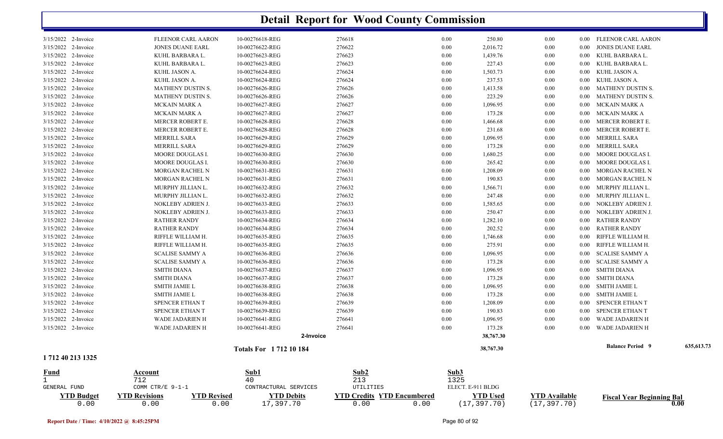|                             |                                            |                             | <b>Detail Report for Wood County Commission</b> |      |      |                   |                      |          |                                  |            |
|-----------------------------|--------------------------------------------|-----------------------------|-------------------------------------------------|------|------|-------------------|----------------------|----------|----------------------------------|------------|
| 3/15/2022 2-Invoice         | FLEENOR CARL AARON                         | 10-00276618-REG             | 276618                                          |      | 0.00 | 250.80            | 0.00                 |          | 0.00 FLEENOR CARL AARON          |            |
| 3/15/2022 2-Invoice         | <b>JONES DUANE EARL</b>                    | 10-00276622-REG             | 276622                                          |      | 0.00 | 2,016.72          | 0.00                 | $0.00\,$ | <b>JONES DUANE EARL</b>          |            |
| 3/15/2022 2-Invoice         | KUHL BARBARA L.                            | 10-00276623-REG             | 276623                                          |      | 0.00 | 1,439.76          | 0.00                 | 0.00     | KUHL BARBARA L.                  |            |
| 3/15/2022 2-Invoice         | KUHL BARBARA L.                            | 10-00276623-REG             | 276623                                          |      | 0.00 | 227.43            | 0.00                 | 0.00     | KUHL BARBARA L.                  |            |
| 3/15/2022 2-Invoice         | KUHL JASON A.                              | 10-00276624-REG             | 276624                                          |      | 0.00 | 1,503.73          | 0.00                 | $0.00\,$ | KUHL JASON A.                    |            |
| 3/15/2022 2-Invoice         | KUHL JASON A.                              | 10-00276624-REG             | 276624                                          |      | 0.00 | 237.53            | 0.00                 | $0.00\,$ | KUHL JASON A.                    |            |
| 3/15/2022 2-Invoice         | MATHENY DUSTIN S.                          | 10-00276626-REG             | 276626                                          |      | 0.00 | 1,413.58          | 0.00                 | 0.00     | MATHENY DUSTIN S.                |            |
| 3/15/2022 2-Invoice         | <b>MATHENY DUSTIN S.</b>                   | 10-00276626-REG             | 276626                                          |      | 0.00 | 223.29            | 0.00                 | 0.00     | MATHENY DUSTIN S.                |            |
| 3/15/2022 2-Invoice         | <b>MCKAIN MARK A</b>                       | 10-00276627-REG             | 276627                                          |      | 0.00 | 1,096.95          | 0.00                 | $0.00\,$ | MCKAIN MARK A                    |            |
| 3/15/2022 2-Invoice         | MCKAIN MARK A                              | 10-00276627-REG             | 276627                                          |      | 0.00 | 173.28            | 0.00                 | $0.00\,$ | MCKAIN MARK A                    |            |
| 3/15/2022 2-Invoice         | MERCER ROBERT E.                           | 10-00276628-REG             | 276628                                          |      | 0.00 | 1,466.68          | 0.00                 | $0.00\,$ | MERCER ROBERT E.                 |            |
| 3/15/2022 2-Invoice         | MERCER ROBERT E.                           | 10-00276628-REG             | 276628                                          |      | 0.00 | 231.68            | 0.00                 | $0.00\,$ | MERCER ROBERT E.                 |            |
| 3/15/2022 2-Invoice         | MERRILL SARA                               | 10-00276629-REG             | 276629                                          |      | 0.00 | 1,096.95          | 0.00                 | $0.00\,$ | MERRILL SARA                     |            |
| 3/15/2022 2-Invoice         | MERRILL SARA                               | 10-00276629-REG             | 276629                                          |      | 0.00 | 173.28            | 0.00                 | 0.00     | MERRILL SARA                     |            |
| 3/15/2022 2-Invoice         | MOORE DOUGLAS I.                           | 10-00276630-REG             | 276630                                          |      | 0.00 | 1,680.25          | 0.00                 | 0.00     | MOORE DOUGLAS I.                 |            |
| 3/15/2022 2-Invoice         | MOORE DOUGLAS I.                           | 10-00276630-REG             | 276630                                          |      | 0.00 | 265.42            | 0.00                 | 0.00     | MOORE DOUGLAS I.                 |            |
| 3/15/2022 2-Invoice         | MORGAN RACHEL N                            | 10-00276631-REG             | 276631                                          |      | 0.00 | 1,208.09          | $0.00\,$             | $0.00\,$ | <b>MORGAN RACHEL N</b>           |            |
| 3/15/2022 2-Invoice         | MORGAN RACHEL N                            | 10-00276631-REG             | 276631                                          |      | 0.00 | 190.83            | 0.00                 | 0.00     | MORGAN RACHEL N                  |            |
| 3/15/2022 2-Invoice         | MURPHY JILLIAN L.                          | 10-00276632-REG             | 276632                                          |      | 0.00 | 1,566.71          | 0.00                 | 0.00     | MURPHY JILLIAN L.                |            |
| 3/15/2022 2-Invoice         | MURPHY JILLIAN L.                          | 10-00276632-REG             | 276632                                          |      | 0.00 | 247.48            | 0.00                 | $0.00\,$ | MURPHY JILLIAN L.                |            |
| 3/15/2022 2-Invoice         | NOKLEBY ADRIEN J.                          | 10-00276633-REG             | 276633                                          |      | 0.00 | 1,585.65          | 0.00                 | $0.00\,$ | NOKLEBY ADRIEN J.                |            |
| 3/15/2022 2-Invoice         | NOKLEBY ADRIEN J.                          | 10-00276633-REG             | 276633                                          |      | 0.00 | 250.47            | 0.00                 | $0.00\,$ | NOKLEBY ADRIEN J.                |            |
| 3/15/2022 2-Invoice         | <b>RATHER RANDY</b>                        | 10-00276634-REG             | 276634                                          |      | 0.00 | 1,282.10          | 0.00                 | $0.00\,$ | <b>RATHER RANDY</b>              |            |
| 3/15/2022 2-Invoice         | <b>RATHER RANDY</b>                        | 10-00276634-REG             | 276634                                          |      | 0.00 | 202.52            | 0.00                 | $0.00\,$ | <b>RATHER RANDY</b>              |            |
| 3/15/2022 2-Invoice         | RIFFLE WILLIAM H.                          | 10-00276635-REG             | 276635                                          |      | 0.00 | 1,746.68          | 0.00                 | 0.00     | RIFFLE WILLIAM H.                |            |
| 3/15/2022 2-Invoice         | RIFFLE WILLIAM H.                          | 10-00276635-REG             | 276635                                          |      | 0.00 | 275.91            | 0.00                 | 0.00     | RIFFLE WILLIAM H                 |            |
| 3/15/2022 2-Invoice         | <b>SCALISE SAMMY A</b>                     | 10-00276636-REG             | 276636                                          |      | 0.00 | 1,096.95          | 0.00                 | 0.00     | <b>SCALISE SAMMY A</b>           |            |
| 3/15/2022 2-Invoice         | <b>SCALISE SAMMY A</b>                     | 10-00276636-REG             | 276636                                          |      | 0.00 | 173.28            | 0.00                 | $0.00\,$ | SCALISE SAMMY A                  |            |
| 3/15/2022 2-Invoice         | <b>SMITH DIANA</b>                         | 10-00276637-REG             | 276637                                          |      | 0.00 | 1,096.95          | 0.00                 | $0.00\,$ | <b>SMITH DIANA</b>               |            |
| 3/15/2022 2-Invoice         | <b>SMITH DIANA</b>                         | 10-00276637-REG             | 276637                                          |      | 0.00 | 173.28            | 0.00                 | $0.00\,$ | <b>SMITH DIANA</b>               |            |
| 3/15/2022 2-Invoice         | <b>SMITH JAMIE L</b>                       | 10-00276638-REG             | 276638                                          |      | 0.00 | 1,096.95          | 0.00                 | $0.00\,$ | <b>SMITH JAMIE L</b>             |            |
| 3/15/2022 2-Invoice         | <b>SMITH JAMIE L</b>                       | 10-00276638-REG             | 276638                                          |      | 0.00 | 173.28            | 0.00                 | $0.00\,$ | <b>SMITH JAMIE L</b>             |            |
| 3/15/2022 2-Invoice         | SPENCER ETHAN T                            | 10-00276639-REG             | 276639                                          |      | 0.00 | 1,208.09          | 0.00                 | $0.00\,$ | SPENCER ETHAN T                  |            |
| 3/15/2022 2-Invoice         | SPENCER ETHAN T                            | 10-00276639-REG             | 276639                                          |      | 0.00 | 190.83            | 0.00                 | 0.00     | SPENCER ETHAN T                  |            |
| 3/15/2022 2-Invoice         | WADE JADARIEN H                            | 10-00276641-REG             | 276641                                          |      | 0.00 | 1,096.95          | 0.00                 | 0.00     | WADE JADARIEN H                  |            |
| 3/15/2022 2-Invoice         | WADE JADARIEN H                            | 10-00276641-REG             | 276641                                          |      | 0.00 | 173.28            | 0.00                 | $0.00\,$ | WADE JADARIEN H                  |            |
|                             |                                            | 2-Invoice                   |                                                 |      |      | 38,767.30         |                      |          |                                  |            |
|                             |                                            |                             |                                                 |      |      |                   |                      |          | <b>Balance Period 9</b>          | 635,613.73 |
| 1 712 40 213 1325           |                                            | <b>Totals For 171210184</b> |                                                 |      |      | 38,767.30         |                      |          |                                  |            |
|                             |                                            | Sub1                        | Sub2                                            |      | Sub3 |                   |                      |          |                                  |            |
| <b>Fund</b><br>$\mathbf{1}$ | <b>Account</b><br>712                      | 40                          | 213                                             |      | 1325 |                   |                      |          |                                  |            |
| GENERAL FUND                | COMM CTR/E 9-1-1                           | CONTRACTURAL SERVICES       | UTILITIES                                       |      |      | ELECT. E-911 BLDG |                      |          |                                  |            |
| <b>YTD Budget</b>           | <b>YTD Revisions</b><br><b>YTD Revised</b> | <b>YTD Debits</b>           | <b>YTD Credits YTD Encumbered</b>               |      |      | <b>YTD Used</b>   | <b>YTD Available</b> |          |                                  |            |
| 0.00                        | 0.00<br>0.00                               | 17,397.70                   | 0.00                                            | 0.00 |      | (17, 397.70)      | (17, 397.70)         |          | <b>Fiscal Year Beginning Bal</b> | 0.00       |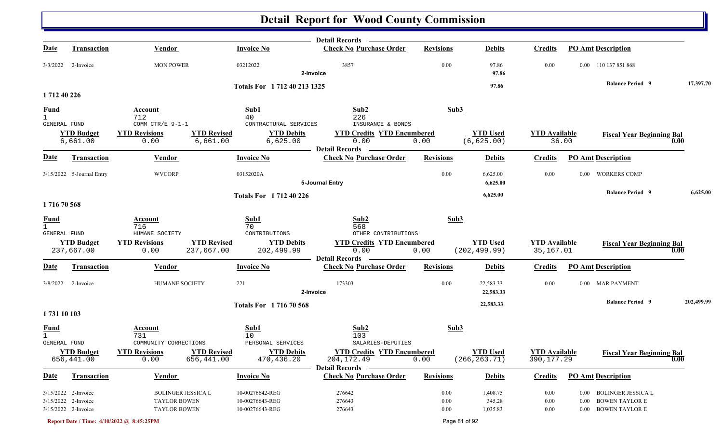|                     |                                 |                                               |                                                              | Detail Records <b>Constant</b>                          |                  |                                  |                                   |                                   |                   |
|---------------------|---------------------------------|-----------------------------------------------|--------------------------------------------------------------|---------------------------------------------------------|------------------|----------------------------------|-----------------------------------|-----------------------------------|-------------------|
| <u>Date</u>         | <b>Transaction</b>              | <b>Vendor</b>                                 | <b>Invoice No</b>                                            | <b>Check No Purchase Order</b>                          | <b>Revisions</b> | <b>Debits</b>                    | <b>Credits</b>                    | <b>PO Amt Description</b>         |                   |
| 3/3/2022            | 2-Invoice                       | <b>MON POWER</b>                              | 03212022                                                     | 3857<br>2-Invoice                                       | 0.00             | 97.86<br>97.86                   | 0.00                              | 0.00 110 137 851 868              |                   |
|                     |                                 |                                               | Totals For 1712 40 213 1325                                  |                                                         |                  | 97.86                            |                                   | <b>Balance Period 9</b>           | 17,397.70         |
| 1712 40 226         |                                 |                                               |                                                              |                                                         |                  |                                  |                                   |                                   |                   |
| <u>Fund</u>         |                                 | <b>Account</b>                                | Sub1                                                         | Sub2                                                    | Sub3             |                                  |                                   |                                   |                   |
| GENERAL FUND        |                                 | 712<br>COMM CTR/E 9-1-1                       | 40<br>CONTRACTURAL SERVICES                                  | 226<br>INSURANCE & BONDS                                |                  |                                  |                                   |                                   |                   |
|                     | <b>YTD Budget</b>               | <b>YTD Revisions</b>                          | <b>YTD Debits</b><br><b>YTD Revised</b>                      | <b>YTD Credits YTD Encumbered</b>                       |                  | <b>YTD Used</b>                  | <b>YTD</b> Available              | <b>Fiscal Year Beginning Bal</b>  |                   |
|                     | 6,661.00                        | 0.00                                          | 6,661.00<br>6,625.00                                         | 0.00                                                    | 0.00             | (6, 625.00)                      |                                   | 36.00                             | 0.00              |
| <b>Date</b>         | <b>Transaction</b>              | Vendor                                        | <b>Invoice No</b>                                            | <b>Detail Records</b><br><b>Check No Purchase Order</b> | <b>Revisions</b> | <b>Debits</b>                    | <b>Credits</b>                    | <b>PO Amt Description</b>         |                   |
|                     | 3/15/2022 5-Journal Entry       | <b>WVCORP</b>                                 | 03152020A                                                    |                                                         | 0.00             | 6,625.00                         | 0.00                              | <b>WORKERS COMP</b><br>0.00       |                   |
|                     |                                 |                                               |                                                              | 5-Journal Entry                                         |                  | 6,625.00                         |                                   |                                   |                   |
| 171670568           |                                 |                                               | <b>Totals For 1712 40 226</b>                                |                                                         |                  | 6,625.00                         |                                   | <b>Balance Period 9</b>           | 6,625.00          |
|                     |                                 |                                               |                                                              |                                                         |                  |                                  |                                   |                                   |                   |
| $\frac{Fund}{1}$    |                                 | Account<br>716                                | Sub1<br>70                                                   | Sub2<br>568                                             | Sub3             |                                  |                                   |                                   |                   |
| <b>GENERAL FUND</b> |                                 | HUMANE SOCIETY                                | CONTRIBUTIONS                                                | OTHER CONTRIBUTIONS                                     |                  |                                  |                                   |                                   |                   |
|                     | <b>YTD Budget</b><br>237,667.00 | <b>YTD Revisions</b><br>237,667.00<br>0.00    | <b>YTD Revised</b><br><b>YTD Debits</b><br>202,499.99        | <b>YTD Credits YTD Encumbered</b><br>0.00               | 0.00             | <b>YTD Used</b><br>(202, 499.99) | <b>YTD Available</b><br>35,167.01 | <b>Fiscal Year Beginning Bal</b>  | 0.00              |
|                     |                                 |                                               |                                                              | <b>Detail Records</b>                                   |                  |                                  |                                   |                                   |                   |
| <b>Date</b>         | <b>Transaction</b>              | Vendor                                        | <b>Invoice No</b>                                            | <b>Check No Purchase Order</b>                          | <b>Revisions</b> | <b>Debits</b>                    | <b>Credits</b>                    | <b>PO Amt Description</b>         |                   |
| 3/8/2022            | 2-Invoice                       | <b>HUMANE SOCIETY</b>                         | 221                                                          | 173303<br>2-Invoice                                     | 0.00             | 22,583.33<br>22,583.33           | 0.00                              | 0.00 MAR PAYMENT                  |                   |
|                     |                                 |                                               | <b>Totals For 171670568</b>                                  |                                                         |                  | 22,583.33                        |                                   | <b>Balance Period 9</b>           | 202,499.99        |
| 1731 10 103         |                                 |                                               |                                                              |                                                         |                  |                                  |                                   |                                   |                   |
|                     |                                 | Account                                       | Sub1                                                         | Sub2                                                    | Sub3             |                                  |                                   |                                   |                   |
| $\frac{Fund}{1}$    |                                 | 731                                           | 10                                                           | 103                                                     |                  |                                  |                                   |                                   |                   |
| GENERAL FUND        | <b>YTD Budget</b>               | COMMUNITY CORRECTIONS<br><b>YTD Revisions</b> | PERSONAL SERVICES<br><b>YTD Debits</b><br><b>YTD Revised</b> | SALARIES-DEPUTIES<br><b>YTD Credits YTD Encumbered</b>  |                  | <b>YTD Used</b>                  | <b>YTD Available</b>              |                                   |                   |
|                     | 656,441.00                      | 656,441.00<br>0.00                            | 470,436.20                                                   | 204,172.49                                              | 0.00             | (266, 263.71)                    | 390, 177.29                       | <b>Fiscal Year Beginning Bal</b>  | $\overline{0.00}$ |
|                     |                                 |                                               |                                                              | <b>Detail Records</b>                                   |                  |                                  |                                   |                                   |                   |
| <u>Date</u>         | <b>Transaction</b>              | Vendor                                        | <b>Invoice No</b>                                            | <b>Check No Purchase Order</b>                          | <b>Revisions</b> | <b>Debits</b>                    | <b>Credits</b>                    | <b>PO Amt Description</b>         |                   |
|                     | 3/15/2022 2-Invoice             | <b>BOLINGER JESSICA L</b>                     | 10-00276642-REG                                              | 276642                                                  | 0.00             | 1,408.75                         | $0.00\,$                          | BOLINGER JESSICA L<br>$0.00\,$    |                   |
|                     | 3/15/2022 2-Invoice             | TAYLOR BOWEN                                  | 10-00276643-REG                                              | 276643                                                  | 0.00             | 345.28                           | $0.00\,$                          | <b>BOWEN TAYLOR E</b><br>$0.00\,$ |                   |
|                     | 3/15/2022 2-Invoice             | <b>TAYLOR BOWEN</b>                           | 10-00276643-REG                                              | 276643                                                  | 0.00             | 1,035.83                         | 0.00                              | 0.00 BOWEN TAYLOR E               |                   |
|                     |                                 | Report Date / Time: 4/10/2022 @ 8:45:25PM     |                                                              |                                                         | Page 81 of 92    |                                  |                                   |                                   |                   |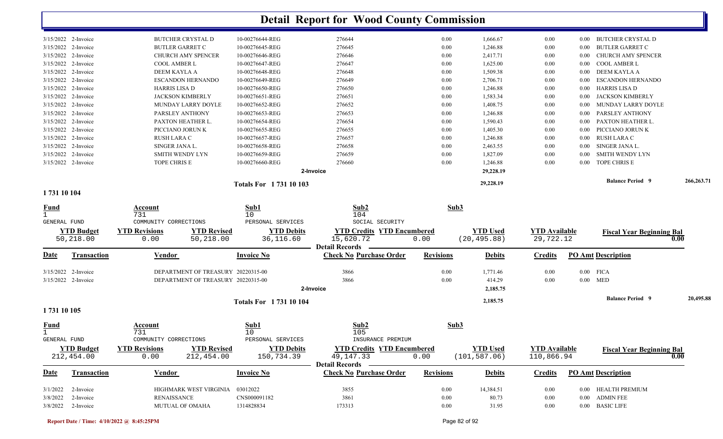|                       |                          |                 |        |                                          | 29,228.19 |                            |      | <b>Balance Period 9</b>   | 266,263.71 |
|-----------------------|--------------------------|-----------------|--------|------------------------------------------|-----------|----------------------------|------|---------------------------|------------|
|                       |                          |                 |        |                                          | 29,228.19 |                            |      |                           |            |
| $3/15/2022$ 2-Invoice | TOPE CHRIS E             | 10-00276660-REG | 276660 | 0.00                                     | 1,246.88  | 0.00                       | 0.00 | TOPE CHRIS E              |            |
| 3/15/2022 2-Invoice   | SMITH WENDY LYN          | 10-00276659-REG | 276659 | 0.00                                     | 1,827.09  | 0.00                       | 0.00 | SMITH WENDY LYN           |            |
| 3/15/2022 2-Invoice   | SINGER JANA L.           | 10-00276658-REG | 276658 | 0.00                                     | 2,463.55  | 0.00                       | 0.00 | SINGER JANA L.            |            |
| 3/15/2022 2-Invoice   | RUSH LARA C              | 10-00276657-REG | 276657 | 0.00                                     | 1,246.88  | 0.00                       | 0.00 | RUSH LARA C               |            |
| 3/15/2022 2-Invoice   | PICCIANO JORUN K         | 10-00276655-REG | 276655 | 0.00                                     | 1,405.30  | 0.00                       | 0.00 | PICCIANO JORUN K          |            |
| 3/15/2022 2-Invoice   | PAXTON HEATHER L.        | 10-00276654-REG | 276654 | 0.00                                     | 1,590.43  | 0.00                       | 0.00 | PAXTON HEATHER L.         |            |
| 3/15/2022 2-Invoice   | PARSLEY ANTHONY          | 10-00276653-REG | 276653 | 0.00                                     | 1,246.88  | 0.00                       | 0.00 | PARSLEY ANTHONY           |            |
| 3/15/2022 2-Invoice   | MUNDAY LARRY DOYLE       | 10-00276652-REG | 276652 | 0.00                                     | 1,408.75  | 0.00                       | 0.00 | MUNDAY LARRY DOYLE        |            |
| 3/15/2022 2-Invoice   | <b>JACKSON KIMBERLY</b>  | 10-00276651-REG | 276651 | 0.00                                     | 1,583.34  | 0.00                       | 0.00 | <b>JACKSON KIMBERLY</b>   |            |
| 3/15/2022 2-Invoice   | HARRIS LISA D            | 10-00276650-REG | 276650 | 0.00                                     | 1,246.88  | 0.00                       | 0.00 | HARRIS LISA D             |            |
| 3/15/2022 2-Invoice   | <b>ESCANDON HERNANDO</b> | 10-00276649-REG | 276649 | 0.00                                     | 2,706.71  | 0.00                       | 0.00 | <b>ESCANDON HERNANDO</b>  |            |
| 3/15/2022 2-Invoice   | DEEM KAYLA A             | 10-00276648-REG | 276648 | 0.00                                     | 1,509.38  | 0.00                       | 0.00 | DEEM KAYLA A              |            |
| 3/15/2022 2-Invoice   | <b>COOL AMBER L</b>      | 10-00276647-REG | 276647 | 0.00                                     | 1,625.00  | 0.00                       | 0.00 | COOL AMBER L              |            |
| 3/15/2022 2-Invoice   | CHURCH AMY SPENCER       | 10-00276646-REG | 276646 | 0.00                                     | 2,417.71  | 0.00                       | 0.00 | <b>CHURCH AMY SPENCER</b> |            |
| 3/15/2022 2-Invoice   | <b>BUTLER GARRET C</b>   | 10-00276645-REG | 276645 | 0.00                                     | 1,246.88  | 0.00                       | 0.00 | BUTLER GARRET C           |            |
| 3/15/2022 2-Invoice   | <b>BUTCHER CRYSTAL D</b> | 10-00276644-REG |        |                                          |           | 0.00                       | 0.00 | <b>BUTCHER CRYSTAL D</b>  |            |
|                       |                          |                 |        | 2-Invoice<br><b>Totals For 173110103</b> |           | 276644<br>0.00<br>1,666.67 |      |                           |            |

#### **1 731 10 104**

| <b>Fund</b>                        |                                     | Account<br>731                                        |                                                                          | Sub1<br>10                                          | Sub2<br>104                                                                                | Sub3                 |                                  |                                    |                                                                                            |           |
|------------------------------------|-------------------------------------|-------------------------------------------------------|--------------------------------------------------------------------------|-----------------------------------------------------|--------------------------------------------------------------------------------------------|----------------------|----------------------------------|------------------------------------|--------------------------------------------------------------------------------------------|-----------|
| <b>GENERAL FUND</b>                | <b>YTD Budget</b><br>50,218.00      | COMMUNITY CORRECTIONS<br><b>YTD Revisions</b><br>0.00 | <b>YTD Revised</b><br>50,218.00                                          | PERSONAL SERVICES<br><b>YTD Debits</b><br>36,116.60 | SOCIAL SECURITY<br><b>YTD Credits YTD Encumbered</b><br>15,620.72<br><b>Detail Records</b> | 0.00                 | <b>YTD Used</b><br>(20, 495.88)  | <b>YTD Available</b><br>29,722.12  | <b>Fiscal Year Beginning Bal</b>                                                           | 0.00      |
| Date                               | <b>Transaction</b>                  | Vendor                                                |                                                                          | <b>Invoice No</b>                                   | <b>Check No Purchase Order</b>                                                             | <b>Revisions</b>     | <b>Debits</b>                    | <b>Credits</b>                     | <b>PO Amt Description</b>                                                                  |           |
| 3/15/2022                          | 2-Invoice<br>3/15/2022 2-Invoice    |                                                       | DEPARTMENT OF TREASURY 20220315-00<br>DEPARTMENT OF TREASURY 20220315-00 |                                                     | 3866<br>3866<br>2-Invoice                                                                  | 0.00<br>0.00         | 1,771.46<br>414.29<br>2,185.75   | 0.00<br>0.00                       | $0.00$ FICA<br>MED<br>$0.00\,$                                                             |           |
| 1731 10 105                        |                                     |                                                       |                                                                          | <b>Totals For 173110104</b>                         |                                                                                            |                      | 2,185.75                         |                                    | <b>Balance Period 9</b>                                                                    | 20,495.88 |
| <b>Fund</b><br><b>GENERAL FUND</b> |                                     | Account<br>731<br>COMMUNITY CORRECTIONS               |                                                                          | Sub1<br>10<br>PERSONAL SERVICES                     | Sub2<br>105<br>INSURANCE PREMIUM                                                           | Sub3                 |                                  |                                    |                                                                                            |           |
|                                    | <b>YTD Budget</b><br>212,454.00     | <b>YTD Revisions</b><br>0.00                          | <b>YTD Revised</b><br>212,454.00                                         | <b>YTD Debits</b><br>150,734.39                     | <b>YTD Credits YTD Encumbered</b><br>49, 147. 33<br><b>Detail Records</b>                  | 0.00                 | <b>YTD Used</b><br>(101, 587.06) | <b>YTD</b> Available<br>110,866.94 | <b>Fiscal Year Beginning Bal</b>                                                           | 0.00      |
| <u>Date</u>                        | <b>Transaction</b>                  | <u>Vendor</u>                                         |                                                                          | <b>Invoice No</b>                                   | <b>Check No Purchase Order</b>                                                             | <b>Revisions</b>     | <b>Debits</b>                    | <b>Credits</b>                     | <b>PO Amt Description</b>                                                                  |           |
| 3/1/2022<br>3/8/2022<br>3/8/2022   | 2-Invoice<br>2-Invoice<br>2-Invoice | <b>RENAISSANCE</b><br><b>MUTUAL OF OMAHA</b>          | <b>HIGHMARK WEST VIRGINIA</b>                                            | 03012022<br>CNS000091182<br>1314828834              | 3855<br>3861<br>173313                                                                     | 0.00<br>0.00<br>0.00 | 14,384.51<br>80.73<br>31.95      | 0.00<br>0.00<br>0.00               | <b>HEALTH PREMIUM</b><br>0.00<br><b>ADMIN FEE</b><br>0.00<br><b>BASIC LIFE</b><br>$0.00\,$ |           |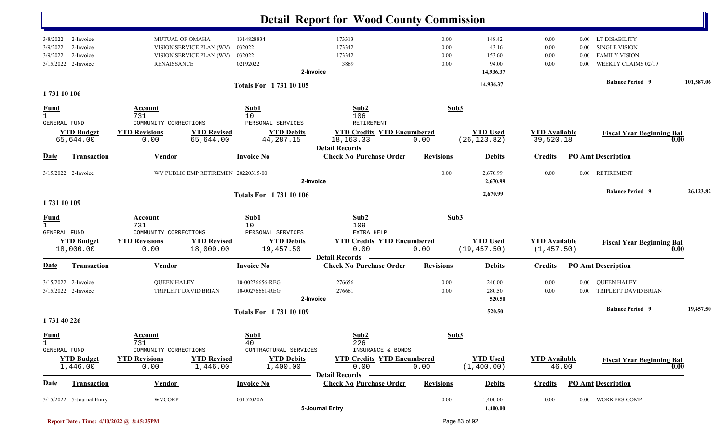|                                             |                                                            |                                                                                                      |                                                                      | <b>Detail Report for Wood County Commission</b>                           |                              |                                                              |                                     |                                  |                                                                                                                      |            |
|---------------------------------------------|------------------------------------------------------------|------------------------------------------------------------------------------------------------------|----------------------------------------------------------------------|---------------------------------------------------------------------------|------------------------------|--------------------------------------------------------------|-------------------------------------|----------------------------------|----------------------------------------------------------------------------------------------------------------------|------------|
| 3/8/2022<br>3/9/2022<br>3/9/2022            | 2-Invoice<br>2-Invoice<br>2-Invoice<br>3/15/2022 2-Invoice | <b>MUTUAL OF OMAHA</b><br>VISION SERVICE PLAN (WV)<br>VISION SERVICE PLAN (WV)<br><b>RENAISSANCE</b> | 1314828834<br>032022<br>032022<br>02192022<br>Totals For 1731 10 105 | 173313<br>173342<br>173342<br>3869<br>2-Invoice                           | 0.00<br>0.00<br>0.00<br>0.00 | 148.42<br>43.16<br>153.60<br>94.00<br>14,936.37<br>14,936.37 | 0.00<br>0.00<br>0.00<br>0.00        | $0.00\,$<br>$0.00\,$<br>$0.00\,$ | 0.00 LT DISABILITY<br><b>SINGLE VISION</b><br><b>FAMILY VISION</b><br>WEEKLY CLAIMS 02/19<br><b>Balance Period 9</b> | 101,587.06 |
| 1731 10 106                                 |                                                            |                                                                                                      |                                                                      |                                                                           |                              |                                                              |                                     |                                  |                                                                                                                      |            |
| $\frac{Fund}{1}$<br>GENERAL FUND            |                                                            | Account<br>731<br>COMMUNITY CORRECTIONS                                                              | Sub1<br>10<br>PERSONAL SERVICES                                      | Sub2<br>106<br>RETIREMENT                                                 | Sub3                         |                                                              |                                     |                                  |                                                                                                                      |            |
|                                             | <b>YTD Budget</b><br>65,644.00                             | <b>YTD Revisions</b><br><b>YTD Revised</b><br>65,644.00<br>0.00                                      | <b>YTD Debits</b><br>44,287.15                                       | <b>YTD Credits YTD Encumbered</b><br>18, 163. 33<br><b>Detail Records</b> | 0.00                         | <b>YTD Used</b><br>(26, 123.82)                              | <b>YTD</b> Available<br>39,520.18   |                                  | <b>Fiscal Year Beginning Bal</b><br>0.00                                                                             |            |
| Date                                        | <b>Transaction</b>                                         | <b>Vendor</b>                                                                                        | <b>Invoice No</b>                                                    | <b>Check No Purchase Order</b>                                            | <b>Revisions</b>             | <b>Debits</b>                                                | <b>Credits</b>                      |                                  | <b>PO Amt Description</b>                                                                                            |            |
|                                             | 3/15/2022 2-Invoice                                        | WV PUBLIC EMP RETIREMEN 20220315-00                                                                  |                                                                      | 2-Invoice                                                                 | 0.00                         | 2,670.99<br>2,670.99                                         | 0.00                                | $0.00\,$                         | <b>RETIREMENT</b>                                                                                                    |            |
| 1731 10 109                                 |                                                            |                                                                                                      | <b>Totals For 173110106</b>                                          |                                                                           |                              | 2,670.99                                                     |                                     |                                  | <b>Balance Period 9</b>                                                                                              | 26,123.82  |
| <b>Fund</b><br>$\mathbf{1}$<br>GENERAL FUND |                                                            | Account<br>731<br>COMMUNITY CORRECTIONS                                                              | Sub1<br>10<br>PERSONAL SERVICES                                      | Sub2<br>109<br>EXTRA HELP                                                 | Sub3                         |                                                              |                                     |                                  |                                                                                                                      |            |
|                                             | <b>YTD Budget</b><br>18,000.00                             | <b>YTD Revisions</b><br><b>YTD Revised</b><br>18,000.00<br>0.00                                      | <b>YTD Debits</b><br>19,457.50                                       | <b>YTD Credits YTD Encumbered</b><br>0.00<br><b>Detail Records</b>        | 0.00                         | <b>YTD Used</b><br>(19, 457.50)                              | <b>YTD</b> Available<br>(1, 457.50) |                                  | <b>Fiscal Year Beginning Bal</b><br>0.00                                                                             |            |
| Date                                        | <b>Transaction</b>                                         | <b>Vendor</b>                                                                                        | <b>Invoice No</b>                                                    | <b>Check No Purchase Order</b>                                            | <b>Revisions</b>             | <b>Debits</b>                                                | <b>Credits</b>                      |                                  | <b>PO Amt Description</b>                                                                                            |            |
|                                             | 3/15/2022 2-Invoice<br>3/15/2022 2-Invoice                 | <b>QUEEN HALEY</b><br>TRIPLETT DAVID BRIAN                                                           | 10-00276656-REG<br>10-00276661-REG                                   | 276656<br>276661<br>2-Invoice                                             | 0.00<br>0.00                 | 240.00<br>280.50<br>520.50                                   | 0.00<br>$0.00\,$                    | $0.00\,$<br>$0.00\,$             | <b>QUEEN HALEY</b><br>TRIPLETT DAVID BRIAN                                                                           |            |
| 1731 40 226                                 |                                                            |                                                                                                      | <b>Totals For 173110109</b>                                          |                                                                           |                              | 520.50                                                       |                                     |                                  | <b>Balance Period 9</b>                                                                                              | 19,457.50  |
| <b>Fund</b><br>$\mathbf 1$<br>GENERAL FUND  |                                                            | Account<br>731<br>COMMUNITY CORRECTIONS                                                              | Sub1<br>40<br>CONTRACTURAL SERVICES                                  | Sub2<br>226<br>INSURANCE & BONDS                                          | Sub3                         |                                                              |                                     |                                  |                                                                                                                      |            |
|                                             | <b>YTD Budget</b><br>1,446.00                              | <b>YTD Revisions</b><br><b>YTD Revised</b><br>1,446.00<br>0.00                                       | <b>YTD Debits</b><br>1,400.00                                        | <b>YTD Credits YTD Encumbered</b><br>0.00<br><b>Detail Records</b>        | 0.00                         | <b>YTD Used</b><br>(1, 400.00)                               | <b>YTD Available</b><br>46.00       |                                  | <b>Fiscal Year Beginning Bal</b><br>$\overline{0.00}$                                                                |            |
| <b>Date</b>                                 | <b>Transaction</b>                                         | <b>Vendor</b>                                                                                        | <b>Invoice No</b>                                                    | <b>Check No Purchase Order</b>                                            | <b>Revisions</b>             | <b>Debits</b>                                                | <b>Credits</b>                      |                                  | <b>PO Amt Description</b>                                                                                            |            |
|                                             | 3/15/2022 5-Journal Entry                                  | <b>WVCORP</b>                                                                                        | 03152020A                                                            | 5-Journal Entry                                                           | $0.00\,$                     | 1,400.00<br>1,400.00                                         | $0.00\,$                            |                                  | 0.00 WORKERS COMP                                                                                                    |            |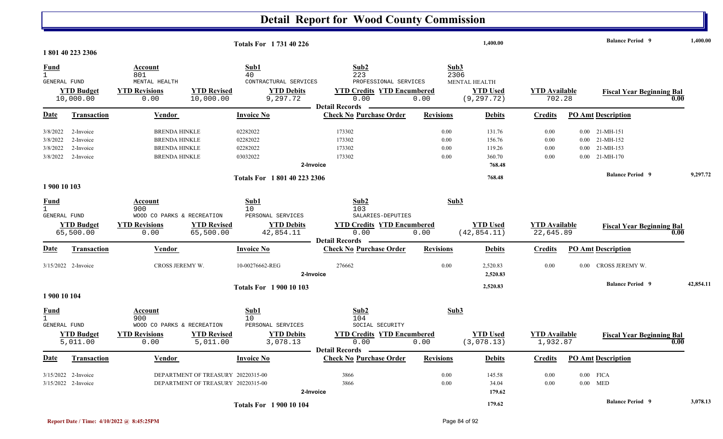|                              |                                            |                            | <b>Totals For 173140226</b>                                              |                                                         |                  | 1,400.00              |                      |          | <b>Balance Period 9</b>          | 1,400.00  |
|------------------------------|--------------------------------------------|----------------------------|--------------------------------------------------------------------------|---------------------------------------------------------|------------------|-----------------------|----------------------|----------|----------------------------------|-----------|
|                              | 1801402232306                              |                            |                                                                          |                                                         |                  |                       |                      |          |                                  |           |
| Fund                         |                                            | Account                    | Sub1                                                                     | Sub2                                                    |                  | Sub3                  |                      |          |                                  |           |
| $\mathbf{1}$<br>GENERAL FUND |                                            | 801<br>MENTAL HEALTH       | 40<br>CONTRACTURAL SERVICES                                              | 223<br>PROFESSIONAL SERVICES                            |                  | 2306<br>MENTAL HEALTH |                      |          |                                  |           |
|                              | <b>YTD Budget</b>                          | <b>YTD Revisions</b>       | <b>YTD Revised</b><br><b>YTD Debits</b>                                  | <b>YTD Credits YTD Encumbered</b>                       |                  | <b>YTD Used</b>       | <b>YTD</b> Available |          | <b>Fiscal Year Beginning Bal</b> |           |
|                              | 10,000.00                                  | 0.00                       | 10,000.00<br>9,297.72                                                    | 0.00                                                    | 0.00             | (9, 297.72)           | 702.28               |          |                                  | 0.00      |
|                              |                                            |                            |                                                                          | <b>Detail Records</b>                                   |                  |                       |                      |          |                                  |           |
| Date                         | <b>Transaction</b>                         | <b>Vendor</b>              | <b>Invoice No</b>                                                        | <b>Check No Purchase Order</b>                          | <b>Revisions</b> | <b>Debits</b>         | Credits              |          | <b>PO Amt Description</b>        |           |
| 3/8/2022                     | 2-Invoice                                  | <b>BRENDA HINKLE</b>       | 02282022                                                                 | 173302                                                  | 0.00             | 131.76                | 0.00                 |          | $0.00$ 21-MH-151                 |           |
| 3/8/2022                     | 2-Invoice                                  | <b>BRENDA HINKLE</b>       | 02282022                                                                 | 173302                                                  | 0.00             | 156.76                | 0.00                 |          | $0.00$ 21-MH-152                 |           |
| 3/8/2022                     | 2-Invoice                                  | <b>BRENDA HINKLE</b>       | 02282022                                                                 | 173302                                                  | 0.00             | 119.26                | 0.00                 | $0.00\,$ | 21-MH-153                        |           |
| 3/8/2022                     | 2-Invoice                                  | <b>BRENDA HINKLE</b>       | 03032022                                                                 | 173302                                                  | 0.00             | 360.70                | 0.00                 |          | $0.00$ 21-MH-170                 |           |
|                              |                                            |                            |                                                                          | 2-Invoice                                               |                  | 768.48                |                      |          |                                  |           |
|                              |                                            |                            | Totals For 1801 40 223 2306                                              |                                                         |                  | 768.48                |                      |          | <b>Balance Period 9</b>          | 9,297.72  |
| 1 900 10 103                 |                                            |                            |                                                                          |                                                         |                  |                       |                      |          |                                  |           |
| <u>Fund</u>                  |                                            | Account                    | <b>Sub1</b>                                                              | Sub2                                                    |                  | Sub3                  |                      |          |                                  |           |
| $\mathbf{1}$                 |                                            | 900                        | 10                                                                       | 103                                                     |                  |                       |                      |          |                                  |           |
| GENERAL FUND                 |                                            | WOOD CO PARKS & RECREATION | PERSONAL SERVICES                                                        | SALARIES-DEPUTIES                                       |                  |                       |                      |          |                                  |           |
|                              | <b>YTD Budget</b>                          | <b>YTD Revisions</b>       | <b>YTD Revised</b><br><b>YTD Debits</b>                                  | <b>YTD Credits YTD Encumbered</b>                       |                  | <b>YTD Used</b>       | <b>YTD Available</b> |          | <b>Fiscal Year Beginning Bal</b> |           |
|                              | 65,500.00                                  | 0.00                       | 65,500.00<br>42,854.11                                                   | 0.00                                                    | 0.00             | (42, 854.11)          | 22,645.89            |          |                                  | 0.00      |
| Date                         | <b>Transaction</b>                         | Vendor                     | <b>Invoice No</b>                                                        | <b>Detail Records</b><br><b>Check No Purchase Order</b> | <b>Revisions</b> | <b>Debits</b>         | <b>Credits</b>       |          | <b>PO Amt Description</b>        |           |
|                              |                                            |                            |                                                                          |                                                         |                  |                       |                      |          |                                  |           |
|                              | 3/15/2022 2-Invoice                        | CROSS JEREMY W.            | 10-00276662-REG                                                          | 276662                                                  | 0.00             | 2,520.83              | 0.00                 |          | 0.00 CROSS JEREMY W.             |           |
|                              |                                            |                            |                                                                          | 2-Invoice                                               |                  | 2,520.83              |                      |          |                                  |           |
|                              |                                            |                            | <b>Totals For 190010103</b>                                              |                                                         |                  | 2,520.83              |                      |          | <b>Balance Period 9</b>          | 42,854.11 |
| 1 900 10 104                 |                                            |                            |                                                                          |                                                         |                  |                       |                      |          |                                  |           |
| <b>Fund</b>                  |                                            | Account                    | Sub1                                                                     | Sub2                                                    |                  | Sub3                  |                      |          |                                  |           |
| $\overline{1}$               |                                            | 900                        | 10 <sup>°</sup>                                                          | 104                                                     |                  |                       |                      |          |                                  |           |
| GENERAL FUND                 |                                            | WOOD CO PARKS & RECREATION | PERSONAL SERVICES                                                        | SOCIAL SECURITY                                         |                  |                       |                      |          |                                  |           |
|                              | <b>YTD Budget</b>                          | <b>YTD Revisions</b>       | <b>YTD Revised</b><br><b>YTD Debits</b>                                  | <b>YTD Credits YTD Encumbered</b>                       |                  | <b>YTD Used</b>       | <b>YTD</b> Available |          | <b>Fiscal Year Beginning Bal</b> |           |
|                              | 5,011.00                                   | 0.00                       | 3,078.13<br>5,011.00                                                     | 0.00<br><b>Detail Records</b>                           | 0.00             | (3,078.13)            | 1,932.87             |          |                                  | 0.00      |
| Date                         | <b>Transaction</b>                         | Vendor                     | <b>Invoice No</b>                                                        | <b>Check No Purchase Order</b>                          | <b>Revisions</b> | <b>Debits</b>         | <b>Credits</b>       |          | <b>PO Amt Description</b>        |           |
|                              |                                            |                            |                                                                          |                                                         |                  |                       |                      |          |                                  |           |
|                              | 3/15/2022 2-Invoice<br>3/15/2022 2-Invoice |                            | DEPARTMENT OF TREASURY 20220315-00<br>DEPARTMENT OF TREASURY 20220315-00 | 3866<br>3866                                            | 0.00<br>0.00     | 145.58                | 0.00<br>0.00         |          | $0.00$ FICA<br>$0.00$ MED        |           |
|                              |                                            |                            |                                                                          | 2-Invoice                                               |                  | 34.04<br>179.62       |                      |          |                                  |           |
|                              |                                            |                            | <b>Totals For 190010104</b>                                              |                                                         |                  | 179.62                |                      |          | <b>Balance Period 9</b>          | 3,078.13  |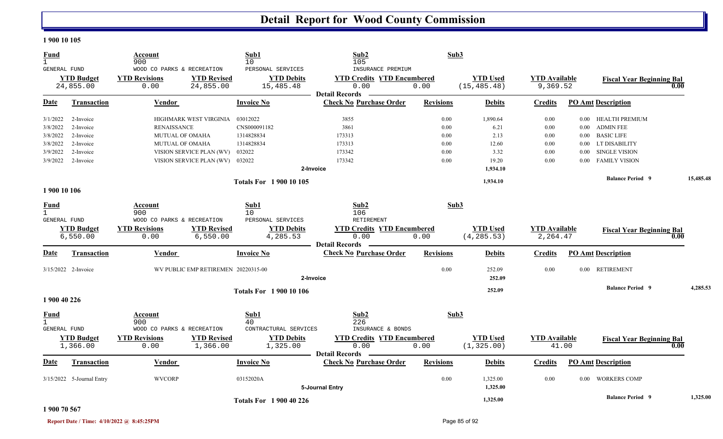#### **1 900 10 105**

| <b>Fund</b><br>$\mathbf{1}$<br><b>GENERAL FUND</b> |                               | Account<br>900<br>WOOD CO PARKS & RECREATION |                                     | Sub1<br>10<br>PERSONAL SERVICES | Sub2<br>105<br>INSURANCE PREMIUM                        | Sub3             |                                |                                  |          |                                  |           |
|----------------------------------------------------|-------------------------------|----------------------------------------------|-------------------------------------|---------------------------------|---------------------------------------------------------|------------------|--------------------------------|----------------------------------|----------|----------------------------------|-----------|
|                                                    | <b>YTD Budget</b>             | <b>YTD Revisions</b>                         | <b>YTD Revised</b>                  | <b>YTD Debits</b>               | <b>YTD Credits YTD Encumbered</b>                       |                  | <b>YTD Used</b>                | <b>YTD Available</b>             |          | <b>Fiscal Year Beginning Bal</b> |           |
|                                                    | 24,855.00                     | 0.00                                         | 24,855.00                           | 15,485.48                       | 0.00<br><b>Detail Records</b>                           | 0.00             | (15, 485.48)                   | 9,369.52                         |          |                                  | 0.00      |
| <b>Date</b>                                        | Transaction                   | Vendor                                       |                                     | Invoice No                      | <b>Check No Purchase Order</b>                          | <b>Revisions</b> | <b>Debits</b>                  | <b>Credits</b>                   |          | <b>PO Amt Description</b>        |           |
| 3/1/2022                                           | 2-Invoice                     |                                              | HIGHMARK WEST VIRGINIA              | 03012022                        | 3855                                                    | 0.00             | 1,890.64                       | 0.00                             |          | 0.00 HEALTH PREMIUM              |           |
| 3/8/2022                                           | 2-Invoice                     | <b>RENAISSANCE</b>                           |                                     | CNS000091182                    | 3861                                                    | 0.00             | 6.21                           | 0.00                             |          | 0.00 ADMIN FEE                   |           |
| 3/8/2022                                           | 2-Invoice                     | <b>MUTUAL OF OMAHA</b>                       |                                     | 1314828834                      | 173313                                                  | 0.00             | 2.13                           | $0.00\,$                         |          | 0.00 BASIC LIFE                  |           |
| 3/8/2022                                           | 2-Invoice                     | <b>MUTUAL OF OMAHA</b>                       |                                     | 1314828834                      | 173313                                                  | 0.00             | 12.60                          | $0.00\,$                         |          | 0.00 LT DISABILITY               |           |
| 3/9/2022                                           | 2-Invoice                     |                                              | VISION SERVICE PLAN (WV)            | 032022                          | 173342                                                  | 0.00             | 3.32                           | 0.00                             | $0.00\,$ | <b>SINGLE VISION</b>             |           |
| 3/9/2022                                           | 2-Invoice                     |                                              | VISION SERVICE PLAN (WV) 032022     |                                 | 173342                                                  | 0.00             | 19.20                          | 0.00                             |          | 0.00 FAMILY VISION               |           |
|                                                    |                               |                                              |                                     |                                 | 2-Invoice                                               |                  | 1,934.10                       |                                  |          |                                  |           |
|                                                    |                               |                                              |                                     | <b>Totals For 190010105</b>     |                                                         |                  | 1,934.10                       |                                  |          | <b>Balance Period 9</b>          | 15,485.48 |
| 1 900 10 106                                       |                               |                                              |                                     |                                 |                                                         |                  |                                |                                  |          |                                  |           |
| Fund<br>$\mathbf{1}$                               |                               | Account<br>900                               |                                     | Sub1<br>10                      | Sub2<br>106                                             |                  | Sub3                           |                                  |          |                                  |           |
| GENERAL FUND                                       |                               | WOOD CO PARKS & RECREATION                   |                                     | PERSONAL SERVICES               | RETIREMENT                                              |                  |                                |                                  |          |                                  |           |
|                                                    | <b>YTD Budget</b><br>6,550.00 | <b>YTD Revisions</b><br>0.00                 | <b>YTD Revised</b><br>6,550.00      | <b>YTD Debits</b><br>4,285.53   | <b>YTD Credits YTD Encumbered</b><br>0.00               | 0.00             | <b>YTD Used</b><br>(4, 285.53) | <b>YTD Available</b><br>2,264.47 |          | <b>Fiscal Year Beginning Bal</b> | 0.00      |
| Date                                               | <b>Transaction</b>            | <b>Vendor</b>                                |                                     | <b>Invoice No</b>               | <b>Detail Records</b><br><b>Check No Purchase Order</b> | <b>Revisions</b> | <b>Debits</b>                  | <b>Credits</b>                   |          | <b>PO Amt Description</b>        |           |
|                                                    | 3/15/2022 2-Invoice           |                                              | WV PUBLIC EMP RETIREMEN 20220315-00 |                                 |                                                         | 0.00             | 252.09                         | 0.00                             |          | 0.00 RETIREMENT                  |           |
|                                                    |                               |                                              |                                     |                                 | 2-Invoice                                               |                  | 252.09                         |                                  |          |                                  |           |
|                                                    |                               |                                              |                                     | <b>Totals For 1 900 10 106</b>  |                                                         |                  | 252.09                         |                                  |          | <b>Balance Period 9</b>          | 4,285.53  |
| 1 900 40 226                                       |                               |                                              |                                     |                                 |                                                         |                  |                                |                                  |          |                                  |           |
| <u>Fund</u><br>$\mathbf{1}$                        |                               | Account<br>900                               |                                     | Sub1<br>40                      | Sub2<br>226                                             | Sub3             |                                |                                  |          |                                  |           |
| <b>GENERAL FUND</b>                                |                               | WOOD CO PARKS & RECREATION                   |                                     | CONTRACTURAL SERVICES           | INSURANCE & BONDS                                       |                  |                                |                                  |          |                                  |           |
|                                                    | <b>YTD Budget</b><br>1,366.00 | <b>YTD Revisions</b><br>0.00                 | <b>YTD Revised</b><br>1,366.00      | <b>YTD Debits</b><br>1,325.00   | <b>YTD Credits YTD Encumbered</b><br>0.00               | 0.00             | <b>YTD Used</b><br>(1, 325.00) | <b>YTD</b> Available<br>41.00    |          | <b>Fiscal Year Beginning Bal</b> | 0.00      |
| Date                                               | <b>Transaction</b>            | Vendor                                       |                                     | <b>Invoice No</b>               | - Detail Records<br><b>Check No Purchase Order</b>      | <b>Revisions</b> | <b>Debits</b>                  | <b>Credits</b>                   |          | <b>PO Amt Description</b>        |           |
|                                                    |                               |                                              |                                     |                                 |                                                         |                  |                                |                                  |          |                                  |           |
|                                                    | 3/15/2022 5-Journal Entry     | <b>WVCORP</b>                                |                                     | 03152020A                       | 5-Journal Entry                                         | 0.00             | 1,325.00<br>1,325.00           | 0.00                             | $0.00\,$ | <b>WORKERS COMP</b>              |           |
|                                                    |                               |                                              |                                     | <b>Totals For 1 900 40 226</b>  |                                                         |                  | 1,325.00                       |                                  |          | <b>Balance Period 9</b>          | 1,325.00  |

#### **1 900 70 567**

**Report Date / Time: 4/10/2022 @ 8:45:25PM** Page 85 of 92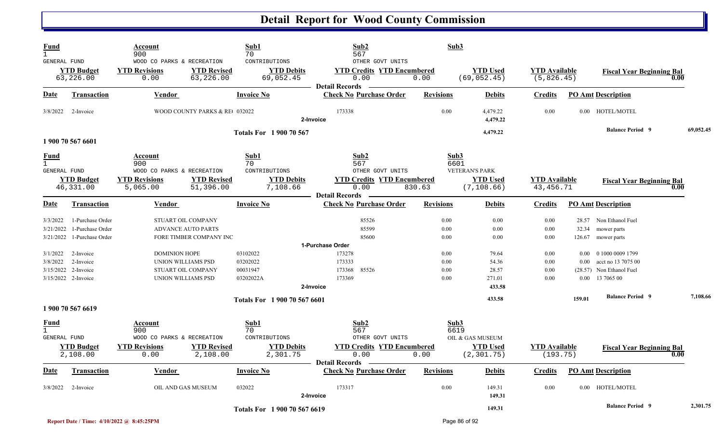| Fund<br>$\mathbf{1}$<br><b>GENERAL FUND</b>        |                                                            | Account<br>900<br>WOOD CO PARKS & RECREATION                     |                                                 | Sub1<br>70<br>CONTRIBUTIONS                   | Sub2<br>567<br>OTHER GOVT UNITS                                    | Sub3                         |                                   |                                     |                          |                                                                                  |      |           |
|----------------------------------------------------|------------------------------------------------------------|------------------------------------------------------------------|-------------------------------------------------|-----------------------------------------------|--------------------------------------------------------------------|------------------------------|-----------------------------------|-------------------------------------|--------------------------|----------------------------------------------------------------------------------|------|-----------|
|                                                    | <b>YTD Budget</b><br>63,226.00                             | <b>YTD Revisions</b><br>0.00                                     | <b>YTD Revised</b><br>63,226.00                 | <b>YTD Debits</b><br>69,052.45                | <b>YTD Credits YTD Encumbered</b><br>0.00<br><b>Detail Records</b> | 0.00                         | <b>YTD Used</b><br>(69, 052.45)   | <b>YTD</b> Available<br>(5, 826.45) |                          | <b>Fiscal Year Beginning Bal</b>                                                 | 0.00 |           |
| Date                                               | <b>Transaction</b>                                         | <u>Vendor</u>                                                    |                                                 | <b>Invoice No</b>                             | <b>Check No Purchase Order</b>                                     | <b>Revisions</b>             | <b>Debits</b>                     | <b>Credits</b>                      |                          | <b>PO Amt Description</b>                                                        |      |           |
| 3/8/2022                                           | 2-Invoice                                                  |                                                                  | WOOD COUNTY PARKS & RE 032022                   |                                               | 173338<br>2-Invoice                                                | 0.00                         | 4,479.22<br>4,479.22              | 0.00                                |                          | 0.00 HOTEL/MOTEL                                                                 |      |           |
|                                                    | 1 900 70 567 6601                                          |                                                                  |                                                 | <b>Totals For 1 900 70 567</b>                |                                                                    |                              | 4,479.22                          |                                     |                          | <b>Balance Period 9</b>                                                          |      | 69,052.45 |
| <u>Fund</u><br>$\mathbf{1}$<br><b>GENERAL FUND</b> |                                                            | Account<br>900<br>WOOD CO PARKS & RECREATION                     |                                                 | Sub1<br>70<br>CONTRIBUTIONS                   | Sub2<br>567<br>OTHER GOVT UNITS                                    | Sub3<br>6601                 | <b>VETERAN'S PARK</b>             |                                     |                          |                                                                                  |      |           |
|                                                    | <b>YTD Budget</b><br>46,331.00                             | <b>YTD Revisions</b><br>5,065.00                                 | <b>YTD Revised</b><br>51,396.00                 | <b>YTD Debits</b><br>7,108.66                 | <b>YTD Credits YTD Encumbered</b><br>0.00<br><b>Detail Records</b> | 830.63                       | <b>YTD Used</b><br>(7, 108.66)    | <b>YTD</b> Available<br>43, 456. 71 |                          | <b>Fiscal Year Beginning Bal</b>                                                 | 0.00 |           |
| Date                                               | <b>Transaction</b>                                         | <b>Vendor</b>                                                    |                                                 | <b>Invoice No</b>                             | <b>Check No Purchase Order</b>                                     | <b>Revisions</b>             | <b>Debits</b>                     | <b>Credits</b>                      |                          | <b>PO Amt Description</b>                                                        |      |           |
| 3/3/2022<br>3/21/2022                              | 1-Purchase Order<br>1-Purchase Order<br>1-Purchase Order   |                                                                  | STUART OIL COMPANY<br><b>ADVANCE AUTO PARTS</b> |                                               | 85526<br>85599<br>85600                                            | 0.00<br>0.00<br>0.00         | 0.00<br>0.00<br>0.00              | 0.00<br>0.00<br>0.00                | 28.57<br>32.34           | Non Ethanol Fuel<br>mower parts                                                  |      |           |
| 3/21/2022                                          |                                                            |                                                                  | FORE TIMBER COMPANY INC                         |                                               | 1-Purchase Order                                                   |                              |                                   |                                     | 126.67                   | mower parts                                                                      |      |           |
| 3/1/2022<br>3/8/2022<br>3/15/2022                  | 2-Invoice<br>2-Invoice<br>2-Invoice<br>3/15/2022 2-Invoice | <b>DOMINION HOPE</b><br>UNION WILLIAMS PSD<br>UNION WILLIAMS PSD | STUART OIL COMPANY                              | 03102022<br>03202022<br>00031947<br>03202022A | 173278<br>173333<br>173368<br>85526<br>173369                      | 0.00<br>0.00<br>0.00<br>0.00 | 79.64<br>54.36<br>28.57<br>271.01 | 0.00<br>0.00<br>0.00<br>0.00        | 0.00<br>0.00<br>$0.00\,$ | 0 1000 0009 1799<br>acct no 13 7075 00<br>(28.57) Non Ethanol Fuel<br>13 7065 00 |      |           |
|                                                    |                                                            |                                                                  |                                                 |                                               | 2-Invoice                                                          |                              | 433.58                            |                                     |                          |                                                                                  |      |           |
|                                                    |                                                            |                                                                  |                                                 | Totals For 1 900 70 567 6601                  |                                                                    |                              | 433.58                            |                                     | 159.01                   | <b>Balance Period</b> 9                                                          |      | 7,108.66  |
|                                                    | 1 900 70 567 6619                                          |                                                                  |                                                 |                                               |                                                                    |                              |                                   |                                     |                          |                                                                                  |      |           |
| Fund<br>$\mathbf{1}$<br>GENERAL FUND               |                                                            | Account<br>900<br>WOOD CO PARKS & RECREATION                     |                                                 | Sub1<br>70<br>CONTRIBUTIONS                   | Sub2<br>567<br>OTHER GOVT UNITS                                    | Sub3<br>6619                 | OIL & GAS MUSEUM                  |                                     |                          |                                                                                  |      |           |
|                                                    | <b>YTD Budget</b><br>2,108.00                              | <b>YTD Revisions</b><br>0.00                                     | <b>YTD Revised</b><br>2,108.00                  | <b>YTD Debits</b><br>2,301.75                 | <b>YTD Credits YTD Encumbered</b><br>0.00<br><b>Detail Records</b> | 0.00                         | <b>YTD</b> Used<br>(2, 301.75)    | <b>YTD</b> Available<br>(193.75)    |                          | <b>Fiscal Year Beginning Bal</b>                                                 | 0.00 |           |
| Date                                               | <b>Transaction</b>                                         | <b>Vendor</b>                                                    |                                                 | <b>Invoice No</b>                             | <b>Check No Purchase Order</b>                                     | <b>Revisions</b>             | <b>Debits</b>                     | <b>Credits</b>                      |                          | <b>PO Amt Description</b>                                                        |      |           |
| 3/8/2022                                           | 2-Invoice                                                  | OIL AND GAS MUSEUM                                               |                                                 | 032022                                        | 173317<br>2-Invoice                                                | 0.00                         | 149.31<br>149.31                  | 0.00                                |                          | 0.00 HOTEL/MOTEL                                                                 |      |           |
|                                                    |                                                            |                                                                  |                                                 | Totals For 1900 70 567 6619                   |                                                                    |                              | 149.31                            |                                     |                          | <b>Balance Period 9</b>                                                          |      | 2,301.75  |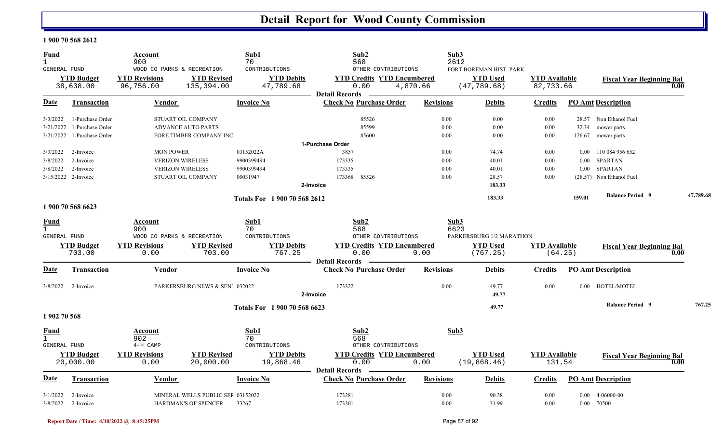#### **1 900 70 568 2612**

| <b>Fund</b><br>$\mathbf{1}$<br><b>GENERAL FUND</b> |                                | Account<br>900<br>WOOD CO PARKS & RECREATION |                                   | Sub1<br>70<br>CONTRIBUTIONS    | Sub2<br>568<br>OTHER CONTRIBUTIONS                                 |                  | Sub3<br>2612<br>FORT BOREMAN HIST. PARK |                                   |          |                                  |      |           |
|----------------------------------------------------|--------------------------------|----------------------------------------------|-----------------------------------|--------------------------------|--------------------------------------------------------------------|------------------|-----------------------------------------|-----------------------------------|----------|----------------------------------|------|-----------|
|                                                    | <b>YTD Budget</b><br>38,638.00 | <b>YTD Revisions</b><br>96,756.00            | <b>YTD Revised</b><br>135,394.00  | <b>YTD Debits</b><br>47,789.68 | <b>YTD Credits YTD Encumbered</b><br>0.00<br><b>Detail Records</b> | 4,870.66         | <b>YTD Used</b><br>(47, 789.68)         | <b>YTD Available</b><br>82,733.66 |          | <b>Fiscal Year Beginning Bal</b> | 0.00 |           |
| Date                                               | <b>Transaction</b>             | Vendor                                       |                                   | <b>Invoice No</b>              | <b>Check No Purchase Order</b>                                     | <b>Revisions</b> | <b>Debits</b>                           | <b>Credits</b>                    |          | <b>PO Amt Description</b>        |      |           |
| 3/3/2022                                           | 1-Purchase Order               |                                              | STUART OIL COMPANY                |                                | 85526                                                              | 0.00             | 0.00                                    | 0.00                              |          | 28.57 Non Ethanol Fuel           |      |           |
| 3/21/2022                                          | 1-Purchase Order               |                                              | <b>ADVANCE AUTO PARTS</b>         |                                | 85599                                                              | 0.00             | 0.00                                    | 0.00                              |          | 32.34 mower parts                |      |           |
| 3/21/2022                                          | 1-Purchase Order               |                                              | FORE TIMBER COMPANY INC           |                                | 85600                                                              | 0.00             | 0.00                                    | 0.00                              |          | 126.67 mower parts               |      |           |
|                                                    |                                |                                              |                                   |                                | 1-Purchase Order                                                   |                  |                                         |                                   |          |                                  |      |           |
| 3/3/2022                                           | 2-Invoice                      | <b>MON POWER</b>                             |                                   | 03152022A                      | 3857                                                               | 0.00             | 74.74                                   | 0.00                              | $0.00\,$ | 110 084 956 652                  |      |           |
| 3/8/2022                                           | 2-Invoice                      | <b>VERIZON WIRELESS</b>                      |                                   | 9900399494                     | 173335<br>173335                                                   | 0.00             | 40.01                                   | 0.00                              | 0.00     | <b>SPARTAN</b>                   |      |           |
| 3/8/2022                                           | 2-Invoice                      | <b>VERIZON WIRELESS</b>                      |                                   | 9900399494                     | 173368<br>85526                                                    | 0.00<br>0.00     | 40.01                                   | 0.00<br>0.00                      | $0.00\,$ | <b>SPARTAN</b>                   |      |           |
|                                                    | 3/15/2022 2-Invoice            |                                              | STUART OIL COMPANY                | 00031947                       | 2-Invoice                                                          |                  | 28.57<br>183.33                         |                                   |          | (28.57) Non Ethanol Fuel         |      |           |
|                                                    |                                |                                              |                                   |                                |                                                                    |                  |                                         |                                   |          |                                  |      |           |
|                                                    | 1 900 70 568 6623              |                                              |                                   | Totals For 1 900 70 568 2612   |                                                                    |                  | 183.33                                  |                                   | 159.01   | <b>Balance Period 9</b>          |      | 47,789.68 |
|                                                    |                                |                                              |                                   |                                |                                                                    |                  |                                         |                                   |          |                                  |      |           |
| <b>Fund</b><br>$\mathbf{1}$                        |                                | Account<br>900                               |                                   | Sub1<br>70                     | Sub2<br>568                                                        |                  | Sub3<br>6623                            |                                   |          |                                  |      |           |
| GENERAL FUND                                       |                                | WOOD CO PARKS & RECREATION                   |                                   | CONTRIBUTIONS                  | OTHER CONTRIBUTIONS                                                |                  | PARKERSBURG 1/2 MARATHON                |                                   |          |                                  |      |           |
|                                                    | <b>YTD Budget</b>              | <b>YTD Revisions</b>                         | <b>YTD Revised</b>                | <b>YTD Debits</b>              | <b>YTD Credits YTD Encumbered</b>                                  |                  | <b>YTD Used</b>                         | <b>YTD Available</b>              |          | <b>Fiscal Year Beginning Bal</b> |      |           |
|                                                    | 703.00                         | 0.00                                         | 703.00                            | 767.25                         | 0.00<br><b>Detail Records</b>                                      | 0.00             | (767.25)                                |                                   | (64.25)  |                                  | 0.00 |           |
| Date                                               | Transaction                    | <b>Vendor</b>                                |                                   | <b>Invoice No</b>              | <b>Check No Purchase Order</b>                                     | <b>Revisions</b> | <b>Debits</b>                           | <b>Credits</b>                    |          | <b>PO Amt Description</b>        |      |           |
| 3/8/2022                                           | 2-Invoice                      |                                              | PARKERSBURG NEWS & SEN' 032022    |                                | 173322<br>2-Invoice                                                | 0.00             | 49.77<br>49.77                          | 0.00                              |          | 0.00 HOTEL/MOTEL                 |      |           |
|                                                    |                                |                                              |                                   | Totals For 1 900 70 568 6623   |                                                                    |                  | 49.77                                   |                                   |          | <b>Balance Period 9</b>          |      | 767.25    |
| 1 902 70 568                                       |                                |                                              |                                   |                                |                                                                    |                  |                                         |                                   |          |                                  |      |           |
| <b>Fund</b><br>$\mathbf{1}$                        |                                | Account<br>902                               |                                   | Sub1<br>70                     | Sub2<br>568                                                        |                  | Sub3                                    |                                   |          |                                  |      |           |
| GENERAL FUND                                       |                                | 4-H CAMP                                     |                                   | CONTRIBUTIONS                  | OTHER CONTRIBUTIONS                                                |                  |                                         |                                   |          |                                  |      |           |
|                                                    | <b>YTD Budget</b><br>20,000.00 | <b>YTD Revisions</b><br>0.00                 | <b>YTD Revised</b><br>20,000.00   | <b>YTD Debits</b><br>19,868.46 | <b>YTD Credits YTD Encumbered</b><br>0.00                          | 0.00             | <b>YTD Used</b><br>(19, 868.46)         | <b>YTD Available</b><br>131.54    |          | <b>Fiscal Year Beginning Bal</b> | 0.00 |           |
|                                                    |                                |                                              |                                   |                                | <b>Detail Records</b>                                              |                  |                                         |                                   |          |                                  |      |           |
| Date                                               | <b>Transaction</b>             | <b>Vendor</b>                                |                                   | <b>Invoice No</b>              | <b>Check No Purchase Order</b>                                     | <b>Revisions</b> | <b>Debits</b>                           | <b>Credits</b>                    |          | <b>PO Amt Description</b>        |      |           |
| 3/1/2022                                           | 2-Invoice                      |                                              | MINERAL WELLS PUBLIC SEI 03152022 |                                | 173281                                                             | 0.00             | 90.38                                   | 0.00                              |          | $0.00 \quad 4-06000-00$          |      |           |
|                                                    | $3/8/2022$ 2-Invoice           |                                              | HARDMAN'S OF SPENCER 33267        |                                | 173301                                                             | 0.00             | 31.99                                   | 0.00                              |          | 0.00 70500                       |      |           |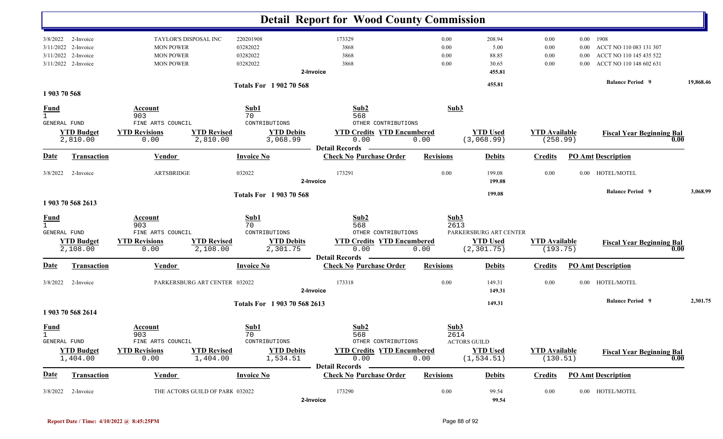|                                    |                                                            |                                                                                   |                                                                                                | <b>Detail Report for Wood County Commission</b>                                                          |                              |                                                          |                                  |                      |                                                                                            |           |
|------------------------------------|------------------------------------------------------------|-----------------------------------------------------------------------------------|------------------------------------------------------------------------------------------------|----------------------------------------------------------------------------------------------------------|------------------------------|----------------------------------------------------------|----------------------------------|----------------------|--------------------------------------------------------------------------------------------|-----------|
| 3/8/2022<br>3/11/2022<br>3/11/2022 | 2-Invoice<br>2-Invoice<br>2-Invoice<br>3/11/2022 2-Invoice | TAYLOR'S DISPOSAL INC<br><b>MON POWER</b><br><b>MON POWER</b><br><b>MON POWER</b> | 220201908<br>03282022<br>03282022<br>03282022                                                  | 173329<br>3868<br>3868<br>3868<br>2-Invoice                                                              | 0.00<br>0.00<br>0.00<br>0.00 | 208.94<br>5.00<br>88.85<br>30.65<br>455.81               | 0.00<br>0.00<br>0.00<br>0.00     | 0.00<br>0.00<br>0.00 | 0.00 1908<br>ACCT NO 110 083 131 307<br>ACCT NO 110 145 435 522<br>ACCT NO 110 148 602 631 |           |
| 1903 70 568                        |                                                            |                                                                                   | <b>Totals For 1902 70 568</b>                                                                  |                                                                                                          |                              | 455.81                                                   |                                  |                      | <b>Balance Period 9</b>                                                                    | 19,868.46 |
| <u>Fund</u><br>$\mathbf{1}$        | GENERAL FUND<br><b>YTD Budget</b><br>2,810.00              | Account<br>903<br>FINE ARTS COUNCIL<br><b>YTD Revisions</b><br>0.00               | Sub1<br>70<br>CONTRIBUTIONS<br><b>YTD Revised</b><br><b>YTD Debits</b><br>2,810.00<br>3,068.99 | Sub2<br>568<br>OTHER CONTRIBUTIONS<br><b>YTD Credits YTD Encumbered</b><br>0.00                          | Sub3<br>0.00                 | <b>YTD Used</b><br>(3,068.99)                            | <b>YTD</b> Available<br>(258.99) |                      | <b>Fiscal Year Beginning Bal</b><br>0.00                                                   |           |
| Date                               | <b>Transaction</b>                                         | <b>Vendor</b>                                                                     | <b>Invoice No</b>                                                                              | <b>Detail Records</b><br><b>Check No Purchase Order</b>                                                  | <b>Revisions</b>             | <b>Debits</b>                                            | <b>Credits</b>                   |                      | <b>PO Amt Description</b>                                                                  |           |
| 3/8/2022                           | 2-Invoice                                                  | <b>ARTSBRIDGE</b>                                                                 | 032022                                                                                         | 173291<br>2-Invoice                                                                                      | 0.00                         | 199.08<br>199.08                                         | 0.00                             |                      | 0.00 HOTEL/MOTEL                                                                           |           |
|                                    | 1903 70 568 2613                                           |                                                                                   | <b>Totals For 1903 70 568</b>                                                                  |                                                                                                          |                              | 199.08                                                   |                                  |                      | <b>Balance Period 9</b>                                                                    | 3,068.99  |
| <b>Fund</b><br>$\mathbf{1}$        | GENERAL FUND<br><b>YTD Budget</b><br>2,108.00              | Account<br>903<br>FINE ARTS COUNCIL<br><b>YTD Revisions</b><br>0.00               | Sub1<br>70<br>CONTRIBUTIONS<br><b>YTD Revised</b><br><b>YTD Debits</b><br>2,301.75<br>2,108.00 | Sub2<br>568<br>OTHER CONTRIBUTIONS<br><b>YTD Credits YTD Encumbered</b><br>0.00                          | Sub3<br>2613<br>0.00         | PARKERSBURG ART CENTER<br><b>YTD Used</b><br>(2, 301.75) | <b>YTD Available</b><br>(193.75) |                      | <b>Fiscal Year Beginning Bal</b><br>0.00                                                   |           |
| <u>Date</u>                        | <b>Transaction</b>                                         | <b>Vendor</b>                                                                     | <b>Invoice No</b>                                                                              | <b>Detail Records</b><br><b>Check No Purchase Order</b>                                                  | <b>Revisions</b>             | <b>Debits</b>                                            | <b>Credits</b>                   |                      | <b>PO Amt Description</b>                                                                  |           |
| 3/8/2022                           | 2-Invoice                                                  |                                                                                   | PARKERSBURG ART CENTER 032022                                                                  | 173318<br>2-Invoice                                                                                      | 0.00                         | 149.31<br>149.31                                         | 0.00                             |                      | 0.00 HOTEL/MOTEL<br><b>Balance Period</b> 9                                                | 2,301.75  |
|                                    | 1903 70 568 2614                                           |                                                                                   | Totals For 1 903 70 568 2613                                                                   |                                                                                                          |                              | 149.31                                                   |                                  |                      |                                                                                            |           |
| <b>Fund</b><br>1                   | <b>GENERAL FUND</b><br><b>YTD Budget</b><br>1,404.00       | Account<br>903<br>FINE ARTS COUNCIL<br><b>YTD Revisions</b><br>0.00               | Sub1<br>70<br>CONTRIBUTIONS<br><b>YTD Revised</b><br><b>YTD Debits</b><br>1,404.00<br>1,534.51 | Sub2<br>568<br>OTHER CONTRIBUTIONS<br><b>YTD Credits YTD Encumbered</b><br>0.00<br><b>Detail Records</b> | Sub3<br>2614<br>0.00         | <b>ACTORS GUILD</b><br><b>YTD Used</b><br>(1, 534.51)    | <b>YTD Available</b><br>(130.51) |                      | <b>Fiscal Year Beginning Bal</b><br>0.00                                                   |           |
| <b>Date</b>                        | <b>Transaction</b>                                         | <b>Vendor</b>                                                                     | <b>Invoice No</b>                                                                              | <b>Check No Purchase Order</b>                                                                           | <b>Revisions</b>             | <b>Debits</b>                                            | <b>Credits</b>                   |                      | <b>PO Amt Description</b>                                                                  |           |
|                                    | $3/8/2022$ 2-Invoice                                       |                                                                                   | THE ACTORS GUILD OF PARK 032022                                                                | 173290<br>2-Invoice                                                                                      | 0.00                         | 99.54<br>99.54                                           | 0.00                             |                      | 0.00 HOTEL/MOTEL                                                                           |           |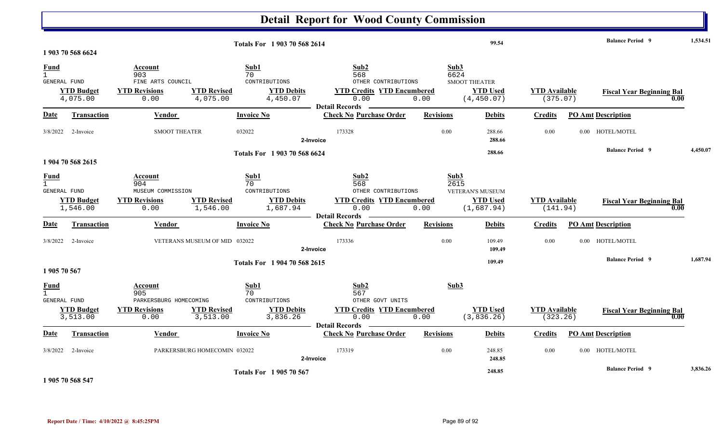|                                                    |                                |                                                                                                       |                                                              | <b>Detail Report for Wood County Commission</b>                                                          |                          |                                                        |                                  |                                  |          |
|----------------------------------------------------|--------------------------------|-------------------------------------------------------------------------------------------------------|--------------------------------------------------------------|----------------------------------------------------------------------------------------------------------|--------------------------|--------------------------------------------------------|----------------------------------|----------------------------------|----------|
|                                                    | 1 903 70 568 6624              |                                                                                                       | Totals For 1 903 70 568 2614                                 |                                                                                                          |                          | 99.54                                                  |                                  | <b>Balance Period 9</b>          | 1.534.51 |
| <b>Fund</b><br>$\mathbf{1}$<br>GENERAL FUND        | <b>YTD Budget</b><br>4,075.00  | Account<br>903<br>FINE ARTS COUNCIL<br><b>YTD Revised</b><br><b>YTD Revisions</b><br>4,075.00<br>0.00 | Sub1<br>70<br>CONTRIBUTIONS<br><b>YTD Debits</b><br>4,450.07 | Sub2<br>568<br>OTHER CONTRIBUTIONS<br><b>YTD Credits YTD Encumbered</b><br>0.00<br><b>Detail Records</b> | Sub3<br>6624<br>0.00     | <b>SMOOT THEATER</b><br><b>YTD Used</b><br>(4, 450.07) | <b>YTD Available</b><br>(375.07) | <b>Fiscal Year Beginning Bal</b> | 0.00     |
| Date                                               | <b>Transaction</b>             | Vendor                                                                                                | <b>Invoice No</b>                                            | <b>Check No Purchase Order</b>                                                                           | <b>Revisions</b>         | <b>Debits</b>                                          | <b>Credits</b>                   | <b>PO Amt Description</b>        |          |
| 3/8/2022                                           | 2-Invoice                      | <b>SMOOT THEATER</b>                                                                                  | 032022                                                       | 173328<br>2-Invoice                                                                                      | 0.00                     | 288.66<br>288.66                                       | 0.00                             | 0.00 HOTEL/MOTEL                 |          |
|                                                    | 1 904 70 568 2615              |                                                                                                       | Totals For 1903 70 568 6624                                  |                                                                                                          |                          | 288.66                                                 |                                  | <b>Balance Period 9</b>          | 4,450.07 |
| <u>Fund</u><br>$\mathbf{1}$<br>GENERAL FUND        | <b>YTD Budget</b><br>1,546.00  | Account<br>904<br>MUSEUM COMMISSION<br><b>YTD Revised</b><br><b>YTD Revisions</b><br>1,546.00<br>0.00 | Sub1<br>70<br>CONTRIBUTIONS<br><b>YTD Debits</b><br>1,687.94 | Sub2<br>568<br>OTHER CONTRIBUTIONS<br><b>YTD Credits YTD Encumbered</b><br>0.00                          | Sub3<br>2615<br>0.00     | VETERAN'S MUSEUM<br><b>YTD Used</b><br>(1,687.94)      | <b>YTD Available</b><br>(141.94) | <b>Fiscal Year Beginning Bal</b> | 0.00     |
| Date                                               | Transaction                    | Vendor                                                                                                | <b>Invoice No</b>                                            | <b>Detail Records</b><br><b>Check No Purchase Order</b>                                                  | <b>Revisions</b>         | <b>Debits</b>                                          | <b>Credits</b>                   | <b>PO Amt Description</b>        |          |
| 3/8/2022                                           | 2-Invoice                      | VETERANS MUSEUM OF MID 032022                                                                         |                                                              | 173336<br>2-Invoice                                                                                      | 0.00                     | 109.49<br>109.49                                       | 0.00                             | 0.00 HOTEL/MOTEL                 |          |
| 1 905 70 567                                       |                                |                                                                                                       | Totals For 1 904 70 568 2615                                 |                                                                                                          |                          | 109.49                                                 |                                  | <b>Balance Period 9</b>          | 1,687.94 |
| <b>Fund</b><br>$\mathbf{1}$<br><b>GENERAL FUND</b> | <b>YTD Budget</b>              | Account<br>905<br>PARKERSBURG HOMECOMING<br><b>YTD Revised</b><br><b>YTD Revisions</b>                | Sub1<br>70<br>CONTRIBUTIONS<br><b>YTD Debits</b>             | Sub2<br>567<br>OTHER GOVT UNITS<br><b>YTD Credits YTD Encumbered</b><br>0.00                             | Sub3                     | <b>YTD Used</b>                                        | <b>YTD Available</b>             | <b>Fiscal Year Beginning Bal</b> |          |
| Date                                               | 3,513.00<br><b>Transaction</b> | 0.00<br>3,513.00<br><b>Vendor</b>                                                                     | 3,836.26<br><b>Invoice No</b>                                | - Detail Records<br><b>Contract Contract Contract</b><br><b>Check No Purchase Order</b>                  | 0.00<br><b>Revisions</b> | (3,836.26)<br><b>Debits</b>                            | (323.26)<br><b>Credits</b>       | <b>PO Amt Description</b>        | 0.00     |
| 3/8/2022                                           | 2-Invoice                      | PARKERSBURG HOMECOMIN 032022                                                                          |                                                              | 173319<br>2-Invoice                                                                                      | 0.00                     | 248.85<br>248.85                                       | 0.00                             | 0.00 HOTEL/MOTEL                 |          |
|                                                    |                                |                                                                                                       | <b>Totals For 1905 70 567</b>                                |                                                                                                          |                          | 248.85                                                 |                                  | <b>Balance Period 9</b>          | 3,836.26 |

**1 905 70 568 547**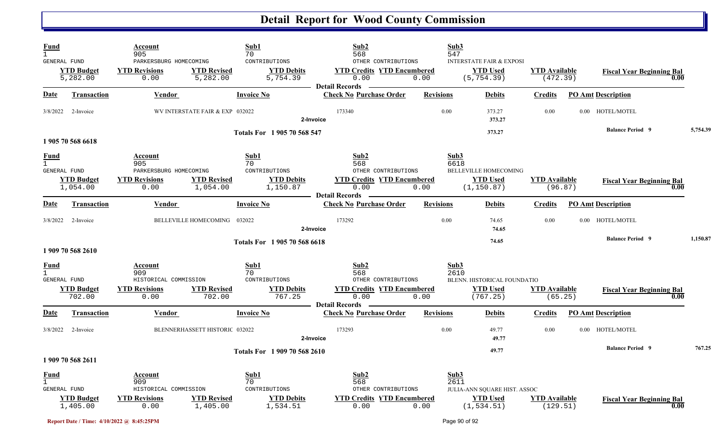| Fund<br>$\mathbf{1}$<br><b>GENERAL FUND</b>          | <b>YTD Budget</b><br>5,282.00 | Account<br>905<br>PARKERSBURG HOMECOMING<br><b>YTD Revisions</b><br>0.00 | <b>YTD Revised</b><br>5,282.00  | Sub1<br>70<br>CONTRIBUTIONS<br><b>YTD Debits</b><br>5,754.39 | Sub2<br>568<br>OTHER CONTRIBUTIONS<br><b>YTD Credits YTD Encumbered</b><br>0.00<br><b>Detail Records</b> | Sub3<br>547<br>0.00  | <b>INTERSTATE FAIR &amp; EXPOSI</b><br><b>YTD Used</b><br>(5, 754.39) | <b>YTD</b> Available<br>(472.39) | <b>Fiscal Year Beginning Bal</b> | 0.00     |
|------------------------------------------------------|-------------------------------|--------------------------------------------------------------------------|---------------------------------|--------------------------------------------------------------|----------------------------------------------------------------------------------------------------------|----------------------|-----------------------------------------------------------------------|----------------------------------|----------------------------------|----------|
| Date                                                 | <b>Transaction</b>            | <b>Vendor</b>                                                            |                                 | <b>Invoice No</b>                                            | <b>Check No Purchase Order</b>                                                                           | <b>Revisions</b>     | <b>Debits</b>                                                         | <b>Credits</b>                   | <b>PO Amt Description</b>        |          |
| 3/8/2022                                             | 2-Invoice                     |                                                                          | WV INTERSTATE FAIR & EXP 032022 |                                                              | 173340<br>2-Invoice                                                                                      | 0.00                 | 373.27<br>373.27                                                      | 0.00                             | 0.00 HOTEL/MOTEL                 |          |
|                                                      | 1 905 70 568 6618             |                                                                          |                                 | Totals For 1 905 70 568 547                                  |                                                                                                          |                      | 373.27                                                                |                                  | <b>Balance Period 9</b>          | 5,754.39 |
| Fund<br>$\mathbf{1}$<br>GENERAL FUND                 | <b>YTD Budget</b><br>1,054.00 | Account<br>905<br>PARKERSBURG HOMECOMING<br><b>YTD Revisions</b><br>0.00 | <b>YTD Revised</b><br>1,054.00  | Sub1<br>70<br>CONTRIBUTIONS<br><b>YTD Debits</b><br>1,150.87 | Sub2<br>568<br>OTHER CONTRIBUTIONS<br><b>YTD Credits YTD Encumbered</b><br>0.00<br><b>Detail Records</b> | Sub3<br>6618<br>0.00 | BELLEVILLE HOMECOMING<br><b>YTD</b> Used<br>(1, 150.87)               | <b>YTD</b> Available<br>(96.87)  | <b>Fiscal Year Beginning Bal</b> | 0.00     |
| <u>Date</u>                                          | <b>Transaction</b>            | Vendor                                                                   |                                 | <b>Invoice No</b>                                            | <b>Check No Purchase Order</b>                                                                           | <b>Revisions</b>     | <b>Debits</b>                                                         | Credits                          | <b>PO Amt Description</b>        |          |
| 3/8/2022                                             | 2-Invoice                     |                                                                          | BELLEVILLE HOMECOMING 032022    |                                                              | 173292<br>2-Invoice                                                                                      | 0.00                 | 74.65<br>74.65                                                        | 0.00                             | 0.00 HOTEL/MOTEL                 |          |
|                                                      | 1 909 70 568 2610             |                                                                          |                                 | Totals For 1905 70 568 6618                                  |                                                                                                          |                      | 74.65                                                                 |                                  | <b>Balance Period 9</b>          | 1,150.87 |
| <u>Fund</u><br>$\overline{1}$<br><b>GENERAL FUND</b> | <b>YTD Budget</b>             | Account<br>909<br>HISTORICAL COMMISSION<br><b>YTD Revisions</b>          | <b>YTD Revised</b>              | Sub1<br>70<br>CONTRIBUTIONS<br><b>YTD Debits</b>             | Sub2<br>568<br>OTHER CONTRIBUTIONS<br><b>YTD Credits YTD Encumbered</b>                                  | Sub3<br>2610         | BLENN. HISTORICAL FOUNDATIO<br><b>YTD</b> Used                        | <b>YTD Available</b>             | <b>Fiscal Year Beginning Bal</b> |          |
|                                                      | 702.00                        | 0.00                                                                     | 702.00                          | 767.25                                                       | 0.00<br><b>Detail Records</b>                                                                            | 0.00                 | (767.25)                                                              | (65.25)                          |                                  | 0.00     |
| <u>Date</u>                                          | <b>Transaction</b>            | Vendor                                                                   |                                 | <b>Invoice No</b>                                            | <b>Check No Purchase Order</b>                                                                           | <b>Revisions</b>     | <b>Debits</b>                                                         | <b>Credits</b>                   | <b>PO Amt Description</b>        |          |
| 3/8/2022                                             | 2-Invoice                     |                                                                          | BLENNERHASSETT HISTORIC 032022  |                                                              | 173293<br>2-Invoice                                                                                      | 0.00                 | 49.77<br>49.77                                                        | 0.00                             | 0.00 HOTEL/MOTEL                 |          |
|                                                      | 1 909 70 568 2611             |                                                                          |                                 | Totals For 1909 70 568 2610                                  |                                                                                                          |                      | 49.77                                                                 |                                  | <b>Balance Period 9</b>          | 767.25   |
| <u>Fund</u><br>$\mathbf{1}$<br>GENERAL FUND          |                               | Account<br>909<br>HISTORICAL COMMISSION                                  |                                 | Sub1<br>70<br>CONTRIBUTIONS                                  | Sub2<br>568<br>OTHER CONTRIBUTIONS                                                                       | Sub3<br>2611         | JULIA-ANN SQUARE HIST. ASSOC                                          |                                  |                                  |          |
|                                                      | <b>YTD Budget</b><br>1,405.00 | <b>YTD Revisions</b><br>0.00                                             | <b>YTD Revised</b><br>1,405.00  | <b>YTD Debits</b><br>1,534.51                                | <b>YTD Credits YTD Encumbered</b><br>0.00                                                                | 0.00                 | <b>YTD Used</b><br>(1, 534.51)                                        | <b>YTD</b> Available<br>(129.51) | <b>Fiscal Year Beginning Bal</b> | 0.00     |